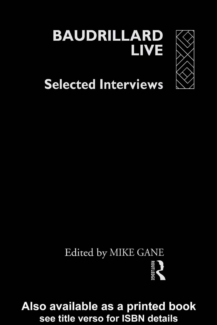# **BAUDRILLARD** LIVE



# **Selected Interviews**

Edited by MIKE GANE **AND READ** 

Also available as a printed book see title verso for ISBN details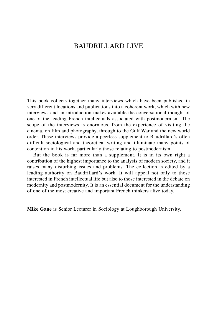### BAUDRILLARD LIVE

This book collects together many interviews which have been published in very different locations and publications into a coherent work, which with new interviews and an introduction makes available the conversational thought of one of the leading French intellectuals associated with postmodernism. The scope of the interviews is enormous, from the experience of visiting the cinema, on film and photography, through to the Gulf War and the new world order. These interviews provide a peerless supplement to Baudrillard's often difficult sociological and theoretical writing and illuminate many points of contention in his work, particularly those relating to postmodernism.

But the book is far more than a supplement. It is in its own right a contribution of the highest importance to the analysis of modern society, and it raises many disturbing issues and problems. The collection is edited by a leading authority on Baudrillard's work. It will appeal not only to those interested in French intellectual life but also to those interested in the debate on modernity and postmodernity. It is an essential document for the understanding of one of the most creative and important French thinkers alive today.

**Mike Gane** is Senior Lecturer in Sociology at Loughborough University.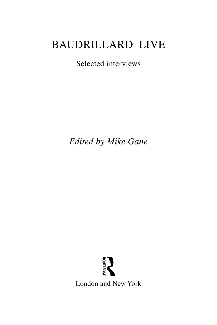## BAUDRILLARD LIVE

Selected interviews

*Edited by Mike Gane*



London and New York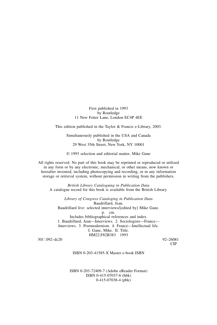First published in 1993 by Routledge 11 New Fetter Lane, London EC4P 4EE

This edition published in the Taylor & Francis e-Library, 2003.

Simultaneously published in the USA and Canada by Routledge 29 West 35th Street, New York, NY 10001

© 1993 selection and editorial matter, Mike Gane

All rights reserved. No part of this book may be reprinted or reproduced or utilized in any form or by any electronic, mechanical, or other means, now known or hereafter invented, including photocopying and recording, or in any information storage or retrieval system, without permission in writing from the publishers.

*British Library Cataloguing in Publication Data* A catalogue record for this book is available from the British Library.

*Library of Congress Cataloging in Publication Data* Baudrillard, Jean. Baudrillard live: selected interviews/[edited by] Mike Gane. p. cm. Includes bibliographical references and index. 1. Baudrillard, Jean—Interviews. 2. Sociologists—France— Interviews. 3. Postmodernism. 4. France—Intellectual life. I. Gane, Mike. II. Title. HM22.F82B383 1993

301´.092–dc20 92–26081

CIP

ISBN 0-203-41585-X Master e-book ISBN

ISBN 0-203-72409-7 (Adobe eReader Format) ISBN 0-415-07037-6 (hbk) 0-415-07038-4 (pbk)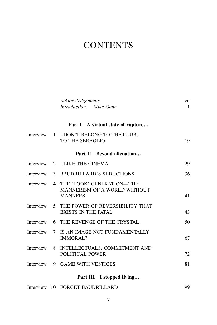## **CONTENTS**

|           |   | Acknowledgements<br>Introduction Mike Gane                                    |              |  |
|-----------|---|-------------------------------------------------------------------------------|--------------|--|
|           |   |                                                                               | $\mathbf{1}$ |  |
|           |   | Part I A virtual state of rupture                                             |              |  |
|           |   | Interview 1 I DON'T BELONG TO THE CLUB,<br>TO THE SERAGLIO                    | 19           |  |
|           |   | Part II Beyond alienation                                                     |              |  |
|           |   | Interview 2 I LIKE THE CINEMA                                                 | 29           |  |
| Interview |   | <b>3 BAUDRILLARD'S SEDUCTIONS</b>                                             | 36           |  |
| Interview |   | 4 THE 'LOOK' GENERATION-THE<br>MANNERISM OF A WORLD WITHOUT<br><b>MANNERS</b> | 41           |  |
| Interview |   | 5 THE POWER OF REVERSIBILITY THAT<br><b>EXISTS IN THE FATAL</b>               | 43           |  |
| Interview |   | 6 THE REVENGE OF THE CRYSTAL                                                  | 50           |  |
| Interview |   | 7 IS AN IMAGE NOT FUNDAMENTALLY<br><b>IMMORAL?</b>                            | 67           |  |
| Interview | 8 | INTELLECTUALS, COMMITMENT AND<br>POLITICAL POWER                              | 72           |  |
| Interview |   | 9 GAME WITH VESTIGES                                                          | 81           |  |
|           |   | Part III I stopped living                                                     |              |  |
|           |   | Interview 10 FORGET BAUDRILLARD                                               | 99           |  |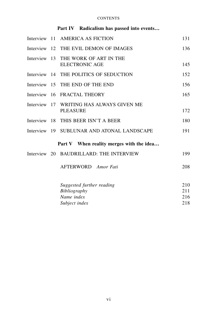#### **CONTENTS**

|  |                                                              | Part IV Radicalism has passed into events  |     |
|--|--------------------------------------------------------------|--------------------------------------------|-----|
|  | Interview 11 AMERICA AS FICTION                              |                                            | 131 |
|  | Interview 12 THE EVIL DEMON OF IMAGES                        |                                            | 136 |
|  | Interview 13 THE WORK OF ART IN THE<br><b>ELECTRONIC AGE</b> | 145                                        |     |
|  | Interview 14 THE POLITICS OF SEDUCTION                       | 152                                        |     |
|  | Interview 15 THE END OF THE END                              | 156                                        |     |
|  | Interview 16 FRACTAL THEORY                                  |                                            | 165 |
|  | Interview 17 WRITING HAS ALWAYS GIVEN ME<br><b>PLEASURE</b>  | 172                                        |     |
|  | Interview 18 THIS BEER ISN'T A BEER                          |                                            | 180 |
|  |                                                              | Interview 19 SUBLUNAR AND ATONAL LANDSCAPE | 191 |
|  |                                                              | Part V When reality merges with the idea   |     |
|  | Interview 20 BAUDRILLARD: THE INTERVIEW                      |                                            | 199 |
|  | <b>AFTERWORD</b> Amor Fati                                   |                                            | 208 |
|  | Suggested further reading                                    |                                            | 210 |
|  | Bibliography                                                 |                                            | 211 |
|  | Name index                                                   |                                            | 216 |
|  | Subject index                                                |                                            | 218 |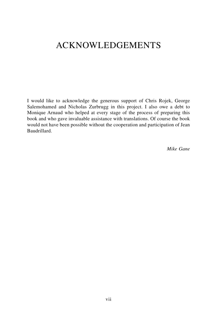### ACKNOWLEDGEMENTS

I would like to acknowledge the generous support of Chris Rojek, George Salemohamed and Nicholas Zurbrugg in this project. I also owe a debt to Monique Arnaud who helped at every stage of the process of preparing this book and who gave invaluable assistance with translations. Of course the book would not have been possible without the cooperation and participation of Jean Baudrillard.

*Mike Gane*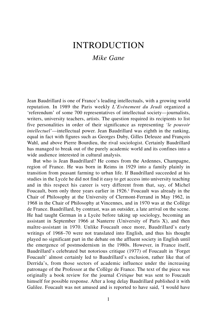### INTRODUCTION

#### *Mike Gane*

Jean Baudrillard is one of France's leading intellectuals, with a growing world reputation. In 1989 the Paris weekly *L'Evénement du Jeudi* organized a 'referendum' of some 700 representatives of intellectual society—journalists, writers, university teachers, artists. The question required its recipients to list five personalities in order of their significance as representing *'le pouvoir intellectuel'*—intellectual power. Jean Baudrillard was eighth in the ranking, equal in fact with figures such as Georges Duby, Gilles Deleuze and François Wahl, and above Pierre Bourdieu, the rival sociologist. Certainly Baudrillard has managed to break out of the purely academic world and its confines into a wide audience interested in cultural analysis.

But who is Jean Baudrillard? He comes from the Ardennes, Champagne, region of France. He was born in Reims in 1929 into a family plainly in transition from peasant farming to urban life. If Baudrillard succeeded at his studies in the Lycée he did not find it easy to get access into university teaching and in this respect his career is very different from that, say, of Michel Foucault, born only three years earlier in 1926.<sup>1</sup> Foucault was already in the Chair of Philosophy at the University of Clermont-Ferrand in May 1962, in 1968 in the Chair of Philosophy at Vincennes, and in 1970 was at the Collège de France. Baudrillard, by contrast, was an outsider, a late arrival on the scene. He had taught German in a Lycèe before taking up sociology, becoming an assistant in September 1966 at Nanterre (University of Paris X), and then maître-assistant in 1970. Unlike Foucault once more, Baudrillard's early writings of 1968–70 were not translated into English, and thus his thought played no significant part in the debate on the affluent society in English until the emergence of postmodernism in the 1980s. However, in France itself, Baudrillard's celebrated but notorious critique (1977) of Foucault in 'Forget Foucault' almost certainly led to Baudrillard's exclusion, rather like that of Derrida's, from those sectors of academic influence under the increasing patronage of the Professor at the Collège de France. The text of the piece was originally a book review for the journal *Critique* but was sent to Foucault himself for possible response. After a long delay Baudrillard published it with Galilee. Foucault was not amused and is reported to have said, 'I would have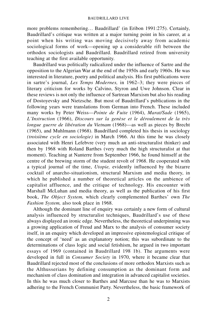more problems remembering… Baudrillard' (in Eribon 1991:275). Certainly, Baudrillard's critique was written at a major turning point in his career, at a point when his writing was moving decisively away from academic sociological forms of work—opening up a considerable rift between the orthodox sociologists and Baudrillard. Baudrillard retired from university teaching at the first available opportunity.

Baudrillard was politically radicalized under the influence of Sartre and the opposition to the Algerian War at the end of the 1950s and early 1960s. He was interested in literature, poetry and political analysis. His first publications were in sartre's journal, *Les Temps Modernes,* in 1962–3; they were pieces of literary criticism for works by Calvino, Styron and Uwe Johnson. Clear in these reviews is not only the influence of Sartrean Marxism but also his reading of Dostoyevsky and Nietzsche. But most of Baudrillard's publications in the following years were translations from German into French. These included many works by Peter Weiss—*Pointe de Fuite* (1964), *Marat/Sade* (1965), *L'Instruction* (1966), *Discours sur la genèse et le déroulement de la très longue guerre de libération du Vietnam* (1968)—as well as pieces by Brecht (1965), and Muhlmann (1968). Baudrillard completed his thesis in sociology *(troisième cycle en sociologie)* in March 1966. At this time he was closely associated with Henri Lefebvre (very much an anti-structuralist thinker) and then by 1968 with Roland Barthes (very much the high structuralist at that moment). Teaching at Nanterre from September 1966, he found himself at the centre of the brewing storm of the student revolt of 1968. He cooperated with a typical journal of the time, *Utopie,* evidently influenced by the bizarre cocktail of anarcho-situationism, structural Marxism and media theory, in which he published a number of theoretical articles on the ambience of capitalist affluence, and the critique of technology. His encounter with Marshall McLuhan and media theory, as well as the publication of his first book, *The Object System,* which clearly complemented Barthes' own *The Fashion System,* also took place in 1968.

Although the dominant line of enquiry was certainly a new form of cultural analysis influenced by structuralist techniques, Baudrillard's use of these always displayed an ironic edge. Nevertheless, the theoretical underpinning was a growing application of Freud and Marx to the analysis of consumer society itself, in an enquiry which developed an impressive epistemological critique of the concept of 'need' as an explanatory notion; this was subordinate to the determinations of class logic and social fetishism, he argued in two important essays of 1969 (contained in Baudrillard 198 1b). The arguments were developed in full in *Consumer Society* in 1970, where it became clear that Baudrillard rejected most of the conclusions of more orthodox Marxists such as the Althusserians by defining consumption as the dominant form and mechanism of class domination and integration in advanced capitalist societies. In this he was much closer to Barthes and Marcuse than he was to Marxists adhering to the French Communist Party. Nevertheless, the basic framework of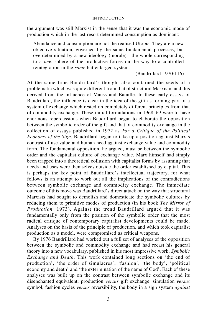#### INTRODUCTION

the argument was still Marxist in the sense that it was the economic mode of production which in the last resort determined consumption as dominant:

Abundance and consumption are not the realised Utopia. They are a new objective situation, governed by the same fundamental processes, but overdetermined by a new ideology (morale)—the whole corresponding to a *new* sphere of the productive forces on the way to a controlled reintegration in the *same* but enlarged system.

#### (Baudrillard 1970:116)

At the same time Baudrillard's thought also contained the seeds of a problematic which was quite different from that of structural Marxism, and this derived from the influence of Mauss and Bataille. In these early essays of Baudrillard, the influence is clear in the idea of the gift as forming part of a system of exchange which rested on completely different principles from that of commodity exchange. These initial formulations in 1968–69 were to have enormous repercussions when Baudrillard began to elaborate the opposition between the symbolic order of the gift and that of commodity exchange in the collection of essays published in 1972 as *For a Critique of the Political Economy of the Sign*. Baudrillard began to take up a position against Marx's contrast of use value and human need against exchange value and commodity form. The fundamental opposition, he argued, must be between the symbolic order and the capitalist culture of exchange value. Marx himself had simply been trapped into a theoretical collusion with capitalist forms by assuming that needs and uses were themselves outside the order established by capital. This is perhaps the key point of Baudrillard's intellectual trajectory, for what follows is an attempt to work out all the implications of the contradictions between symbolic exchange and commodity exchange. The immediate outcome of this move was Baudrillard's direct attack on the way that structural Marxists had sought to demolish and domesticate the symbolic cultures by reducing them to primitive modes of production (in his book *The Mirror of Production,* 1973). Against the trend Baudrillard argued that it was fundamentally only from the position of the symbolic order that the most radical critique of contemporary capitalist developments could be made. Analyses on the basis of the principle of production, and which took capitalist production as a model, were compromised as critical weapons.

By 1976 Baudrillard had worked out a full set of analyses of the opposition between the symbolic and commodity exchange and had recast his general theory into a new vocabulary, published in his most impressive work, *Symbolic Exchange and Death*. This work contained long sections on 'the end of production', 'the order of simulacres', 'fashion', 'the body', 'political economy and death' and 'the extermination of the name of God'. Each of these analyses was built up on the contrast between symbolic exchange and its disenchanted equivalent: production *versus* gift exchange, simulation *versus* symbol, fashion cycles *versus* reversibility, the body in a sign system *against*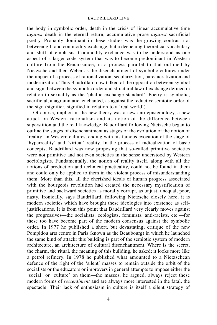the body in symbolic order, death in the crisis of linear accumulative time *against* death in the eternal return, accumulative prose *against* sacrificial poetry. Probably dominant in these studies was the growing contrast not between gift and commodity exchange, but a deepening theoretical vocabulary and shift of emphasis. Commodity exchange was to be understood as one aspect of a larger code system that was to become predominant in Western culture from the Renaissance, in a process parallel to that outlined by Nietzsche and then Weber as the disenchantment of symbolic cultures under the impact of a process of rationalization, secularization, bureaucratization and modernization. Thus Baudrillard now talked of the opposition between symbol and sign, between the symbolic order and structural law of exchange defined in relation to sexuality as the 'phallic exchange standard'. Poetry is symbolic, sacrificial, anagrammatic, enchanted, as against the reductive semiotic order of the sign (signifier, signified in relation to a 'real world').

Of course, implicit in the new theory was a new anti-epistemology, a new attack on Western rationalism and its notion of the difference between superstition and the real knowledge. Baudrillard following Nietzsche began to outline the stages of disenchantment as stages of the evolution of the notion of 'reality' in Western cultures, ending with his famous evocation of the stage of 'hyperreality' and 'virtual' reality. In the process of radicalization of basic concepts, Baudrillard was now proposing that so-called primitive societies were not primitive and not even societies in the sense understood by Western sociologists. Fundamentally, the notion of reality itself, along with all the notions of production and technical practicality, could not be found in them and could only be applied to them in the violent process of misunderstanding them. More than this, all the cherished ideals of human progress associated with the bourgeois revolution had created the necessary mystification of primitive and backward societies as morally corrupt, as unjust, unequal, poor, nasty. Ironically, says Baudrillard, following Nietzsche closely here, it is modern societies which have brought these ideologies into existence as selfjustifications. It is from this point that Baudrillard very clearly moves against the progressives—the socialists, ecologists, feminists, anti-racists, etc.—for these too have become part of the modern consensus against the symbolic order. In 1977 he published a short, but devastating, critique of the new Pompidou arts centre in Paris (known as the Beaubourg) in which he launched the same kind of attack: this building is part of the semiotic system of modern architecture, an architecture of cultural disenchantment. Where is the secret, the charm, the ritual, the meaning of this building, he asked; it looks more like a petrol refinery. In 1978 he published what amounted to a Nietzschean defence of the right of the 'silent' masses to remain outside the orbit of the socialists or the educators or improvers in general attempts to impose either the 'social' or 'culture' on them—the masses, he argued, always reject these modern forms of *ressentiment* and are always more interested in the fatal, the spectacle. Their lack of enthusiasm in culture is itself a silent strategy of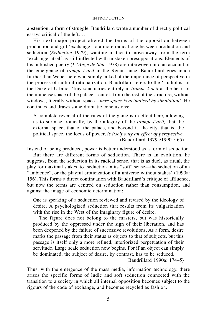abstention, a form of struggle. Baudrillard wrote a number of directly political essays critical of the left….

His next major project altered the terms of the opposition between production and gift 'exchange' to a more radical one between production and seduction (*Seduction* 1979), wanting in fact to move away from the term 'exchange' itself as still inflected with mistaken presuppositions. Elements of his published poetry (*L 'Ange de Stuc* 1978) are interwoven into an account of the emergence of *trompe-l'oeil* in the Renaissance. Baudrillard goes much further than Weber here who simply talked of the importance of perspective in the process of cultural rationalization. Baudrillard refers to the 'studiolos' of the Duke of Urbino -'tiny sanctuaries entirely in *trompe-l'oeil* at the heart of the immense space of the palace…cut off from the rest of the structure, without windows, literally without space—*here space is actualised by simulation'*. He continues and draws some dramatic conclusions:

A complete reversal of the rules of the game is in effect here, allowing us to surmise ironically, by the allegory of the *trompe-l'oeil,* that the external space, that of the palace, and beyond it, the city, that is, the political space, the locus of power, *is itself only an effect of perspective*. (Baudrillard 1979a/1990a: 65)

Instead of being produced, power is better understood as a form of seduction.

But there are different forms of seduction. There is an evolution, he suggests, from the seduction in its radical sense, that is as duel, as ritual, the play for maximal stakes, to 'seduction in its "soft" sense—the seduction of an "ambience", or the playful eroticization of a universe without stakes' (1990a: 156). This forms a direct continuation with Baudrillard's critique of affluence, but now the terms are centred on seduction rather than consumption, and against the image of economic determination:

One is speaking of a seduction reviewed and revised by the ideology of desire. A psychologized seduction that results from its vulgarization with the rise in the West of the imaginary figure of desire.

The figure does not belong to the masters, but was historically produced by the oppressed under the sign of their liberation, and has been deepened by the failure of successive revolutions. As a form, desire marks the passage from their status as objects to that of subjects, but this passage is itself only a more refined, interiorized perpetuation of their servitude. Large scale seduction now begins. For if an object can simply be dominated, the subject of desire, by contrast, has to be seduced.

(Baudrillard 1990a: 174–5)

Thus, with the emergence of the mass media, information technology, there arises the specific forms of ludic and soft seduction connected with the transition to a society in which all internal opposition becomes subject to the rigours of the code of exchange, and becomes recycled as fashion.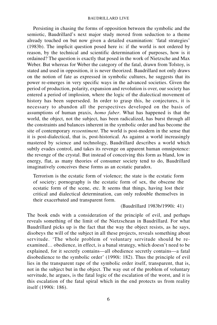Persisting in chasing the forms of opposition between the symbolic and the semiotic, Baudrillard's next major study moved from seduction to a theme already touched on but now given a detailed examination: 'fatal strategies' (1983b). The implicit question posed here is: if the world is not ordered by reason, by the technical and scientific determination of purposes, how is it ordained? The question is exactly that posed in the work of Nietzsche and Max Weber. But whereas for Weber the category of the fatal, drawn from Tolstoy, is stated and used in opposition, it is never theorized. Baudrillard not only draws on the notion of fate as expressed in symbolic cultures, he suggests that its power re-emerges in very specific ways in the advanced societies. Given the period of production, polarity, expansion and revolution is over, our society has entered a period of implosion, where the logic of the dialectical movement of history has been superseded. In order to grasp this, he conjectures, it is necessary to abandon all the perspectives developed on the basis of assumptions of human praxis, *homo faber*. What has happened is that the world, the object, not the subject, has been radicalized, has burst through all the constraints and balances inherent in the symbolic order and has become the site of contemporary *ressentiment*. The world is post-modern in the sense that it is post-dialectical, that is, post-historical. As against a world increasingly mastered by science and technology, Baudrillard describes a world which subtly evades control, and takes its revenge on apparent human omnipotence: the revenge of the crystal. But instead of conceiving this form as bland, low in energy, flat, as many theories of consumer society tend to do, Baudrillard imaginatively conceives these forms as an ecstatic paradox.

Terrorism is the ecstatic form of violence; the state is the ecstatic form of society; pornography is the ecstatic form of sex, the obscene the ecstatic form of the scene, etc. It seems that things, having lost their critical and dialectical determination, can only redouble themselves in their exacerbated and transparent form.

(Baudrillard 1983b/1990i: 41)

The book ends with a consideration of the principle of evil, and perhaps reveals something of the limit of the Nietzschean in Baudrillard. For what Baudrillard picks up is the fact that the way the object resists, as he says, disobeys the will of the subject in all these projects, reveals something about servitude. 'The whole problem of voluntary servitude should be reexamined… obedience, in effect, is a banal strategy, which doesn't need to be explained, for it secretly contains—all obedience secretly contains—a fatal disobedience to the symbolic order' (1990i: 182). Thus the principle of evil lies in the transparent rape of the symbolic order itself, transparent, that is, not in the subject but in the object. The way out of the problem of voluntary servitude, he argues, is the fatal logic of the escalation of the worst, and it is this escalation of the fatal spiral which in the end protects us from reality itself (1990i: 186).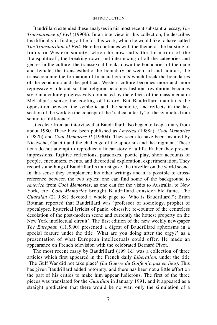#### INTRODUCTION

Baudrillard extended these analyses in his most recent substantial essay, *The Transparence of Evil* (1990b). In an interview in this collection, he describes his difficulty in finding a title for this work, which he would like to have called *The Transparition of Evil*. Here he continues with the theme of the bursting of limits in Western society, which he now calls the formation of the 'transpolitical', the breaking down and intermixing of all the categories and genres in the culture: the transsexual breaks down the boundaries of the male and female, the transaesthetic the boundary between art and non-art, the transeconomic the formation of financial circuits which break the boundaries of the economic and the political. Western culture becomes more and more repressively tolerant so that religion becomes fashion, revolution becomes style in a culture progressively dominated by the effects of the mass media in McLuhan's sense: the cooling of history. But Baudrillard maintains the opposition between the symbolic and the semiotic, and reflects in the last section of the work on the concept of the 'radical alterity' of the symbolic from semiotic 'difference'.

It is clear from an interview that Baudrillard also began to keep a diary from about 1980. These have been published as *America* (1988a), *Cool Memories* (1987b) and *Cool Memories II* (1990d). They seem to have been inspired by Nietzsche, Canetti and the challenge of the aphorism and the fragment. These texts do not attempt to reproduce a linear story of a life. Rather they present impressions, fugitive reflections, paradoxes, poetic play, short accounts of people, encounters, events, and theoretical exploration, experimentation. They record something of Baudrillard's tourist gaze, the traveller on the world scene. In this sense they complement his other writings and it is possible to crossreference between the two styles: one can find some of the background to *America* from *Cool Memories*, as one can for the visits to Australia, to New York, etc. *Cool Memories* brought Baudrillard considerable fame. The *Guardian* (21.9.88) devoted a whole page to 'Who is Baudrillard?'; Brian Rotman reported that Baudrillard was 'professor of sociology, prophet of apocalypse, hysterical lyricist of panic, obsessive re-counter of the centreless desolation of the post-modern scene and currently the hottest property on the New York intellectual circuit'. The first edition of the new weekly newspaper *The European* (11.5.90) presented a digest of Baudrillard aphorisms in a special feature under the title 'What are you doing after the orgy?' as a presentation of what European intellectuals could offer. He made an appearance on French television with the celebrated Bernard Pivot.

The most recent essay by Baudrillard (199 1d) was a collection of three articles which first appeared in the French daily *Liberation,* under the title 'The Gulf War did not take place' *(La Guerre du Golfe n'a pas eu lieu)*. This has given Baudrillard added notoriety, and there has been not a little effort on the part of his critics to make him appear ludicrous. The first of the three pieces was translated for the *Guardian* in January 1991, and it appeared as a straight prediction that there would be no war, only the simulation of a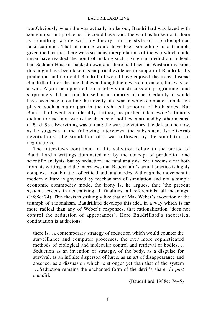war.Obviously when the war actually broke out, Baudrillard was faced with some important problems. He could have said: the war has broken out, there is something wrong with my theory—in the style of a philosophical falsificationist. That of course would have been something of a triumph, given the fact that there were so many interpretations of the war which could never have reached the point of making such a singular prediction. Indeed, had Saddam Hussein backed down and there had been no Western invasion, this might have been taken as empirical evidence in support of Baudrillard's prediction and no doubt Baudrillard would have enjoyed the irony. Instead Baudrillard took the line that even though there was an invasion, this was not a war. Again he appeared on a television discussion programme, and surprisingly did not find himself in a minority of one. Certainly, it would have been easy to outline the novelty of a war in which computer simulation played such a major part in the technical armoury of both sides. But Baudrillard went considerably further; he pushed Clausewitz's famous dictum to read 'non-war is the absence of politics continued by other means' (1991d: 95). Everything was unreal: the war, the victory, the defeat, and now, as he suggests in the following interviews, the subsequent Israeli-Arab negotiations—the simulation of a war followed by the simulation of negotiations.

The interviews contained in this selection relate to the period of Baudrillard's writings dominated not by the concept of production and scientific analysis, but by seduction and fatal analysis. Yet it seems clear both from his writings and the interviews that Baudrillard's actual practice is highly complex, a combination of critical and fatal modes. Although the movement in modern culture is governed by mechanisms of simulation and not a simple economic commodity mode, the irony is, he argues, that 'the present system…cceeds in neutralizing all finalities, all referentials, all meanings' (1988c: 74). This thesis is strikingly like that of Max Weber's evocation of the triumph of rationalism. Baudrillard develops this idea in a way which is far more radical than any of Weber's responses, that rationalization 'does not control the seduction of appearances'. Here Baudrillard's theoretical continuation is audacious:

there is…a contemporary strategy of seduction which would counter the surveillance and computer processes, the ever more sophisticated methods of biological and molecular control and retrieval of bodies…. Seduction as an invention of strategy, of the body, as a disguise for survival, as an infinite disperson of lures, as an art of disappearance and absence, as a dissuasion which is stronger yet than that of the system ….Seduction remains the enchanted form of the devil's share *(la part maudit).*

(Baudrillard 1988c: 74–5)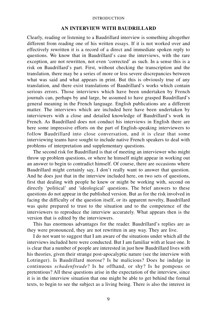#### INTRODUCTION

#### **AN INTERVIEW WITH BAUDRILLARD**

Clearly, reading or listening to a Baudrillard interview is something altogether different from reading one of his written essays. If it is not worked over and effectively rewritten it is a record of a direct and immediate spoken reply to questions. We know that in Baudrillard's case the interviews, with the rare exception, are not rewritten, not even 'corrected' as such. In a sense this is a risk on Baudrillard's part. First, without checking the transcription and the translation, there may be a series of more or less severe discrepancies between what was said and what appears in print. But this is obviously true of any translation, and there exist translations of Baudrillard's works which contain serious errors. Those interviews which have been undertaken by French journals can, perhaps by and large, be assumed to have grasped Baudrillard's general meaning in the French language. English publications are a different matter. The interviews which are included here have been undertaken by interviewers with a close and detailed knowledge of Baudrillard's work in French. As Baudrillard does not conduct his interviews in English there are here some impressive efforts on the part of English-speaking interviewers to follow Baudrillard into close conversation, and it is clear that some interviewing teams have sought to include native French speakers to deal with problems of interpretation and supplementary questions.

The second risk for Baudrillard is that of meeting an interviewer who might throw up problem questions, or where he himself might appear in working out an answer to begin to contradict himself. Of course, there are occasions where Baudrillard might certainly say, I don't really want to answer that question. And he does just that in the interview included here, on two sets of questions, first that dealing with people he knew or might be working with, second on directly 'political' and 'ideological' questions. The brief answers to these questions do not appear in the published version. But as for the risk involved in facing the difficulty of the question itself, or its apparent novelty, Baudrillard was quite prepared to trust to the situation and to the competence of the interviewers to reproduce the interview accurately. What appears then is the version that is edited by the interviewers.

This has enormous advantages for the reader. Baudrillard's replies are as they were pronounced, they are not rewritten in any way. They are live.

I do not want to suggest that I am aware of the situations under which all the interviews included here were conducted. But I am familiar with at least one. It is clear that a number of people are interested in just how Baudrillard lives with his theories, given their strange post-apocalyptic nature (see the interview with Lotringer). Is Baudrillard morose? Is he malicious? Does he indulge in continuous *schadenfreude*? Is he offhand, or shy? Is he pompous or pretentious? All these questions arise in the expectation of the interview, since it is in the interview situation that one might be able to get behind the formal texts, to begin to see the subject as a living being. There is also the interest in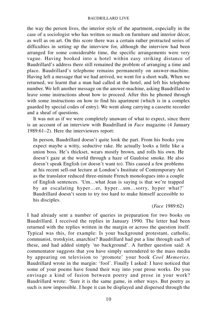the way the person lives, the interior style of the apartment, especially in the case of a sociologist who has written so much on furniture and interior décor, as well as on art. On this score there was a certain rather protracted series of difficulties in setting up the interview for, although the interview had been arranged for some considerable time, the specific arrangements were very vague. Having booked into a hotel within easy striking distance of Baudrillard's address there still remained the problem of arranging a time and place. Baudrillard's telephone remains permanently on answer-machine. Having left a message that we had arrived, we went for a short walk. When we returned, we learnt that a man had called at the hotel, and left his telephone number. We left another message on the answer-machine, asking Baudrillard to leave some instructions about how to proceed. After this he phoned through with some instructions on how to find his apartment (which is in a complex guarded by special codes of entry). We went along carrying a cassette recorder and a sheaf of questions.

It was not as if we were completely unaware of what to expect, since there is an account of an interview with Baudrillard in *Face* magazine (4 January 1989:61–2). Here the interviewers report:

In person, Baudrillard doesn't quite look the part. From his books you expect maybe a witty, seductive rake. He actually looks a little like a union boss. He's thickset, wears mostly brown, and rolls his own. He doesn't gaze at the world through a haze of Gauloise smoke. He also doesn't speak English (or doesn't want to). This caused a few problems at his recent sell-out lecture at London's Institute of Contemporary Art as the translator reduced three-minute French monologues into a couple of English sentences. 'Um…what Jean is saying is that we're trapped by an escalating hyper…er, hyper…um…sorry, hyper what?' Baudrillard doesn't seem to try too hard to make himself accessible to his disciples.

(*Face* 1989:62)

I had already sent a number of queries in preparation for two books on Baudrillard. I received the replies in January 1990. The letter had been returned with the replies written in the margin or across the question itself. Typical was this, for example: Is your background protestant, catholic, communist, trotskyist, anarchist? Baudrillard had put a line through each of these, and had added simply 'no background'. A further question said: A commentator suggests that you have simply surrendered to the mass media by appearing on television to 'promote' your book *Cool Memories*. Baudrillard wrote in the margin: 'fool'. Finally I asked: I have noticed that some of your poems have found their way into your prose works. Do you envisage a kind of fusion between poetry and prose in your work? Baudrillard wrote: 'Sure it is the same game, in other ways. But poetry as such is now impossible. I hope it can be displayed and dispersed through the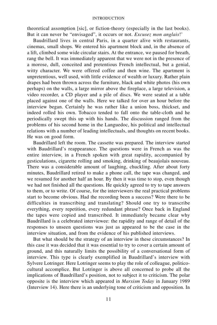#### INTRODUCTION

theoretical assomption [sic], or fiction-theory (especially in the last books). But it can never be "envisaged", it occurs or not. *Excusez mon anglais*!'

Baudrillard lives in central Paris, in a quarter alive with restaurants, cinemas, small shops. We entered his apartment block and, in the absence of a lift, climbed some wide circular stairs. At the entrance, we paused for breath, rang the bell. It was immediately apparent that we were not in the presence of a morose, dull, conceited and pretentious French intellectual, but a genial, witty character. We were offered coffee and then wine. The apartment is unpretentious, well used, with little evidence of wealth or luxury. Rather plain drapes had been thrown across the furniture, black and white photos (his own perhaps) on the walls, a large mirror above the fireplace, a large television, a video recorder, a CD player and a pile of discs. We were seated at a table placed against one of the walls. Here we talked for over an hour before the interview began. Certainly he was rather like a union boss, thickset, and indeed rolled his own. Tobacco tended to fall onto the table-cloth and he periodically swept this up with his hands. The discussion ranged from the problems of his second home in the Languedoc, his political and intellectual relations with a number of leading intellectuals, and thoughts on recent books. He was on good form.

Baudrillard left the room. The cassette was prepared. The interview started with Baudrillard's reappearance. The questions were in French as was the entire interview, in a French spoken with great rapidity, accompanied by gesticulations, cigarette rolling and smoking, drinking of beaujolais nouveau. There was a considerable amount of laughing, chuckling. After about forty minutes, Baudrillard retired to make a phone call, the tape was changed, and we resumed for another half an hour. By then it was time to stop, even though we had not finished all the questions. He quickly agreed to try to tape answers to them, or to write. Of course, for the interviewers the real practical problems start to become obvious. Had the recording been a success? Were there to be difficulties in transcribing and translating? Should one try to transcribe everything, every repetition, every redundant phrase? Once back in England the tapes were copied and transcribed. It immediately became clear why Baudrillard is a celebrated interviewee: the rapidity and range of detail of the responses to unseen questions was just as appeared to be the case in the interview situation, and from the evidence of his published interviews.

But what should be the strategy of an interview in these circumstances? In this case it was decided that it was essential to try to cover a certain amount of ground, and this naturally limits the possibility of a conversational form of interview. This type is clearly exemplified in Baudrillard's interview with Sylvere Lotringer. Here Lotringer seems to play the role of colleague, politicocultural accomplice. But Lotringer is above all concerned to probe all the implications of Baudrillard's position, not to subject it to criticism. The polar opposite is the interview which appeared in *Marxism Today* in January 1989 (Interview 14). Here there is an underlying tone of criticism and opposition. In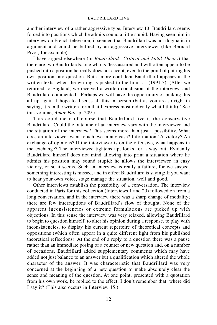another interview of a rather aggressive type, Interview 13, Baudrillard seems forced into positions which he admits sound a little stupid. Having seen him in interview on French television, it seemed that Baudrillard was not dogmatic in argument and could be bullied by an aggressive interviewer (like Bernard Pivot, for example).

I have argued elsewhere (in *Baudrillard—Critical and Fatal Theory*) that there are two Baudrillards: one who is 'less assured and will often appear to be pushed into a position he really does not accept, even to the point of putting his own position into question. But a more confident Baudrillard appears in the written texts, when the writing is pushed to the limit...' (1991:3). (After we returned to England, we received a written conclusion of the interview, and Baudrillard commented: 'Perhaps we will have the opportunity of picking this all up again. I hope to discuss all this in person (but as you are so right in saying, it's in the written form that I express most radically what I think).' See this volume, *Amor Fati,* p. 209.)

This could mean of course that Baudrillard live is the conservative Baudrillard. Could the outcome of an interview vary with the interviewer and the situation of the interview? This seems more than just a possibility. What does an interviewer want to achieve in any case? Information? A victory? An exchange of opinions? If the interviewer is on the offensive, what happens in the exchange? The interviewee tightens up, looks for a way out. Evidently Baudrillard himself does not mind allowing into print a situation where he admits his position may sound stupid; he allows the interviewer an easy victory, or so it seems. Such an interview is really a failure, for we suspect something interesting is missed, and in effect Baudrillard is saying: If you want to hear your own voice, stage manage the situation, well and good.

Other interviews establish the possibility of a conversation. The interview conducted in Paris for this collection (Interviews 1 and 20) followed on from a long conversation, and in the interview there was a sharp change of modality; there are few interruptions of Baudrillard's flow of thought. None of the apparent inconsistencies or extreme formulations are picked up with objections. In this sense the interview was very relaxed, allowing Baudrillard to begin to question himself, to alter his opinion during a response, to play with inconsistencies, to display his current repertoire of theoretical concepts and oppositions (which often appear in a quite different light from his published theoretical reflections). At the end of a reply to a question there was a pause rather than an immediate posing of a counter or new question and, on a number of occasions, Baudrillard added supplementary comments which may have added not just balance to an answer but a qualification which altered the whole character of the answer. It was characteristic that Baudrillard was very concerned at the beginning of a new question to make absolutely clear the sense and meaning of the question. At one point, presented with a quotation from his own work, he replied to the effect: I don't remember that, where did I say it? (This also occurs in Interview 15.)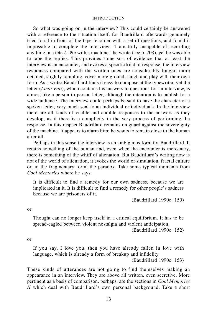So what was going on in the interview? This could certainly be answered with a reference to the situation itself, for Baudrillard afterwards genuinely tried to sit in front of the tape recorder with a set of questions, and found it impossible to complete the interview: 'I am truly incapable of recording anything in a tête-à-tête with a machine,' he wrote (see p. 208), yet he was able to tape the replies. This provides some sort of evidence that at least the interview is an encounter, and evokes a specific kind of response; the interview responses compared with the written ones are considerably longer, more detailed, slightly rambling, cover more ground, laugh and play with their own form. As a writer Baudrillard finds it easy to compose at the typewriter, yet the letter (*Amor Fati*), which contains his answers to questions for an interview, is almost like a person-to-person letter, although the intention is to publish for a wide audience. The interview could perhaps be said to have the character of a spoken letter, very much sent to an individual or individuals. In the interview there are all kinds of visible and audible responses to the answers as they develop, as if there is a complicity in the very process of performing the response. In this respect Baudrillard remains on guard against the sovereignty of the machine. It appears to alarm him; he wants to remain close to the human after all.

Perhaps in this sense the interview is an ambiguous form for Baudrillard. It retains something of the human and, even when the encounter is mercenary, there is something of the whiff of alienation. But Baudrillard's writing now is not of the world of alienation, it evokes the world of simulation, fractal culture or, in the fragmentary form, the paradox. Take some typical moments from *Cool Memories* where he says:

It is difficult to find a remedy for our own sadness, because we are implicated in it. It is difficult to find a remedy for other people's sadness because we are prisoners of it.

(Baudrillard 1990c: 150)

or:

Thought can no longer keep itself in a critical equilibrium. It has to be spread-eagled between violent nostalgia and violent anticipation.

(Baudrillard 1990c: 152)

#### or:

If you say, I love you, then you have already fallen in love with language, which is already a form of breakup and infidelity.

(Baudrillard 1990c: 153)

These kinds of utterances are not going to find themselves making an appearance in an interview. They are above all written, even secretive. More pertinent as a basis of comparison, perhaps, are the sections in *Cool Memories II* which deal with Baudrillard's own personal background. Take a short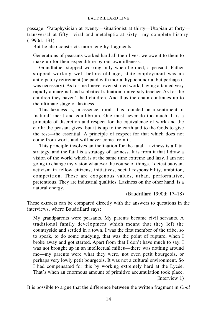passage: 'Pataphysician at twenty—situationist at thirty—Utopian at forty transversal at fifty—viral and metaleptic at sixty—my complete history' (1990d: 131).

But he also constructs more lengthy fragments:

Generations of peasants worked hard all their lives: we owe it to them to make up for their expenditure by our own idleness.

Grandfather stopped working only when he died, a peasant. Father stopped working well before old age, state employment was an anticipatory retirement (he paid with mortal hypochondria, but perhaps it was necessary). As for me I never even started work, having attained very rapidly a marginal and sabbatical situation: university teacher. As for the children they haven't had children. And thus the chain continues up to the ultimate stage of laziness.

This laziness is, in essence, rural. It is founded on a sentiment of 'natural' merit and equilibrium. One must never do too much. It is a principle of discretion and respect for the equivalence of work and the earth: the peasant gives, but it is up to the earth and to the Gods to give the rest—the essential. A principle of respect for that which does not come from work, and will never come from it.

This principle involves an inclination for the fatal. Laziness is a fatal strategy, and the fatal is a strategy of laziness. It is from it that I draw a vision of the world which is at the same time extreme and lazy. I am not going to change my vision whatever the course of things. I detest buoyant activism in fellow citizens, initiatives, social responsibility, ambition, competition. These are exogenous values, urban, performative, pretentious. They are industrial qualities. Laziness on the other hand, is a natural energy.

(Baudrillard 1990d: 17–18)

These extracts can be compared directly with the answers to questions in the interviews, where Baudrillard says:

My grandparents were peasants. My parents became civil servants. A traditional family development which meant that they left the countryside and settled in a town. I was the first member of the tribe, so to speak, to do some studying, that was the point of rupture, when I broke away and got started. Apart from that I don't have much to say. I was not brought up in an intellectual milieu—there was nothing around me—my parents were what they were, not even petit bourgeois, or perhaps very lowly petit bourgeois. It was not a cultural environment. So I had compensated for this by working extremely hard at the Lycée. That's when an enormous amount of primitive accumulation took place. (Interview 1)

It is possible to argue that the difference between the written fragment in *Cool*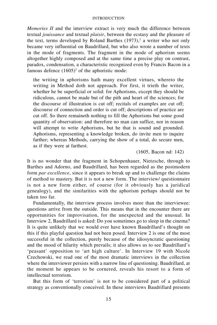*Memories II* and the interview extract is very much the difference between textual *jouissance* and textual *plaisir*, between the ecstasy and the pleasure of the text, terms developed by Roland Barthes  $(1973)$ ,<sup>2</sup> a writer who not only became very influential on Baudrillard, but who also wrote a number of texts in the mode of fragments. The fragment in the mode of aphorism seems altogether highly composed and at the same time a precise play on contrast, paradox, condensation, a characteristic recognized even by Francis Bacon in a famous defence  $(1605)^3$  of the aphoristic mode:

the writing in aphorisms hath many excellent virtues, whereto the writing in Method doth not approach. For first, it trieth the writer, whether he be superficial or solid: for Aphorisms, except they should be ridiculous, cannot be made but of the pith and heart of the sciences; for the discourse of illustration is cut off; recitals of examples are cut off; discourse of connection and order is cut off; descriptions of practice are cut off. So there remaineth nothing to fill the Aphorisms but some good quantity of observation: and therefore no man can suffice, nor in reason will attempt to write Aphorisms, but he that is sound and grounded. Aphorisms, representing a knowledge broken, do invite men to inquire farther; whereas Methods, carrying the show of a total, do secure men, as if they were at farthest.

(1605, Bacon nd: 142)

It is no wonder that the fragment in Schopenhauer, Nietzsche, through to Barthes and Adorno, and Baudrillard, has been regarded as the postmodern form *par excellence*, since it appears to break up and to challenge the claims of method to mastery. But it is not a new form. The interview/ questionnaire is not a new form either, of course (for it obviously has a juridical genealogy), and the similarities with the aphorism perhaps should not be taken too far.

Fundamentally, the interview process involves more than the interviewee: questions arrive from the outside. This means that in the encounter there are opportunities for improvisation, for the unexpected and the unusual. In Interview 2, Baudrillard is asked: Do you sometimes go to sleep in the cinema? It is quite unlikely that we would ever have known Baudrillard's thought on this if this playful question had not been posed. Interview 2 is one of the most successful in the collection, purely because of the idiosyncratic questioning and the mood of hilarity which prevails; it also allows us to see Baudrillard's 'peasant' opposition to 'art high culture'. In Interview 19 with Nicole Czechowski, we read one of the most dramatic interviews in the collection where the interviewer persists with a narrow line of questioning. Baudrillard, at the moment he appears to be cornered, reveals his resort to a form of intellectual terrorism.

But this form of 'terrorism' is not to be considered part of a political strategy as conventionally conceived. In these interviews Baudrillard presents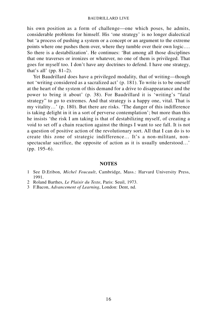his own position as a form of challenge—one which poses, he admits, considerable problems for himself. His 'one strategy' is no longer dialectical but 'a process of pushing a system or a concept or an argument to the extreme points where one pushes them over, where they tumble over their own logic…. So there is a destabilization'. He continues: 'But among all those disciplines that one traverses or ironizes or whatever, no one of them is privileged. That goes for myself too. I don't have any doctrines to defend. I have one strategy, that's all' (pp.  $81-2$ ).

Yet Baudrillard does have a privileged modality, that of writing—though not 'writing considered as a sacralized act' (p. 181). To write is to be oneself at the heart of the system of this demand for a drive to disappearance and the power to bring it about' (p. 38). For Baudrillard it is 'writing's "fatal strategy" to go to extremes. And that strategy is a happy one, vital. That is my vitality…' (p. 180). But there are risks. 'The danger of this indifference is taking delight in it in a sort of perverse contemplation'; but more than this he insists 'the risk I am taking is that of destabilizing myself, of creating a void to set off a chain reaction against the things I want to see fall. It is not a question of positive action of the revolutionary sort. All that I can do is to create this zone of strategic indifference… It's a non-militant, nonspectacular sacrifice, the opposite of action as it is usually understood…' (pp. 195–6).

#### **NOTES**

- 1 See D.Eribon, *Michel Foucault*, Cambridge, Mass.: Harvard University Press, 1991.
- 2 Roland Barthes, *Le Plaisir du Texte*, Paris: Seuil, 1973.
- 3 F.Bacon, *Advancement of Learning*, London: Dent, nd.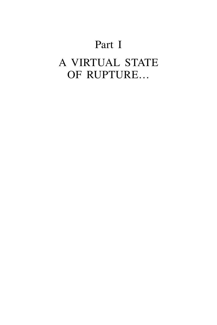## Part I

## A VIRTUAL STATE OF RUPTURE…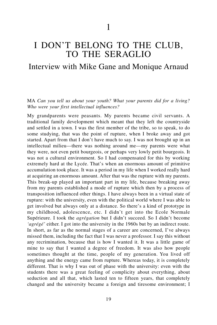### I DON'T BELONG TO THE CLUB, TO THE SERAGLIO

### Interview with Mike Gane and Monique Arnaud

#### MA *Can you tell us about your youth? What your parents did for a living? Who were your first intellectual influences?*

My grandparents were peasants. My parents became civil servants. A traditional family development which meant that they left the countryside and settled in a town. I was the first member of the tribe, so to speak, to do some studying, that was the point of rupture, when I broke away and got started. Apart from that I don't have much to say. I was not brought up in an intellectual milieu—there was nothing around me—my parents were what they were, not even petit bourgeois, or perhaps very lowly petit bourgeois. It was not a cultural environment. So I had compensated for this by working extremely hard at the Lycée. That's when an enormous amount of primitive accumulation took place. It was a period in my life when I worked really hard at acquiring an enormous amount. After that was the rupture with my parents. This break-up played an important part in my life, because breaking away from my parents established a mode of rupture which then by a process of transposition influenced other things. I have always been in a virtual state of rupture: with the university, even with the political world where I was able to get involved but always only at a distance. So there's a kind of prototype in my childhood, adolescence, etc. I didn't get into the Ecole Normale Supérieure. I took the *agrégation* but I didn't succeed. So I didn't become *'agrégé'* either. I got into the university in the 1960s but by an indirect route. In short, as far as the normal stages of a career are concerned, I've always missed them, including the fact that I was never a professor. I say this without any recrimination, because that is how I wanted it. It was a little game of mine to say that I wanted a degree of freedom. It was also how people sometimes thought at the time, people of my generation. You lived off anything and the energy came from rupture. Whereas today, it is completely different. That is why I was out of phase with the university: even with the students there was a great feeling of complicity about everything, about seduction and all that, which lasted ten to fifteen years, that completely changed and the university became a foreign and tiresome environment; I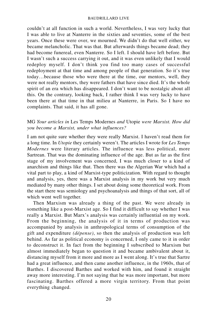#### BAUDRILLARD LIVE

couldn't at all function in such a world. Nevertheless, I was very lucky that I was able to live at Nanterre in the sixties and seventies, some of the best years. Once these were over, we mourned. We didn't do that well either, we became melancholic. That was that. But afterwards things became dead; they had become funereal, even Nanterre. So I left. I should have left before. But I wasn't such a success carrying it out, and it was even unlikely that I would redeploy myself. I don't think you find too many cases of successful redeployment at that time and among people of that generation. So it's true today…because those who were there at the time, our mentors, well, they were not really mentors, they were fathers that have since died. It's the whole spirit of an era which has disappeared. I don't want to be nostalgic about all this. On the contrary, looking back, I rather think I was very lucky to have been there at that time in that milieu at Nanterre, in Paris. So I have no complaints. That said, it has all gone.

#### MG *Your articles in* Les Temps Modernes *and* Utopie *were Marxist. How did you become a Marxist, under what influences?*

I am not quite sure whether they were really Marxist. I haven't read them for a long time. In *Utopie* they certainly weren't. The articles I wrote for *Les Temps Modernes* were literary articles. The influence was less political, more Sartrean. That was the dominating influence of the age. But as far as the first stage of my involvement was concerned, I was much closer to a kind of anarchism and things like that. Then there was the Algerian War which had a vital part to play, a kind of Marxist-type politicization. With regard to thought and analysis, yes, there was a Marxist analysis in my work but very much mediated by many other things. I set about doing some theoretical work. From the start there was semiology and psychoanalysis and things of that sort, all of which went well together.

Then Marxism was already a thing of the past. We were already in something like a post-Marxist age. So I find it difficult to say whether I was really a Marxist. But Marx's analysis was certainly influential on my work. From the beginning, the analysis of it in terms of production was accompanied by analysis in anthropological terms of consumption of the gift and expenditure *(dépense)*, so then the analysis of production was left behind. As far as political economy is concerned, I only came to it in order to deconstruct it. In fact from the beginning I subscribed to Marxism but almost immediately began to question it and became ambivalent about it, distancing myself from it more and more as I went along. It's true that Sartre had a great influence, and then came another influence, in the 1960s, that of Barthes. I discovered Barthes and worked with him, and found it straight away more interesting. I'm not saying that he was more important, but more fascinating. Barthes offered a more virgin territory. From that point everything changed.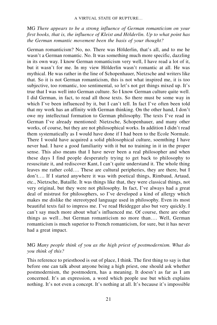MG *There appears to be a strong influence of German romanticism on your first books, that is, the influence of Kleist and Hölderlin. Up to what point has the German romantic movement been the basis of your thought?*

German romanticism? No, no. There was Hölderlin, that's all, and to me he wasn't a German romantic. No. It was something much more specific, dazzling in its own way. I know German romanticism very well, I have read a lot of it, but it wasn't for me. In my view Hölderlin wasn't romantic at all. He was mythical. He was rather in the line of Schopenhauer, Nietzsche and writers like that. So it is not German romanticism, this is not what inspired me, it is too subjective, too romantic, too sentimental, so let's not get things mixed up. It's true that I was well into German culture. So I know German culture quite well. I did German, in fact, to read all those texts. So there must be some way in which I've been influenced by it, but I can't tell. In fact I've often been told that my work has an affinity with German thinking. On the other hand, I don't owe my intellectual formation to German philosophy. The texts I've read in German I've already mentioned: Nietzsche, Schopenhauer, and many other works, of course, but they are not philosophical works. In addition I didn't read them systematically as I would have done if I had been to the Ecole Normale. There I would have acquired a solid philosophical culture, soemthing I have never had. I have a good familiarity with it but no training in it in the proper sense. This also means that I have never been a real philosopher and when these days I find people desperately trying to get back to philosophy to resuscitate it, and rediscover Kant, I can't quite understand it. The whole thing leaves me rather cold…. These are cultural peripheries, they are there, but I don't…. If I started anywhere it was with poetical things, Rimbaud, Artaud, etc., Nietzsche, Bataille. It was things like that, they were classical things, not very original, but they were not philosophy. In fact, I've always had a great deal of mistrust for philosophers, so I've developed a kind of allergy which makes me dislike the stereotyped language used in philosophy. Even its most beautiful texts fail to impress me. I've read Heidegger also but very quickly. I can't say much more about what's influenced me. Of course, there are other things as well…but German romanticism no more than…. Well, German romanticism is much superior to French romanticism, for sure, but it has never had a great impact.

#### MG *Many people think of you as the high priest of postmodernism. What do you think of this?*

This reference to priesthood is out of place, I think. The first thing to say is that before one can talk about anyone being a high priest, one should ask whether postmodernism, the postmodern, has a meaning. It doesn't as far as I am concerned. It's an expression, a word which people use but which explains nothing. It's not even a concept. It's nothing at all. It's because it's impossible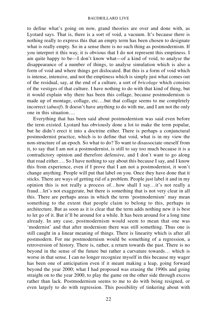to define what's going on now, grand theories are over and done with, as Lyotard says. That is, there is a sort of void, a vacuum. It's because there is nothing really to express this that an empty term has been chosen to designate what is really empty. So in a sense there is no such thing as postmodernism. If you interpret it this way, it is obvious that I do not represent this emptiness. I am quite happy to be—I don't know what—of a kind of void, to analyse the disappearance of a number of things, to analyse simulation which is also a form of void and where things get dislocated. But this is a form of void which is intense, intensive, and not the emptiness which is simply just what comes out of the residual, say, at the end of a culture, a sort of *bricolage* which consists of the vestiges of that culture. I have nothing to do with that kind of thing, but it would explain why there has been this collage, because postmodernism is made up of montage, collage, etc….but that collage seems to me completely incorrect (*abusif*). It doesn't have anything to do with me, and I am not the only one in this situation….

Everything that has been said about postmodernism was said even before the term existed. Lyotard has obviously done a lot to make the term popular, but he didn't erect it into a doctrine either. There is perhaps a conjunctural postmodernist practice, which is to define that void, what is in my view the non-structure of an epoch. So what to do? To want to disassociate oneself from it, to say that I am not a postmodernist, is still to say too much because it is a contradictory opinion and therefore defensive, and I don't want to go along that road either…. So I have nothing to say about this because I say, and I know this from experience, even if I prove that I am not a postmodernist, it won't change anything. People will put that label on you. Once they have done that it sticks. There are ways of getting rid of a problem. People just label it and in my opinion this is not really a process of…how shall I say…it's not really a fraud…let's not exaggerate, but there is something that is not very clear in all this. There are perhaps areas in which the term 'postmodernism' may mean something to the extent that people claim to belong to this, perhaps in architecture. But as soon as it is clear that the term adds nothing new it is best to let go of it. But it'll be around for a while. It has been around for a long time already. In any case, postmodernism would seem to mean that one was 'modernist' and that after modernism there was still something. Thus one is still caught in a linear meaning of things. There is linearity which is after all postmodern. For me postmodernism would be something of a regression, a retroversion of history. There is, rather, a return towards the past. There is no beyond in the sense of the future but rather a curvature towards… which is worse in that sense. I can no longer recognize myself in this because my wager has been one of anticipation even if it meant making a leap, going forward beyond the year 2000; what I had proposed was erasing the 1990s and going straight on to the year 2000, to play the game on the other side through excess rather than lack. Postmodernism seems to me to do with being resigned, or even largely to do with regression. This possibility of tinkering about with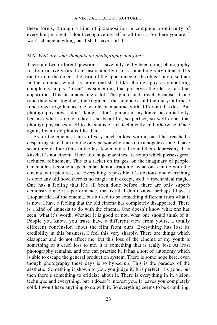these forms, through a kind of juxtaposition in complete promiscuity of everything in sight. I don't recognize myself in all this…. So there you are. I won't change anything but I shall have said it.

#### MA *What are your thoughts on photography and film?*

These are two different questions. I have only really been doing photography for four or five years. I am fascinated by it, it's something very intense. It's the form of the object, the form of the appearance of the object, more so than in the cinema, which is more realist. I like photography as something completely empty, 'irreal', as something that preserves the idea of a silent apparition. This fascinated me a lot. The photo and travel, because at one time they went together, the fragment, the notebook and the diary; all these functioned together as one whole, a machine with differential axles. But photography now, I don't know, I don't pursue it any longer as an activity, because what is done today is so beautiful, so perfect, so well done, that photography raises itself to the status of art, technically and otherwise. Once again, I can't do photos like that.

As for the cinema, I am still very much in love with it, but it has reached a despairing state. I am not the only person who finds it in a hopeless state. I have seen three or four films in the last few months. I found them depressing. It is kitsch, it's not cinema. Here, too, huge machines are set up which possess great technical refinement. This is a racket on images, on the imaginary of people. Cinema has become a spectacular demonstration of what one can do with the cinema, with pictures, etc. Everything is possible, it's obvious, and everything is done any old how, there is no magic in it except, well, a mechanical magic. One has a feeling that it's all been done before, there are only superb demonstrations; it's performance, that is all. I don't know, perhaps I have a Utopian idea of the cinema, but it used to be something different from what it is now. I have a feeling that the old cinema has completely disappeared. There is a kind of amnesia to do with the cinema. One doesn't know what one has seen, what it's worth, whether it is good or not, what one should think of it. People you know, you trust, have a different view from yours, a totally different conclusion about the film from ours. Everything has lost its credibility in this business. I feel this very sharply. There are things which disappear and do not affect me, but this loss of the cinema of my youth is something of a cruel loss to me, it is something that is really lost. At least photography remains, and one can practise it. It has a sort of autonomy which is able to escape the general production system. There is some hope here, even though photography these days is so hyped up. This is the paradox of the aesthetic. Something is shown to you, you judge it. It is perfect, it's good, but then there's something to criticize about it. There is everything in it, vision, technique and everything, but it doesn't interest you. It leaves you completely cold. I won't have anything to do with it. So everything seems to be crumbling.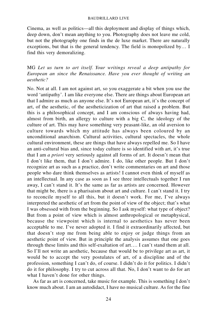#### BAUDRILLARD LIVE

Cinema, as well as politics—all this deployment and display of things which, deep down, don't mean anything to you. Photography does not leave me cold, but not the photography one finds in the de luxe market. There are naturally exceptions, but that is the general tendency. The field is monopolized by… I find this very demoralizing.

MG *Let us turn to art itself. Your writings reveal a deep antipathy for European an since the Renaissance. Have you ever thought of writing an aesthetic?*

No. Not at all. I am not against art, so you exaggerate a bit when you use the word 'antipathy'. I am like everyone else. There are things about European art that I admire as much as anyone else. It's not European art, it's the concept of art, of the aesthetic, of the aestheticization of art that raised a problem. But this is a philosophical concept, and I am conscious of always having had, almost from birth, an allergy to culture with a big C, the ideology of the culture of art. This may have something very peasant-like, an old aversion to culture towards which my attitude has always been coloured by an unconditional anarchism. Cultural activities, cultural spectacles, the whole cultural environment, these are things that have always repelled me. So I have an anti-cultural bias and, since today culture is so identified with art, it's true that I am *a priori* very seriously against all forms of art. It doesn't mean that I don't like them, that I don't admire. I do, like other people. But I don't recognize art as such as a practice, don't write commentaries on art and those people who dare think themselves as artists! I cannot even think of myself as an intellectual. In any case as soon as I see three intellectuals together I run away, I can't stand it. It's the same as far as artists are concerned. However that might be, there is a pharisaism about art and culture. I can't stand it. I try to reconcile myself to all this, but it doesn't work. For me, I've always interpreted the aesthetic of art from the point of view of the object; that's what I was obsessed with from the beginning. So I ask myself: what type of object? But from a point of view which is almost anthropological or metaphysical, because the viewpoint which is internal to aesthetics has never been acceptable to me. I've never adopted it. I find it extraordinarily affected, but that doesn't stop me from being able to enjoy or judge things from an aesthetic point of view. But in principle the analysis assumes that one goes through these limits and this self-exaltation of art…. I can't stand them at all. So I'll not write an aesthetic, because that would be to privilege art as art, it would be to accept the very postulates of art, of a discipline and of the profession, something I can't do, of course. I didn't do it for politics. I didn't do it for philosophy. I try to cut across all that. No, I don't want to do for art what I haven't done for other things.

As far as art is concerned, take music for example. This is something I don't know much about. I am an autodidact, I have no musical culture. As for the fine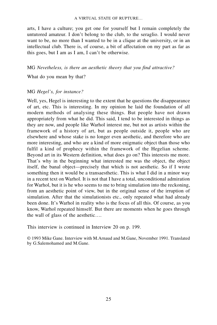arts, I have a culture; you get one for yourself but I remain completely the untutored amateur. I don't belong to the club, to the seraglio. I would never want to be, no more than I wanted to be in a clique at the university, or in an intellectual club. There is, of course, a bit of affectation on my part as far as this goes, but I am as I am, I can't be otherwise.

MG *Nevetheless, is there an aesthetic theory that you find attractive?*

What do you mean by that?

#### MG *Hegel's, for instance?*

Well, yes, Hegel is interesting to the extent that he questions the disappearance of art, etc. This is interesting. In my opinion he laid the foundation of all modern methods of analysing these things. But people have not drawn appropriately from what he did. This said, I tend to be interested in things as they are now, and people like Warhol interest me, but not as artists within the framework of a history of art, but as people outside it, people who are elsewhere and whose stake is no longer even aesthetic, and therefore who are more interesting, and who are a kind of more enigmatic object than those who fulfil a kind of prophecy within the framework of the Hegelian scheme. Beyond art in its Western definition, what does go on? This interests me more. That's why in the beginning what interested me was the object, the object itself, the banal object—precisely that which is not aesthetic. So if I wrote something then it would be a transaesthetic. This is what I did in a minor way in a recent text on Warhol. It is not that I have a total, unconditional admiration for Warhol, but it is he who seems to me to bring simulation into the reckoning, from an aesthetic point of view, but in the original sense of the irruption of simulation. After that the simulationists etc., only repeated what had already been done. It's Warhol in reality who is the focus of all this. Of course, as you know, Warhol repeated himself. But there are moments when he goes through the wall of glass of the aesthetic….

This interview is continued in Interview 20 on p. 199.

© 1993 Mike Gane. Interview with M.Arnaud and M.Gane, November 1991. Translated by G.Salemohamed and M.Gane.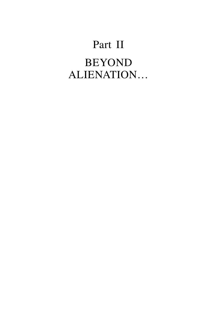## Part II

BEYOND ALIENATION…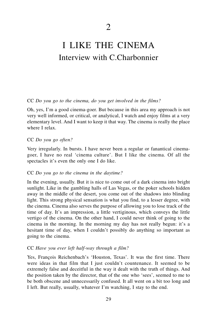# I LIKE THE CINEMA Interview with C.Charbonnier

CC *Do you go to the cinema, do you get involved in the films?*

Oh, yes, I'm a good cinema-goer. But because in this area my approach is not very well informed, or critical, or analytical, I watch and enjoy films at a very elementary level. And I want to keep it that way. The cinema is really the place where I relax.

#### CC *Do you go often?*

Very irregularly. In bursts. I have never been a regular or fanantical cinemagoer, I have no real 'cinema culture'. But I like the cinema. Of all the spectacles it's even the only one I do like.

#### CC *Do you go to the cinema in the daytime?*

In the evening, usually. But it is nice to come out of a dark cinema into bright sunlight. Like in the gambling halls of Las Vegas, or the poker schools hidden away in the middle of the desert, you come out of the shadows into blinding light. This strong physical sensation is what you find, to a lesser degree, with the cinema. Cinema also serves the purpose of allowing you to lose track of the time of day. It's an impression, a little vertiginous, which conveys the little vertigo of the cinema. On the other hand, I could never think of going to the cinema in the morning. In the morning my day has not really begun: it's a hesitant time of day, when I couldn't possibly do anything so important as going to the cinema.

# CC *Have you ever left half-way through a film?*

Yes, François Reichenbach's 'Houston, Texas'. It was the first time. There were ideas in that film that I just couldn't countenance. It seemed to be extremely false and deceitful in the way it dealt with the truth of things. And the position taken by the director, that of the one who 'sees', seemed to me to be both obscene and unnecessarily confused. It all went on a bit too long and I left. But really, usually, whatever I'm watching, I stay to the end.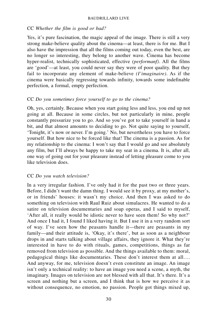#### CC *Whether the film is good or bad?*

Yes, it's pure fascination, the magic appeal of the image. There is still a very strong make-believe quality about the cinema—at least, there is for me. But I also have the impression that all the films coming out today, even the best, are no longer so interesting, they belong to another wave. Cinema has become hyper-realist, technically sophisticated, effective *(performanf)*. All the films are 'good'—at least, you could never say they were of poor quality. But they fail to incorporate any element of make-believe *(I'imaginaire)*. As if the cinema were basically regressing towards infinity, towards some indefinable perfection, a formal, empty perfection.

#### CC *Do you sometimes force yourself to go to the cinema?*

Oh, yes, certainly. Because when you start going less and less, you end up not going at all. Because in some circles, but not particularly in mine, people constantly pressurize you to go. And so you've got to take yourself in hand a bit, and that almost amounts to deciding to go. Not quite saying to yourself, 'Tonight, it's now or never. I'm going.' No, but nevertheless you have to force yourself. But how nice to be forced like that! The cinema is a passion. As for my relationship to the cinema: I won't say that I would go and see absolutely any film, but I'll always be happy to take my seat in a cinema. It is, after all, one way of going out for your pleasure instead of letting pleasure come to you like television does.

#### CC *Do you watch television?*

In a very irregular fashion. I've only had it for the past two or three years. Before, I didn't want the damn thing. I would see it by proxy, at my mother's, or in friends' houses: it wasn't my choice. And then I was asked to do something on television with Raul Ruiz about simulacres. He wanted to do a satire on television documentaries and soap operas, and I said to myself, 'After all, it really would be idiotic never to have seen them! So why not?' And once I had it, I found I liked having it. But I use it in a very random sort of way. I've seen how the peasants handle it—there are peasants in my family—and their attitude is, 'Okay, it's there', but as soon as a neighbour drops in and starts talking about village affairs, they ignore it. What they're interested in have to do with rituals, games, competitions, things as far removed from television as possible. And the things available to them: moral, pedagogical things like documentaries. These don't interest them at all…. And anyway, for me, television doesn't even constitute an image. An image isn't only a technical reality: to have an image you need a scene, a myth, the imaginary. Images on television are not blessed with all that. It's there. It's a screen and nothing but a screen, and I think that is how we perceive it as without consequence, no emotion, no passion. People got things mixed up,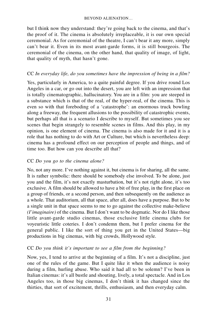but I think now they understand: they're going back to the cinema, and that's the proof of it. The cinema is absolutely irreplaceable, it is our own special ceremonial. As for ceremonial of the theatre, I can't bear it any more, simply can't bear it. Even in its most avant-garde forms, it is still bourgeois. The ceremonial of the cinema, on the other hand, that quality of image, of light, that quality of myth, that hasn't gone.

# CC *In everyday life, do you sometimes have the impression of being in a film?*

Yes, particularly in America, to a quite painful degree. If you drive round Los Angeles in a car, or go out into the desert, you are left with an impression that is totally cinematographic, hallucinatory. You are in a film: you are steeped in a substance which is that of the real, of the hyper-real, of the cinema. This is even so with that foreboding of a 'catastrophe': an enormous truck bowling along a freeway, the frequent allusions to the possibility of catastrophic events, but perhaps all that is a scenario I describe to myself. But sometimes you see scenes that begin strangely to resemble scenes in films. And this play, in my opinion, is one element of cinema. The cinema is also made for it and it is a role that has nothing to do with Art or Culture, but which is nevertheless deep: cinema has a profound effect on our perception of people and things, and of time too. But how can you describe all that?

## CC *Do you go to the cinema alone?*

No, not any more. I've nothing against it, but cinema is for sharing, all the same. It is rather symbolic: there should be somebody else involved. To be alone, just you and the film, it's not exactly masturbation, but it's not right alone, it's too exclusive. A film should be allowed to have a bit of free play, in the first place on a group of friends, or a second person, and then subsequently on the audience as a whole. That auditorium, all that space, after all, does have a purpose. But to be a single unit in that space seems to me to go against the collective make-believe *(I'imaginaire)* of the cinema. But I don't want to be dogmatic. Nor do I like those little avant-garde studio cinemas, those exclusive little cinema clubs for voyeuristic little coteries. I don't condemn them, but I prefer cinema for the general public. I like the sort of thing you get in the United States—big productions in big cinemas, with big crowds, Hollywood style.

## CC *Do you think it's important to see a film from the beginning?*

Now, yes, I tend to arrive at the beginning of a film. It's not a discipline, just one of the rules of the game. But I quite like it when the audience is noisy during a film, hurling abuse. Who said it had all to be solemn? I've been in Italian cinemas: it's all bustle and shouting, lively, a total spectacle. And in Los Angeles too, in those big cinemas, I don't think it has changed since the thirties, that sort of excitement, thrills, enthusiasm, and then everyday calm.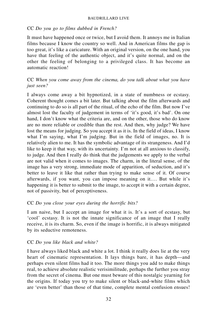#### CC *Do you go to films dubbed in French?*

It must have happened once or twice, but I avoid them. It annoys me in Italian films because I know the country so well. And in American films the gap is too great, it's like a caricature. With an original version, on the one hand, you have that feeling of the authentic object, and it's quite normal, and on the other the feeling of belonging to a privileged class. It has become an automatic reaction!

# CC *When you come away from the cinema, do you talk about what you have just seen?*

I always come away a bit hypnotized, in a state of numbness or ecstasy. Coherent thought comes a bit later. But talking about the film afterwards and continuing to do so is all part of the ritual, of the echo of the film. But now I've almost lost the faculty of judgement in terms of 'it's good, it's bad'. On one hand, I don't know what the criteria are, and on the other, those who do know are no more reliable or credible than the rest. And then, why judge? We have lost the means for judging. So you accept it as it is. In the field of ideas, I know what I'm saying, what I'm judging. But in the field of images, no. It is relatively alien to me. It has the symbolic advantage of its strangeness. And I'd like to keep it that way, with its uncertainty. I'm not at all anxious to classify, to judge. And then I really do think that the judgements we apply to the verbal are not valid when it comes to images. The charm, in the literal sense, of the image has a very strong, immediate mode of apparition, of seduction, and it's better to leave it like that rather than trying to make sense of it. Of course afterwards, if you want, you can impose meaning on it…. But while it's happening it is better to submit to the image, to accept it with a certain degree, not of passivity, but of perceptiveness.

## CC *Do you close your eyes during the horrific bits?*

I am naive, but I accept an image for what it is. It's a sort of ecstasy, but 'cool' ecstasy. It is not the innate significance of an image that I really receive, it is its charm. So, even if the image is horrific, it is always mitigated by its seductive remoteness.

## CC *Do you like black and white?*

I have always liked black and white a lot. I think it really does lie at the very heart of cinematic representation. It lays things bare, it has depth—and perhaps even silent films had it too. The more things you add to make things real, to achieve absolute realistic verisimilitude, perhaps the further you stray from the secret of cinema. But one must beware of this nostalgic yearning for the origins. If today you try to make silent or black-and-white films which are 'even better' than those of that time, complete mental confusion ensues!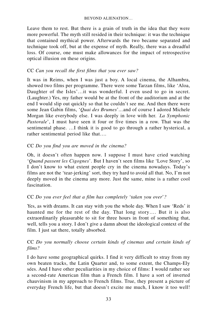Leave them to rest. But there is a grain of truth in the idea that they were more powerful. The myth still resided in their technique: it was the technique that contained mythical power. Afterwards the two became separated and technique took off, but at the expense of myth. Really, there was a dreadful loss. Of course, one must make allowances for the impact of retrospective optical illusion on these origins.

# CC *Can you recall the first films that you ever saw?*

It was in Reims, when I was just a boy. A local cinema, the Alhambra, showed two films per programme. There were some Tarzan films, like 'Aloa, Daughter of the Isles'…it was wonderful. I even used to go in secret. (Laughter.) Yes, my father would be at the front of the auditorium and at the end I would slip out quickly so that he couldn't see me. And then there were some Jean Gabin films, '*Quai des Brumes*'*…*and of course I adored Michele Morgan like everybody else. I was deeply in love with her. *' La Symphonic Pastorale*', I must have seen it four or five times in a row. That was the sentimental phase. …I think it is good to go through a rather hysterical, a rather sentimental period like that….

## CC *Do you find you are moved in the cinema?*

Oh, it doesn't often happen now. I suppose I must have cried watching '*Quand passent les Cigognes*'. But I haven't seen films like 'Love Story', so I don't know to what extent people cry in the cinema nowadays. Today's films are not the 'tear-jerking' sort, they try hard to avoid all that. No, I'm not deeply moved in the cinema any more. Just the same, mine is a rather cool fascination.

# CC *Do you ever feel that a film has completely* '*taken you over*'*?*

Yes, as with dreams. It can stay with you the whole day. When I saw 'Reds' it haunted me for the rest of the day. That long story…. But it is also extraordinarily pleasurable to sit for three hours in front of something that, well, tells you a story. I don't give a damn about the ideological context of the film. I just sat there, totally absorbed.

# CC *Do you normally choose certain kinds of cinemas and certain kinds of films?*

I do have some geographical quirks. I find it very difficult to stray from my own beaten tracks, the Latin Quarter and, to some extent, the Champs-Ely sées. And I have other peculiarities in my choice of films: I would rather see a second-rate American film than a French film. I have a sort of inverted chauvinism in my approach to French films. True, they present a picture of everyday French life, but that doesn't excite me much, I know it too well!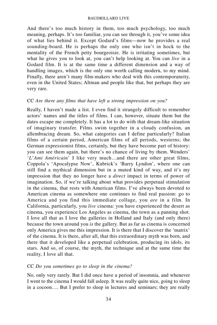And there's too much history in them, too much psychology, too much meaning, perhaps. It's too familiar, you can see through it, you've some idea of what lies behind it. Except Godard's films—now he provides a real sounding-board. He is perhaps the only one who isn't in hock to the mentality of the French petty bourgeoisie. He is irritating sometimes, but what he gives you to look at, you can't help looking at. You can *live* in a Godard film. It is at the same time a different dimension and a way of handling images, which is the only one worth calling modern, to my mind. Finally, there aren't many film-makers who deal with this contemporaneity, even in the United States; Altman and people like that, but perhaps they are very rare.

#### CC *Are there any films that have left a strong impression on you?*

Really, I haven't made a list. I even find it strangely difficult to remember actors' names and the titles of films. I can, however, situate them but the dates escape me completely. It has a lot to do with that dream-like situation of imaginary transfer. Films swim together in a cloudy confusion, an allembracing dream. So, what categories can I define particularly? Italian films of a certain period, American films of all periods, westerns; the German expressionist films, certainly, but they have become part of history: you can see them again, but there's no chance of living by them. Wenders' '*L*'*Ami Américain*' I like very much…and there are other great films, Coppola's 'Apocalypse Now', Kubrick's 'Barry Lyndon', where one can still find a mythical dimension but in a muted kind of way, and it's my impression that they no longer have a *direct* impact in terms of power of imagination. So, if we're talking about what provides perpetual stimulation in the cinema, that rests with American films. I've always been devoted to American cinema as somewhere one continues to find real passion: go to America and you find this immediate collage, you *are* in a film. In California, particularly, you *live* cinema: you have experienced the desert as cinema, you experience Los Angeles as cinema, the town as a panning shot. I love all that as I love the galleries in Holland and Italy (and only there) because the town around you *is* the gallery. But as far as cinema is concerned only America gives me this impression. It is there that I discover the 'matrix' of the cinema. It is there, after all, that this extraordinary myth was born, and there that it developed like a perpetual celebration, producing its idols, its stars. And so, of course, the myth, the technique and at the same time the reality, I love all that.

#### CC *Do you sometimes go to sleep in the cinema?*

No, only very rarely. But I did once have a period of insomnia, and whenever I went to the cinema I would fall asleep. It was really quite nice, going to sleep in a cocoon…. But I prefer to sleep in lectures and seminars; they are really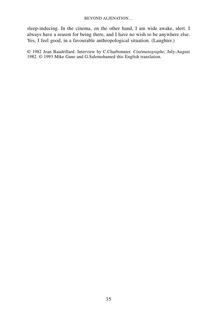sleep-inducing. In the cinema, on the other hand, I am wide awake, alert. I always have a reason for being there, and I have no wish to be anywhere else. Yes, I feel good, in a favourable anthropological situation. (Laughter.)

© 1982 Jean Baudrillard. Interview by C.Charbonnier. *Cinématographe*, July-August 1982. © 1993 Mike Gane and G.Salemohamed this English translation.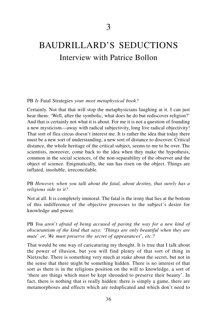# BAUDRILLARD'S SEDUCTIONS Interview with Patrice Bollon

#### PB *Is* Fatal Strategies *your most metaphysical book?*

Certainly. Not that that will stop the metaphysicians laughing at it. I can just hear them: 'Well, after the symbolic, what does he do but rediscover religion?' And that is certainly not what it is about. For me it is not a question of founding a new mysticism—away with radical subjectivity, long live radical objectivity! That sort of flea circus doesn't interest me. It is rather the idea that today there must be a new sort of understanding, a new sort of distance to discover. Critical distance, the whole heritage of the critical subject, seems to me to be over. The scientists, moreover, come back to the idea when they make the hypothesis, common in the social sciences, of the non-separability of the observer and the object of science. Enigmatically, the sun has risen on the object. Things are inflated, insoluble, irreconcilable.

## PB *However, when you talk about the fatal, about destiny, that surely has a religious side to it?*

Not at all. It is completely immoral. The fatal is the irony that lies at the bottom of this indifference of the objective processes to the subject's desire for knowledge and power.

PB *You aren*'*t afraid of being accused of paving the way for a new kind of obscurantism of the kind that says:* '*Things are only beautiful when they are mute*' *or*, *We must preserve the secret of appearances*', *etc*.?

That would be one way of caricaturing my thought. It is true that I talk about the power of illusion, but you will find plenty of that sort of thing in Nietzsche. There is something very much at stake about the secret, but not in the sense that there might be something hidden. There is no interest of that sort as there is in the religious position on the will to knowledge, a sort of 'there are things which must be kept shrouded to preserve their beauty'. In fact, there is nothing that is really hidden: there is simply a game, there are metamorphoses and effects which are reduplicated and which don't need to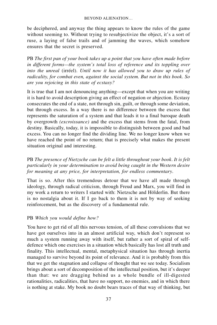be deciphered, and anyway the thing appears to know the rules of the game without seeming to. Without trying to resubjectivize the object, it's a sort of ruse, a laying of false trails and of jamming the waves, which somehow ensures that the secret is preserved.

PB *The first pan of your book takes up a point that you have often made before in different forms—the system's total loss of reference and its toppling over into the unreal* (irréel). *Until now it has allowed you to draw up rules of radicality, for combat even, against the social system. But not in this book*. *So are you rejoicing in this state of ecstasy?*

It is true that I am not denouncing anything—except that when you are writing it is hard to avoid description giving an effect of negation or abjection. Ecstasy consecrates the end of a state, not through sin, guilt, or through some deviation, but through excess. In a way there is no difference between the excess that represents the saturation of a system and that leads it to a final baroque death by overgrowth *(excroissance)* and the excess that stems from the fatal, from destiny. Basically, today, it is impossible to distinguish between good and bad excess. You can no longer find the dividing line. We no longer know when we have reached the point of no return; that is precisely what makes the present situation original and interesting.

PB *The presence of Nietzsche can be felt a little throughout your book*. *It is felt particularly in your determination to avoid being caught in the Western desire for meaning at any price, for interpretation, for endless commentary*.

That is so. After this tremendous detour that we have all made through ideology, through radical criticism, through Freud and Marx, you will find in my work a return to writers I started with: Nietzsche and Hölderlin. But there is no nostalgia about it. If I go back to them it is not by way of seeking reinforcement, but as the discovery of a fundamental rule.

# PB *Which you would define how?*

You have to get rid of all this nervous tension, of all these convulsions that we have got ourselves into in an almost artificial way, which don't represent so much a system running away with itself, but rather a sort of spiral of selfdefence which one exercises in a situation which basically has lost all truth and finality. This intellectual, mental, metaphysical situation has through inertia managed to survive beyond its point of relevance. And it is probably from this that we get the stagnation and collapse of thought that we see today. Socialism brings about a sort of decomposition of the intellectual position, but it's deeper than that: we are dragging behind us a whole bundle of ill-digested rationalities, radicalities, that have no support, no enemies, and in which there is nothing at stake. My book no doubt bears traces of that way of thinking, but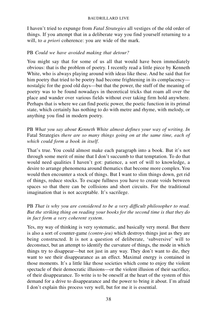#### BAUDRILLARD LIVE

I haven't tried to expunge from *Fatal Strategies* all vestiges of the old order of things. If you attempt that in a deliberate way you find yourself returning to a will, to *a priori* coherence: you are wide of the mark.

## PB *Could we have avoided making that detour?*

You might say that for some of us all that would have been immediately obvious: that is the problem of poetry. I recently read a little piece by Kenneth White, who is always playing around with ideas like these. And he said that for him poetry that tried to be poetry had become frightening in its complacency nostalgic for the good old days—but that the power, the stuff of the meaning of poetry was to be found nowadays in theoretical tricks that roam all over the place and wander over various fields without ever taking firm hold anywhere. Perhaps that is where we can find poetic power, the poetic function in its primal state, which certainly has nothing to do with metre and rhyme, with melody, or anything you find in modern poetry.

PB *What you say about Kenneth White almost defines your way of writing. In* Fatal Strategies *there are so many things going on at the same time, each of which could form a book in itself*.

That's true. You could almost make each paragraph into a book. But it's not through some merit of mine that I don't succumb to that temptation. To do that would need qualities I haven't got: patience, a sort of will to knowledge, a desire to arrange phenomena around thematics that become more complex. You would then encounter a stock of things. But I want to slim things down, get rid of things, reduce stocks. To escape fullness you have to create voids between spaces so that there can be collisions and short circuits. For the traditional imagination that is not acceptable. It's sacrilege.

# PB *That is why you are considered to be a very difficult philosopher to read. But the striking thing on reading your books for the second time is that they do in fact form a very coherent system*.

Yes, my way of thinking is very systematic, and basically very moral. But there is also a sort of counter-game *(contre-jeu)* which destroys things just as they are being constructed. It is not a question of deliberate, 'subversive' will to deconstuct, but an attempt to identify the curvature of things, the mode in which things try to disappear—but not just in any way. They don't want to die, they want to see their disappearance as an effect. Maximal energy is contained in those moments. It's a little like those societies which come to enjoy the violent spectacle of their democratic illusions—or the violent illusion of their sacrifice, of their disappearance. To write is to be oneself at the heart of the system of this demand for a drive to disappearance and the power to bring it about. I'm afraid I don't explain this process very well, but for me it is essential.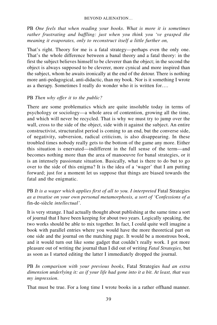#### BEYOND ALIENATION…

PB *One feels that when reading your books*. *What is more it is sometimes rather frustrating and baffling: just when you think you 've grasped the meaning it evaporates, only to reconstruct itself a little further on,*

That's right. Theory for me is a fatal strategy—perhaps even the only one. That's the whole difference between a banal theory and a fatal theory: in the first the subject believes himself to be cleverer than the object; in the second the object is always supposed to be cleverer, more cynical and more inspired than the subject, whom he awaits ironically at the end of the detour. There is nothing more anti-pedagogical, anti-didactic, than my book. Nor is it something I wrote as a therapy. Sometimes I really do wonder who it is written for….

## PB *Then why offer it to the public?*

There are some problematics which are quite insoluble today in terms of psychology or sociology—a whole area of contention, growing all the time, and which will never be recycled. That is why we must try to jump over the wall, cross to the side of the object, side with it against the subject. An entire constructivist, structuralist period is coming to an end, but the converse side, of negativity, subversion, radical criticism, is also disappearing. In these troubled times nobody really gets to the bottom of the game any more. Either this situation is enervated—indifferent in the full sense of the term—and becomes nothing more than the area of manoeuvre for banal strategies, or it is an intensely passionate situation. Basically, what is there to do but to go over to the side of this enigma? It is the idea of a 'wager' that I am putting forward; just for a moment let us suppose that things are biased towards the fatal and the enigmatic.

# PB *It is a wager which applies first of all to you. I interpreted* Fatal Strategies *as a treatise on your own personal metamorphosis, a sort of 'Confessions of a* fin-de-siècle *intellectual'*.

It is very strange. I had actually thought about publishing at the same time a sort of journal that I have been keeping for about two years. Logically speaking, the two works should be able to mix together. In fact, I could quite well imagine a book with parallel entries where you would have the more theoretical part on one side and the journal on the matching page. It would be a monstrous book, and it would turn out like some gadget that couldn't really work. I got more pleasure out of writing the journal than I did out of writing *Fatal Strategies,* but as soon as I started editing the latter I immediately dropped the journal.

PB *In comparison with your previous books,* Fatal Strategies *had an extra dimension underlying it: as if your life had gone into it a bit. At least, that was my impression*.

That must be true. For a long time I wrote books in a rather offhand manner.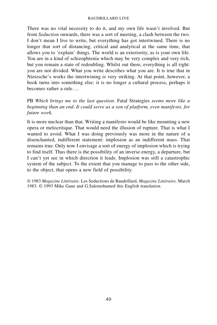#### BAUDRILLARD LIVE

There was no vital necessity to do it, and my own life wasn't involved. But from *Seduction* onwards, there was a sort of meeting, a clash between the two. I don't mean I live to write, but everything has got intertwined. There is no longer that sort of distancing, critical and analytical at the same time, that allows you to 'explain' things. The world is an exteriority, as is your own life. You are in a kind of schizophrenia which may be very complex and very rich, but you remain a state of redoubling. Whilst out there, everything is all right: you are not divided. What you write describes what you are. It is true that in Nietzsche's works the intertwining is very striking. At that point, however, a book turns into something else: it is no longer a cultural process, perhaps it becomes rather a rule….

PB *Which brings me to the last question*. Fatal Strategies *seems more like a beginning than an end*. *It could serve as a son of platform, even manifesto, for future work.*

It is more nuclear than that. Writing a manifesto would be like mounting a new opera or melocritique. That would need the illusion of rupture. That is what I wanted to avoid. What I was doing previously was more in the nature of a disenchanted, indifferent statement: implosion as an indifferent mass. That remains true. Only now I envisage a sort of energy of implosion which is trying to find itself. Thus there is the possibility of an inverse energy, a departure, but I can't yet see in which direction it leads. Implosion was still a catastrophic system of the subject. To the extent that you manage to pass to the other side, to the object, that opens a new field of possibility.

© 1983 *Magazine Littéraire*. Les Seductions de Baudrillard, *Magazine Littéraire,* March 1983. © 1993 Mike Gane and G.Salemohamed this English translation.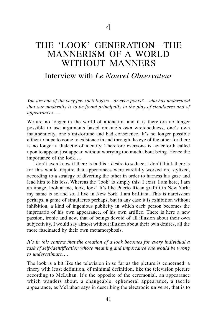# THE 'LOOK' GENERATION*—*THE MANNERISM OF A WORLD WITHOUT MANNERS

# Interview with *Le Nouvel Observateur*

*You are one of the very few sociologists—or even poets?—who has understood that our modernity is to be found principally in the play of simulacres and of appearances*….

We are no longer in the world of alienation and it is therefore no longer possible to use arguments based on one's own wretchedness, one's own inauthenticity, one's misfortune and bad conscience. It's no longer possible either to hope to come to existence in and through the eye of the other for there is no longer a dialectic of identity. Therefore everyone is henceforth called upon to appear, just appear, without worrying too much about being. Hence the importance of the look….

I don't even know if there is in this a desire to seduce; I don't think there is for this would require that appearances were carefully worked on, stylized, according to a strategy of diverting the other in order to harness his gaze and lead him to his loss. Whereas the 'look' is simply this: I exist, I am here, I am an image, look at me, look, look! It's like Puerto Rican graffiti in New York: my name is so and so, I live in New York, I am brilliant. This is narcissism perhaps, a game of simulacres perhaps, but in any case it is exhibition without inhibition, a kind of ingenious publicity in which each person becomes the impresario of his own appearance, of his own artifice. There is here a new passion, ironic and new, that of beings devoid of all illusion about their own subjectivity. I would say almost without illusion about their own desires, all the more fascinated by their own metamorphosis.

*It's in this context that the creation of a look becomes for every individual a task of self-identification whose meaning and importance one would be wrong to underestimate*….

The look is a bit like the television in so far as the picture is concerned: a finery with least definition, of minimal definition, like the television picture according to McLuhan. It's the opposite of the ceremonial, an appearance which wanders about, a changeable, ephemeral appearance, a tactile appearance, as McLuhan says in describing the electronic universe, that is to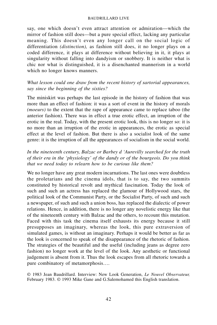#### BAUDRILLARD LIVE

say, one which doesn't even attract attention or admiration—which the mirror of fashion still does—but a pure special effect, lacking any particular meaning. This doesn't even any longer call on the social logic of differentiation *(distinction),* as fashion still does, it no longer plays on a coded difference, it plays at difference without believing in it, it plays at singularity without falling into dandyism or snobbery. It is neither what is chic nor what is distinguished, it is a disenchanted mannerism in a world which no longer knows manners.

# *What lesson could one draw from the recent history of sartorial appearances, say since the beginning of the sixties?*

The miniskirt was perhaps the last episode in the history of fashion that was more than an effect of fashion: it was a sort of event in the history of morals *(moeurs)* to the extent that the rape of appearance came to replace taboo (the anterior fashion). There was in effect a true erotic effect, an irruption of the erotic in the real. Today, with the present erotic look, this is no longer so: it is no more than an irruption of the erotic in appearances, the erotic as special effect at the level of fashion. But there is also a socialist look of the same genre: it is the irruption of all the appearances of socialism in the social world.

# *In the nineteenth century, Balzac or Barbey d 'Aurevilly searched for the truth of their era in the 'physiology' of the dandy or of the bourgeois. Do you think that we need today to relearn how to be curious like them?*

We no longer have any great modern incarnations. The last ones were doubtless the proletarians and the cinema idols, that is to say, the two summits constituted by historical revolt and mythical fascination. Today the look of such and such an actress has replaced the glamour of Hollywood stars, the political look of the Communist Party, or the Socialist Party, of such and such a newspaper, of such and such a union boss, has replaced the dialectic of power relations. Hence, in addition, there is no longer any novelistic energy like that of the nineteenth century with Balzac and the others, to recount this mutation. Faced with this task the cinema itself exhausts its energy because it still presupposes an imaginary, whereas the look, this pure extraversion of simulated games, is without an imaginary. Perhaps it would be better as far as the look is concerned to speak of the disappearance of the rhetoric of fashion. The strategies of the beautiful and the useful (including jeans as degree zero fashion) no longer work at the level of the look. Any aesthetic or functional judgement is absent from it. Thus the look escapes from all rhetoric towards a pure combinatory of metamorphosis….

© 1983 Jean Baudrillard. Interview: New Look Generation, *Le Nouvel Observateur,* February 1983. © 1993 Mike Gane and G.Salemohamed this English translation.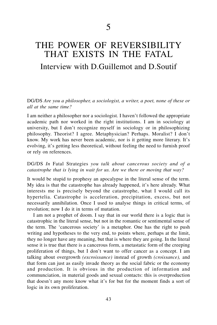# THE POWER OF REVERSIBILITY THAT EXISTS IN THE FATAL Interview with D.Guillemot and D.Soutif

DG/DS *Are you a philosopher, a sociologist, a writer, a poet, none of these or all at the same time?*

I am neither a philosopher nor a sociologist. I haven't followed the appropriate academic path nor worked in the right institutions. I am in sociology at university, but I don't recognize myself in sociology or in philosophizing philosophy. Theorist? I agree. Metaphysician? Perhaps. Moralist? I don't know. My work has never been academic, nor is it getting more literary. It's evolving, it's getting less theoretical, without feeling the need to furnish proof or rely on references.

DG/DS *In* Fatal Strategies *you talk about cancerous society and of a catastrophe that is lying in wait for us. Are we there or moving that way?*

It would be stupid to prophesy an apocalypse in the literal sense of the term. My idea is that the catastrophe has already happened, it's here already. What interests me is precisely beyond the catastrophe, what I would call its hypertelia. Catastrophe is acceleration, precipitation, excess, but not necessarily annihilation. Once I used to analyse things in critical terms, of revolution; now I do it in terms of mutation.

I am not a prophet of doom. I say that in our world there is a logic that is catastrophic in the literal sense, but not in the romantic or sentimental sense of the term. The 'cancerous society' is a metaphor. One has the right to push writing and hypotheses to the very end, to points where, perhaps at the limit, they no longer have any meaning, but that is where they are going. In the literal sense it is true that there is a cancerous form, a metastatic form of the creeping proliferation of things, but I don't want to offer cancer as a concept. I am talking about overgrowth *(excroissance)* instead of growth *(croissance),* and that form can just as easily invade theory as the social fabric or the economy and production. It is obvious in the production of information and communciation, in material goods and sexual contacts: this is overproduction that doesn't any more know what it's for but for the moment finds a sort of logic in its own proliferation.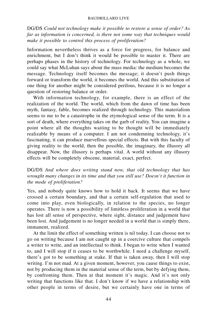#### BAUDRILLARD LIVE

DG/DS *Could not technology make it possible to restore a sense of order? As far as information is concerned, is there not some way that techniques would make it possible to control this process of proliferation?*

Information nevertheless thrives as a force for progress, for balance and enrichment, but I don't think it would be possible to master it. There are perhaps phases in the history of technology. For technology as a whole, we could say what McLuhan says about the mass media: the medium becomes the message. Technology itself becomes the message; it doesn't push things forward or transform the world, it becomes the world. And this substitution of one thing for another might be considered perilous, because it is no longer a question of restoring balance or order.

With information technology, for example, there is an effect of the realization of the world. The world, which from the dawn of time has been myth, fantasy, fable, becomes realized through technology. This materialism seems to me to be a catastrophe in the etymological sense of the term. It is a sort of death, where everything takes on the garb of reality. You can imagine a point where all the thoughts waiting to be thought will be immediately realizable by means of a computer. I am not condemning technology, it's fascinating, it can produce marvellous special effects. But with this faculty of giving reality to the world, then the possible, the imaginary, the illusory all disappear. Now, the illusory is perhaps vital. A world without any illusory effects will be completely obscene, material, exact, perfect.

DG/DS *And where does writing stand now, that old technology that has wrought many changes in its time and that you still use? Doesn't it function in the mode of proliferation?*

Yes, and nobody quite knows how to hold it back. It seems that we have crossed a certain boundary, and that a certain self-regulation that used to come into play, even biologically, in relation to the species, no longer operates. There is now a possibility of limitless proliferation in a world that has lost all sense of perspective, where sight, distance and judgement have been lost. And judgement is no longer needed in a world that is simply there, immanent, realized.

At the limit the effect of something written is nil today. I can choose not to go on writing because I am not caught up in a coercive culture that compels a writer to write, and an intellectual to think. I began to write when I wanted to, and I will stop if it ceases to be worthwhile. I need a challenge myself, there's got to be something at stake. If that is taken away, then I will stop writing. I'm not mad. At a given moment, however, you cause things to exist, not by producing them in the material sense of the term, but by defying them, by confronting them. Then at that moment it's magic. And it's not only writing that functions like that. I don't know if we have a relationship with other people in terms of desire, but we certainly have one in terms of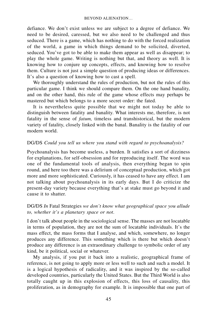defiance. We don't exist unless we are subject to a degree of defiance. We need to be desired, caressed, but we also need to be challenged and thus seduced. There is a game, which has nothing to do with the forced realization of the world, a game in which things demand to be solicited, diverted, seduced. You've got to be able to make them appear as well as disappear; to play the whole game. Writing is nothing but that, and theory as well. It is knowing how to conjure up concepts, effects, and knowing how to resolve them. Culture is not just a simple question of producing ideas or differences. It's also a question of knowing how to cast a spell.

We thoroughly understand the rules of production, but not the rules of this particular game. I think we should compare them. On the one hand banality, and on the other hand, this rule of the game whose effects may perhaps be mastered but which belongs to a more secret order: the fated.

It is nevertheless quite possible that we might not today be able to distinguish between fatality and banality. What interests me, therefore, is not fatality in the sense of *fatum,* timeless and transhistorical, but the modern variety of fatality, closely linked with the banal. Banality is the fatality of our modern world.

## DG/DS *Could you tell us where you stand with regard to psychoanalysis?*

Psychoanalysis has become useless, a burden. It satisfies a sort of dizziness for explanations, for self-obsession and for reproducing itself. The word was one of the fundamental tools of analysis, then everything began to spin round, and here too there was a delirium of conceptual production, which got more and more sophisticated. Curiously, it has ceased to have any effect. I am not talking about psychoanalysis in its early days. But I do criticize the present-day variety because everything that's at stake must go beyond it and cause it to shatter.

# DG/DS *In* Fatal Strategies *we don't know what geographical space you allude to, whether it's a planetary space or not*.

I don't talk about people in the sociological sense. The masses are not locatable in terms of population, they are not the sum of locatable individuals. It's the mass effect, the mass forms that I analyse, and which, somewhere, no longer produces any difference. This something which is there but which doesn't produce any difference is an extraordinary challenge to symbolic order of any kind, be it political, social or whatever.

My analysis, if you put it back into a realistic, geographical frame of reference, is not going to apply more or less well to such and such a model. It is a logical hypothesis of radicality, and it was inspired by the so-called developed countries, particularly the United States. But the Third World is also totally caught up in this explosion of effects, this loss of causality, this proliferation, as in demography for example. It is impossible that one part of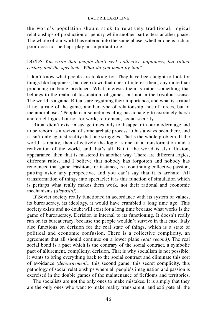the world's population should stick to relatively traditional, logical relationships of production or penury while another part enters another phase. The whole of our world has entered into the same phase; whether one is rich or poor does not perhaps play an important role.

## DG/DS *You write that people don't seek collective happiness, but rather ecstasy and the spectacle. What do you mean by that?*

I don't know what people are looking for. They have been taught to look for things like happiness, but deep down that doesn't interest them, any more than producing or being produced. What interests them is rather something that belongs to the realm of fascination, of games, but not in the frivolous sense. The world is a game. Rituals are regaining their importance, and what is a ritual if not a rule of the game, another type of relationship, not of forces, but of metamorphoses? People can sometimes cling passionately to extremely harsh and cruel logics but not for work, retirement, social security.

Ritual didn't exist in savage times only to disappear in our modern age and to be reborn as a revival of some archaic process. It has always been there, and it isn't only against reality that one struggles. That's the whole problem. If the world is reality, then effectively the logic is one of a transformation and a realization of the world, and that's all. But if the world is also illusion, appearance, then that is mastered in another way. There are different logics, different rules, and I believe that nobody has forgotten and nobody has renounced that game. Fashion, for instance, is a continuing collective passion, putting aside any perspective, and you can't say that it is archaic. All transformation of things into spectacle: it is this function of simulation which is perhaps what really makes them work, not their rational and economic mechanisms *(dispositif)*.

If Soviet society really functioned in accordance with its system of values, its bureaucracy, its ideology, it would have crumbled a long time ago. This society exists and no doubt will exist for a long time because what works is the game of bureaucracy. Derision is internal to its functioning. It doesn't really run on its bureaucracy, because the people wouldn't survive in that case. Italy also functions on derision for the real state of things, which is a state of political and economic confusion. There is a collective complicity, an agreement that all should continue on a lower plane *(état second)*. The real social bond is a pact which is the contrary of the social contract, a symbolic pact of allurement, complicity, derision. That is why socialism is not possible: it wants to bring everything back to the social contract and eliminate this sort of avoidance *(détournemeni),* this second game, this secret complicity, this pathology of social relationships where all people's imagination and passion is exercised in the double games of the maintenance of fiefdoms and territories.

The socialists are not the only ones to make mistakes. It is simply that they are the only ones who want to make reality transparent, and extirpate all the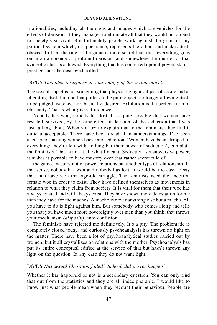irrationalities, including all the signs and images which are vehicles for the effects of derision. If they managed to eliminate all that they would put an end to society's survival. But fortunately people work against the grain of any political system which, in appearance, represents the others and makes itself obeyed. In fact, the rule of the game is more secret than that: everything goes on in an ambience of profound derision, and somewhere the murder of that symbolic class is achieved. Everything that has conferred upon it power, status, prestige must be destroyed, killed.

#### DG/DS *This idea resurfaces in your eulogy of the sexual object.*

The sexual object is not something that plays at being a subject of desire and at liberating itself but one that prefers to be pure object, no longer allowing itself to be judged, watched nor, basically, desired. Exhibition is the perfect form of obscenity. That is what gives it its power.

Nobody has won, nobody has lost. It is quite possible that women have resisted, survived, by the same effect of derision, of the seduction that I was just talking about. When you try to explain that to the feminists, they find it quite unacceptable. There have been dreadful misunderstandings. I've been accused of pushing women back into seduction. 'Women have been stripped of everything; they're left with nothing but their power of seduction', complain the feminists. That is not at all what I meant. Seduction is a subversive power, it makes it possible to have mastery over that rather secret rule of

the game, mastery not of power relations but another type of relationship. In that sense, nobody has won and nobody has lost. It would be too easy to say that men have won that age-old struggle. The feminists need the ancestral female woe in order to exist. They have defined themselves as movements in relation to what they claim from society. It is vital for them that their woe has always existed and will always exist. They have shown more detestation for me than they have for the machos. A macho is never anything else but a macho. All you have to do is fight against him. But somebody who comes along and tells you that you have much more sovereignty over men than you think, that throws your mechanism *(dispositij)* into confusion.

The feminists have rejected me definitively. It's a pity. The problematic is completely closed today, and curiously psychoanalysis has thrown no light on the matter. There have been a lot of psychoanalytical studies carried out by women, but it all crystallizes on relations with the mother. Psychoanalysis has put its entire conceptual edifice at the service of that but hasn't thrown any light on the question. In any case they do not want light.

#### DG/DS *Has sexual liberation failed? Indeed, did it ever happen?*

Whether it has happened or not is a secondary question. You can only find that out from the statistics and they are all indecipherable. I would like to know just what people mean when they recount their behaviour. People are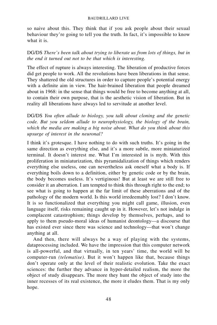#### BAUDRILLARD LIVE

so naive about this. They think that if you ask people about their sexual behaviour they're going to tell you the truth. In fact, it's impossible to know what it is.

# DG/DS *There's been talk about trying to liberate us from lots of things, but in the end it turned out not to be that which is interesting.*

The effect of rupture is always interesting. The liberation of productive forces did get people to work. All the revolutions have been liberations in that sense. They shattered the old structures in order to capture people's potential energy with a definite aim in view. The hair-brained liberation that people dreamed about in 1968: in the sense that things would be free to become anything at all, to contain their own purpose, that is the aesthetic vision of liberation. But in reality all liberations have always led to servitude at another level.

DG/DS *You often allude to biology, you talk about cloning and the genetic code. But you seldom allude to neurophysiology, the biology of the brain, which the media are making a big noise about. What do you think about this upsurge of interest in the neuronal?*

I think it's grotesque. I have nothing to do with such truths. It's going in the same direction as everything else, and it's a more subtle, more miniaturized terminal. It doesn't interest me. What I'm interested in is myth. With this proliferation in miniaturization, this pyramidalization of things which renders everything else useless, one can nevertheless ask oneself what a body is. If everything boils down to a definition, either by genetic code or by the brain, the body becomes useless. It's vertiginous! But at least we are still free to consider it an aberration. I am tempted to think this through right to the end; to see what is going to happen at the far limit of these aberrations and of the pathology of the modern world. Is this world irredeemably lost? I don't know. It is so functionalized that everything you might call game, illusion, even language itself, risks remaining caught up in it. However, let's not indulge in complacent catastrophism; things develop by themselves, perhaps, and to apply to them pseudo-moral ideas of humanist deontology—a discourse that has existed ever since there was science and technology—that won't change anything at all.

And then, there will always be a way of playing with the systems, dataprocessing included. We have the impression that this computer network is all-powerful, and that virtually, in ten years' time, the world will be computer-run *(telematise)*. But it won't happen like that, because things don't operate only at the level of their realistic evolution. Take the exact sciences: the further they advance in hyper-detailed realism, the more the object of study disappears. The more they hunt the object of study into the inner recesses of its real existence, the more it eludes them. That is my only hope.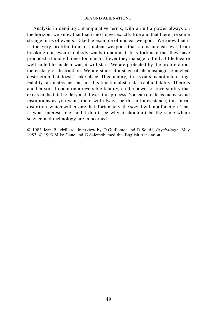Analysis in demiurgic manipulative terms, with an ultra-power always on the horizon, we know that that is no longer exactly true and that there are some strange turns of events. Take the example of nuclear weapons. We know that it is the very proliferation of nuclear weapons that stops nuclear war from breaking out, even if nobody wants to admit it. It is fortunate that they have produced a hundred times too much! If ever they manage to find a little theatre well suited to nuclear war, it will start. We are protected by the proliferation, the ecstasy of destruction. We are stuck at a stage of phantasmagoric nuclear destruction that doesn't take place. This fatality, if it is ours, is not interesting. Fatality fascinates me, but not this functionalist, catastrophic fatality. There is another sort. I count on a reversible fatality, on the power of reversibility that exists in the fatal to defy and thwart this process. You can create as many social institutions as you want, there will always be this infraresistance, this infradistortion, which will ensure that, fortunately, the social will not function. That is what interests me, and I don't see why it shouldn't be the same where science and technology are concerned.

© 1983 Jean Baudrillard. Interview by D.Guillemot and D.Soutif, *Psychologie,* May 1983. © 1993 Mike Gane and G.Salemohamed this English translation.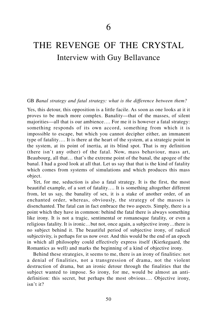# THE REVENGE OF THE CRYSTAL Interview with Guy Bellavance

#### GB *Banal strategy and fatal strategy: what is the difference between them?*

Yes, this detour, this opposition is a little facile. As soon as one looks at it it proves to be much more complex. Banality—that of the masses, of silent majorities—all that is our ambience…. For me it is however a fatal strategy: something responds of its own accord, something from which it is impossible to escape, but which you cannot decipher either, an immanent type of fatality…. It is there at the heart of the system, at a strategic point in the system, at its point of inertia, at its blind spot. That is my definition (there isn't any other) of the fatal. Now, mass behaviour, mass art, Beaubourg, all that… that's the extreme point of the banal, the apogee of the banal. I had a good look at all that. Let us say that that is the kind of fatality which comes from systems of simulations and which produces this mass object.

Yet, for me, seduction is also a fatal strategy. It is the first, the most beautiful example, of a sort of fatality…. It is something altogether different from, let us say, the banality of sex, it is a stake of another order, of an enchanted order, whereas, obviously, the strategy of the masses is disenchanted. The fatal can in fact embrace the two aspects. Simply, there is a point which they have in common: behind the fatal there is always something like irony. It is not a tragic, sentimental or romanesque fatality, or even a religious fatality. It is ironic…but not, once again, a subjective irony…there is no subject behind it. The beautiful period of subjective irony, of radical subjectivity, is perhaps for us now over. And this would be the end of an epoch in which all philosophy could effectively express itself (Kierkegaard, the Romantics as well) and marks the beginning of a kind of objective irony.

Behind these strategies, it seems to me, there is an irony of finalities: not a denial of finalities, not a transgression of drama, not the violent destruction of drama, but an ironic detour through the finalities that the subject wanted to impose. So irony, for me, would be almost an antidefinition: this secret, but perhaps the most obvious…. Objective irony, isn't it?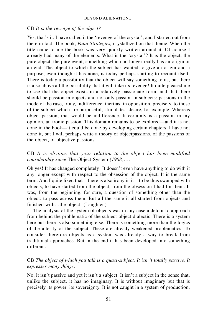#### GB *It is the revenge of the object?*

Yes, that's it. I have called it the 'revenge of the crystal'; and I started out from there in fact. The book, *Fatal Strategies,* crystallized on that theme. When the title came to me the book was very quickly written around it. Of course I already had many of the elements. What is the 'crystal'? It is the object, the pure object, the pure event, something which no longer really has an origin or an end. The object to which the subject has wanted to give an origin and a purpose, even though it has none, is today perhaps starting to recount itself. There is today a possibility that the object will say something to us, but there is also above all the possibility that it will take its revenge! It quite pleased me to see that the object exists in a relatively passionate form, and that there should be passion in objects and not only passion in subjects: passions in the mode of the ruse, irony, indifference, inertias, in opposition, precisely, to those of the subject which are purposeful, stimulate…desire, for example. Whereas object-passion, that would be indifference. It certainly is a passion in my opinion, an ironic passion. This domain remains to be explored—and it is not done in the book—it could be done by developing certain chapters. I have not done it, but I will perhaps write a theory of objectpassions, of the passions of the object, of objective passions.

GB *It is obvious that your relation to the object has been modified considerably since* The Object System *(1968)*….

Oh yes! It has changed completely! It doesn't even have anything to do with it any longer except with respect to the obsession of the object. It is the same term. And I quite liked that—there is also irony in it—to be thus swamped with objects, to have started from the object, from the obsession I had for them. It was, from the beginning, for sure, a question of something other than the object: to pass across them. But all the same it all started from objects and finished with…the object! (Laughter.)

The analysis of the system of objects was in any case a detour to approach from behind the problematic of the subject-object dialectic. There is a system here but there is also something else. There is something more than the logics of the alterity of the subject. These are already weakened problematics. To consider therefore objects as a system was already a way to break from traditional approaches. But in the end it has been developed into something different.

## GB *The object of which you talk is a quasi-subject. It isn 't totally passive. It expresses many things.*

No, it isn't passive and yet it isn't a subject. It isn't a subject in the sense that, unlike the subject, it has no imaginary. It is without imaginary but that is precisely its power, its sovereignty. It is not caught in a system of production,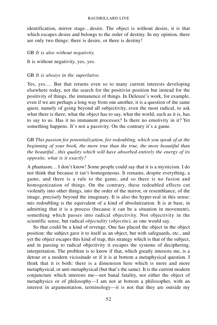identification, mirror stage…desire. The object is without desire, it is that which escapes desire and belongs to the order of destiny. In my opinion, there are only two things: there is desire, or there is destiny!

GB *It is also without negativity.*

It is without negativity, yes, yes.

#### GB *It is always in the superlative.*

Yes, yes…. But that returns even so to many current interests developing elsewhere today, not the search for the positivist position but instead for the positivity of things, the immanence of things. In Deleuze's work, for example, even if we are perhaps a long way from one another, it is a question of the same quest, namely of going beyond all subjectivity, even the most radical, to ask what there is there, what the object has to say, what the world, such as it is, has to say to us. Has it no immanent processes? Is there no emotivity in it? Yet something happens. It's not a passivity. On the contrary it's a game.

GB *This passion for potentialization, for redoubling, which you speak of at the beginning of your book, the more true than the true, the more beautiful than the beautiful…this quality which will have absorbed entirely the energy of its opposite, what is it exactly?*

A phantasm… I don't know! Some people could say that it is a mysticism. I do not think that because it isn't homogeneous. It remains, despite everything, a game, and there is a rule to the game, and so there is no fusion and homogenization of things. On the contrary, these redoubled effects cut violently into other things, into the order of the mirror, or resemblance, of the image, precisely beyond the imaginary. It is also the hyper-real in this sense: mis redoubling is the equivalent of a kind of absolutization. It is at base, in admitting that it is a process (because it can be a situation in movement), something which passes into radical objectivity. Not objectivity in the scientific sense, but radical *objectality (objectite),* as one would say.

So that could be a kind of revenge. One has placed the object in the object position: the subject gave it to itself as an object, but with safeguards, etc., and yet the object escapes this kind of trap, this strategy which is that of the subject, and in passing to radical objectivity it escapes the systems of deciphering, interpretation. The problem is to know if that, which greatly interests me, is a detour or a modern vicissitude or if it is at bottom a metaphysical question. I think that it is both: there is a dimension here which is more and more metaphysical, or anti-metaphysical (but that's the same). It is the current modern conjuncture which interests me—not banal fatality, not either the object of metaphysics or of philosophy—I am not at bottom a philosopher, with an interest in argumentation, terminology—it is not that they are outside my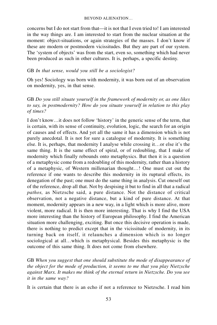concerns but I do not start from that—it is not that I even tried to! I am interested in the way things are. I am interested to start from the nuclear situation at the moment: object-situations, or again strategies of the masses. I don't know if these are modern or postmodern vicissitudes. But they are part of our system. The 'system of objects' was from the start, even so, something which had never been produced as such in other cultures. It is, perhaps, a specific destiny.

#### GB *In that sense, would you still be a sociologist?*

Oh yes! Sociology was born with modernity, it was born out of an observation on modernity, yes, in that sense.

GB *Do you still situate yourself in the framework of modernity or, as one likes to say, in postmodernity? How do you situate yourself in relation to this play of times?*

I don't know…it does not follow 'history' in the generic sense of the term, that is certain, with its sense of continuity, evolution, logic, the search for an origin of causes and of effects. And yet all the same it has a dimension which is not purely anecdotal. It is not for sure a catalogue of modernity. It is something else. It is, perhaps, that modernity I analyse while crossing it…or else it's the same thing. It is the same effect of spiral, or of redoubling, that I make of modernity which finally rebounds onto metaphysics. But then it is a question of a metaphysic come from a redoubling of this modernity, rather than a history of a metaphysic, of Western millenarian thought…! One must cut out the reference if one wants to describe this modernity in its ruptural effects, its denegation of the past; one must do the same thing in analysis. Cut oneself out of the reference, drop all that. Not by despising it but to find in all that a radical *pathos,* as Nietzsche said, a pure distance. Not the distance of critical observation, not a negative distance, but a kind of pure distance. At that moment, modernity appears in a new way, in a light which is more alive, more violent, more radical. It is then more interesting. That is why I find the USA more interesting than the history of European philosophy. I find the American situation more challenging, exciting. But once this decisive operation is made, there is nothing to predict except that in the vicissitude of modernity, in its turning back on itself, it relaunches a dimension which is no longer sociological at all…which is metaphysical. Besides this metaphysic is the outcome of this same thing. It does not come from elsewhere.

GB *When you suggest that one should substitute the mode of disappearance of the object for the mode of production, it seems to me that you play Nietzsche against Marx. It makes me think of the eternal return in Nietzsche. Do you see it in the same way?*

It is certain that there is an echo if not a reference to Nietzsche. I read him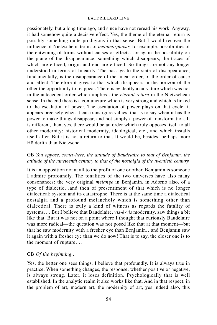passionately, but a long time ago, and since have not reread his work. Anyway, it had somehow quite a decisive effect. Yes, the theme of the eternal return is possibly something quite prodigious in that sense. But I would recover the influence of Nietzsche in terms of *metamorphosis,* for example: possibilities of the entwining of forms without causes or effects…or again the possibility on the plane of the disappearance: something which disappears, the traces of which are effaced, origin and end are effaced. So things are not any longer understood in terms of linearity. The passage to the state of disappearance, fundamentally, is the disappearance of the linear order, of the order of cause and effect. Therefore it gives to that which disappears in the horizon of the other the opportunity to reappear. There is evidently a curvature which was not in the antecedent order which implies…the *eternal return* in the Nietzschean sense. In the end there is a conjuncture which is very strong and which is linked to the escalation of power. The escalation of power plays on that cycle: it appears precisely when it can transfigure values, that is to say when it has the power to make things disappear, and not simply a power of transformation. It is different, then, yes, there would be an order which truly opposes itself to all other modernity: historical modernity, ideological, etc., and which installs itself after. But it is not a return to that. It would be, besides, perhaps more Hölderlin than Nietzsche.

# GB *You oppose, somewhere, the attitude of Baudelaire to that of Benjamin, the attitude of the nineteenth century to that of the nostalgia of the twentieth century.*

It is an opposition not at all to the profit of one or other. Benjamin is someone I admire profoundly. The tonalities of the two universes have also many consonances: the very original *melange* in Benjamin, in Adorno also, of a type of dialectic…and then of presentiment of that which is no longer dialectical: system and its catastrophe. There is at the same time a dialectical nostalgia and a profound melancholy which is something other than dialectical. There is truly a kind of witness as regards the fatality of systems…. But I believe that Baudelaire, *vis-è-vis* modernity, saw things a bit like that. But it was not on a point where I thought that curiously Baudelaire was more radical—the question was not posed like that at that moment—but that he saw modernity with a fresher eye than Benjamin…and Benjamin saw it again with a fresher eye than we do now! That is to say, the closer one is to the moment of rupture….

## GB *Of the beginning…*

Yes, the better one sees things. I believe that profoundly. It is always true in practice. When something changes, the response, whether positive or negative, is always strong. Later, it loses definition. Psychologically that is well established. In the analytic realm it also works like that. And in that respect, in the problem of art, modern art, the modernity of art, yes indeed also, this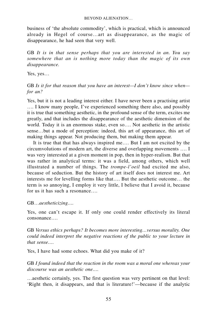business of 'the absolute commodity', which is practical, which is announced already in Hegel of course…art as disappearance, as the magic of disappearance, he had seen that very well.

GB *It is in that sense perhaps that you are interested in an. You say somewhere that an is nothing more today than the magic of its own disappearance.*

Yes, yes…

GB *Is it for that reason that you have an interest—I don't know since when for an?*

Yes, but it is not a leading interest either. I have never been a practising artist …. I know many people, I've experienced something there also, and possibly it is true that something aesthetic, in the profound sense of the term, excites me greatly, and that includes the disappearance of the aesthetic dimension of the world. Today it is an enormous stake, even so…. Not aesthetic in the artistic sense…but a mode of perception: indeed, this art of appearance, this art of making things appear. Not producing them, but making them appear.

It is true that that has always inspired me…. But I am not excited by the circumvolutions of modern art, the diverse and overlapping movements …. I was very interested at a given moment in pop, then in hyper-realism. But that was rather in analytical terms: it was a field, among others, which well illustrated a number of things. The *trompe-l'oeil* had excited me also, because of seduction. But the history of art itself does not interest me. Art interests me for levelling forms like that…. But the aesthetic outcome… the term is so annoying, I employ it very little, I believe that I avoid it, because for us it has such a resonance….

GB…*aestheticizing….*

Yes, one can't escape it. If only one could render effectively its literal consonance….

GB *Versus ethics perhaps? It becomes more interesting…versus morality. One could indeed interpret the negative reactions of the public to your lecture in that sense….*

Yes, I have had some echoes. What did you make of it?

GB *I found indeed that the reaction in the room was a moral one whereas your discourse was an aesthetic one….*

…aesthetic certainly, yes. The first question was very pertinent on that level: 'Right then, it disappears, and that is literature!'—because if the analytic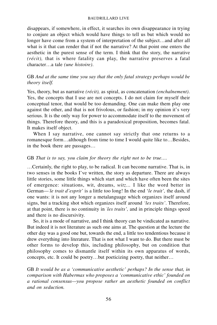#### BAUDRILLARD LIVE

disappears, if somewhere, in effect, it searches its own disappearance in trying to conjure an object which would have things to tell us but which would no longer have come from a system of interpretation of the subject…and after all what is it that can render that if not the narrative? At that point one enters the aesthetic in the purest sense of the term. I think that the story, the narrative *(récit),* that is where fatality can play, the narrative preserves a fatal character…a tale *(une histoire)*.

# GB *And at the same time you say that the only fatal strategy perhaps would be theory itself.*

Yes, theory, but as narrative *(récit),* as spiral, as concatenation *(enchaînement)*. Yes, the concepts that I use are not concepts. I do not claim for myself their conceptual tenor, that would be too demanding. One can make them play one against the other, and that is not frivolous, or fashion; in my opinion it's very serious. It is the only way for power to accommodate itself to the movement of things. Therefore theory, and this is a paradoxical proposition, becomes fatal. It makes itself object.

When I say narrative, one cannot say strictly that one returns to a romanesque form…although from time to time I would quite like to…Besides, in the book there are passages…

#### GB *That is to say, you claim for theory the right not to be true….*

…Certainly, the right to play, to be radical. It can become narrative. That is, in two senses in the books I've written, the story as departure. There are always little stories, some little things which start and which have often been the sites of emergence: situations, wit, dreams, *witz…* I like the word better in German—*' le trait d'esprit'* is a little too long! In the end '*le trait',* the dash, if one wants: it is not any longer a metalanguage which organizes itself around signs, but a tracking shot which organizes itself around *'les traits'*. Therefore, at that point, there is no continuity in *' les traits',* and in principle things speed and there is no discursivity.

So, it is a mode of narrative, and I think theory can be vindicated as narrative. But indeed it is not literature as such one aims at. The question at the lecture the other day was a good one but, towards the end, a little too tendentious because it drew everything into literature. That is not what I want to do. But there must be other forms to develop this, including philosophy, but on condition that philosophy comes to dismantle itself within its own apparatus of words, concepts, etc. It could be poetry…but poeticizing poetry, that neither…

GB *It would be as a 'communicative aesthetic' perhaps? In the sense that, in comparison with Habermas who proposes a 'communicative ethic' founded on a rational consensus—you propose rather an aesthetic founded on conflict and on seduction.*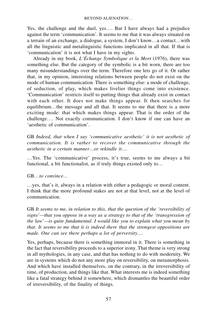Yes, the challenge and the duel, yes…. But I have always had a prejudice against the term 'communication'. It seems to me that it was always situated on a terrain of an exchange, a dialogue, a system, I don't know…a contact…with all the linguistic and metalinguistic functions implicated in all that. If that is 'communication' it is not what I have in my sights.

Already in my book, *L'Échange Symbolique et la Mort* (1976), there was something else. But the category of the symbolic is a bit worn, there are too many misunderstandings over the term. Therefore one lets go of it. Or rather that, in my opinion, interesting relations between people do not exist on the mode of human communication. There is something else: a mode of challenge, of seduction, of play, which makes livelier things come into existence. 'Communication' restricts itself to putting things that already exist in contact with each other. It does not make things appear. It then searches for equilibrium…the message and all that. It seems to me that there is a more exciting mode: that which makes things appear. That is the order of the challenge…. Not exactly communication. I don't know if one can have an 'aesthetic of communication'.

GB *Indeed, that when I say 'communicative aesthetic' it is not aesthetic of communication. It is rather to recover the communicative through the aesthetic in a certain manner…or rekindle it….*

…Yes. The 'communicative' process, it's true, seems to me always a bit functional, a bit functionalist, as if truly things existed only to…

GB…*to convince…*

…yes, that's it, always in a relation with either a pedagogic or moral content. I think that the more profound stakes are not at that level, not at the level of communication.

GB *It seems to me, in relation to this, that the question of the 'reversibility of signs'—that you oppose in a way as a strategy to that of the 'transgression of the law'—is quite fundamental. I would like you to explain what you mean by that. It seems to me that it is indeed there that the strongest oppositions are made. One can see there perhaps a lot of perversity….*

Yes, perhaps, because there is something immoral in it. There is something in the fact that reversibility proceeds to a superior irony. That theme is very strong in all mythologies, in any case, and that has nothing to do with modernity. We are in systems which do not any more play on reversibility, on metamorphosis. And which have installed themselves, on the contrary, in the irreversibility of time, of production, and things like that. What interests me is indeed something like a fatal strategy behind it somewhere, which dismantles the beautiful order of irreversibility, of the finality of things.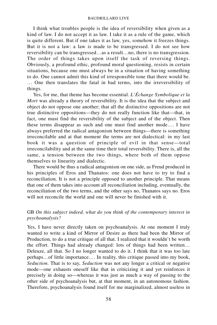I think what troubles people is the idea of reversibility when given as a kind of law. I do not accept it as law. I take it as a rule of the game, which is quite different. But if one takes it as law, yes, somehow it freezes things. But it is not a law: a law is made to be transgressed. I do not see how reversibility can be transgressed…as a result…no, there is no transgression. The order of things takes upon itself the task of reversing things. Obviously, a profound ethic, profound moral questioning, resists in certain situations, because one must always be in a situation of having something to do. One cannot admit this kind of irresponsible tone that there would be. … One then translates the fatal in bad terms, into the irreversibility of things.

Yes, for me, that theme has become essential. *L'Échange Symbolique et la Mort* was already a theory of reversibility. It is the idea that the subject and object do not oppose one another; that all the distinctive oppositions are not true distinctive oppositions—they do not really function like that—that, in fact, one must find the reversibility of the subject and of the object. Then these terms disappear as such and one must find another mode…. I have always preferred the radical antagonism between things—there is something irreconcilable and at that moment the terms are not dialectical: in my last book it was a question of principle of evil in that sense—total irreconcilability and at the same time their total reversibility. There is, all the same, a tension between the two things, where both of them oppose themselves to linearity and dialectic.

There would be thus a radical antagonism on one side, as Freud produced in his principles of Eros and Thanatos: one does not have to try to find a reconciliation. It is not a principle opposed to another principle. That means that one of them takes into account all reconciliation including, eventually, the reconciliation of the two terms, and the other says no, Thanatos says no. Eros will not reconcile the world and one will never be finished with it.

# GB *On this subject indeed, what do you think of the contemporary interest in psychoanalysis?*

Yes, I have never directly taken on psychoanalysis. At one moment I truly wanted to write a kind of Mirror of Desire as there had been the Mirror of Production, to do a true critique of all that. I realized that it wouldn't be worth the effort. Things had already changed: lots of things had been written… Deleuze, all that. So I no longer wanted to do it. I think that it was too late perhaps…of little importance…. In reality, this critique passed into my book, *Seduction*. That is to say, *Seduction* was not any longer a critical or negative mode—one exhausts oneself like that in criticizing it and yet reinforces it precisely in doing so—whereas it was just as much a way of passing to the other side of psychoanalysis but, at that moment, in an autonomous fashion. Therefore, psychoanalysis found itself for me marginalized, almost useless in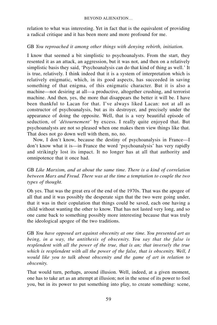#### BEYOND ALIENATION…

relation to what was interesting. Yet in fact that is the equivalent of providing a radical critique and it has been more and more profound for me.

# GB *You reproached it among other things with denying rebirth, initiation.*

I know that seemed a bit simplistic to psychoanalysts. From the start, they resented it as an attack, an aggression, but it was not, and then on a relatively simplistic basis they said, 'Psychoanalysis can do that kind of thing as well.' It is true, relatively. I think indeed that it is a system of interpretation which is relatively enigmatic, which, in its good aspects, has succeeded in saving something of that enigma, of this enigmatic character. But it is also a machine—not desiring at all—a productive, altogether crushing, and terrorist machine. And then, yes, the more that disappears the better it will be. I have been thankful to Lacan for that. I've always liked Lacan: not at all as constructor of psychoanalysis, but as its destroyer, and precisely under the appearance of doing the opposite. Well, that is a very beautiful episode of seduction, of *'détournement'* by excess. I really quite enjoyed that. But psychoanalysts are not so pleased when one makes them view things like that. That does not go down well with them, no, no.

Now, I don't know, because the destiny of psychoanalysis in France—I don't know what it is—in France the word 'psychoanalysis' has very rapidly and strikingly lost its impact. It no longer has at all that authority and omnipotence that it once had.

GB *Like Marxism, and at about the same time. There is a kind of correlation between Marx and Freud. There was at the time a temptation to couple the two types of thought.*

Oh yes. That was the great era of the end of the 1970s. That was the apogee of all that and it was possibly the desperate sign that the two were going under, that it was in their copulation that things could be saved, each one having a child without wanting the other to know. That has not lasted very long, and so one came back to something possibly more interesting because that was truly the ideological apogee of the two traditions.

GB *You have opposed art against obscenity at one time. You presented art as being, in a way, the antithesis of obscenity. You say that the false is resplendent with all the power of the true, that is an; that inversely the true which is resplendent with all the power of the false, that is obscenity. Well, I would like you to talk about obscenity and the game of art in relation to obscenity.*

That would turn, perhaps, around illusion. Well, indeed, at a given moment, one has to take art as an attempt at illusion; not in the sense of its power to fool you, but in its power to put something into play, to create something: scene,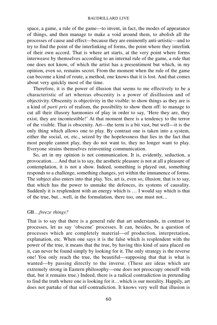space, a game, a rule of the game—to invent, in fact, the modes of appearance of things, and then manage to make a void around them, to abolish all the processes of cause and effect—because they are eminently anti-artistic—and to try to find the point of the interlinking of forms, the point where they interlink of their own accord. That is where art starts, at the very point where forms interweave by themselves according to an internal rule of the game, a rule that one does not know, of which the artist has a presentiment but which, in my opinion, even so, remains secret. From the moment when the rule of the game can become a kind of route, a method, one knows that it is lost. And that comes about very quickly most of the time.

Therefore, it is the power of illusion that seems to me effectively to be a characteristic of art whereas obscenity is a power of disillusion and of objectivity. Obscenity is objectivity in the visible: to show things as they are is a kind of *parti pris* of realism, the possibility to show them off: to manage to cut all their illusory harmonies of play in order to say, 'Here they are, they exist, they are incontestible!' At that moment there is a tendency to the terror of the visible. That is obscenity. Art—the term is a bit vast, but well—it is the only thing which allows one to play. By contrast one is taken into a system, either the social, or, etc., seized by the hopelessness that lies in the fact that most people cannot play, they do not want to, they no longer want to play. Everyone strains themselves reinventing communication.

So, art in my opinion is not communication. It is, evidently, seduction, a provocation…. And that is to say, the aesthetic pleasure is not at all a pleasure of contemplation, it is not a show. Indeed, something is played out, something responds to a challenge, something changes, yet within the immanence of forms. The subject also enters into that play. Yes, art is, even so, illusion; that is to say, that which has the power to unmake the defences, its systems of causality. Suddenly it is resplendent with an energy which is … I would say which is that of the true, but…well, in the formulation, there too, one must not…

#### GB…*freeze things?*

That is to say that there is a general rule that art understands, in contrast to processes, let us say 'obscene' processes. It can, besides, be a question of processes which are completely material—of production, interpretation, explanation, etc. When one says it is the false which is resplendent with the power of the true, it means that the true, by having this kind of aura placed on it, can never be found simply by looking for it. The only strategy is the reverse one! You only reach the true, the beautiful—supposing that that is what is wanted—by passing directly to the inverse. (These are ideas which are extremely strong in Eastern philosophy—one does not preoccupy oneself with that, but it remains true.) Indeed, there is a radical contradiction in pretending to find the truth where one is looking for it…which is our morality. Happily, art does not partake of that self-contradiction. It knows very well that illusion is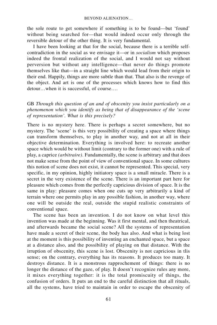the sole route to get somewhere if something is to be found—but 'found' without being searched for—that would indeed occur only through the reversible detour of the other thing. It is very fundamental.

I have been looking at that for the social, because there is a terrible selfcontradiction in the social as we envisage it—or in *socialism* which proposes indeed the frontal realization of the social, and I would not say without perversion but without any intelligence—that never do things promote themselves like that—in a straight line which would lead from their origin to their end. Happily, things are more subtle than that. That also is the revenge of the object. And art is one of the processes which knows how to find this detour…when it is successful, of course….

GB *Through this question of an and of obscenity you insist particularly on a phenomenon which you identify as being that of disappearance of the 'scene of representation'. What is this precisely?*

There is no mystery here. There is perhaps a secret somewhere, but no mystery. The 'scene' is this very possibility of creating a space where things can transform themselves, to play in another way, and not at all in their objective determination. Everything is involved here: to recreate another space which would be without limit (contrary to the former one) with a rule of play, a caprice *(arbitraire)*. Fundamentally, the scene is arbitrary and that does not make sense from the point of view of conventional space. In some cultures this notion of scene does not exist, it cannot be represented. This special, very specific, in my opinion, highly initiatory space is a small miracle. There is a secret in the very existence of the scene. There is an important part here for pleasure which comes from the perfectly capricious division of space. It is the same in play: pleasure comes when one cuts up very arbitrarily a kind of terrain where one permits play in any possible fashion, in another way, where one will be outside the real, outside the stupid realistic constraints of conventional space.

The scene has been an invention. I do not know on what level this invention was made at the beginning. Was it first mental, and then theatrical, and afterwards became the social scene? All the systems of representation have made a secret of their scene, the body has also. And what is being lost at the moment is this possibility of inventing an enchanted space, but a space at a distance also, and the possibility of playing on that distance. With the irruption of obscenity, this scene is lost. Obscenity is not capricious in tlis sense; on the contrary, everything has its reasons. It produces too many. It destroys distance. It is a monstrous rapprochement of things: there is no longer the distance of the gaze, of play. It doesn't recognize rules any more, it mixes everything together: it is the total promiscuity of things, the confusion of orders. It puts an end to the careful distinction that all rituals, all the systems, have tried to maintain in order to escape the obscenity of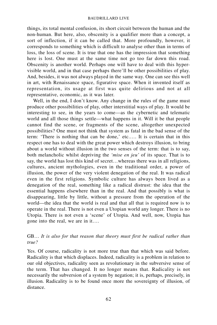things, its total mental confusion, its short circuit between the human and the non-human. But here, also, obscenity is a qualifier more than a concept, a sort of inflection, if it can be called that. More profoundly, however, it corresponds to something which is difficult to analyse other than in terms of loss, the loss of scene. It is true that one has the impression that something here is lost. One must at the same time not go too far down this road. Obscenity is another world. Perhaps one will have to deal with this hypervisible world, and in that case perhaps there'll be other possibilities of play. And, besides, it was not always played in the same way. One can see this well in art, with Renaissance space, figurative space. When it invented itself as representation, its usage at first was quite delirious and not at all representative, economic, as it was later.

Well, in the end, I don't know. Any change in the rules of the game must produce other possibilities of play, other interstitial ways of play. It would be interesting to see, in the years to come—as the cybernetic and telematic world and all those things settle—what happens in it. Will it be that people cannot find the scene, or fragments of the scene, altogether unexpected possibilities? One must not think that system as fatal in the bad sense of the term: 'There is nothing that can be done,' etc.…. It is certain that in this respect one has to deal with the great power which destroys illusion, to bring about a world without illusion in the two senses of the term: that is to say, both melancholic whilst depriving the *'mise en jeu'* of its space. That is to say, the world has lost this kind of secret…whereas there was in all religions, cultures, ancient mythologies, even in the traditional order, a power of illusion, the power of the very violent denegation of the real. It was radical even in the first religions. Symbolic culture has always been lived as a denegation of the real, something like a radical distrust: the idea that the essential happens elsewhere than in the real. And that possibly is what is disappearing, little by little, without a pressure from the operation of the world—the idea that the world is real and that all that is required now is to operate in the real. There is not even a Utopian world any longer. There is no Utopia. There is not even a 'scene' of Utopia. And well, now, Utopia has gone into the real, we are in it….

## GB… *It is also for that reason that theory must first be radical rather than true?*

Yes. Of course, radicality is not more true than that which was said before. Radicality is that which displaces. Indeed, radicality is a problem in relation to our old objectives, radicality seen as revolutionary in the subversive sense of the term. That has changed. It no longer means that. Radicality is not necessarily the subversion of a system by negation; it is, perhaps, precisely, in illusion. Radicality is to be found once more the sovereignty of illusion, of distance.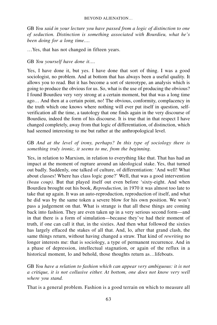#### BEYOND ALIENATION…

GB *You said in your lecture you have passed from a logic of distinction to one of seduction. Distinction is something associated with Bourdieu, what he's been doing for a long time….*

…Yes, that has not changed in fifteen years.

## GB *You yourself have done it….*

Yes, I have done it, but yes. I have done that sort of thing. I was a good sociologist, no problem. And at bottom that has always been a useful quality. It allows you to read. But it has become a sort of stereotype, an analysis which is going to produce the obvious for us. So, what is the use of producing the obvious? I found Bourdieu very very strong at a certain moment, but that was a long time ago… And then at a certain point, no! The obvious, conformity, complacency in the truth which one knows where nothing will ever put itself in question, selfverification all the time, a tautology that one finds again in the very discourse of Bourdieu, indeed the form of his discourse. It is true that in that respect I have changed completely, away from that logic of differentiation, of distinction, which had seemed interesting to me but rather at the anthropological level.

# GB *And at the level of irony, perhaps? In this type of sociology there is something truly ironic, it seems to me, from the beginning.*

Yes, in relation to Marxism, in relation to everything like that. That has had an impact at the moment of rupture around an ideological stake. Yes, that turned out badly. Suddenly, one talked of culture, of differentiation: 'And well! What about classes! Where has class logic gone?' Well, that was a good intervention *(beau coup)*. But that played itself out even before 'sixty-eight. And when Bourdieu brought out his book, *Reproduction,* in 1970 it was almost too late to take that up again. It was an auto-reproduction, reproduction of itself, and what he did was by the same token a severe blow for his own position. We won't pass a judgement on that. What is strange is that all these things are coming back into fashion. They are even taken up in a very serious second form—and in that there is a form of simulation—because they've had their moment of truth, if one can call it that, in the sixties. And then what followed the sixties has largely effaced the stakes of all that. And, lo, after that grand clash, the same things return, without having changed a straw. That kind of *rewriting* no longer interests me: that is sociology, a type of permanent recurrence. And in a phase of depression, intellectual stagnation, or again of the reflux in a historical moment, lo and behold, those thoughts return as…lifeboats.

GB *You have a relation to fashion which can appear very ambiguous: it is not a critique, it is not collusive either. At bottom, one does not know very well where you stand.*

That is a general problem. Fashion is a good terrain on which to measure all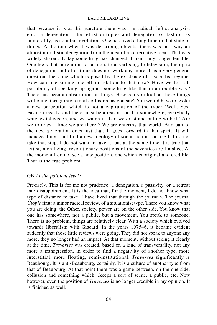that because it is at this juncture there was—in radical, leftist analysis, etc.—a denegation—the leftist critiques and denegation of fashion as immorality, as counter-revolution. One has lived a long time in that state of things. At bottom when I was describing objects, there was in a way an almost moralistic denegation from the idea of an alternative ideal. That was widely shared. Today something has changed. It isn't any longer tenable. One feels that in relation to fashion, to advertising, to television, the optic of denegation and of critique does not work any more. It is a very general question, the same which is posed by the existence of a socialist regime. How can one situate oneself in relation to that now? Have we lost all possibility of speaking up against something like that in a credible way? There has been an absorption of things. How can you look at those things without entering into a total collusion, as you say? You would have to evoke a new perception which is not a capitulation of the type: 'Well, yes! Fashion resists, and there must be a reason for that somewhere; everybody watches television, and we watch it also: we exist and put up with it.' Are we to draw a line: we are there!? We are entering that world! And part of the new generation does just that. It goes forward in that spirit. It will manage things and find a new ideology of social action for itself. I do not take that step. I do not want to take it, but at the same time it is true that leftist, moralizing, revolutionary positions of the seventies are finished. At the moment I do not see a new position, one which is original and credible. That is the true problem.

#### GB *At the political level?*

Precisely. This is for me not prudence, a denegation, a passivity, or a retreat into disappointment. It is the idea that, for the moment, I do not know what type of distance to take. I have lived that through the journals. The journal *Utopie* first: a minor radical review, of a situationist type. There you know what you are doing: the Other, society, power are on the other side. You know that one has somewhere, not a public, but a movement. You speak to someone. There is no problem, things are relatively clear. With a society which evolved towards liberalism with Giscard, in the years 1975–6, it became evident suddenly that those little reviews were going. They did not speak to anyone any more, they no longer had an impact. At that moment, without seeing it clearly at the time, *Traverses* was created, based on a kind of transversality, not any more a transgression, in order to find a negativity of another type, more interstitial, more floating, semi-institutional. *Traverses* significantly is Beaubourg. It is anti-Beaubourg, certainly. It is a culture of another type from that of Beaubourg. At that point there was a game between, on the one side, collusion and something which…keeps a sort of scene, a public, etc. Now however, even the position of *Traverses* is no longer credible in my opinion. It is finished as well.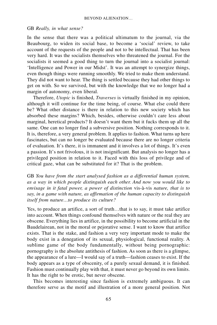#### GB *Really, in what sense?*

In the sense that there was a political ultimatum to the journal, via the Beaubourg, to widen its social base, to become a 'social' review, to take account of the requests of the people and not to be intellectual. That has been very hard. It was the socialists themselves who threatened the journal. For the socialists it seemed a good thing to turn the journal into a socialist journal: 'Intelligence and Power in our Midst'. It was an attempt to synergize things, even though things were running smoothly. We tried to make them understand. They did not want to hear. The thing is settled because they had other things to get on with. So we survived, but with the knowledge that we no longer had a margin of autonomy, even liberal.

Therefore, *Utopic* is finished, *Traverses* is virtually finished in my opinion, although it will continue for the time being, of course. What else could there be? What other distance is there in relation to this new society which has absorbed these margins? Which, besides, otherwise couldn't care less about marginal, heretical products? It doesn't want them but it fucks them up all the same. One can no longer find a subversive position. Nothing corresponds to it. It is, therefore, a very general problem. It applies to fashion. What turns up here fascinates, but can no longer be evaluated because there are no longer criteria of evaluation. It's there, it is immanent and it involves a lot of things. It's even a passion. It's not frivolous, it is not insignificant. But analysis no longer has a privileged position in relation to it. Faced with this loss of privilege and of critical gaze, what can be substituted for it? That is the problem.

GB *You have from the start analysed fashion as a differential human system, as a way in which people distinguish each other. And now you would like to envisage in it fatal power, a power of distinction* vis-à-vis *nature, that is to say, in a game with nature, as affirmation of the human capacity to distinguish itself from nature…to produce its culture?*

Yes, to produce an artifice, a sort of truth…that is to say, it must take artifice into account. When things confound themselves with nature or the real they are obscene. Everything lies in artifice, in the possibility to become artificial in the Baudelairean, not in the moral or pejorative sense. I want to know that artifice exists. That is the stake, and fashion a very very important mode to make the body exist in a denegation of its sexual, physiological, functional reality. A sublime game of the body fundamentally, without being pornographic: pornography is the absolute antithesis of fashion. As soon as there is a glimpse, the appearance of a lure—I would say of a truth—fashion ceases to exist. If the body appears as a type of obscenity, of a purely sexual demand, it is finished. Fashion must continually play with that, it must never go beyond its own limits. It has the right to be erotic, but never obscene.

This becomes interesting since fashion is extremely ambiguous. It can therefore serve as the motif and illustration of a more general position. Not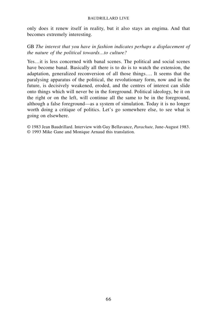only does it renew itself in reality, but it also stays an engima. And that becomes extremely interesting.

GB *The interest that you have in fashion indicates perhaps a displacement of the nature of the political towards…to culture?*

Yes…it is less concerned with banal scenes. The political and social scenes have become banal. Basically all there is to do is to watch the extension, the adaptation, generalized reconversion of all those things…. It seems that the paralysing apparatus of the political, the revolutionary form, now and in the future, is decisively weakened, eroded, and the centres of interest can slide onto things which will never be in the foreground. Political ideology, be it on the right or on the left, will continue all the same to be in the foreground, although a false foreground—as a system of simulation. Today it is no longer worth doing a critique of politics. Let's go somewhere else, to see what is going on elsewhere.

© 1983 Jean Baudrillard. Interview with Guy Bellavance, *Parachute,* June-August 1983. © 1993 Mike Gane and Monique Arnaud this translation.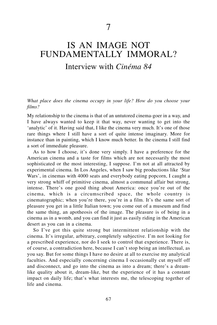# IS AN IMAGE NOT FUNDAMENTALLY IMMORAL? Interview with *Cinéma 84*

*What place does the cinema occupy in your life? How do you choose your films?*

My relationship to the cinema is that of an untutored cinema-goer in a way, and I have always wanted to keep it that way, never wanting to get into the 'analytic' of it. Having said that, I like the cinema very much. It's one of those rare things where I still have a sort of quite intense imaginary. More for instance than in painting, which I know much better. In the cinema I still find a sort of immediate pleasure.

As to how I choose, it's done very simply. I have a preference for the American cinema and a taste for films which are not necessarily the most sophisticated or the most interesting, I suppose. I'm not at all attracted by experimental cinema. In Los Angeles, when I saw big productions like 'Star Wars', in cinemas with 4000 seats and everybody eating popcorn, I caught a very strong whiff of primitive cinema, almost a communal affair but strong, intense. There's one good thing about America: once you're out of the cinema, which is a circumscribed space, the whole country is cinematographic; when you're there, you're in a film. It's the same sort of pleasure you get in a little Italian town; you come out of a museum and find the same thing, an apotheosis of the image. The pleasure is of being in a cinema as in a womb, and you can find it just as easily riding in the American desert as you can in a cinema.

So I've got this quite strong but intermittent relationship with the cinema. It's irregular, arbitrary, completely subjective. I'm not looking for a prescribed experience, nor do I seek to control that experience. There is, of course, a contradiction here, because I can't stop being an intellectual, as you say. But for some things I have no desire at all to exercise my analytical faculties. And especially concerning cinema I occasionally cut myself off and disconnect, and go into the cinema as into a dream; there's a dreamlike quality about it, dream-like, but the experience of it has a constant impact on daily life; that's what interests me, the telescoping together of life and cinema.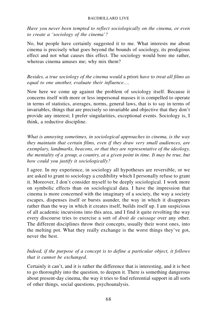*Have you never been tempted to reflect sociologically on the cinema, or even to create a 'sociology of the cinema'?*

No, but people have certainly suggested it to me. What interests me about cinema is precisely what goes beyond the bounds of sociology, its prodigious effect and not what causes this effect. The sociology would bore me rather, whereas cinema amuses me; why mix them?

*Besides, a true sociology of the cinema would* a priori *have to treat all films as equal to one another, evaluate their influence….*

Now here we come up against the problem of sociology itself. Because it concerns itself with more or less impersonal masses it is compelled to operate in terms of statistics, averages, norms, general laws, that is to say in terms of invariables, things that are precisely so invariable and objective that they don't provide any interest; I prefer singularities, exceptional events. Sociology is, I think, a reductive discipline.

*What is annoying sometimes, in sociological approaches to cinema, is the way they maintain that certain films, even if they draw very small audiences, are exemplary, landmarks, beacons, or that they are representative of the ideology, the mentality of a group, a country, at a given point in time. It may be true, but how could you justify it sociologically?*

I agree. In my experience, in sociology all hypotheses are reversible, or we are asked to grant to sociology a credibility which I personally refuse to grant it. Moreover, I don't consider myself to be deeply sociological. I work more on symbolic effects than on sociological data. I have the impression that cinema is more concerned with the imaginary of a society, the way a society escapes, dispenses itself or bursts asunder, the way in which it disappears rather than the way in which it creates itself, builds itself up. I am suspicious of all academic incursions into this area, and I find it quite revolting the way every discourse tries to exercise a sort of *droit de cuissage* over any other. The different disciplines throw their concepts, usually their worst ones, into the melting pot. What they really exchange is the worst things they've got, never the best.

# *Indeed, if the purpose of a concept is to define a particular object, it follows that it cannot be exchanged.*

Certainly it can't, and it is rather the difference that is interesting, and it is best to go thoroughly into the question, to deepen it. There is something dangerous about present-day cinema, the way it tries to find referential support in all sorts of other things, social questions, psychoanalysis.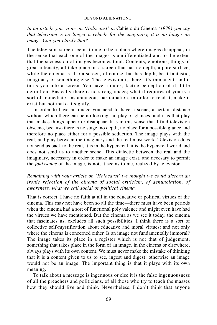#### BEYOND ALIENATION…

*In an article you wrote on 'Holocaust' in* Cahiers du Cinema *(1979) you say that television is no longer a vehicle for the imaginary, it is no longer an image. Can you clarify that?*

The television screen seems to me to be a place where images disappear, in the sense that each one of the images is undifferentiated and to the extent that the succession of images becomes total. Contents, emotions, things of great intensity, all take place on a screen that has no depth, a pure surface, while the cinema is also a screen, of course, but has depth, be it fantastic, imaginary or something else. The television is there, it's immanent, and it turns you into a screen. You have a quick, tactile perception of it, little definition. Basically there is no strong image; what it requires of you is a sort of immediate, instantaneous participation, in order to read it, make it exist but not make it signify.

In order to have an image you need to have a scene, a certain distance without which there can be no looking, no play of glances, and it is that play that makes things appear or disappear. It is in this sense that I find television obscene, because there is no stage, no depth, no place for a possible glance and therefore no place either for a possible seduction. The image plays with the real, and play between the imaginary and the real must work. Television does not send us back to the real, it is in the hyper-real, it is the hyper-real world and does not send us to another scene. This dialectic between the real and the imaginary, necessary in order to make an image exist, and necesary to permit the *jouissance* of the image, is not, it seems to me, realized by television.

# *Remaining with your article on 'Holocaust' we thought we could discern an ironic rejection of the cinema of social criticism, of denunciation, of awareness, what we call social or political cinema.*

That is correct. I have no faith at all in the educative or political virtues of the cinema. This may not have been so all the time—there must have been periods when the cinema had a sort of functional poly valence and might even have had the virtues we have mentioned. But the cinema as we see it today, the cinema that fascinates us, excludes all such possibilities. I think there is a sort of collective self-mystification about educative and moral virtues: and not only where the cinema is concerned either. Is an image not fundamentally immoral? The image takes its place in a register which is not that of judgement, something that takes place in the form of an image, in the cinema or elsewhere, always plays with its own content. We must never make the mistake of thinking that it is a content given to us to see, ingest and digest; otherwise an image would not be an image. The important thing is that it plays with its own meaning.

To talk about a message is ingenuous or else it is the false ingenuousness of all the preachers and politicians, of all those who try to teach the masses how they should live and think. Nevertheless, I don't think that anyone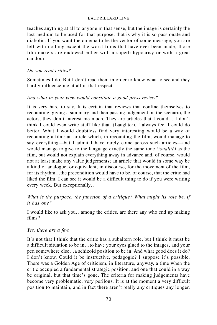teaches anything at all to anyone in that sense, but the image is certainly the last medium to be used for that purpose, that is why it is so passionate and diabolic. If you want the cinema to be the vector of some message, you are left with nothing except the worst films that have ever been made; those film-makers are endowed either with a superb hypocrisy or with a great candour.

# *Do you read critics?*

Sometimes I do. But I don't read them in order to know what to see and they hardly influence me at all in that respect.

# *And what in your view would constitute a good press review?*

It is very hard to say. It is certain that reviews that confine themselves to recounting, giving a summary and then passing judgement on the scenario, the actors, they don't interest me much. They are articles that I could… I don't think I could even write stuff like that. (Laughter). I always feel I could do better. What I would doubtless find very interesting would be a way of recounting a film: an article which, in recounting the film, would manage to say everything—but I admit I have rarely come across such articles—and would manage to give to the language exactly the same tone *(tonalité)* as the film, but would not explain everything away in advance and, of course, would not at least make any value judgements; an article that would in some way be a kind of analogue, or equivalent, in discourse, for the movement of the film, for its rhythm…the precondition would have to be, of course, that the critic had liked the film. I can see it would be a difficult thing to do if you were writing every week. But exceptionally…

# *What is the purpose, the function of a critique? What might its role be, if it has one?*

I would like to ask you…among the critics, are there any who end up making films?

# *Yes, there are a few.*

It's not that I think that the critic has a subaltern role, but I think it must be a difficult situation to be in…to have your eyes glued to the images, and your pen somewhere else…a schizoid position to be in. And what good does it do? I don't know. Could it be instructive, pedagogic? I suppose it's possible. There was a Golden Age of criticism, in literature, anyway, a time when the critic occupied a fundamental strategic position, and one that could in a way be original, but that time's gone. The criteria for making judgements have become very problematic, very perilous. It is at the moment a very difficult position to maintain, and in fact there aren't really any critiques any longer.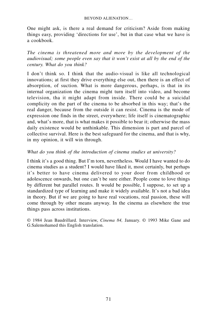#### BEYOND ALIENATION…

One might ask, is there a real demand for criticism? Aside from making things easy, providing 'directions for use', but in that case what we have is a cookbook.

*The cinema is threatened more and more by the development of the audiovisual; some people even say that it won't exist at all by the end of the century. What do you think?*

I don't think so. I think that the audio-visual is like all technological innovations; at first they drive everything else out, then there is an effect of absorption, of suction. What is more dangerous, perhaps, is that in its internal organization the cinema might turn itself into video, and become television, tha it might adapt from inside. There could be a suicidal complicity on the part of the cinema to be absorbed in this way; that's the real danger, because from the outside it can resist. Cinema is the mode of expression one finds in the street, everywhere; life itself is cinematographic and, what's more, that is what makes it possible to bear it; otherwise the mass daily existence would be unthinkable. This dimension is part and parcel of collective survival. Here is the best safeguard for the cinema, and that is why, in my opinion, it will win through.

#### *What do you think of the introduction of cinema studies at university?*

I think it's a good thing. But I'm torn, nevertheless. Would I have wanted to do cinema studies as a student? I would have liked it, most certainly, but perhaps it's better to have cinema delivered to your door from childhood or adolescence onwards, but one can't be sure either. People come to love things by different but parallel routes. It would be possible, I suppose, to set up a standardized type of learning and make it widely available. It's not a bad idea in theory. But if we are going to have real vocations, real passion, these will come through by other means anyway. In the cinema as elsewhere the true things pass across institutions.

© 1984 Jean Baudrillard. Interview, *Cinema 84,* January. © 1993 Mike Gane and G.Salemohamed this English translation.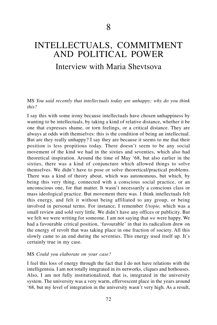# INTELLECTUALS, COMMITMENT AND POLITICAL POWER

# Interview with Maria Shevtsova

#### MS *You said recently that intellectuals today are unhappy; why do you think this?*

I say this with some irony because intellectuals have chosen unhappiness by wanting to be intellectuals, by taking a kind of relative distance, whether it be one that expresses shame, or torn feelings, or a critical distance. They are always at odds with themselves: this is the condition of being an intellectual. But are they really unhappy? I say they are because it seems to me that their position is less propitious today. There doesn't seem to be any social movement of the kind we had in the sixties and seventies, which also had theoretical inspiration. Around the time of May '68, but also earlier in the sixties, there was a kind of conjuncture which allowed things to solve themselves. We didn't have to pose or solve theoretical/practical problems. There was a kind of theory about, which was autonomous, but which, by being this very thing, connected with a conscious social practice, or an unconscious one, for that matter. It wasn't necessarily a conscious class or mass ideological practice. But movement there was. I think intellectuals felt this energy, and felt it without being affiliated to any group, or being involved in personal terms. For instance, I remember *Utopie,* which was a small review and sold very little. We didn't have any offices or publicity. But we felt we were writing for someone. I am not saying that *we* were happy. We had a favourable critical position, 'favourable' in that its radicalism drew on the energy of revolt that was taking place in one fraction of society. All this slowly came to an end during the seventies. This energy used itself up. It's certainly true in my case.

#### MS *Could you elaborate on your case?*

I feel this loss of energy through the fact that I do not have relations with the intelligentsia. I am not totally integrated in its networks, cliques and hothouses. Also, I am not fully institutionalized, that is, integrated in the university system. The university was a very warm, effervescent place in the years around '68, but my level of integration in the university wasn't very high. As a result,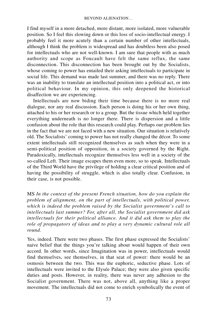I find myself in a more detached, more distant, more isolated, more vulnerable position. So I feel this slowing down or this loss of socio-intellectual energy. I probably feel it more acutely than a certain number of other intellectuals, although I think the problem is widespread and has doubtless been also posed for intellectuals who are not well-known. I am sure that people with as much authority and scope as Foucault have felt the same reflux, the same disconnection. This disconnection has been brought out by the Socialists, whose coming to power has entailed their asking intellectuals to participate in social life. This demand was made last summer, and there was no reply. There was an inability to translate an intellectual position into a political act, or into political behaviour. In my opinion, this only deepened the historical disaffection we are experiencing.

Intellectuals are now biding their time because there is no more real dialogue, nor any real discussion. Each person is doing his or her own thing, attached to his or her research or to a group. But the tissue which held together everything underneath is no longer there. There is dispersion and a little confusion about the role that this research could play. Perhaps our problem lies in the fact that we are not faced with a new situation. Our situation is relatively old. The Socialists' coming to power has not really changed the décor. To some extent intellectuals still recognized themselves as such when they were in a semi-political position of opposition, in a society governed by the Right. Paradoxically, intellectuals recognize themselves less well in a society of the so-called Left. Their image escapes them even more, so to speak. Intellectuals of the Third World have the privilege of holding a clear critical position and of having the possibility of struggle, which is also totally clear. Confusion, in their case, is not possible.

MS *In the context of the present French situation, how do you explain the problem of alignment, on the part of intellectuals, with political power, which is indeed the problem raised by the Socialist government's call to intellectuals last summer? For, after all, the Socialist government did ask intellectuals for their political alliance. And it did ask them to play the role of propagators of ideas and to play a very dynamic cultural role all round.*

Yes, indeed. There were two phases. The first phase expressed the Socialists' naive belief that the things you're talking about would happen of their own accord. In other words, since Imagination was in power, intellectuals would find themselves, see themselves, in that seat of power: there would be an osmosis between the two. This was the euphoric, seductive phase. Lots of intellectuals were invited to the Elysée Palace; they were also given specific duties and posts. However, in reality, there was never any adhesion to the Socialist government. There was not, above all, anything like a proper movement. The intellectuals did not come to enrich symbolically the event of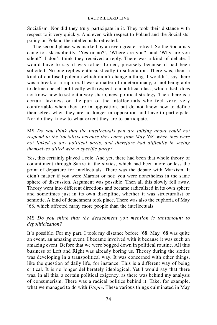Socialism. Nor did they truly participate in it. They took their distance with respect to it very quickly. And even with respect to Poland and the Socialists' policy on Poland the intellectuals retreated.

The second phase was marked by an even greater retreat. So the Socialists came to ask explicitly, 'Yes or no?', 'Where are you?' and 'Why are you silent?' I don't think they received a reply. There was a kind of debate. I would have to say it was rather forced, precisely because it had been solicited. No one replies enthusiastically to solicitation. There was, then, a kind of confused polemic which didn't change a thing. I wouldn't say there was a break or a rupture. It was a matter of indeterminacy, of not being able to define oneself politically with respect to a political class, which itself does not know how to set out a very sharp, new, political strategy. Then there is a certain laziness on the part of the intellectuals who feel very, very comfortable when they are in opposition, but do not know how to define themselves when they are no longer in opposition and have to participate. Nor do they know to what extent they are to participate.

MS *Do you think that the intellectuals you are talking about could not respond to the Socialists because they came from May '68, when they were not linked to any political party, and therefore had difficulty in seeing themselves allied with a specific party?*

Yes, this certainly played a role. And yet, there had been that whole theory of commitment through Sartre in the sixties, which had been more or less the point of departure for intellectuals. There was the debate with Marxism. It didn't matter if you were Marxist or not: you were nonetheless in the same sphere of discussion. Argument was possible. Then all this slowly fell away. Theory went into different directions and became radicalized in its own sphere and sometimes just in its own discipline, whether it was structuralist or semiotic. A kind of detachment took place. There was also the euphoria of May '68, which affected many more people than the intellectuals.

MS *Do you think that the detachment you mention is tantamount to depoliticization?*

It's possible. For my part, I took my distance before '68. May '68 was quite an event, an amazing event. I became involved with it because it was such an amazing event. Before that we were bogged down in political routine. All this business of Left and Right was already boring us. Theory during the sixties was developing in a transpolitical way. It was concerned with other things, like the question of daily life, for instance. This is a different way of being critical. It is no longer deliberately ideological. Yet I would say that there was, in all this, a certain political exigency, as there was behind my analysis of consumerism. There was a radical politics behind it. Take, for example, what we managed to do with *Utopie*. These various things culminated in May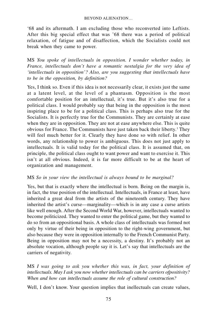'68 and its aftermath. I am excluding those who reconverted into Leftists. After this big special effect that was '68 there was a period of political relaxation, of fatigue and of disaffection, which the Socialists could not break when they came to power.

MS *You spoke of intellectuals in opposition. I wonder whether today, in France, intellectuals don't have a romantic nostalgia for the very idea of 'intellectuals in opposition'? Also, are you suggesting that intellectuals have to be in the opposition, by definition?*

Yes, I think so. Even if this idea is not necessarily clear, it exists just the same at a latent level, at the level of a phantasm. Opposition is the most comfortable position for an intellectual, it's true. But it's also true for a political class. I would probably say that being in the opposition is the most inspiring place to be for a political class. This is perhaps also true for the Socialists. It is perfectly true for the Communists. They are certainly at ease when they are in opposition. They are not at ease anywhere else. This is quite obvious for France. The Communists have just taken back their liberty.<sup>1</sup> They will feel much better for it. Clearly they have done so with relief. In other words, any relationship to power is ambiguous. This does not just apply to intellectuals. It is valid today for the political class. It is assumed that, on principle, the political class ought to want power and want to exercise it. This isn't at all obvious. Indeed, it is far more difficult to be at the heart of organization and management.

# MS *So in your view the intellectual is always bound to be marginal?*

Yes, but that is exactly where the intellectual is born. Being on the margin is, in fact, the true position of the intellectual. Intellectuals, in France at least, have inherited a great deal from the artists of the nineteenth century. They have inherited the artist's curse—marginality—which is in any case a curse artists like well enough. After the Second World War, however, intellectuals wanted to become politicized. They wanted to enter the political game, but they wanted to do so from an oppositional basis. A whole class of intellectuals was formed not only by virtue of their being in opposition to the right-wing government, but also because they were in opposition internally to the French Communist Party. Being in opposition may not be a necessity, a destiny. It's probably not an absolute vocation, although people say it is. Let's say that intellectuals are the carriers of negativity.

MS *I was going to ask you whether this was, in fact, your definition of intellectuals. May I ask you now whether intellectuals can be carriers ofpositivity? When and how can intellectuals assume the role of cultural construction?*

Well, I don't know. Your question implies that inellectuals can create values,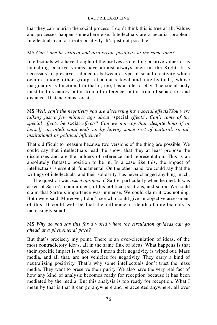that they can nourish the social process. I don't think this is true at all. Values and processes happen somewhere else. Intellectuals are a peculiar problem. Intellectuals cannot create positivity. It's just not possible.

#### MS *Can't one be critical and also create positivity at the same time?*

Intellectuals who have thought of themselves as creating positive values or as launching positive values have almost always been on the Right. It is necessary to preserve a dialectic between a type of social creativity which occurs among other groups at a mass level and intellectuals, whose marginality is functional in that it, too, has a role to play. The social body must find its energy in this kind of difference, in this kind of separation and distance. Distance must exist.

MS *Well, can't the negativity you are discussing have social effects?You were talking just a few minutes ago about* 'special *effects*'. *Can't some of the special effects be* social *effects*? *Can we not say that, despite himself or herself, an intellectual ends up by having some sort of cultural, social, institutional or political influence?*

That's difficult to measure because two versions of the thing are possible. We could say that intellectuals lead the show; that they at least propose the discourses and are the holders of reference and representation. This is an absolutely fantastic position to be in. In a case like this, the impact of intellectuals is essential, fundamental. On the other hand, we could say that the writings of intellectuals, and their solidarity, has never changed anything much.

The question was *asked apropos* of Sartre, particularly when he died. It was asked of Sartre's commitment, of his political positions, and so on. We could claim that Sartre's importance was immense. We could claim it was nothing. Both were said. Moreover, I don't see who could give an objective assessment of this. It could well be that the influence in depth of intellectuals is increasingly small.

MS *Why do you say this for a world where the circulation of ideas can go ahead at a phenomenal pace?*

But that's precisely my point. There is an over-circulation of ideas, of the most contradictory ideas, all in the same flux of ideas. What happens is that their specific impact is wiped out. I mean their negativity is wiped out. Mass media, and all that, are not vehicles for negativity. They carry a kind of neutralizing positivity. That's why some intellectuals don't trust the mass media. They want to preserve their purity. We also have the very real fact of how any kind of analysis becomes ready for reception because it has been mediated by the media. But this analysis is too ready for reception. What I mean by that is that it can go anywhere and be accepted anywhere, all over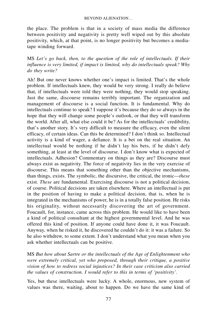the place. The problem is that in a society of mass media the difference between positivity and negativity is pretty well wiped out by this absolute positivity, which, at that point, is no longer positivity but becomes a mediatape winding forward.

MS *Let's go back, then, to the question of the role of intellectuals. If their influence is very limited, if impact is limited, why do intellectuals speak? Why do they write?*

Ah! But one never knows whether one's impact is limited. That's the whole problem. If intellectuals knew, they would be very strong. I really do believe that, if intellectuals were told they were nothing, they would stop speaking. Just the same, discourse remains terribly important. The organization and management of discourse is a social function. It is fundamental. Why do intellectuals continue to speak? I suppose it's because they do so always in the hope that they will change some people's outlook, or that they will transform the world. After all, what else could it be? As for the intellectuals' credibility, that's another story. It's very difficult to measure the efficacy, even the silent efficacy, of certain ideas. Can this be determined? I don't think so. Intellectual activity is a kind of wager, a defiance. It is a bet on the real situation. An intellectual would be nothing if he didn't lay his bets, if he didn't defy something, at least at the level of discourse. I don't know what is expected of intellectuals. Adhesion? Commentary on things as they are? Discourse must always exist as negativity. The force of negativity lies in the very exercise of discourse. This means that something other than the objective mechanisms, than things, exists. The symbolic, the discursive, the critical, the ironic—*these* exist. *These* are fundamental. Exercising discourse is not a political decision, of course. Political decisions are taken elsewhere. Where an intellectual is put in the position of having to make a political decision, that is, when he is integrated in the mechanisms of power, he is in a totally false position. He risks his originality, without necessarily discovering the art of government. Foucault, for, instance, came across this problem. He would like to have been a kind of political consultant at the highest governmental level. And he was offered this kind of position. If anyone could have done it, it was Foucault. Anyway, when he risked it, he discovered he couldn't do it: it was a failure. So he also withdrew, to some extent. I don't understand what you mean when you ask whether intellectuals can be positive.

MS *But how about Sartre or the intellectuals of the Age of Enlightenment who were extremely critical, yet who proposed, through their critique, a positive vision of how to redress social injustices? In their case criticism also carried the values of construction. I would refer to this in terms of 'positivity'.*

Yes, but these intellectuals were lucky. A whole, enormous, new system of values was there, waiting, about to happen. Do we have the same kind of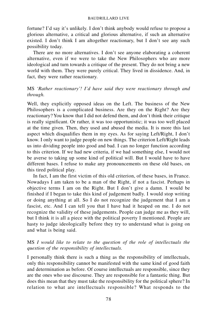fortune? I'd say it's unlikely. I don't think anybody would refuse to propose a glorious alternative, a critical and glorious alternative, if such an alternative existed. I don't think I am altogether reactionary, but I don't see any such possibility today.

There are no more alternatives. I don't see anyone elaborating a coherent alternative, even if we were to take the New Philosophers who are more ideological and turn towards a critique of the present. They do not bring a new world with them. They were purely critical. They lived in dissidence. And, in fact, they were rather reactionary.

# MS *'Rather reactionary'! I'd have said they were reactionary through and through.*

Well, they explicitly opposed ideas on the Left. The business of the New Philosophers is a complicated business. Are they on the Right? Are they reactionary? You know that I did not defend them, and don't think their critique is really significant. Or rather, it was too opportunistic; it was too well placed at the time given. Then, they used and abused the media. It is more this last aspect which disqualifies them in my eyes. As for saying Left/Right, I don't know. I only want to judge people on new things. The criterion Left/Right leads us into dividing people into good and bad. I can no longer function according to this criterion. If we had new criteria, if we had something else, I would not be averse to taking up some kind of political will. But I would have to have different bases. I refuse to make any pronouncements on these old bases, on this tired political play.

In fact, I am the first victim of this old criterion, of these bases, in France. Nowadays I am taken to be a man of the Right, if not a fascist. Perhaps in objective terms I am on the Right. But I don't give a damn. I would be finished if I began to take this kind of judgement badly. I would stop writing or doing anything at all. So I do not recognize the judgement that I am a fascist, etc. And I can tell you that I have had it heaped on me. I do not recognize the validity of these judgements. People can judge me as they will, but I think it is all a piece with the political poverty I mentioned. People are hasty to judge ideologically before they try to understand what is going on and what is being said.

#### MS *I would like to relate to the question of the role of intellectuals the question of the responsibility of intellectuals.*

I personally think there is such a thing as the responsibility of intellectuals, only this responsibility cannot be manifested with the same kind of good faith and determination as before. Of course intellectuals are responsible, since they are the ones who use discourse. They are responsible for a fantastic thing. But does this mean that they must take the responsibility for the political sphere? In relation to what are intellectuals responsible? What responds to the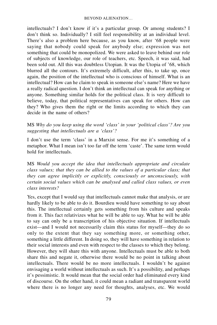intellectuals? I don't know if it's a particular group. Or among students? I don't think so. Individually? I still feel responsibility at an individual level. There's also a problem here because, as you know, after '68 people were saying that nobody could speak for anybody else; expression was not something that could be monopolized. We were asked to leave behind our role of subjects of knowledge, our role of teachers, etc. Speech, it was said, had been sold out. All this was doubtless Utopian. It was the Utopia of '68, which blurred all the contours. It's extremely difficult, after this, to take up, once again, the position of the intellectual who is conscious of himself. What is an intellectual? How can he claim to speak in someone else's name? Here we have a really radical question. I don't think an intellectual can speak for anything or anyone. Something similar holds for the political class. It is very difficult to believe, today, that political representatives can speak for others. How can they? Who gives them the right or the limits according to which they can decide in the name of others?

MS *Why do you keep using the word 'class' in your 'political class'? Are you suggesting that intellectuals are a 'class'?*

I don't use the term 'class' in a Marxist sense. For me it's something of a metaphor. What I mean isn't too far off the term 'caste'. The same term would hold for intellectuals.

MS *Would you accept the idea that intellectuals appropriate and circulate class values; that they can be allied to the values of a particular class; that they can agree implicitly or explicitly, consciously or unconsciously, with certain social values which can be analysed and called class values, or even class interests?*

Yes, except that I would say that intellectuals cannot make that analysis, or are hardly likely to be able to do it. Bourdieu would have something to say about this. The intellectual certainly gets something from his culture and speaks from it. This fact relativizes what he will be able to say. What he will be able to say can only be a transcription of his objective situation. If intellectuals exist—and I would not necessarily claim this status for myself—they do so only to the extent that they say something more, or something other, something a little different. In doing so, they will have something in relation to their social interests and even with respect to the classes to which they belong. However, they will share this with anyone. Intellectuals must be able to both share this and negate it, otherwise there would be no point in talking about intellectuals. There would be no more intellectuals. I wouldn't be against envisaging a world without intellectuals as such. It's a possibility, and perhaps it's pessimistic. It would mean that the social order had eliminated every kind of discourse. On the other hand, it could mean a radiant and transparent world where there is no longer any need for thoughts, analyses, etc. We would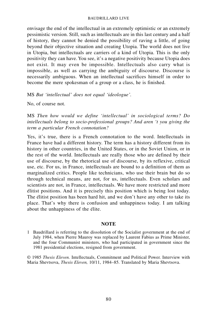envisage the end of the intellectual in an extremely optimistic or an extremely pessimistic version. Still, such as intellectuals are in this last century and a half of history, they cannot be denied the possibility of raving a little, of going beyond their objective situation and creating Utopia. The world does not live in Utopia, but intellectuals are carriers of a kind of Utopia. This is the only positivity they can have. You see, it's a negative positivity because Utopia does not exist. It may even be impossible. Intellectuals also carry what is impossible, as well as carrying the ambiguity of discourse. Discourse is necessarily ambiguous. When an intellectual sacrifices himself in order to become the mere spokesman of a group or a class, he is finished.

MS *But 'intellectual' does not equal 'ideologue'.*

No, of course not.

MS *Then how would we define 'intellectual' in sociological terms? Do intellectuals belong to socio-professional groups? And aren 't you giving the term a particular French connotation?*

Yes, it's true, there is a French connotation to the word. Intellectuals in France have had a different history. The term has a history different from its history in other countries, in the United States, or in the Soviet Union, or in the rest of the world. Intellectuals are really those who are defined by their use of discourse, by the rhetorical use of discourse, by its reflexive, critical use, etc. For us, in France, intellectuals are bound to a definition of them as marginalized critics. People like technicians, who use their brain but do so through technical means, are not, for us, intellectuals. Even scholars and scientists are not, in France, intellectuals. We have more restricted and more élitist positions. And it is precisely this position which is being lost today. The élitist position has been hard hit, and we don't have any other to take its place. That's why there is confusion and unhappiness today. I am talking about the unhappiness of the élite.

#### **NOTE**

1 Baudrillard is referring to the dissolution of the Socialist government at the end of July 1984, when Pierre Mauroy was replaced by Laurent Fabius as Prime Minister, and the four Communist ministers, who had participated in government since the 1981 presidential elections, resigned from government.

© 1985 *Thesis Eleven.* Intellectuals, Commitment and Political Power. Interview with Maria Shevtsova, *Thesis Eleven,* 10/11, 1984–85. Translated by Maria Shevtsova.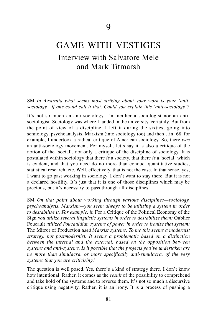# GAME WITH VESTIGES Interview with Salvatore Mele and Mark Titmarsh

SM *In Australia what seems most striking about your work is your 'antisociology', if one could call it that. Could you explain this 'anti-sociology'?*

It's not so much an anti-sociology. I'm neither a sociologist nor an antisociologist. Sociology was where I landed in the university, certainly. But from the point of view of a discipline, I left it during the sixties, going into semiology, psychoanalysis, Marxism (into sociology too) and then…in '68, for example, I undertook a radical critique of American sociology. So, there *was* an anti-sociology movement. For myself, let's say it is also a critique of the notion of the 'social', not only a critique of the discipline of sociology. It is postulated within sociology that there *is* a society, that there *is* a 'social' which is evident, and that you need do no more than conduct quantitative studies, statistical research, etc. Well, effectively, that is not the case. In that sense, yes, I want to go past working in sociology. I don't want to stay there. But it is not a declared hostility. It's just that it is one of those disciplines which may be precious, but it's necessary to pass through all disciplines.

SM *On that point about working through various disciplines—sociology, psychoanalysis, Marxism—you seem always to be utilizing a system in order to destabilize it. For example, in* For a Critique of the Political Economy of the Sign *you utilize several linguistic systems in order to destabilize them;* Oublier Foucault *utilized Foucauldian systems of power in order to ironize that system;* The Mirror of Production *used Marxist systems*. *To me this seems a modernist strategy, not postmodernist. It seems a problematic based on a distinction between the internal and the external, based on the opposition between systems and anti-systems. Is it possible that the projects you've undertaken are no more than simulacra, or more specifically anti-simulacra, of the very systems that you are criticizing?*

The question is well posed. Yes, there's a kind of strategy there. I don't know how intentional. Rather, it comes as the *result* of the possibility to comprehend and take hold of the systems and to reverse them. It's not so much a discursive critique using negativity. Rather, it is an irony. It is a process of pushing a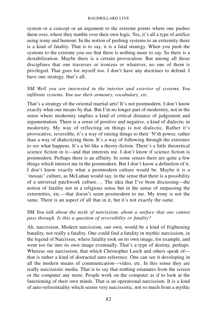system or a concept or an argument to the extreme points where one pushes them over, where they tumble over their own logic. Yes, it's all a type of artifice using irony and humour. In the notion of pushing systems to an extremity there is a kind of fatality. That is to say, it is a fatal strategy. When you push the systems to the extreme you see that there is nothing more to say. So there is a destabilization. Maybe there is a certain provocation. But among all those disciplines that one traverses or ironizes or whatever, no one of them is privileged. That goes for myself too. I don't have any doctrines to defend. I have one strategy, that's all.

# SM *Well you are interested in the interior and exterior of systems. You infiltrate systems. You use their armoury, vocabulary, etc.*

That's a strategy of the oriental martial arts! It's not postmodern. I don't know exactly what one means by that. But I'm no longer part of modernity, not in the sense where modernity implies a kind of critical distance of judgement and argumentation. There is a sense of positive and negative, a kind of dialectic in modernity. My way of reflecting on things is not dialectic. Rather it's provocative, reversible, it's a way of raising things to their 'N'th power, rather than a way of dialectizing them. It's a way of following through the extremes to see what happens. It's a bit like a theory-fiction. There's a little theoretical science fiction in it—and that interests me. I don't know if science fiction is postmodern. Perhaps there is an affinity. In some senses there are quite a few things which interest me in the postmodern. But I don't know a definition of it. I don't know exactly what a postmodern culture would be. Maybe it is a 'mosaic' culture, as McLuhan would say, in the sense that there is a possibility of a universal patchwork culture…. The idea that I've been discussing—the notion of fatality not in a religious sense but in the sense of surpassing the extremities, etc.—that doesn't seem postmodern to me. My irony is not the same. There is an aspect of all that in it, but it's not exactly the same.

# SM *You talk about the myth of narcissism, about a surface that one cannot pass through. Is this a question of reversibility or fatality?*

Ah, narcissism. Modern narcissism, our own, would be a kind of frightening banality, not really a fatality. One could find a fatality in mythic narcissism, in the legend of Narcissus, where fatality took on its own image, for example, and went too far into its own image eventually. That's a type of destiny, perhaps. Whereas our narcissism, that which Christopher Lasch and others speak of that is rather a kind of distracted auto-reference. One can see it developing in all the modern means of communication—video, etc. In this sense they are really narcissistic media. That is to say that nothing emanates from the screen or the computer any more. People work on the computer as if to look at the functioning of their own minds. That is an operational narcissism. It is a kind of auto-referentiality which seems very narcissistic, not so much from a mythic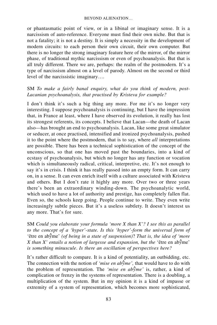or phantasmatic point of view, or in a libinal or imaginary sense. It is a narcissism of auto-reference. Everyone must find their own niche. But that is not a fatality; it is not a destiny. It is simply a necessity in the development of modern circuits: to each person their own circuit, their own computer. But there is no longer the strong imaginary feature here of the mirror, of the mirror phase, of traditional mythic narcissism or even of psychoanalysis. But that is all truly different. There we are, perhaps: the realm of the postmodern. It's a type of narcissism almost on a level of parody. Almost on the second or third level of the narcissistic imaginary….

# SM *To make a fairly banal enquiry, what do you think of modern, post-Lacanian psychoanalysis, that practised by Kristeva for example?*

I don't think it's such a big thing any more. For me it's no longer very interesting. I suppose psychoanalysis is continuing, but I have the impression that, in France at least, where I have observed its evolution, it really has lost its strongest referents, its concepts. I believe that Lacan—the death of Lacan also—has brought an end to psychoanalysis. Lacan, like some great simulator or seducer, at once practised, intensified and ironized psychoanalysis, pushed it to the point where the postmodern, that is to say, where *all* interpretations are possible. There has been a technical sophistication of the concept of the unconscious, so that one has moved past the boundaries, into a kind of ecstasy of psychoanalysis, but which no longer has any function or vocation which is simultaneously radical, critical, interpretive, etc. It's not enough to say it's in crisis. I think it has really passed into an empty form. It can carry on, in a sense. It can even enrich itself with a culture associated with Kristeva and others. But I don't rate it highly any more. Over two or three years there's been an extraordinary winding-down. The psychoanalytic world, which used to have a lot of authority and prestige, has completely fallen flat. Even so, the schools keep going. People continue to write. They even write increasingly subtle pieces. But it's a useless subtlety. It doesn't interest us any more. That's for sure.

SM *Could you elaborate your formula 'more X than X'? I see this as parallel to the concept of a 'hyper'-state. Is this 'hyper'-form the universal form of* 'être en ab*y^*me' *(of being in a state of suspension)*? *That is, the idea of 'more*  $X$  than  $X'$  entails a notion of largesse and expansion, but the 'être en ab $\hat{y}$ me' *is something minuscule*. *Is there an oscillation of perspectives here?*

It's rather difficult to compare. It is a kind of potentiality, an outbidding, etc. The connection with the notion of 'mise en  $ab\hat{\gamma}$ me', that would have to do with the problem of representation. The 'mise en aby<sup>ne'</sup> is, rather, a kind of complication or frenzy in the systems of representation. There is a doubling, a multiplication of the system. But in my opinion it is a kind of impasse or extremity of a system of representation, which becomes more sophisticated,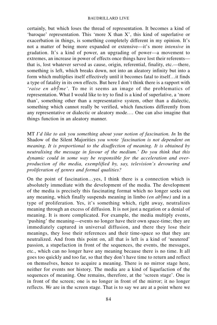certainly, but which loses the thread of representation. It becomes a kind of 'baroque' representation. This 'more X than X', this kind of superlative or exacerbation in things, is something completely different in my opinion. It's not a matter of being more expanded or extensive—it's more *intensive* in gradation. It's a kind of power, an upgrading of power—a movement to extremes, an increase in power of effects once things have lost their referents that is, lost whatever served as cause, origin, referential, finality, etc.—there, something is left, which breaks down, not into an aleatory infinity but into a form which multiplies itself effectively until it becomes fatal to itself…it finds a type of fatality in its own effects. But here I don't think there is a rapport with *'raise en ab* $\hat{y}$ *me'.* To me it seems an image of the problematics of representation. What I would like to try to find is a kind of superlative, a 'more than', something other than a representative system, other than a dialectic, something which cannot really be verified, which functions differently from any representative or dialectic or aleatory mode.… One can also imagine that things function in an aleatory manner.

MT *I'd like to ask you something about your notion of fascination. In* In the Shadow of the Silent Majorities *you wrote 'fascination is not dependent on meaning*. *It is proportional to the disaffection of meaning. It is obtained by neutralising the message in favour of the medium.' Do you think that this dynamic could in some way be responsible for the acceleration and overproduction of the media, exemplified by, say, television's devouring and proliferation of genres and formal qualities?*

On the point of fascination…yes, I think there is a connection which is absolutely immediate with the development of the media. The development of the media is precisely this fascinating format which no longer seeks out any meaning, which finally suspends meaning in limbo *(en ab)me)* and in a type of proliferation. Yes, it's something which, right away, neutralizes meaning through an excess of diffusion. It is not just a negation or a denial of meaning. It is more complicated. For example, the media multiply events, 'pushing' the meaning—events no longer have their own space-time; they are immediately captured in universal diffusion, and there they lose their meanings, they lose their references and their time-space so that they are neutralized. And from this point on, all that is left is a kind of 'neutered' passion, a stupefaction in front of the sequences, the events, the messages, etc., which can no longer have any meaning because there is no time. It all goes too quickly and too far, so that they don't have time to return and reflect on themselves, hence to acquire a meaning. There is no mirror stage here, neither for events nor history. The media are a kind of liquefaction of the sequences of meaning. One remains, therefore, at the 'screen stage'. One is in front of the screen; one is no longer in front of the mirror; it no longer reflects. *We* are in the screen stage. That is to say we are at a point where we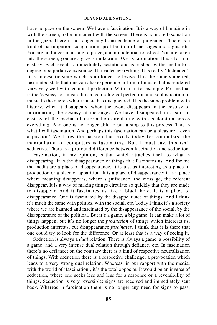have no gaze on the screen. We have a fascination. It is a way of blending in with the screen, to be immanent with the screen. There is no more fascination in the gaze. There is no longer any transcendence of judgement. There is a kind of participation, coagulation, proliferation of messages and signs, etc. You are no longer in a state to judge, and no potential to reflect. You are taken into the screen, you are a gaze-simulacrum. *This* is fascination. It is a form of ecstasy. Each event is immediately ecstatic and is pushed by the media to a degree of superlative existence. It invades everything. It is really 'distended'. It is an ecstatic state which is no longer reflexive. It is the same stupefied, fascinated state that one can also experience in front of music that is rendered very, very well with technical perfection. With hi-fi, for example. For me that is the 'ecstasy' of music. It is a technological perfection and sophistication of music to the degree where music has disappeared. It is the same problem with history, when it disappears, when the event disappears in the ecstasy of information, the ecstasy of messages. We have disappeared in a sort of ecstasy of the media, of information circulating with acceleration across everything. And one is no longer able to put a stop to this process. This is what I call fascination. And perhaps this fascination can be a pleasure...even a passion! We know the passion that exists today for computers; the manipulation of computers is fascinating. But, I must say, this isn't seductive. There is a profound difference between fascination and seduction.

Fascination, in my opinion, is that which attaches itself to what is disappearing. It is the disappearance of things that fascinates us. And for me the media are a place of disappearance. It is just as interesting as a place of production or a place of apparition. It is a place of disappearance; it is a place where meaning disappears, where significance, the message, the referent disappear. It is a way of making things circulate so quickly that they are made to disappear. And it fascinates us like a black hole. It is a place of disappearance. One is fascinated by the disappearance of things. And I think it's much the same with politics, with the social, etc. Today I think it's a society where we are haunted and fascinated by the disappearance of the social, by the disappearance of the political. But it's a game, a big game. It can make a lot of things happen, but it's no longer the *production* of things which interests us; production interests, but disappearance *fascinates*. I think that it is there that one could try to look for the difference. Or at least that is a way of seeing it.

Seduction is always a *dual* relation. There is always a game, a possibility of a game, and a very intense dual relation through defiance, etc. In fascination there's no defiance; on the contrary there is a kind of respective neutralization of things. With seduction there is a respective challenge, a provocation which leads to a very strong dual relation. Whereas, in our rapport with the media, with the world of 'fascination', it's the total opposite. It would be an inverse of seduction, where one seeks less and less for a response or a reversibility of things. Seduction is very reversible: signs are received and immediately sent back. Whereas in fascination there is no longer any need for signs to pass.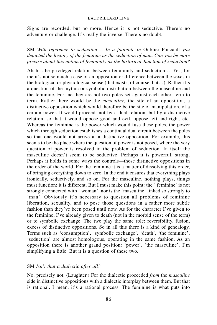Signs are recorded, but no more. Hence it is not seductive. There's no adventure or challenge. It's really the inverse. There's no doubt.

SM *With reference to seduction…. In a footnote in* Oublier Foucault *you depicted the history of the feminine as the seduction of man*. *Can you be more precise about this notion of femininity as the historical Junction of seduction?*

Ahah…the privileged relation between femininity and seduction…. Yes, for me it's not so much a case of an opposition or difference between the sexes in the biological or physiological sense (that exists, of course, but…). Rather it's a question of the mythic or symbolic distribution between the masculine and the feminine. For me they are not two poles set against each other, term to term. Rather there would be the *masculine,* the site of an opposition, a distinctive opposition which would therefore be the site of manipulation, of a certain power. It would proceed, not by a dual relation, but by a distinctive relation, so that it would oppose good and evil, oppose left and right, etc. Whereas the feminine is the power which would fuse these poles, the power which through seduction establishes a continual dual circuit between the poles so that one would not arrive at a distinctive opposition. For example, this seems to be the place where the question of power is not posed, where the very question of power is resolved in the problem of seduction. In itself the masculine doesn't seem to be seductive. Perhaps it is powerful, strong. Perhaps it holds in some ways the controls—those distinctive oppositions in the order of the world. For the feminine it is a matter of dissolving this order, of bringing everything down to zero. In the end it ensures that everything plays ironically, seductively, and so on. For the masculine, nothing plays, things must function; it is different. But I must make this point: the ' feminine' is not strongly connected with ' woman', nor is the 'masculine' linked so strongly to 'man'. Obviously it's necessary to question all problems of feminine liberation, sexuality, and to pose those questions in a rather more subtle fashion than they've been posed until now. As for the character I've given to the feminine, I've already given to death (not in the morbid sense of the term) or to symbolic exchange. The two play the same role: reversibility, fusion, excess of distinctive oppositions. So in all this there is a kind of genealogy. Terms such as 'consumption', 'symbolic exchange', 'death', 'the feminine', 'seduction' are almost homologous, operating in the same fashion. As an opposition there is another grand position: 'power', 'the masculine'. I'm simplifying a little. But it is a question of these two.

#### SM *Isn't that a dialectic after all?*

No, precisely not. (Laughter.) For the dialectic proceeded *from* the *masculine* side in distinctive oppositions with a dialectic interplay between them. But that is rational. I mean, it's a rational process. The feminine is what puts into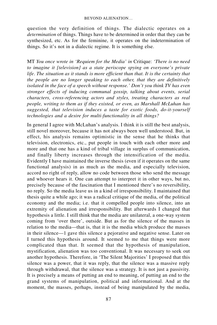question the very definition of things. The dialectic operates on a *determination* of things. Things have to be determined in order that they can be synthesized, etc. As for the feminine, it operates on the indetermination of things. So it's not in a dialectic regime. It is something else.

MT *You once wrote in 'Requiem for the Media' in* Critique: *'There is no need to imagine it [television] as a state periscope spying on everyone's private life*. *The situation as it stands is more efficient than that. It is the certainty that the people are no longer speaking to each other, that they are definitively isolated in the face of a speech without response.' Don't you think TV has even stronger effects of inducing communal gossip, talking about events, serial characters, cross-referencing actors and styles, treating characters as real people, writing to them as if they existed, or even, as Marshall McLuhan has suggested, that television induces a taste for exotic foods, do-it-yourself technologies and a desire for multi-functionality in all things?*

In general I agree with McLuhan's analysis. I think it is still the best analysis, still novel moreover, because it has not always been well understood. But, in effect, his analysis remains optimistic in the sense that he thinks that television, electronics, etc., put people in touch with each other more and more and that one has a kind of tribal village in surplus of communication, and finally liberty increases through the intensification of the media. Evidently I have maintained the inverse thesis (even if it operates on the same functional analysis) in as much as the media, and especially television, accord no right of reply, allow no code between those who send the message and whoever hears it. One can attempt to interpret it in other ways, but no, precisely because of the fascination that I mentioned there's no reversibility, no reply. So the media leave us in a kind of irresponsibility. I maintained that thesis quite a while ago; it was a radical critique of the media, of the political economy and the media; i.e. that it compelled people into silence, into an extremity of alienation and irresponsibility. But afterwards I changed that hypothesis a little. I still think that the media are unilateral, a one-way system coming from 'over there', outside. But as for the silence of the masses in relation to the media—that is, that it is the media which produce the masses in their silence—1 gave this silence a pejorative and negative sense. Later on I turned this hypothesis around. It seemed to me that things were more complicated than that. It seemed that the hypothesis of manipulation, mystification, alienation was too conventional. It was necessary to seek out another hypothesis. Therefore, in 'The Silent Majorities' I proposed that this silence was a power, that it was reply, that the silence was a massive reply through withdrawal, that the silence was a strategy. It is not just a passivity. It is precisely a means of putting an end to meaning, of putting an end to the grand systems of manipulation, political and informational. And at the moment, the masses, perhaps, instead of being manipulated by the media,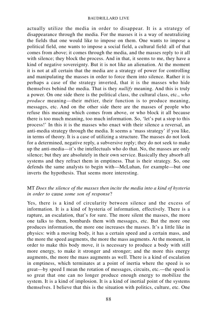actually utilize the media in order to disappear. It is a strategy of disappearance through the media. For the masses it is a way of neutralizing the fields that one would like to impose on them. One wants to impose a political field, one wants to impose a social field, a cultural field: all of that comes from above; it comes through the media, and the masses reply to it all with silence; they block the process. And in that, it seems to me, they have a kind of negative sovereignty. But it is not like an alienation. At the moment it is not at all certain that the media are a strategy of power for controlling and manipulating the masses in order to force them into silence. Rather it is perhaps a case of the strategy inverted, that it is the masses who hide themselves behind the media. That is they *nullify* meaning. And this is truly a power. On one side there is the political class, the cultural class, etc., *who produce* meaning—their métier, their function is to produce meaning, messages, etc. And on the other side there are the masses of people who refuse this meaning which comes from above, or who block it all because there is too much meaning, too much information. So, 'let's put a stop to this process!' In this it is the masses who enact with their silence a reversal, an anti-media strategy through the media. It seems a 'mass strategy' if you like, in terms of theory. It is a case of utilizing a structure. The masses do not look for a determined, negative reply, a subversive reply; they do not seek to make up the anti-media—it's the intellectuals who do that. No, the masses are only silence; but they are absolutely in their own service. Basically they absorb all systems and they refract them in emptiness. That is their strategy. So, one defends the same analysts to begin with—McLuhan, for example—but one inverts the hypothesis. That seems more interesting.

# MT *Does the silence of the masses then incite the media into a kind of hysteria in order to* cause *some son of response*?

Yes, there is a kind of circularity between silence and the excess of information. It is a kind of hysteria of information, effectively. There is a rapture, an escalation, that's for sure. The more silent the masses, the more one talks to them, bombards them with messages, etc. But the more one produces information, the more one increases the masses. It's a little like in physics: with a moving body, it has a certain speed and a certain mass, and the more the speed augments, the more the mass augments. At the moment, in order to make this body move, it is necessary to produce a body with still more energy, to make it stronger and stronger; and the more this energy augments, the more the mass augments as well. There is a kind of escalation in emptiness, which terminates at a point of inertia where the speed is so great—by speed I mean the rotation of messages, circuits, etc.—the speed is so great that one can no longer produce enough energy to mobilize the system. It is a kind of implosion. It is a kind of inertial point of the systems themselves. I believe that this is the situation with politics, culture, etc. One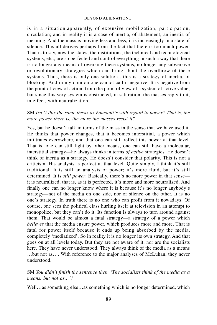is in a situation,apparently, of extensive mobilization, participation, circulation; and in reality it is a case of inertia, of abatement, an inertia of meaning. And the mass is moving less and less; it is increasingly in a state of silence. This all derives perhaps from the fact that there is too much power. That is to say, now the states, the institutions, the technical and technological systems, etc., are so perfected and control everything in such a way that there is no longer any means of reversing these systems, no longer any subversive or revolutionary strategies which can bring about the overthrow of these systems. Thus, there is only one solution…this is a strategy of inertia, of blocking. And in my opinion one cannot call it negative. It is negative from the point of view of action, from the point of view of a system of active value, but since this very system is obstructed, in saturation, the masses reply to it, in effect, with neutralization.

#### SM *Isn 't this the same thesis as Foucault's with regard to power? That is, the more power there is, the more the masses resist it?*

Yes, but he doesn't talk in terms of the mass in the sense that we have used it. He thinks that power changes, that it becomes interstitial, a power which infiltrates everywhere, and that one can still reflect this power at that level. That is, one can still fight by other means, one can still have a molecular, interstitial strategy—he always thinks in terms *of active* strategies. He doesn't think of inertia as a strategy. He doesn't consider that polarity. This is not a criticism. His analysis is perfect at that level. Quite simply, I think it's still traditional. It is still an analysis of power; it's more fluid, but it's still determined. It is *still power*. Basically, there's no more power in that sense it is neutralized, that is, as it is perfected, it's more and more neutralized. And finally one can no longer know where it is because it's no longer anybody's strategy—not of the media on one side, nor of silence on the other. It is no one's strategy. In truth there is no one who can profit from it nowadays. Of course, one sees the political class hurling itself at television in an attempt to monopolize, but they can't do it. Its function is always to turn around against them. That would be almost a fatal strategy—a strategy of a power which *believes* that the media ensure power, which produces more and more. That is fatal for power itself because it ends up being absorbed by the media, completely 'mediatized'. So in reality it is no longer its own strategy. And that goes on at all levels today. But they are not aware of it, nor are the socialists here. They have never understood. They always think of the media as a means …but not as…. With reference to the major analyses of McLuhan, they never understood.

#### SM *You didn't finish the sentence then. 'The socialists think of the media as a means, but not as…'?*

Well…as something else…as something which is no longer determined, which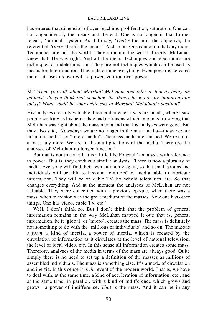has entered that dimension of over-reaching, proliferation, saturation. One can no longer identify the means and the end. One is no longer in that former 'clear', 'rational' system. As if to say, *'That's* the aim, the objective, the referential. *There,* there's the means.' And so on. One cannot do that any more. Techniques are not the world. They structure the world directly. McLuhan knew that. He was right. And all the media techniques and electronics are techniques of indetermination. They are not techniques which can be used as means for determination. They indetermine everything. Even power is defeated there—it loses its own will to power, volition over power.

# MT *When you talk about Marshall McLuhan and refer to him as being an optimist, do you think that somehow the things he wrote are inappropriate today? What would be your criticisms of Marshall McLuhan's position?*

His analyses are truly valuable. I remember when I was in Canada, where I saw people working as his heirs: they had criticisms which amounted to saying that McLuhan was right about the mass media and that his analyses were good. But they also said, 'Nowadays we are no longer in the mass media—today we are in "multi-media", or "micro-media". The mass media are finished. We're not in a mass any more. We are in the multiplications of the media. Therefore the analyses of McLuhan no longer function.'

But that is not true at all. It is a little like Foucault's analysis with reference to power. That is, they conduct a similar analysis: 'There is now a plurality of media. Everyone will find their own autonomy again, so that small groups and individuals will be able to become "emitters" of media, able to fabricate information. They will be on cable TV, household telematics, etc. So that changes everything. And at the moment the analyses of McLuhan are not valuable. They were concerned with a previous epoque, when there was a mass, when television was the great medium of the masses. Now one has other things. One has video, cable TV, etc.'

Well, I don't think so. But I don't think that the problem of general information remains in the way McLuhan mapped it out: that is, general information, be it 'global' or 'micro', creates the mass. The mass is definitely not something to do with the 'millions of individuals' and so on. The mass is a *form,* a kind of inertia, a power of inertia, which is created by the circulation of information as it circulates at the level of national television, the level of local video, etc. In this sense all information creates some mass. Therefore, analyses of the media in terms of the mass are always good. Quite simply there is no need to set up a definition of the masses as millions of assembled individuals. The mass is something else. It's a mode of circulation and inertia. In this sense it is *the* event of the modern world. That is, we have to deal with, at the same time, a kind of acceleration of information, etc., and at the same time, in parallel, with a kind of indifference which grows and grows—a power of indifference. *That* is the mass. And it can be in any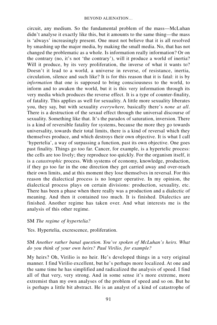circuit, any medium. So the fundamental problem of the mass—McLuhan didn't analyse it exactly like this, but it amounts to the same thing—the mass is 'always' increasingly present. One must not believe that it is all resolved by smashing up the major media, by making the small media. No, that has not changed the problematic as a whole. Is information really information? Or on the contrary (no, it's not 'the contrary'), will it produce a world of inertia? Will it produce, by its very proliferation, the inverse of what it wants to? Doesn't it lead to a world, a universe in reverse, of resistance, inertia, circulation, silence and such like? It is for this reason that it is fatal: it is by *information* that one is supposed to bring consciousness to the world, to inform and to awaken the world, but it is this very information through its very media which produces the reverse effect. It is a type of counter-finality, of fatality. This applies as well for sexuality. A little more sexuality liberates you, they say, but with sexuality *everywhere,* basically there's *none at all*. There is a destruction of the sexual effect through the universal discourse of sexuality. Something like that. It's the paradox of saturation, inversion. There is a kind of reversible fatality for systems, because the more they go towards universality, towards their total limits, there is a kind of reversal which they themselves produce, and which destroys their own objective. It is what I call 'hypertelia', a way of surpassing a function, past its own objective. One goes past finality. Things go too far. Cancer, for example, is a hypertelic process: the cells are too lively; they reproduce too quickly. For the organism itself, it is a *catastrophic* process. With systems of economy, knowledge, production, if they go too far in the one direction they get carried away and over-reach their own limits, and at this moment they lose themselves in reversal. For this reason the dialectical process is no longer operative. In my opinion, the dialectical process plays on certain divisions: production, sexuality, etc. There has been a phase when there really was a production and a dialectic of meaning. And then it contained too much. It is finished. Dialectics are finished. Another regime has taken over. And what interests me is the analysis of this other regime.

#### SM *The regime of hypertelia?*

Yes. Hypertelia, excrescence, proliferation.

# SM *Another rather banal question. You've spoken of McLuhan's heirs. What do you think of your own heirs? Paul Virilio, for example?*

My heirs? Oh, Virilio is no heir. He's developed things in a very original manner. I find Virilio excellent, but he's perhaps more localized. At one and the same time he has simplified and radicalized the analysis of speed. I find all of that very, very strong. And in some sense it's more extreme, more extremist than my own analyses of the problem of speed and so on. But he is perhaps a little bit abstract. He is an analyst of a kind of catastrophe of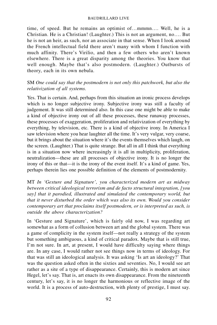time, of speed. But he remains an optimist of…mmmn…. Well, he is a Christian. He is a Christian! (Laughter.) This is not an argument, no…. But he is not an heir, as such, nor an associate in that sense. When I look around the French intellectual field there aren't many with whom I function with much affinity. There's Virilio, and then a few others who aren't known elsewhere. There is a great disparity among the theories. You know that well enough. Maybe that's also postmodern. (Laughter.) Outbursts of theory, each in its own nebula.

# SM *One could say that the postmodern is not only this patchwork, but also the relativization of all systems.*

Yes. That is certain. And, perhaps from this situation an ironic process develops which is no longer subjective irony. Subjective irony was still a faculty of judgement. It was still determined also. In this case one might be able to make a kind of objective irony out of all these processes, these runaway processes, these processes of exaggeration, proliferation and relativization of everything by everything, by television, etc. There is a kind of objective irony. In America I saw television where you hear laughter all the time. It's very vulgar, very coarse, but it brings about the situation where it's the events themselves which laugh, on the screen. (Laughter.) That is quite strange. But all in all I think that everything is in a situation now where increasingly it is all in multiplicity, proliferation, neutralization—these are all processes of objective irony. It is no longer the irony of this or that—it is the irony of the event itself. It's a kind of game. Yes, perhaps therein lies one possible definition of the elements of postmodernity.

MT *In 'Gesture and Signature', you characterized modern art as midway between critical ideological terrorism and de facto structural integration, [you say] that it parodied, illustrated and simulated the contemporary world, but that it never disturbed the order which was also its own. Would you consider contemporary art that proclaims itself postmodern, or is interpreted as such, is outside the above characterization?*

In 'Gesture and Signature', which is fairly old now, I was regarding art somewhat as a form of collusion between art and the global system. There was a game of complicity in the system itself—not really a strategy of the system but something ambiguous, a kind of critical paradox. Maybe that is still true, I'm not sure. In art, at present, I would have difficulty saying where things are. In any case, I would rather not see things now in terms of ideology. For that was still an ideological analysis. It was asking 'Is art an ideology?' That was the question asked often in the sixties and seventies. No, I would see art rather as a site of a type of disappearance. Certainly, this is modern art since Hegel, let's say. That is, art enacts its own disappearance. From the nineteenth century, let's say, it is no longer the harmonious or reflective image of the world. It is a process of auto-destruction, with plenty of prestige, I must say.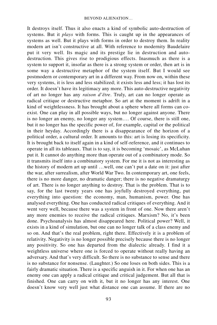It destroys itself. Thus it also enacts a kind of symbolic auto-destruction of systems. But it *plays* with forms. This is caught up in the appearances of systems as well. But it plays with forms in order to destroy them. In reality modern art isn't constructive at all. With reference to modernity Baudelaire put it very well. Its magic and its prestige lie in destruction and autodestruction. This gives rise to prodigious effects. Inasmuch as there is a system to support it, insofar as there is a strong system or order, then art is in some way a destructive metaphor of the system itself. But I would see postmodern or contemporary art in a different way. From now on, within these very systems, it is less and less stabilized; it exists less and less; it has lost its order. It doesn't have its legitimacy any more. This auto-destructive negativity of art no longer has any *raison d'être*. Truly, art can no longer operate as radical critique or destructive metaphor. So art at the moment is adrift in a kind of weightlessness. It has brought about a sphere where all forms can coexist. One can play in all possible ways, but no longer against anyone. There is no longer an enemy, no longer any system…. Of course, there is still one, but it no longer has the specific power of, for example, capital or the political in their heyday. Accordingly there is a disappearance of the horizon of a political order, a cultural order. It amounts to this: art is losing its specificity. It is brought back to itself again in a kind of self-reference, and it continues to operate in all its tableaux. That is to say, it is becoming 'mosaic', as McLuhan put it. It cannot do anything more than operate out of a combinatory mode. So it transmits itself into a combinatory system. For me it is not as interesting as the history of modern art up until …well, one can't put a date on it: just after the war, after surrealism, after World War Two. In contemporary art, one feels, there is no more danger, no dramatic danger; there is no negative dramaturgy of art. There is no longer anything to destroy. That is the problem. That is to say, for the last twenty years one has joyfully destroyed everything, put everything into question: the economy, man, humanism, power. One has analysed everything. One has conducted radical critiques of everything. And it went very well, because there was a system in front of one. Now there aren't any more enemies to receive the radical critiques. Marxism? No, it's been done. Psychoanalysis has almost disappeared here. Political power? Well, it exists in a kind of simulation, but one can no longer talk of a class enemy and so on. And that's the real problem, right there. Effectively it is a problem of relativity. Negativity is no longer possible precisely because there is no longer any positivity. So one has departed from the dialectic already. I find it a weightless universe where one is forced to operate without really having an adversary. And that's very difficult. So there is no substance to sense and there is no substance for nonsense. (Laughter.) So one loses on both sides. This is a fairly dramatic situation. There is a specific anguish in it. For when one has an enemy one can apply a radical critique and critical judgement. But all that is finished. One can carry on with it, but it no longer has any interest. One doesn't know very well just what distance one can assume. If there are no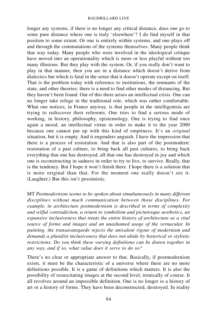longer any systems, if there is no longer any critical distance, does one go to some pure distance where one is truly 'elsewhere'? I do find myself in that position to some extent. Or one is entirely within systems, and one plays off and through the commutations of the systems themselves. Many people think that way today. Many people who were involved in the ideological critique have moved into an operationality which is more or less playful without too many illusions. But they play with the system. Or, if you really don't want to play in that manner, then you are in a distance which doesn't derive from dialectics but which is fatal in the sense that it doesn't operate except on itself. That is the problem today with reference to institutions, the remnants of the state, and other theories: there is a need to find other modes of distancing. But they haven't been found. Out of this there arises an intellectual crisis. One can no longer take refuge in the traditional role, which was rather comfortable. What one notices, in France anyway, is that people in the intelligentsia are trying to rediscover their referents. One tries to find a serious mode of working, in history, philosophy, epistemology. One is trying to find once again a moral, an intellectual virtue in order to make it to the year 2000 because one cannot put up with this kind of emptiness. It's an *original* situation, but it is empty. And it engenders anguish. I have the impression that there is a process of restoration. And that is also part of the postmodern: restoration of a past culture, to bring back all past cultures, to bring back everything that one has destroyed, all that one has destroyed in joy and which one is reconstructing in sadness in order to try to live, to survive. Really, that is the tendency. But I hope it won't finish there. I hope there is a solution that is more original than that. For the moment one really doesn't see it. (Laughter.) But this isn't pessimistic.

MT *Postmodernism seems to be spoken about simultaneously in many different disciplines without much communication between those disciplines. For example, in architecture postmodernism is described in terms of complexity and wilful contradiction, a return to symbolism and picturesque aesthetics, an expansive inclusiveness that treats the entire history of architecture as a vital source of forms and images and an unashamed usage of the vernacular. In painting, the transavantgarde rejects the univalent rigour of modernism and demands a pluralist inclusiveness that does not abide by historical or stylistic restrictions. Do you think these varying definitions can be drawn together in any way, and if so, what value does it serve to do so?*

There's no clear or appropriate answer to that. Basically, if postmodernism exists, it must be the characteristic of a universe where there are no more definitions possible. It is a game of definitions which matters. It is also the possibility of resuscitating images at the second level, ironically of course. It all revolves around an impossible definition. One is no longer *in* a history of art or a history of forms. They have been deconstructed, destroyed. In reality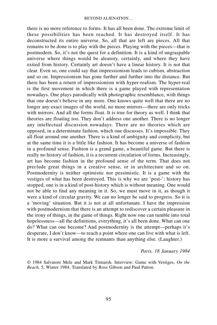there is no more reference to forms. It has all been done. The extreme limit of these possibilities has been reached. It has destroyed itself. It has deconstructed its entire universe. So, all that are left are pieces. All that remains to be done is to play with the pieces. Playing with the pieces—that is postmodern. So, it's not the quest for a definition. It is a kind of ungraspable universe where things would be aleatory, certainly, and where they have exited from history. Certainly art doesn't have a linear history. It is not that clear. Even so, one could say that impressionism leads to cubism, abstraction and so on. Impressionism has gone further and further into the distance. But there has been a return of impressionism with hyper-realism. The hyper-real is the first movement in which there is a game played with representation nowadays. One plays parodically with photographic resemblance, with things that one doesn't believe in any more. One knows quite well that there are no longer any exact images of the world, no more mirrors—there are only tricks with mirrors. And all the forms float. It is true for theory as well. I think that theories are floating too. They don't address one another. There is no longer any intellectual discussion nowadays. There are no theories which are opposed, in a determinate fashion, which one discusses. It's impossible. They all float around one another. There is a kind of ambiguity and complicity, but at the same time it is a little like fashion. It has become a universe of fashion in a profound sense. Fashion is a grand game, a beautiful game. But there is really no history of fashion, it is a recurrent circulation of forms. Increasingly, art has become fashion in the profound sense of the term. That does not preclude great things in a creative sense, or in architecture and so on. Postmodernity is neither optimistic nor pessimistic. It is a game with the vestiges of what has been destroyed. This is why we are 'post-': history has stopped, one is in a kind of post-history which is without meaning. One would not be able to find any meaning in it. So, we must move in it, as though it were a kind of circular gravity. We can no longer be said to progress. So it is a 'moving' situation. But it is not at all unfortunate. I have the impression with postmodernism that there is an attempt to rediscover a certain pleasure in the irony of things, in the game of things. Right now one can tumble into total hopelessness—all the definitions, everything, it's all been done. What can one do? What can one become? And postmodernity is the attempt—perhaps it's desperate, I don't know—to reach a point where one can live with what is left. It is more a survival among the remnants than anything else. (Laughter.)

#### *Paris, 18 January 1984*

*©* 1984 Salvatore Mele and Mark Titmarsh. Interview: Game with Vestiges, *On the Beach,* 5, Winter 1984. Translated by Ross Gibson and Paul Patton.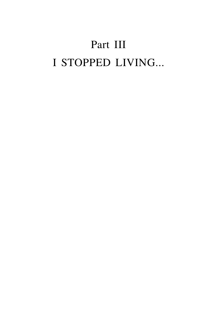# Part III I STOPPED LIVING...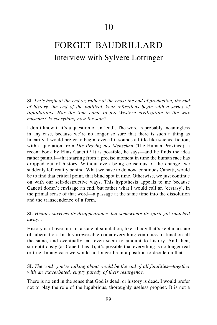# FORGET BAUDRILLARD Interview with Sylvere Lotringer

SL *Let's begin at the end or, rather at the ends: the end of production, the end of history, the end of the political. Your reflections begin with a series of liquidations. Has the time come to put Western civilization in the wax museum? Is everything now for sale?*

I don't know if it's a question of an 'end'. The word is probably meaningless in any case, because we're no longer so sure that there is such a thing as linearity. I would prefer to begin, even if it sounds a little like science fiction, with a quotation from *Die Provinz des Menschen* (The Human Province), a recent book by Elias Canetti.<sup>1</sup> It is possible, he says—and he finds the idea rather painful—that starting from a precise moment in time the human race has dropped out of history. Without even being conscious of the change, we suddenly left reality behind. What we have to do now, continues Canetti, would be to find that critical point, that blind spot in time. Otherwise, we just continue on with our self-destructive ways. This hypothesis appeals to me because Canetti doesn't envisage an end, but rather what I would call an 'ecstasy', in the primal sense of that word—a passage at the same time into the dissolution and the transcendence of a form.

SL *History survives its disappearance, but somewhere its spirit got snatched away…*

History isn't over, it is in a state of simulation, like a body that's kept in a state of hibernation. In this irreversible coma everything continues to function all the same, and eventually can even seem to amount to history. And then, surreptitiously (as Canetti has it), it's possible that everything is no longer real or true. In any case we would no longer be in a position to decide on that.

SL *The 'end' you're talking about would be the end of all finalities—together with an exacerbated, empty parody of their resurgence.*

There is no end in the sense that God is dead, or history is dead. I would prefer not to play the role of the lugubrious, thoroughly useless prophet. It is not a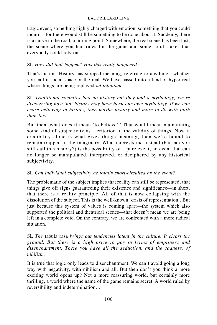tragic event, something highly charged with emotion, something that you could mourn—for there would still be something to be done about it. Suddenly, there is a curve in the road, a turning point. Somewhere, the real scene has been lost, the scene where you had rules for the game and some solid stakes that everybody could rely on.

# SL *How did that happen? Has this really happened?*

That's fiction. History has stopped meaning, referring to anything—whether you call it social space or the real. We have passed into a kind of hyper-real where things are being replayed *ad infinitum*.

SL *Traditional societies had no history but they had a mythology; we're discovering now that history may have been our own mythology. If we can cease believing in history, then maybe history had more to do with faith than fact.*

But then, what does it mean 'to believe'? That would mean maintaining some kind of subjectivity as a criterion of the validity of things. Now if credibility alone is what gives things meaning, then we're bound to remain trapped in the imaginary. What interests me instead (but can you still call this history?) is the possibility of a pure event, an event that can no longer be manipulated, interpreted, or deciphered by any historical subjectivity.

## SL *Can individual subjectivity be totally short-circuited by the event?*

The problematic of the subject implies that reality can still be represented, that things give off signs guaranteeing their existence and significance—in short, that there is a reality principle. All of that is now collapsing with the dissolution of the subject. This is the well-known 'crisis of representation'. But just because this system of values is coming apart—the system which also supported the political and theatrical scenes—that doesn't mean we are being left in a complete void. On the contrary, we are confronted with a more radical situation.

SL *The* tabula rasa *brings out tendencies latent in the culture. It clears the ground. But there is a high price to pay in terms of emptiness and disenchantment. There you have all the seduction, and the sadness, of nihilism.*

It is true that logic only leads to disenchantment. We can't avoid going a long way with negativity, with nihilism and all. But then don't you think a more exciting world opens up? Not a more reassuring world, but certainly more thrilling, a world where the name of the game remains secret. A world ruled by reversibility and indetermination…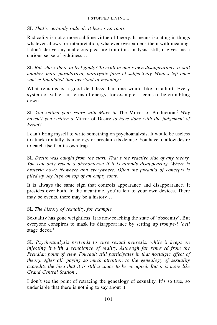## SL *That's certainly radical; it leaves no roots.*

Radicality is not a more sublime virtue of theory. It means isolating in things whatever allows for interpretation, whatever overburdens them with meaning. I don't derive any malicious pleasure from this analysis; still, it gives me a curious sense of giddiness…

SL *But who's there to feel giddy? To exult in one's own disappearance is still another, more paradoxical, paroxystic form of subjectivity. What's left once you've liquidated that overload of meaning?*

What remains is a good deal less than one would like to admit. Every system of value—in terms of energy, for example—seems to be crumbling down.

SL *You settled your score with Marx in* The Mirror of Production.2 *Why haven't you written a* Mirror of Desire *to have done with the judgement of Freud*?

I can't bring myself to write something on psychoanalysis. It would be useless to attack frontally its ideology or proclaim its demise. You have to allow desire to catch itself in its own trap.

SL *Desire was caught from the start. That's the reactive side of any theory. You can only reveal a phenomenon if it is already disappearing. Where is hysteria now? Nowhere and everywhere. Often the pyramid of concepts is piled up sky high on top of an empty tomb.*

It is always the same sign that controls appearance and disappearance. It presides over both. In the meantime, you're left to your own devices. There may be events, there may be a history…

SL *The history of sexuality, for example.*

Sexuality has gone weightless. It is now reaching the state of 'obscenity'. But everyone conspires to mask its disappearance by setting up *trompe-l 'oeil* stage décor.<sup>3</sup>

SL *Psychoanalysis pretends to cure sexual neurosis, while it keeps on injecting it with a semblance of reality. Although far removed from the Freudian point of view, Foucault still participates in that nostalgic effect of theory. After all, paying so much attention to the genealogy of sexuality accredits the idea that it is still a space to be occupied. But it is more like Grand Central Station…*

I don't see the point of retracing the genealogy of sexuality. It's so true, so undeniable that there is nothing to say about it.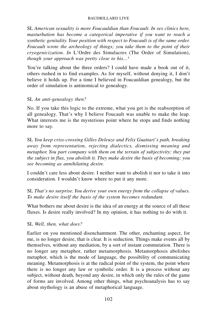SL *American sexuality is more Foucauldian than Foucault. In sex clinics here, masturbation has become a categorical imperative if you want to reach a synthetic genitality. Your position with respect to Foucault is of the same order. Foucault wrote the archeology of things; you take them to the point of their cryogenicization. In* L'Ordre des Simulacres (The Order of Simulation), *though your approach was pretty close to his…*<sup>4</sup>

You're talking about the three orders? I could have made a book out of it, others rushed in to find examples. As for myself, without denying it, I don't believe it holds up. For a time I believed in Foucauldian genealogy, but the order of simulation is antinomical to genealogy.

#### SL *An anti-genealogy then?*

No. If you take this logic to the extreme, what you get is the reabsorption of all genealogy. That's why I believe Foucault was unable to make the leap. What interests me is the mysterious point where he stops and finds nothing more to say.

SL *You keep criss-crossing Gilles Deleuze and Felix Guattari's path, breaking away from representation, rejecting dialectics, dismissing meaning and metaphor. You part company with them on the terrain of subjectivity: they put the subject in flux, you abolish it. They make desire the basis of becoming; you see becoming as annihilating desire.*

I couldn't care less about desire. I neither want to abolish it nor to take it into consideration. I wouldn't know where to put it any more.

SL *That's no surprise. You derive your own energy from the collapse of values. To make desire itself the basis of the system becomes redundant.*

What bothers me about desire is the idea of an energy at the source of all these fluxes. Is desire really involved? In my opinion, it has nothing to do with it.

#### SL *Well, then, what does?*

Earlier on you mentioned disenchantment. The other, enchanting aspect, for me, is no longer desire, that is clear. It is seduction. Things make events all by themselves, without any mediation, by a sort of instant commutation. There is no longer any metaphor, rather metamorphosis. Metamorphosis abolishes metaphor, which is the mode of language, the possibility of communicating meaning. Metamorphosis is at the radical point of the system, the point where there is no longer any law or symbolic order. It is a process without any subject, without death, beyond any desire, in which only the rules of the game of forms are involved. Among other things, what psychoanalysis has to say about mythology is an abuse of metaphorical language.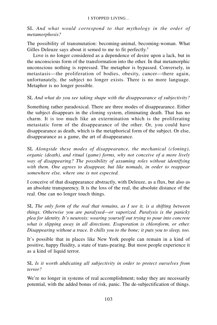SL *And what would correspond to that mythology in the order of metamorphosis?*

The possibility of transmutation: becoming-animal, becoming-woman. What Gilles Deleuze says about it semed to me to fit perfectly.<sup>5</sup>

Love is no longer considered as a dependence of desire upon a lack, but in the unconscious form of the transformation into the other. In that metamorphic unconscious nothing is repressed. The metaphor is bypassed. Conversely, in metastasis—the proliferation of bodies, obesity, cancer—there again, unfortunately, the subject no longer exists. There is no more language. Metaphor is no longer possible.

SL *And what do you see taking shape with the disappearance of subjectivity?*

Something rather paradoxical. There are three modes of disappearance. Either the subject disappears in the cloning system, eliminating death. That has no charm. It is too much like an extermination which is the proliferating metastatic form of the disappearance of the other. Or, you could have disappearance as death, which is the metaphorical form of the subject. Or else, disappearance as a game, the art of disappearance.

SL *Alongside these modes of disappearance, the mechanical (cloning), organic (death), and ritual (game) forms, why not conceive of a more lively way of disappearing? The possibility of assuming roles without identifying with them. One agrees to disappear, but like nomads, in order to reappear somewhere else, where one is not expected.*

I conceive of that disappearance abstractly, with Deleuze, as a flux, but also as an absolute transparency. It is the loss of the real, the absolute distance of the real. One can no longer touch things.

SL *The only form of the real that remains, as I see it, is a shifting between things. Otherwise you are paralysed—or vaporized. Paralysis is the panicky plea for identity. It's neurosis: wearing yourself out trying to pour into concrete what is slipping away in all directions. Evaporation is chloroform, or ether. Disappearing without a trace. It chills you to the bone; it puts you to sleep, too.*

It's possible that in places like New York people can remain in a kind of positive, happy fluidity, a state of trans-pearing. But most people experience it as a kind of liquid terror.

SL *Is it worth abdicating all subjectivity in order to protect ourselves from terror?*

We're no longer in systems of real accomplishment; today they are necessarily potential, with the added bonus of risk, panic. The de-subjectification of things.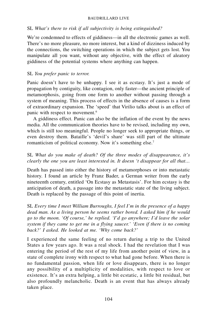#### SL *What's there to risk if all subjectivity is being extinguished?*

We're condemned to effects of giddiness—in all the electronic games as well. There's no more pleasure, no more interest, but a kind of dizziness induced by the connections, the switching operations in which the subject gets lost. You manipulate all you want, without any objective, with the effect of aleatory giddiness of the potential systems where anything can happen.

#### SL *You prefer panic to terror.*

Panic doesn't have to be unhappy. I see it as ecstasy. It's just a mode of propagation by contiguity, like contagion, only faster—the ancient principle of metamorphosis, going from one form to another without passing through a system of meaning. This process of effects in the absence of causes is a form of extraordinary expansion. The 'speed' that Virilio talks about is an effect of panic with respect to movement.<sup>6</sup>

A giddiness effect. Panic can also be the inflation of the event by the news media. All the communication theories have to be revised, including my own, which is still too meaningful. People no longer seek to appropriate things, or even destroy them. Bataille's 'devil's share' was still part of the ultimate romanticism of political economy. Now it's something else.<sup>7</sup>

# SL *What do you make of death? Of the three modes of disappearance, it's clearly the one you are least interested in. It doesn 't disappear for all that…*

Death has passed into either the history of metamorphoses or into metastatic history. I found an article by Franz Bader, a German writer from the early nineteenth century, entitled 'On Ecstasy as Metastasis'. For him ecstasy is the anticipation of death, a passage into the metastatic state of the living subject. Death is replaced by the passage of this point of inertia.

SL *Every time I meet William Burroughs, I feel I'm in the presence of a happy dead man. As a living person he seems rather bored. I asked him if he would go to the moon. 'Of course,' he replied. 'I'd go anywhere; I'd leave the solar system if they came to get me in a flying saucer.' 'Even if there is no coming back?' I asked. He looked at me. 'Why come back?'*

I experienced the same feeling of no return during a trip to the United States a few years ago. It was a real shock. I had the revelation that I was entering the period of the rest of my life from another point of view, in a state of complete irony with respect to what had gone before. When there is no fundamental passion, when life or love disappears, there is no longer any possibility of a multiplicity of modalities, with respect to love or existence. It's an extra helping, a little bit ecstatic, a little bit residual, but also profoundly melancholic. Death is an event that has always already taken place.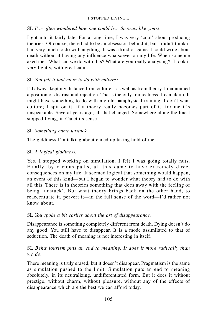#### I STOPPED LIVING...

#### SL *I've often wondered how one could live theories like yours.*

I got into it fairly late. For a long time, I was very 'cool' about producing theories. Of course, there had to be an obsession behind it, but I didn't think it had very much to do with anything. It was a kind of game. I could write about death without it having any influence whatsoever on my life. When someone aked me, 'What can we do with this? What are you really analysing?' I took it very lightly, with great calm.

#### SL *You felt it had more to do with culture?*

I'd always kept my distance from culture—as well as from theory. I maintained a position of distrust and rejection. That's the only 'radicalness' I can claim. It might have something to do with my old pataphysical training: I don't want culture; I spit on it. If a theory really becomes part of it, for me it's unspeakable. Several years ago, all that changed. Somewhere along the line I stopped living, in Canetti's sense.

#### SL *Something came unstuck.*

The giddiness I'm talking about ended up taking hold of me.

#### SL *A logical giddiness.*

Yes. I stopped working on simulation. I felt I was going totally nuts. Finally, by various paths, all this came to have extremely direct consequences on my life. It seemed logical that something would happen, an event of this kind—but I began to wonder what theory had to do with all this. There is in theories something that does away with the feeling of being 'unstuck'. But what theory brings back on the other hand, to reaccentuate it, pervert it—in the full sense of the word—I'd rather not know about.

#### SL *You spoke a bit earlier about the art of disappearance.*

Disappearance is something completely different from death. Dying doesn't do any good. You still have to disappear. It is a mode assimilated to that of seduction. The death of meaning is not interesting in itself.

## SL *Behaviourism puts an end to meaning. It does it more radically than we do.*

There meaning is truly erased, but it doesn't disappear. Pragmatism is the same as simulation pushed to the limit. Simulation puts an end to meaning absolutely, in its neutralizing, undifferentiated form. But it does it without prestige, without charm, without pleasure, without any of the effects of disappearance which are the best we can afford today.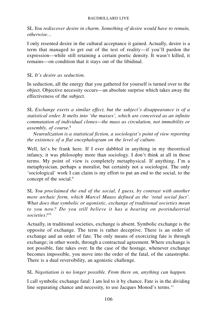SL *You rediscover desire in charm. Something of desire would have to remain, otherwise…*

I only resented desire in the cultural acceptance it gained. Actually, desire is a term that managed to get out of the test of reality—if you'll pardon the expression—while still retaining a certain poetic density. It wasn't killed, it remains—on condition that it stays out of the libidinal.

## SL *It's desire as seduction.*

In seduction, all the energy that you gathered for yourself is turned over to the object. Objective necessity occurs—an absolute surprise which takes away the effectiveness of the subject.

SL *Exchange exerts a similar effect, but the subject's disappearance is of a statistical order. It melts into 'the masses', which are conceived as an infinite commutation of individual clones—the mass as circulation, not immobility or assembly, of course.*<sup>8</sup>

*Neutralization is a statistical fiction, a sociologist's point of view reporting the existence of a flat encephalogram on the level of culture.*

Well, let's be frank here. If I ever dabbled in anything in my theoretical infancy, it was philosophy more than sociology. I don't think at all in those terms. My point of view is completely metaphysical. If anything, I'm a metaphysician, perhaps a moralist, but certainly not a sociologist. The only 'sociological' work I can claim is my effort to put an end to the social, to the concept of the social.<sup>9</sup>

SL *You proclaimed the end of the social, I guess, by contrast with another more archaic form, which Marcel Mauss defined as the 'total social fact'. What does that symbolic or agonistic, exchange of traditional societies mean to you now? Do you still believe it has a bearing on postindustrial societies?*<sup>10</sup>

Actually, in traditional societies, exchange is absent. Symbolic exchange is the opposite of exchange. The term is rather deceptive. There is an order of exchange and an order of fate. The only means of exorcizing fate is through exchange; in other words, through a contractual agreement. Where exchange is not possible, fate takes over. In the case of the hostage, whenever exchange becomes impossible, you move into the order of the fatal, of the catastrophe. There is a dual reversibility, an agonistic challenge.

SL *Negotiation is no longer possible. From there on, anything can happen.*

I call symbolic exchange fatal: I am led to it by chance. Fate is in the dividing line separating chance and necessity, to use Jacques Monod's terms.<sup>11</sup>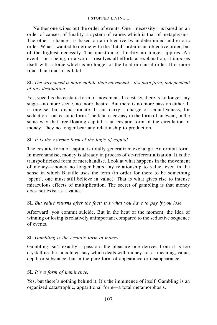Neither one wipes out the order of events. One—necessity—is based on an order of causes, of finality, a system of values which is that of metaphysics. The other—chance—is based on an objective by undetermined and erratic order. What I wanted to define with the 'fatal' order is an objective order, but of the highest necessity. The question of finality no longer applies. An event—or a being, or a word—resolves all efforts at explanation; it imposes itself with a force which is no longer of the final or causal order. It is more final than final: it is fatal.

# SL *The way speed is more mobile than movement—it's pure form, independent of any destination.*

Yes, speed is the ecstatic form of movement. In ecstasy, there is no longer any stage—no more scene, no more theatre. But there is no more passion either. It is intense, but dispassionate. It can carry a charge of seductiveness, for seduction is an ecstatic form. The fatal is ecstasy in the form of an event, in the same way that free-floating capital is an ecstatic form of the circulation of money. They no longer bear any relationship to production.

# SL *It is the extreme form of the logic of capital.*

The ecstatic form of capital is totally generalized exchange. An orbital form. In merchandise, money is already in process of de-referentialization. It is the transpoliticized form of merchandise. Look at what happens in the movement of money—money no longer bears any relationship to value, even in the sense in which Bataille uses the term (in order for there to be something 'spent', one must still believe in value). That is what gives rise to intense miraculous effects of multiplication. The secret of gambling is that money does not exist as a value.

## SL *But value returns after the fact: it's what you have to pay if you lose.*

Afterward, you commit suicide. But in the heat of the moment, the idea of winning or losing is relatively unimportant compared to the seductive sequence of events.

## SL *Gambling is the ecstatic form of money.*

Gambling isn't exactly a passion: the pleasure one derives from it is too crystalline. It is a cold ecstasy which deals with money not as meaning, value, depth or substance, but in the pure form of appearance or disappearance.

## SL *It's a form of imminence.*

Yes, but there's nothing behind it. It's the imminence of itself. Gambling is an organized catastrophic, apparitional form—a total metamorphosis.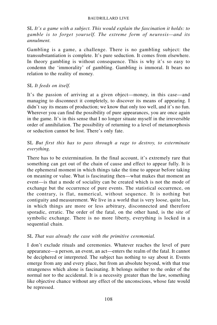SL *It's a game with a subject. This would explain the fascination it holds: to gamble is to forget yourself. The extreme form of neurosis—and its annulment.*

Gambling is a game, a challenge. There is no gambling subject: the transsubstantiation is complete. It's pure seduction. It comes from elsewhere. In theory gambling is without consequence. This is why it's so easy to condemn the 'immorality' of gambling. Gambling is immoral. It bears no relation to the reality of money.

## SL *It feeds on itself.*

It's the passion of arriving at a given object—money, in this case—and managing to disconnect it completely, to discover its means of appearing. I didn't say its means of production; we know that only too well, and it's no fun. Wherever you can find the possibility of pure appearances, you are once again in the game. It's in this sense that I no longer situate myself in the irreversible order of annihilation. The possibility of returning to a level of metamorphosis or seduction cannot be lost. There's only fate.

# SL *But first this has to pass through a rage to destroy, to exterminate everything.*

There has to be extermination. In the final account, it's extremely rare that something can get out of the chain of cause and effect to appear fully. It is the ephemeral moment in which things take the time to appear before taking on meaning or value. What is fascinating then—what makes that moment an event—is that a mode of sociality can be created which is not the mode of exchange but the occurrence of pure events. The statistical occurrence, on the contrary, is flat, numerical, without sequence. It is nothing but contiguity and measurement. We live in a world that is very loose, quite lax, in which things are more or less arbitrary, disconnected and therefore sporadic, erratic. The order of the fatal, on the other hand, is the site of symbolic exchange. There is no more liberty, everything is locked in a sequential chain.

## SL *That was already the case with the primitive ceremonial.*

I don't exclude rituals and ceremonies. Whatever reaches the level of pure appearance—a person, an event, an act—enters the realm of the fatal. It cannot be deciphered or interpreted. The subject has nothing to say about it. Events emerge from any and every place, but from an absolute beyond, with that true strangeness which alone is fascinating. It belongs neither to the order of the normal nor to the accidental. It is a necessity greater than the law, something like objective chance without any effect of the unconscious, whose fate would be repressed.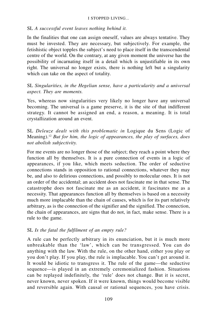#### I STOPPED LIVING...

#### SL *A successful event leaves nothing behind it.*

In the finalities that one can assign oneself, values are always tentative. They must be invested. They are necessary, but subjectively. For example, the fetishistic object topples the subject's need to place itself in the transcendental centre of the world. On the contrary, at any given moment the universe has the possibility of incarnating itself in a detail which is unjustifiable in its own right. The universal no longer exists, there is nothing left but a singularity which can take on the aspect of totality.

# SL *Singularities, in the Hegelian sense, have a particularity and a universal aspect. They are moments.*

Yes, whereas now singularities very likely no longer have any universal becoming. The universal is a game preserve, it is the site of that indifferent strategy. It cannot be assigned an end, a reason, a meaning. It is total crystallization around an event.

SL *Deleuze dealt with this problematic in* Logique du Sens (Logic of Meaning).12 *But for him, the logic of appearances, the play of surfaces, does not abolish subjectivity.*

For me events are no longer those of the subject; they reach a point where they function all by themselves. It is a pure connection of events in a logic of appearances, if you like, which meets seduction. The order of seductive connections stands in opposition to rational connections, whatever they may be, and also to delirious connections, and possibly to molecular ones. It is not an order of the accidental; an accident does not fascinate me in that sense. The catastrophe does not fascinate me as an accident, it fascinates me as a necessity. That appearances function all by themselves is based on a necessity much more implacable than the chain of causes, which is for its part relatively arbitrary, as is the connection of the signifier and the signified. The connection, the chain of appearances, are signs that do not, in fact, make sense. There is a rule to the game.

## SL *Is the fatal the fulfilment of an empty rule?*

A rule can be perfectly arbitrary in its enunciation, but it is much more unbreakable than the 'law', which can be transgressed. You can do anything with the law. With the rule, on the other hand, either you play or you don't play. If you play, the rule is implacable. You can't get around it. It would be idiotic to transgress it. The rule of the game—the seductive sequence—is played in an extremely ceremonialized fashion. Situations can be replayed indefinitely, the 'rule' does not change. But it is secret, never known, never spoken. If it were known, things would become visible and reversible again. With causal or rational sequences, you have crisis.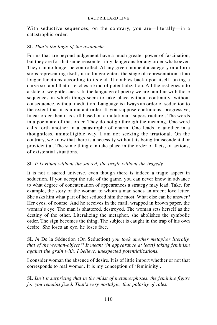With seductive sequences, on the contrary, you are—literally—in a catastrophic order.

#### SL *That's the logic of the avalanche.*

Forms that are beyond judgement have a much greater power of fascination, but they are for that same reason terribly dangerous for any order whatsoever. They can no longer be controlled. At any given moment a category or a form stops representing itself, it no longer enters the stage of representation, it no longer functions according to its end. It doubles back upon itself, taking a curve so rapid that it reaches a kind of potentialization. All the rest goes into a state of weightlessness. In the language of poetry we are familiar with those sequences in which things seem to take place without continuity, without consequence, without mediation. Language is always an order of seduction to the extent that it is a mutant order. If you suppose continuous, progressive, linear order then it is still based on a mutational 'superstructure'. The words in a poem are of that order. They do not go through the meaning. One word calls forth another in a catastrophe of charm. One leads to another in a thoughtless, unintelligible way. I am not seeking the irrational. On the contrary, we know that there is a necessity without its being transcendental or providential. The same thing can take place in the order of facts, of actions, of existential situations.

#### SL *It is ritual without the sacred, the tragic without the tragedy.*

It is not a sacred universe, even though there is indeed a tragic aspect in seduction. If you accept the rule of the game, you can never know in advance to what degree of concatenation of appearances a strategy may lead. Take, for example, the story of the woman to whom a man sends an ardent love letter. She asks him what part of her seduced him the most. What else can he answer? Her eyes, of course. And he receives in the mail, wrapped in brown paper, the woman's eye. The man is shattered, destroyed. The woman sets herself as the destiny of the other. Literalizing the metaphor, she abolishes the symbolic order. The sign becomes the thing. The subject is caught in the trap of his own desire. She loses an eye, he loses face.

SL *In* De la Séduction (On Seduction) *you took another metaphor literally, that of the woman-object.*<sup>13</sup> *It meant (in appearance at least) taking feminism against the grain with, I believe, unexpected potentializations.*

I consider woman the absence of desire. It is of little import whether or not that corresponds to real women. It is my conception of 'femininity'.

SL *Isn't it surprising that in the midst of metamorphoses, the feminine figure for you remains fixed. That's very nostalgic, that polarity of roles.*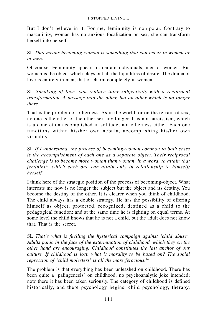But I don't believe in it. For me, femininity is non-polar. Contrary to masculinity, woman has no anxious focalization on sex, she can transform herself into herself.

SL *That means becoming-woman is something that can occur in women or in men.*

Of course. Femininity appears in certain individuals, men or women. But woman is the object which plays out all the liquidities of desire. The drama of love is entirely in men, that of charm completely in women.

SL *Speaking of love, you replace inter subjectivity with a reciprocal transformation. A passage into the other, but an other which is no longer there.*

That is the problem of otherness. As in the world, or on the terrain of sex, no one is the other of the other sex any longer. It is not narcissism, which is a concretion accomplished in solitude; not otherness either. Each one functions within his/her own nebula, accomplishing his/her own virtuality.

SL *If I understand, the process of becoming-woman common to both sexes is the accomplishment of each one as a separate object. Their reciprocal challenge is to become more woman than woman, in a word, to attain that femininity which each one can attain only in relationship to himself/ herself.*

I think here of the strategic position of the process of becoming-object. What interests me now is no longer the subject but the object and its destiny. You become the destiny of the other. It is clearer when you think of childhood. The child always has a double strategy. He has the possibility of offering himself as object, protected, recognized, destined as a child to the pedagogical function; and at the same time he is fighting on equal terms. At some level the child knows that he is not a child, but the adult does not know that. That is the secret.

SL *That's what is fuelling the hysterical campaign against 'child abuse'. Adults panic in the face of the extermination of childhood, which they on the other hand are encouraging. Childhood constitutes the last anchor of our culture. If childhood is lost, what is morality to be based on? The social repression of 'child molesters' is all the more ferocious.*<sup>14</sup>

The problem is that everything has been unleashed on childhood. There has been quite a 'palingenesis' on childhood, no psychoanalytic joke intended; now there it has been taken seriously. The category of childhood is defined historically, and there psychology begins: child psychology, therapy,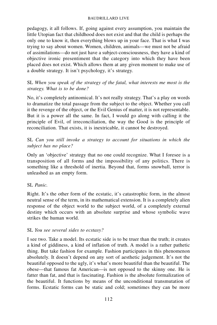pedagogy, it all follows. If, going against every assumption, you maintain the little Utopian fact that childhood does not exist and that the child is perhaps the only one to know it, then everything blows up in your face. That is what I was trying to say about women. Women, children, animals—we must not be afraid of assimilations—do not just have a subject-consciousness, they have a kind of objective ironic presentiment that the category into which they have been placed does not exist. Which allows them at any given moment to make use of a double strategy. It isn't psychology, it's strategy.

# SL *When you speak of the strategy of the fatal, what interests me most is the strategy. What is to be done?*

No, it's completely antinomical. It's not really strategy. That's a play on words to dramatize the total passage from the subject to the object. Whether you call it the revenge of the object, or the Evil Genius of matter, it is not representable. But it is a power all the same. In fact, I would go along with calling it the principle of Evil, of irreconciliation, the way the Good is the principle of reconciliation. That exists, it is inextricable, it cannot be destroyed.

# SL *Can you still invoke a strategy to account for situations in which the subject has no place?*

Only an 'objective' strategy that no one could recognize. What I foresee is a transposition of all forms and the impossibility of any politics. There is something like a threshold of inertia. Beyond that, forms snowball, terror is unleashed as an empty form.

## SL *Panic.*

Right. It's the other form of the ecstatic, it's catastrophic form, in the almost neutral sense of the term, in its mathematical extension. It is a completely alien response of the object world to the subject world, of a completely external destiny which occurs with an absolute surprise and whose symbolic wave strikes the human world.

## SL *You see several sides to ecstasy?*

I see two. Take a model. Its ecstatic side is to be truer than the truth; it creates a kind of giddiness, a kind of inflation of truth. A model is a rather pathetic thing. But take fashion for example. Fashion participates in this phenomenon absolutely. It doesn't depend on any sort of aesthetic judgement. It's not the beautiful opposed to the ugly, it's what's more beautiful than the beautiful. The obese—that famous fat American—is not opposed to the skinny one. He is fatter than fat, and that is fascinating. Fashion is the absolute formalization of the beautiful. It functions by means of the unconditional transmutation of forms. Ecstatic forms can be static and cold; sometimes they can be more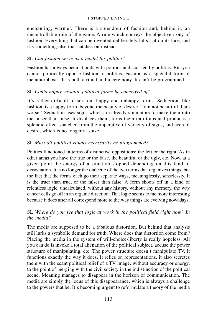enchanting, warmer. There is a splendour of fashion and, behind it, an uncontrollable rule of the game. A rule which conveys the objective irony of fashion. Everything that can be invented deliberately falls flat on its face, and it's something else that catches on instead.

## SL *Can fashion serve as a model for politics?*

Fashion has always been at odds with politics and scorned by politics. But you cannot politically oppose fashion to politics. Fashion is a splendid form of metamorphosis. It is both a ritual and a ceremony. It can't be programmed.

# SL *Could happy, ecstatic political forms be conceived of?*

It's rather difficult to sort out happy and unhappy forms. Seduction, like fashion, is a happy form, beyond the beauty of desire: 'I am not beautiful, I am worse.' Seduction uses signs which are already simulators to make them into the falser than false. It displaces them, turns them into traps and produces a splendid effect snatched from the imperative of veracity of signs, and even of desire, which is no longer at stake.

# SL *Must all political rituals necessarily be programmed?*

Politics functioned in terms of distinctive oppositions: the left or the right. As in other areas you have the true or the false, the beautiful or the ugly, etc. Now, at a given point the energy of a situation stopped depending on this kind of dissociation. It is no longer the dialectic of the two terms that organizes things, but the fact that the forms each go their separate ways, meaninglessly, senselessly. It is the truer than true, or the falser than false. A form shoots off in a kind of relentless logic, uncalculated, without any history, without any memory, the way cancer cells go off in an organic direction. That logic seems to me more interesting because it does after all correspond more to the way things are evolving nowadays.

# SL *Where do you see that logic at work in the political field right now? In the media?*

The media are supposed to be a fabulous distortion. But behind that analysis still lurks a symbolic demand for truth. Where does that distortion come from? Placing the media in the system of will-choice-liberty is really hopeless. All you can do is invoke a total alienation of the political subject, accuse the power structure of manipulating, etc. The power structure doesn't manipulate TV, it functions exactly the way it does. It relies on representations, it also secretes them with the scant political relief of a TV image, without accuracy or energy, to the point of merging with the civil society in the indistinction of the political scene. Meaning manages to disappear in the horizon of communication. The media are simply the locus of this disappearance, which is always a challenge to the powers that be. It's becoming urgent to reformulate a theory of the media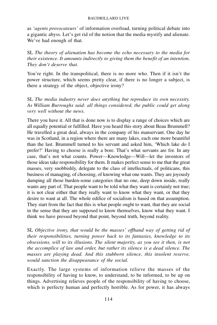as *'agents provocateurs'* of information overload, turning political debate into a gigantic abyss. Let's get rid of the notion that the media mystify and alienate. We've had enough of that.

SL *The theory of alienation has become the echo necessary to the media for their existence. It amounts indirectly to giving them the benefit of an intention. They don't deserve that.*

You're right. In the transpolitical, there is no more who. Then if it isn't the power structure, which seems pretty clear, if there is no longer a subject, is there a strategy of the object, objective irony?

SL *The media industry never does anything but reproduce its own necessity. As William Burroughs said: all things considered, the public could get along very well without the news.*

There you have it. All that is done now is to display a range of choices which are all equally potential or fulfilled. Have you heard this story about Beau Brummell? He travelled a great deal, always in the company of his manservant. One day he was in Scotland, in a region where there are many lakes, each one more beautiful than the last. Brummell turned to his servant and asked him, 'Which lake do I prefer?' Having to choose is really a bore. That's what servants are for. In any case, that's not what counts. Power—Knowledge—Will—let the inventors of those ideas take responsibility for them. It makes perfect sense to me that the great masses, very snobbishly, delegate to the class of intellectuals, of politicans, this business of managing, of choosing, of knowing what one wants. They are joyously dumping all those burden-some categories that no one, deep down inside, really wants any part of. That people want to be told what they want is certainly not true; it is not clear either that they really want to know what they want, or that they desire to want at all. The whole edifice of socialism is based on that assumption. They start from the fact that this is what people ought to want, that they are social in the sense that they are supposed to know themselves, know what they want. I think we have pressed beyond that point, beyond truth, beyond reality.

SL *Objective irony, that would be the masses' offhand way of getting rid of their responsibilities, turning power back to its fantasies, knowledge to its obsessions, will to its illusions. The silent majority, as you see it then, is not the accomplice of law and order, but rather its silence is a dead silence. The masses are playing dead. And this stubborn silence, this insolent reserve, would sanction the disappearance of the social.*

Exactly. The large systems of information relieve the masses of the responsibility of having to know, to understand, to be informed, to be up on things. Advertising relieves people of the responsibility of having to choose, which is perfecty human and perfectly horrible. As for power, it has always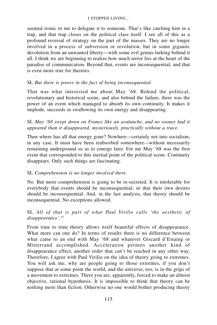seemed ironic to me to delegate it to someone. That's like catching him in a trap, and that trap closes on the political class itself. I see all of this as a profound reversal of strategy on the part of the masses. They are no longer involved in a process of subversion or revolution, but in some gigantic devolution from an unwanted liberty—with some evil genius lurking behind it all. I think we are beginning to realize how much terror lies at the heart of the paradise of communication. Beyond that, events are inconsequential, and that is even more true for theories.

## SL *But there is power in the fact of being inconsequential.*

That was what interested me about May '68. Behind the political, revolutionary and historical scene, and also behind the failure, there was the power of an event which managed to absorb its own continuity. It makes it implode, succeeds in swallowing its own energy and disappearing.

SL *May '68 swept down on France like an avalanche, and no sooner had it appeared than it disappeared, mysteriously, practically without a trace.*

Then where has all that energy gone? Nowhere—certainly not into socialism, in any case. It must have been reabsorbed somewhere—without necessarily remaining underground so as to emerge later. For me May '68 was the first event that corresponded to this inertial point of the political scene. Continuity disappears. Only such things are fascinating.

## SL *Comprehension is no longer involved there.*

No. But more comprehension is going to be re-secreted. It is intolerable for everybody that events should be inconsequential, or that their own desires should be inconsequential. And, in the last analysis, that theory should be inconsequential. No exceptions allowed.

# SL *All of that is part of what Paul Virilio calls 'the aesthetic of disappearance'.*<sup>15</sup>

From time to time theory allows itself beautiful effects of disappearance. What more can one do? In terms of results there is no difference between what came to an end with May '68 and whatever Giscard d'Estaing or Mitterrand accomplished. Acceleration permits another kind of disappearance effect, another order that can't be reached in any other way. Therefore, I agree with Paul Virilio on the idea of theory going to extremes. You will ask me, why are people going to those extremes, if you don't suppose that at some point the world, and the universe, too, is in the grips of a movement to extremes. There you are, apparently, forced to make an almost objective, rational hypothesis. It is impossible to think that theory can be nothing more than fiction. Otherwise no one would bother producing theory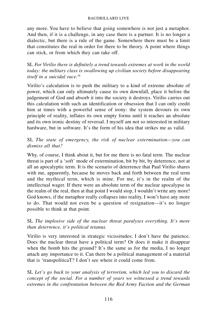any more. You have to believe that going somewhere is not just a metaphor. And then, if it is a challenge, in any case there is a partner. It is no longer a dialectic, but there is a rule of the game. Somewhere there must be a limit that constitutes the real in order for there to be theory. A point where things can stick, or from which they can take off.

SL *For Virilio there is definitely a trend towards extremes at work in the world today: the military class is swallowing up civilian society before disappearing itself in a suicidal race.*<sup>16</sup>

Virilio's calculation is to push the military to a kind of extreme absolute of power, which can only ultimately cause its own downfall, place it before the judgement of God and absorb it into the society it destroys. Virilio carries out this calculation with such an identification or obsession that I can only credit him at times with a powerful sense of irony: the system devours its own principle of reality, inflates its own empty forms until it reaches an absolute and its own ironic destiny of reversal. I myself am not so interested in military hardware, but in software. It's the form of his idea that strikes me as valid.

# SL *The state of emergency, the risk of nuclear extermination—you can dismiss all that?*

Why, of course, I think about it, but for me there is no fatal term. The nuclear threat is part of a 'soft' mode of extermination, bit by bit, by deterrence, not at all an apocalyptic term. It is the scenario of deterrence that Paul Virilio shares with me, apparently, because he moves back and forth between the real term and the mythical term, which is mine. For me, it's in the realm of the intellectual wager. If there were an absolute term of the nuclear apocalypse in the realm of the real, then at that point I would stop, I wouldn't write any more! God knows, if the metaphor really collapses into reality, I won't have any more to do. That would not even be a question of resignation—it's no longer possible to think at that point.

# SL *The implosive side of the nuclear threat paralyses everything. It's more than deterrence, it's political tetanus.*

Virilio is very interested in strategic vicissitudes; I don't have the patience. Does the nuclear threat have a political term? Or does it make it disappear when the bomb hits the ground? It's the same as for the media, I no longer attach any importance to it. Can there be a political management of a material that is 'transpoliticaT? I don't see where it could come from.

SL *Let's go back to your analysis of terrorism, which led you to discard the concept of the social. For a number of years we witnessed a trend towards extremes in the confrontation between the Red Army Faction and the German*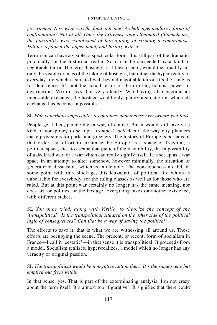*government. Now what was the final outcome? A challenge, implosive forms of confrontation? Not at all. Once the extremes were eliminated (Stammheim), the possibility was established of bargaining, of striking a compromise. Politics regained the upper hand, and history with it.*

Terrorism can have a visible, a spectacular form. It is still part of the dramatic, practically, in the historical realm. So it can be succeeded by a kind of negotiable terror. The term 'hostage', as I have used it, would then qualify not only the visible dramas of the taking of hostages, but rather the hyper-reality of everyday life which is situated well beyond negotiable terror. It's the same as for deterrence. It's not the actual terror of the orbiting bombs' power of destruction; Virilio says that very clearly. War having also become an impossible exchange, the hostage would only qualify a situation in which all exchange has become impossible.

## SL *War is perhaps impossible: it continues nonetheless everywhere you look.*

People get killed, people die in war, of course. But it would still involve a kind of conspiracy to set up a *trompe-l 'oeil* décor, the way city planners make provisions for parks and greenery. The history of Europe is perhaps of that order—an effort to circumscribe Europe as a space of freedom, a political space, etc., to escape that panic of the insolubility, the impossibility of a declared war, of a war which can really signify itself. It is set up as a war space in an attempt to alter somehow, however minimally, the situation of generalized dissuasion, which is intolerable. The consequences are felt at some point with this blockage, this leukaemia of political life which is unbearable for everybody, for the ruling classes as well as for those who are ruled. But at this point war certainly no longer has the same meaning, nor does art, or politics, or the hostage. Everything takes on another existence, with different stakes.

# SL *You once tried, along with Virilio, to theorize the concept of the 'transpolitical'. Is the transpolitical situated on the other side of the political logic of consequences? Can that be a way of saving the political?*

The efforts to save it, that is what we are witnessing all around us. Those efforts are occupying the scene. The present, or recent, form of socialism in France—I call it 'ecstatic'—in that sense it is transpolitical. It proceeds from a model. Socialism realizes, hyper-realizes, a model which no longer has any veracity or original passion.

# SL *The transpolitical would be a negative notion then? It's the same scene but emptied out from within.*

In that sense, yes. That is part of the exterminating analysis. I'm not crazy about the term itself. It's almost too 'figurative'. It signifies that there could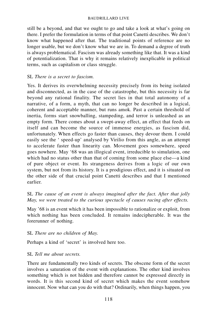still be a beyond, and that we ought to go and take a look at what's going on there. I prefer the formulation in terms of that point Canetti describes. We don't know what happened after that. The traditional points of reference are no longer usable, but we don't know what we are in. To demand a degree of truth is always problematical. Fascism was already something like that. It was a kind of potentialization. That is why it remains relatively inexplicable in political terms, such as capitalism or class struggle.

# SL *There is a secret to fascism.*

Yes. It derives its overwhelming necessity precisely from its being isolated and disconnected, as in the case of the catastrophe, but this necessity is far beyond any rational finality. The secret lies in that total autonomy of a narrative, of a form, a myth, that can no longer be described in a logical, coherent and acceptable manner, but runs amok. Past a certain threshold of inertia, forms start snowballing, stampeding, and terror is unleashed as an empty form. There comes about a swept-away effect, an effect that feeds on itself and can become the source of immense energies, as fascism did, unfortunately. When effects go faster than causes, they devour them. I could easily see the ' speed-up' analysed by Virilio from this angle, as an attempt to accelerate faster than linearity can. Movement goes somewhere, speed goes nowhere. May '68 was an illogical event, irreducible to simulation, one which had no status other than that of coming from some place else—a kind of pure object or event. Its strangeness derives from a logic of our own system, but not from its history. It is a prodigious effect, and it is situated on the other side of that crucial point Canetti describes and that I mentioned earlier.

# SL *The cause of an event is always imagined after the fact. After that jolly May, we were treated to the curious spectacle of causes racing after effects.*

May '68 is an event which it has been impossible to rationalize or exploit, from which nothing has been concluded. It remains indecipherable. It was the forerunner of nothing.

## SL *There are no children of May.*

Perhaps a kind of 'secret' is involved here too.

## SL *Tell me about secrets.*

There are fundamentally two kinds of secrets. The obscene form of the secret involves a saturation of the event with explanations. The other kind involves something which is not hidden and therefore cannot be expressed directly in words. It is this second kind of secret which makes the event somehow innocent. Now what can you do with that? Ordinarily, when things happen, you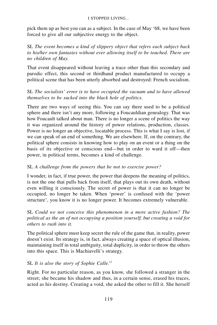pick them up as best you can as a subject. In the case of May '68, we have been forced to give all our subjective energy to the object.

SL *The event becomes a kind of slippery object that refers each subject back to his/her own fantasies without ever allowing itself to be touched. There are no children of May.*

That event disappeared without leaving a trace other than this secondary and parodic effect, this second or thirdhand product manufactured to occupy a political scene that has been utterly absorbed and destroyed: French socialism.

# SL *The socialists' error is to have occupied the vacuum and to have allowed themselves to be sucked into the black hole of politics.*

There are two ways of seeing this. You can say there used to be a political sphere and there isn't any more, following a Foucauldian genealogy. That was how Foucault talked about man. There is no longer a scene of politics the way it was organized around the history of power relations, production, classes. Power is no longer an objective, locatable process. This is what I say is lost, if we can speak of an end of something. We are elsewhere. If, on the contrary, the political sphere consists in knowing how to play on an event or a thing on the basis of its objective or conscious end—but in order to ward it off—then power, in political terms, becomes a kind of challenge.

# SL *A challenge from the powers that be not to exercise power?*

I wonder, in fact, if true power, the power that deepens the meaning of politics, is not the one that pulls back from itself, that plays out its own death, without even willing it consciously. The secret of power is that it can no longer be occupied, no longer be taken. When 'power' is confused with the 'power structure', you know it is no longer power. It becomes extremely vulnerable.

# SL *Could we not conceive this phenomenon in a more active fashion? The political as the an of not occupying a position yourself, but creating a void for others to rush into it.*

The political sphere must keep secret the rule of the game that, in reality, power doesn't exist. Its strategy is, in fact, always creating a space of optical illusion, maintaining itself in total ambiguity, total duplicity, in order to throw the others into this space. This is Machiavelli's strategy.

## SL *It is also the story of Sophie Calle.*<sup>17</sup>

Right. For no particular reason, as you know, she followed a stranger in the street; she became his shadow and thus, in a certain sense, erased his traces, acted as his destiny. Creating a void, she asked the other to fill it. She herself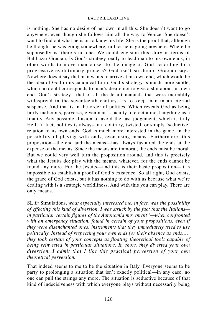is nothing. She has no desire of her own in all this. She doesn't want to go anywhere, even though she follows him all the way to Venice. She doesn't want to find out what he is or to know his life. She is the proof that, although he thought he was going somewhere, in fact he is going nowhere. Where he supposedly is, there's no one. We could envision this story in terms of Balthazar Gracian. Is God's strategy really to lead man to his own ends, in other words to move man closer to the image of God according to a progressive-evolutionary process? God isn't so dumb, Gracian says. Nowhere does it say that man wants to arrive at his own end, which would be the idea of God in its canonical form. God's strategy is much more subtle, which no doubt corresponds to man's desire not to give a shit about his own end. God's strategy—that of all the Jesuit manuals that were incredibly widespread in the seventeenth century—is to keep man in an eternal suspense. And that is in the order of politics. Which reveals God as being fairly malicious, perverse, given man's faculty to erect almost anything as a finality. Any possible illusion to avoid the last judgement, which is truly Hell. In fact, politics is always in a contrary, twisted, or simply 'seductive' relation to its own ends. God is much more interested in the game, in the possibility of playing with ends, even using means. Furthermore, this proposition—the end and the means—has always favoured the ends at the expense of the means. Since the means are immoral, the ends must be moral. But we could very well turn the proposition around, and this is precisely what the Jesuits do: play with the means, whatever, for the ends cannot be found any more. For the Jesuits—and this is their basic proposition—it is impossible to establish a proof of God's existence. So all right, God exists, the grace of God exists, but it has nothing to do with us because what we're dealing with is a strategic worldliness. And with this you can play. There are only means.

SL *In* Simulations, *what especially interested me, in fact, was the possibility of effecting this kind of diversion*. *I was struck by the fact that the Italians in particular certain figures of the Autonomia movement*<sup>18</sup>*—when confronted with an emergency situation, found in certain of your propositions, even if they were disenchanted ones, instruments that they immediately tried to use politically. Instead of respecting your own ends (or their absence as ends…), they took certain of your concepts as floating theoretical tools capable of being reinvested in particular situations. In short, they diverted your own diversion. I admit that I like this practical perversion of your own theoretical perversion.*

That indeed seems to me to be the situation in Italy. Everyone seems to be party to prolonging a situation that isn't exactly political—in any case, no one can pull the strings any more. The situation is seductive because of that kind of indecisiveness with which everyone plays without necessarily being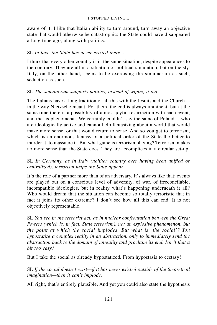aware of it. I like that Italian ability to turn around, turn away an objective state that would otherwise be catastrophic: the State could have disappeared a long time ago, along with politics.

## SL *In fact, the State has never existed there…*

I think that every other country is in the same situation, despite appearances to the contrary. They are all in a situation of political simulation, but on the sly. Italy, on the other hand, seems to be exercising the simulacrum as such, seduction as such.

# SL *The simulacrum supports politics, instead of wiping it out.*

The Italians have a long tradition of all this with the Jesuits and the Church in the way Nietzsche meant. For them, the end is always imminent, but at the same time there is a possibility of almost joyful resurrection with each event, and that is phenomenal. We certainly couldn't say the same of Poland …who are ideologically active and cannot help fantasizing about a world that would make more sense, or that would return to sense. And so you get to terrorism, which is an enormous fantasy of a political order of the State the better to murder it, to massacre it. But what game is terrorism playing? Terrorism makes no more sense than the State does. They are accomplices in a circular set-up.

# SL *In Germany, as in Italy (neither country ever having been unified or centralized), terrorism helps the State appear.*

It's the role of a partner more than of an adversary. It's always like that: events are played out on a conscious level of adversity, of war, of irreconcilable, incompatible ideologies, but in reality what's happening underneath it all? Who would dream that the situation can become so totally terroristic that in fact it joins its other extreme? I don't see how all this can end. It is not objectively representable.

SL *You see in the terrorist act, as in nuclear confrontation between the Great Powers (which is, in fact, State terrorism), not an explosive phenomenon, but the point at which the social implodes. But what is 'the social'? You hypostatize a complex reality in an abstraction, only to immediately send the abstraction back to the domain of unreality and proclaim its end. Isn 't that a bit too easy?*

But I take the social as already hypostatized. From hypostasis to ecstasy!

SL *If the social doesn't exist—if it has never existed outside of the theoretical imagination—then it can't implode.*

All right, that's entirely plausible. And yet you could also state the hypothesis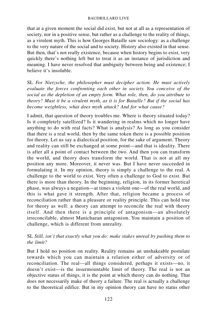that at a given moment the social did exist, but not at all as a representation of society, nor in a positive sense, but rather as a challenge to the reality of things, as a virulent myth. This is how Georges Bataille saw sociology: as a challenge to the very nature of the social and to society. History also existed in that sense. But then, that's not really existence, because when history begins to exist, very quickly there's nothing left but to treat it as an instance of jurisdiction and meaning. I have never resolved that ambiguity between being and existence; I believe it's insoluble.

SL *For Nietzsche, the philosopher must decipher action. He must actively evaluate the forces confronting each other in society. You conceive of the social as the depletion of an empty form. What role, then, do you attribute to theory? Must it be a virulent myth, as it is for Bataille? But if the social has become weightless, what does myth attack? And for what cause?*

I admit, that question of theory troubles me. Where is theory situated today? Is it completely satellized? Is it wandering in realms which no longer have anything to do with real facts? What is analysis? As long as you consider that there is a real world, then by the same token there is a possible position for theory. Let us say a dialectical position, for the sake of argument. Theory and reality can still be exchanged at some point—and that is ideality. There is after all a point of contact between the two. And then you can transform the world, and theory does transform the world. That is not at all my position any more. Moreover, it never was. But I have never succeeded in formulating it. In my opinion, theory is simply a challenge to the real. A challenge to the world to exist. Very often a challenge to God to exist. But there is more than theory. In the beginning, religion, in its former heretical phase, was always a negation—at times a violent one—of the real world, and this is what gave it strength. After that, religion became a process of reconciliation rather than a pleasure or reality principle. This can hold true for theory as well: a theory can attempt to reconcile the real with theory itself. And then there is a principle of antagonism—an absolutely irreconcilable, almost Manichaean antagonism. You maintain a position of challenge, which is different from unreality.

# SL *Still, isn't that exactly what you do: make stakes unreal by pushing them to the limit?*

But I hold no position on reality. Reality remains an unshakeable postulate towards which you can maintain a relation either of adversity or of reconciliation. The real—all things considered, perhaps it exists—no, it doesn't exist—is the insurmountable limit of theory. The real is not an objective status of things, it is the point at which theory can do nothing. That does not necessarily make of theory a failure. The real is actually a challenge to the theoretical edifice. But in my opinion theory can have no status other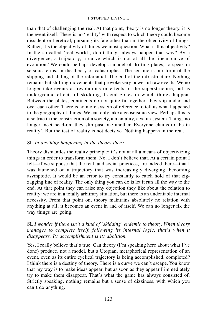than that of challenging the real. At that point, theory is no longer theory, it is the event itself. There is no 'reality' with respect to which theory could become dissident or heretical, pursuing its fate other than in the objectivity of things. Rather, it's the objectivity of things we must question. What is this objectivity? In the so-called 'real world', don't things always happen that way? By a divergence, a trajectory, a curve which is not at all the linear curve of evolution? We could perhaps develop a model of drifting plates, to speak in seismic terms, in the theory of catastrophes. The seismic is our form of the slipping and sliding of the referential. The end of the infrastructure. Nothing remains but shifting movements that provoke very powerful raw events. We no longer take events as revolutions or effects of the superstructure, but as underground effects of skidding, fractal zones in which things happen. Between the plates, continents do not quite fit together, they slip under and over each other. There is no more system of reference to tell us what happened to the geography of things. We can only take a geoseismic view. Perhaps this is also true in the construction of a society, a mentality, a value-system. Things no longer meet head-on; they slip past one another. Everyone claims to 'be in reality'. But the test of reality is not decisive. Nothing happens in the real.

# SL *In anything happening in the theory then?*

Theory dismantles the reality principle; it's not at all a means of objectivizing things in order to transform them. No, I don't believe that. At a certain point I felt—if we suppose that the real, and social practices, are indeed there—that I was launched on a trajectory that was increasingly diverging, becoming asymptotic. It would be an error to try constantly to catch hold of that zigzagging line of reality. The only thing you can do is let it run all the way to the end. At that point they can raise any objection they like about the relation to reality: we are in a totally arbitrary situation, but there is an undeniable internal necessity. From that point on, theory maintains absolutely no relation with anything at all; it becomes an event in and of itself. We can no longer fix the way things are going.

# SL *I wonder if there isn't a kind of 'skidding' endemic to theory. When theory manages to complete itself, following its internal logic, that's when it disappears. Its accomplishment is its abolition.*

Yes, I really believe that's true. Can theory (I'm speaking here about what I've done) produce, not a model, but a Utopian, metaphorical representation of an event, even as its entire cyclical trajectory is being accomplished, completed? I think there is a destiny of theory. There is a curve we can't escape. You know that my way is to make ideas appear, but as soon as they appear I immediately try to make them disappear. That's what the game has always consisted of. Strictly speaking, nothing remains but a sense of dizziness, with which you can't do anything.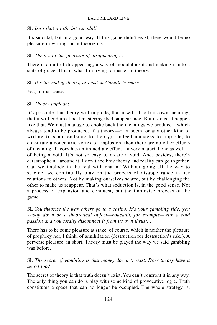# SL *Isn't that a little bit suicidal?*

It's suicidal, but in a good way. If this game didn't exist, there would be no pleasure in writing, or in theorizing.

# SL *Theory, or the pleasure of disappearing…*

There is an art of disappearing, a way of modulating it and making it into a state of grace. This is what I'm trying to master in theory.

SL *It's the end of theory, at least in Canetti 's sense.*

Yes, in that sense.

# SL *Theory implodes.*

It's possible that theory will implode, that it will absorb its own meaning, that it will end up at best mastering its disappearance. But it doesn't happen like that. We must manage to choke back the meanings we produce—which always tend to be produced. If a theory—or a poem, or any other kind of writing (it's not endemic to theory)—indeed manages to implode, to constitute a concentric vortex of implosion, then there are no other effects of meaning. Theory has an immediate effect—a very material one as well of being a void. It's not so easy to create a void. And, besides, there's catastrophe all around it. I don't see how theory and reality can go together. Can we implode in the real with charm? Without going all the way to suicide, we continually play on the process of disappearance in our relations to others. Not by making ourselves scarce, but by challenging the other to make us reappear. That's what seduction is, in the good sense. Not a process of expansion and conquest, but the implosive process of the game.

SL *You theorize the way others go to a casino. It's your gambling side; you swoop down on a theoretical object—Foucault, for example—with a cold passion and you totally disconnect it from its own thrust…*

There has to be some pleasure at stake, of course, which is neither the pleasure of prophecy nor, I think, of annihilation (destruction for destruction's sake). A perverse pleasure, in short. Theory must be played the way we said gambling was before.

# SL *The secret of gambling is that money doesn 't exist. Does theory have a secret too?*

The secret of theory is that truth doesn't exist. You can't confront it in any way. The only thing you can do is play with some kind of provocative logic. Truth constitutes a space that can no longer be occupied. The whole strategy is,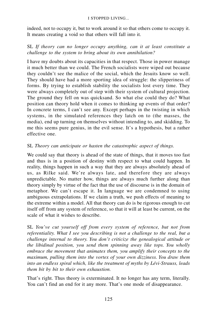indeed, not to occupy it, but to work around it so that others come to occupy it. It means creating a void so that others will fall into it.

# SL *If theory can no longer occupy anything, can it at least constitute a challenge to the system to bring about its own annihilation?*

I have my doubts about its capacities in that respect. Those in power manage it much better than we could. The French socialists were wiped out because they couldn't see the malice of the social, which the Jesuits know so well. They should have had a more sporting idea of struggle: the slipperiness of forms. By trying to establish stability the socialists lost every time. They were always completely out of step with their system of cultural projection. The ground they fell on was quicksand. So what else could they do? What position can theory hold when it comes to thinking up events of that order? In concrete terms, I can't see any. Except perhaps in the twisting in which systems, in the simulated references they latch on to (the masses, the media), end up turning on themselves without intending to, and skidding. To me this seems pure genius, in the evil sense. It's a hypothesis, but a rather effective one.

# SL *Theory can anticipate or hasten the catastrophic aspect of things.*

We could say that theory is ahead of the state of things, that it moves too fast and thus is in a position of destiny with respect to what could happen. In reality, things happen in such a way that they are always absolutely ahead of us, as Rilke said. We're always late, and therefore they are always unpredictable. No matter how, things are always much further along than theory simply by virtue of the fact that the use of discourse is in the domain of metaphor. We can't escape it. In language we are condemned to using ambiguous extrapolations. If we claim a truth, we push effects of meaning to the extreme within a model. All that theory can do is be rigorous enough to cut itself off from any system of reference, so that it will at least be current, on the scale of what it wishes to describe.

SL *You've cut yourself off from every system of reference, but not from referentiality. What I see you describing is not a challenge to the real, but a challenge internal to theory. You don't criticize the genealogical attitude or the libidinal position, you send them spinning away like tops. You wholly embrace the movement that animates them, you amplify their concepts to the maximum, pulling them into the vortex of your own dizziness. You draw them into an endless spiral which, like the treatment of myths by Lévi-Strauss, leads them bit by bit to their own exhaustion.*

That's right. Thus theory is exterminated. It no longer has any term, literally. You can't find an end for it any more. That's one mode of disappearance.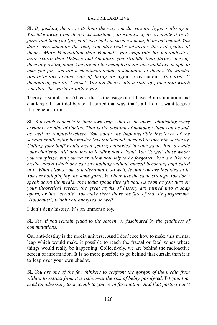SL *By pushing theory to its limit the way you do, you are hyper-realizing it. You take away from theory its substance, to exhaust it, to extenuate it in its form, and then you 'forget it' as a body in suspension might be left behind. You don't even simulate the real, you play God's advocate, the evil genius of theory. More Foucauldian than Foucault, you evaporate his microphysics; more schizo than Deleuze and Guattari, you straddle their fluxes, denying them any resting point. You are not the metaphysician you would like people to take you for; you are a metatheoretician, a simulator of theory. No wonder theoreticians accuse you of being an* agent provocateur. *You aren 't theoretical, you are 'worse'*. *You put theory into a state of grace into which you dare the world to follow you.*

Theory is simulation. At least that is the usage of it I have. Both simulation and challenge. It isn't deliberate. It started that way, that's all. I don't want to give it a general form.

SL *You catch concepts in their own trap—that is, in yours—abolishing every certainty by dint of fidelity. That is the position of humour, which can be sad, as well as tongue-in-cheek. You adopt the imperceptible insolence of the servant challenging his master (his intellectual masters) to take him seriously. Calling your bluff would mean getting entangled in your game. But to evade your challenge still amounts to lending you a hand. You 'forget' those whom you vampirize, but you never allow yourself to be forgotten. You are like the media, about which one can say nothing without oneself becoming implicated in it. What allows you to understand it so well, is that you are included in it. You are both playing the same game. You both use the same strategy. You don't speak about the media, the media speak through you. As soon as you turn on your theoretical screen, the great myths of history are turned into a soap opera, or into 'serials'. You make them share the fate of that TV programme, 'Holocaust', which you analysed so well.*<sup>19</sup>

I don't deny history. It's an immense toy.

SL *Yes, if you remain glued to the screen, or fascinated by the giddiness of commutations.*

Our anti-destiny is the media universe. And I don't see how to make this mental leap which would make it possible to reach the fractal or fatal zones where things would really be happening. Collectively, we are behind the radioactive screen of information. It is no more possible to go behind that curtain than it is to leap over your own shadow.

SL *You are one of the few thinkers to confront the gorgon of the media from within, to extract from it a vision—at the risk of being paralysed. Yet you, too, need an adversary to succumb to your own fascination. And that partner can't*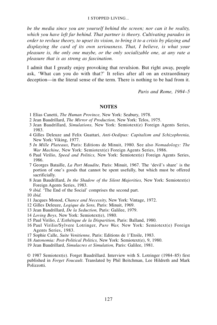*be the media since you are yourself behind the screen; nor can it be reality, which you have left far behind. That partner is theory. Cultivating paradox in order to revluse theory, to upset its vision, to bring it to a crisis by playing and displaying the card of its own seriousness. That, I believe, is what your pleasure is, the only one maybe, or the only socializable one, at any rate a pleasure that is as strong as fascination.*

I admit that I greatly enjoy provoking that revulsion. But right away, people ask, 'What can you do with that?' It relies after all on an extraordinary deception—in the literal sense of the term. There is nothing to be had from it.

*Paris and Rome, 1984–5*

#### **NOTES**

- 1 Elias Canetti, *The Human Province,* New York: Seabury, 1978.
- 2 Jean Baudrillard, *The Mirror of Production,* New York: Telos, 1975.
- 3 Jean Baudrillard, *Simulations,* New York: Semiotext(e) Foreign Agents Series, 1983.
- 4 Gilles Deleuze and Felix Guattari, *Anti-Oedipus: Capitalism and Schizophrenia,* New York: Viking, 1977.
- 5 *In Mille Plateaux,* Paris: Editions de Minuit, 1980. See also *Nomadology: The War Machine,* New York: Semiotext(e) Foreign Agents Series, 1986.
- 6 Paul Virilio, *Speed and Politics,* New York: Semiotext(e) Foreign Agents Series, 1986.
- 7 Georges Bataille, *La Part Maudite,* Paris: Minuit, 1967. The 'devil's share' is the portion of one's goods that cannot be spent usefully, but which must be offered sacrificially.
- 8 Jean Baudrillard, *In the Shadow of the Silent Majorities,* New York: Semiotext(e) Foreign Agents Series, 1983.
- 9 *ibid.* 'The End of the Social' comprises the second part.
- 10 *ibid.*
- 11 Jacques Monod, *Chance and Necessity,* New York: Vintage, 1972.
- 12 Gilles Deleuze, *Logique du Sens,* Paris: Minuit, 1969.
- 13 Jean Baudrillard, *De la Seduction,* Paris: Galilee, 1979.
- 14 *Loving Boys,* New York: Semiotext(e), 1980.
- 15 Paul Virilio, *L'Esthétique de la Disparition,* Paris: Balland, 1980.
- 16 Paul Virilio/Sylvere Lotringer, *Pure War,* New York: Semiotext(e) Foreign Agents Series, 1983.
- 17 Sophie Calle, *Suite Venitienne,* Paris: Editions de 1'Etoile, 1983.
- 18 *Autonomia: Post-Political Politics,* New York: Semiotext(e), 9, 1980.
- 19 Jean Baudrillard, *Simulacres et Simulation,* Paris: Galilee, 1981.

© 1987 Semiotext(e). Forget Baudrillard. Interview with S. Lotringer (1984–85) first published in *Forget Foucault*. Translated by Phil Beitchman, Lee Hildreth and Mark Polizzotti.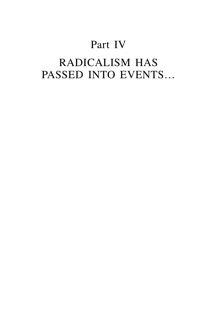# Part IV

# RADICALISM HAS PASSED INTO EVENTS…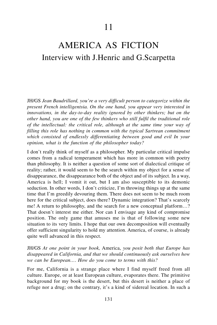# AMERICA AS FICTION Interview with J.Henric and G.Scarpetta

JH/GS *Jean Baudrillard, you're a very difficult person to categorize within the present French intelligentsia. On the one hand, you appear very interested in innovations, in the day-to-day reality ignored by other thinkers; but on the other hand, you are one of the few thinkers who still fulfil the traditional role of the intellectual: the critical role, although at the same time your way of filling this role has nothing in common with the typical Sartrean commitment which consisted of endlessly differentiating between good and evil In your opinion, what is the function of the philosopher today?*

I don't really think of myself as a philosopher. My particular critical impulse comes from a radical temperament which has more in common with poetry than philosophy. It is neither a question of some sort of dialectical critique of reality; rather, it would seem to be the search within my object for a sense of disappearance, the disappearance both of the object and of its subject. In a way, America is hell; I vomit it out, but I am also susceptible to its demonic seduction. In other words, I don't criticize, I'm throwing things up at the same time that I'm greedily devouring them. There does not seem to be much room here for the critical subject, does there? Dynamic integration? That's scarcely me! A return to philosophy, and the search for a new conceptual platform…? That doesn't interest me either. Nor can I envisage any kind of compromise position. The only game that amuses me is that of following some new situation to its very limits. I hope that our own decomposition will eventually offer sufficient singularity to hold my attention. America, of course, is already quite well advanced in this respect.

#### JH/GS *At one point in your book,* America, *you posit both that Europe has disappeared in California, and that we should continuously ask ourselves how we can be European…*. *How do you come to terms with this?*

For me, California is a strange place where I find myself freed from all culture. Europe, or at least European culture, evaporates there. The primitive background for my book is the desert, but this desert is neither a place of refuge nor a drug; on the contrary, it's a kind of sidereal location. In such a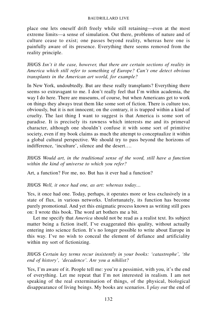place one lets oneself drift freely while still retaining—even at the most extreme limits—a sense of simulation. Out there, problems of nature and of culture cease to exist; one passes beyond reality, whereas here one is painfully aware of its presence. Everything there seems removed from the reality principle.

JH/GS *Isn't it the case, however, that there are certain sections of reality in America which still refer to something of Europe? Can't one detect obvious transplants in the American art world, for example?*

In New York, undoubtedly. But are these really transplants? Everything there seems so extravagant to me. I don't really feel that I'm within academia, the way I do here. There are museums, of course, but when Americans get to work on things they always treat them like some sort of fiction. There is culture too, obviously, but it is not innocent; on the contrary, it is trapped within a kind of cruelty. The last thing I want to suggest is that America is some sort of paradise. It is precisely its rawness which interests me and its primeval character, although one shouldn't confuse it with some sort of primitive society, even if my book claims as much the attempt to conceptualize it within a global cultural perspective. We should try to pass beyond the horizons of indifference, 'inculture', silence and the desert….

JH/GS *Would art, in the traditional sense of the word, still have a function within the kind of universe to which you refer?*

Art, a function? For me, no. But has it ever had a function?

JH/GS *Well, it once had one, as art: whereas today…*

Yes, it once had one. Today, perhaps, it operates more or less exclusively in a state of flux, in various networks. Unfortunately, its function has become purely promotional. And yet this enigmatic process known as writing still goes on: I wrote this book. The word art bothers me a bit.

Let me specify that *America* should not be read as a realist text. Its subject matter being a fiction itself, I've exaggerated this quality, without actually entering into science fiction. It's no longer possible to write about Europe in this way. I've no wish to conceal the element of defiance and artificiality within my sort of fictionizing.

JH/GS *Certain key terms recur insistently in your books: 'catastrophe', 'the end of history', 'decadence'. Are you a nihilist?*

Yes, I'm aware of it. People tell me: you're a pessimist, with you, it's the end of everything. Let me repeat that I'm not interested in realism. I am not speaking of the real extermination of things, of the physical, biological disappearance of living beings. My books are scenarios. I *play out* the end of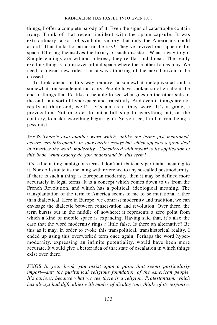things, I offer a complete parody of it. Even the signs of catastrophe contain irony. Think of that recent incident with the space capsule. It was extraordinary: a sort of symbolic victory that only the Americans could afford! That fantastic burial in the sky! They've revived our appetite for space. Offering themselves the luxury of such disasters. What a way to go! Simple endings are without interest; they're flat and linear. The really exciting thing is to discover orbital space where these other forces play. We need to invent new rules. I'm always thinking of the next horizon to be crossed…

To look ahead in this way requires a somewhat metaphysical and a somewhat transcendental curiosity. People have spoken so often about the end of things that I'd like to be able to see what goes on the other side of the end, in a sort of hyperspace and transfinity. And even if things are not really at their end, well! Let's act as if they were. It's a game, a provocation. Not in order to put a full stop to everything but, on the contrary, to make everything begin again. So you see, I'm far from being a pessimist.

JH/GS *There's also another word which, unlike the terms just mentioned, occurs very infrequently in your earlier essays but which appears a great deal in* America: *the word 'modernity'. Considered with regard to its application in this book, what exactly do you understand by this term*?

It's a fluctuating, ambiguous term. I don't attribute any particular meaning to it. Nor do I situate its meaning with reference to any so-called postmodernity. If there is such a thing as European modernity, then it may be defined more accurately in legal terms. It is a concept which comes down to us from the French Revolution, and which has a political, ideological meaning. The transplantation of the term to America seems to me to be mutational rather than dialectical. Here in Europe, we contrast modernity and tradition; we can envisage the dialectic between conservation and revolution. Over there, the term bursts out in the middle of nowhere; it represents a zero point from which a kind of mobile space is expanding. Having said that, it's also the case that the word modernity rings a little false. Is there an alternative? Be this as it may, in order to evoke this transpolitical, transhistorical reality, I ended up using this overworked term once again. Perhaps the word hypermodernity, expressing an infinite potentiality, would have been more accurate. It would give a better idea of that state of escalation in which things exist over there.

JH/GS *In your book, you insist upon a point that seems particularly import—ant: the puritanical religious foundation of the American people. It's curious, because what we see there is a religion, Protestantism, which has always had difficulties with modes of display (one thinks of its responses*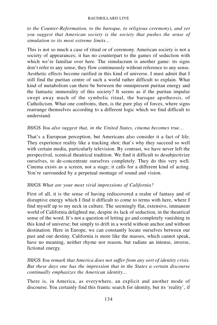*to the Counter-Reformation, to the baroque, to religious ceremony), and yet you suggest that American society is the society that pushes the sense of simulation to its most extreme limits…*

This is not so much a case of ritual or of ceremony. American society is not a society of appearances; it has no counterpart to the games of seduction with which we're familiar over here. The simulacrum is another game: its signs don't refer to any sense, they flow continuously without reference to any sense. Aesthetic effects become rarified in this kind of universe. I must admit that I still find the puritan centre of such a world rather difficult to explain. What kind of metabolism can there be between the omnipresent puritan energy and the fantastic immorality of this society? It seems as if the puritan impulse swept away much of the symbolic ritual, the baroque apotheosis, of Catholicism. What one confronts, then, is the pure play of forces, where signs rearrange themselves according to a different logic which we find difficult to understand.

#### JH/GS *You also suggest that, in the United States, cinema becomes true…*

That's a European perception, but Americans also consider it a fact of life. They experience reality like a tracking shot; that's why they succeed so well with certain media, particularly television. By contrast, we have never left the perspectival, scenical theatrical tradition. We find it difficult to desubjectivize ourselves, to de-concentrate ourselves completely. They do this very well. Cinema exists as a screen, not a stage; it calls for a different kind of acting. You're surrounded by a perpetual montage of sound and vision.

## JH/GS *What are your most vivid impressions of California?*

First of all, it is the sense of having rediscovered a realm of fantasy and of disruptive energy which I find it difficult to come to terms with here, where I find myself up to my neck in culture. The seemingly flat, extensive, immanent world of California delighted me, despite its lack of seduction, in the theatrical sense of the word. It's not a question of letting go and completely vanishing in this kind of universe; but simply to drift in a world without anchor and without destination. Here in Europe, we can constantly locate ourselves between our past and our destiny. California is more like the masses, which cannot speak, have no meaning, neither rhyme nor reason, but radiate an intense, inverse, fictional energy.

JH/GS *You remark that America does not suffer from any sort of identity crisis. But these days one has the impression that in the States a certain discourse continually emphasizes the American identity…*

There is, in America, as everywhere, an explicit and another mode of discourse. You certainly find this frantic search for identity, but its 'reality', if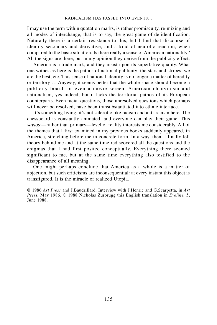I may use the term within quotation marks, is rather promiscuity, re-mixing and all modes of interchange, that is to say, the great game of de-identification. Naturally there is a certain resistance to this, but I find that discourse of identity secondary and derivative, and a kind of neurotic reaction, when compared to the basic situation. Is there really a sense of American nationality? All the signs are there, but in my opinion they derive from the publicity effect.

America is a trade mark, and they insist upon its superlative quality. What one witnesses here is the pathos of national publicity: the stars and stripes, we are the best, etc. This sense of national identity is no longer a matter of heredity or territory…. Anyway, it seems better that the whole space should become a publicity board, or even a movie screen. American chauvinism and nationalism, yes indeed, but it lacks the territorial pathos of its European counterparts. Even racial questions, those unresolved questions which perhaps will never be resolved, have been transubstantiated into ethnic interface.

It's something living, it's not sclerotic like racism and anti-racism here. The chessboard is constantly animated, and everyone can play their game. This *savage*—rather than primary—level of reality interests me considerably. All of the themes that I first examined in my previous books suddenly appeared, in America, stretching before me in concrete form. In a way, then, I finally left theory behind me and at the same time rediscovered all the questions and the enigmas that I had first posited conceptually. Everything there seemed significant to me, but at the same time everything also testified to the disappearance of all meaning.

One might perhaps conclude that America as a whole is a matter of abjection, but such criticisms are inconsequential: at every instant this object is transfigured. It is the miracle of realized Utopia.

© 1986 *Art Press* and J.Baudrillard. Interview with J.Henric and G.Scarpetta, in *Art Press,* May 1986. © 1988 Nicholas Zurbrugg this English translation in *Eyeline,* 5, June 1988.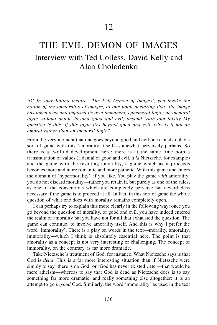## THE EVIL DEMON OF IMAGES Interview with Ted Colless, David Kelly and Alan Cholodenko

AC *In your Kuttna lecture, 'The Evil Demon of Images', you invoke the notion of the immorality of images, at one point declaring that 'the image has taken over and imposed its own immanent, ephemeral logic; an immoral logic without depth, beyond good and evil, beyond truth and falsity My question is this: if this logic lies beyond good and evil, why is it not an amoral rather than an immoral logic?*

From the very moment that one goes beyond good and evil one can also play a sort of game with this 'amorality' itself—somewhat perversely perhaps. So there is a twofold development here: there is at the same time both a transmutation of values (a denial of good and evil, *a la* Nietzsche, for example) and the game with the resulting amorality, a game which as it proceeds becomes more and more romantic and more pathetic. With this game one enters the domain of 'hypermorality', if you like. You play the game *with* amorality: you do not discard morality—rather you retain it, but purely as one of the rules, as one of the conventions which are completely perverse but nevertheless necessary if the game is to proceed at all. In fact, in this sort of game the whole question of what one does with morality remains completely open.

I can perhaps try to explain this more clearly in the following way: once you go beyond the question of morality, of good and evil, you have indeed entered the realm of amorality but you have not for all that exhausted the question. The game can continue, to involve amorality itself. And this is why I prefer the word 'immorality'. There is a play on words in the text—morality, amorality, immorality—which I think is absolutely essential here. The point is that amorality as a concept is not very interesting or challenging. The concept of immorality, on the contrary, is far more dramatic.

Take Nietzsche's treatment of God, for instance. What Nietzsche says is that God is *dead*. This is a far more interesting situation than if Nietzsche were simply to say 'there is no God' or 'God has never existed', etc.—that would be mere atheism—whereas to say that God is dead as Nietzsche does is to say something far more dramatic, and really something else altogether: it is an attempt to go *beyond* God. Similarly, the word 'immorality' as used in the text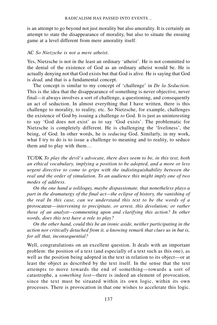is an attempt to go beyond not just morality but also amorality. It is certainly an attempt to state the disappearance of morality, but also to situate the ensuing game at a level different from mere amorality itself.

#### AC *So Nietzsche is not a mere atheist*.

Yes, Nietzsche is not in the least an ordinary 'atheist'. He is not committed to the denial of the existence of God as an ordinary atheist would be. He is actually denying not that God exists but that God is alive. He is saying that God is *dead,* and that is a fundamental concept.

The concept is similar to my concept of 'challenge' in *De la Seduction*. This is the idea that the disappearance of something is never objective, never final—it always involves a sort of challenge, a questioning, and consequently an act of seduction. In almost everything that I have written, there is this challenge to morality, to reality, etc. So Nietzsche, for example, challenges the existence of God by issuing a challenge *to* God. It is just as uninteresting to say 'God does not exist' as to say 'God exists'. The problematic for Nietzsche is completely different. He is challenging the 'liveliness', the being, of God. In other words, he is *seducing* God. Similarly, in my work, what I try to do is to issue a challenge to meaning and to reality, to seduce them and to play with them…

TC/DK *To play the devil's advocate, there does seem to be, in this text, both an ethical vocabulary, implying a position to be adopted, and a more or less urgent directive to come to grips with the indistinguishability between the real and the order of simulation. To an audience this might imply one of two modes of address*.

*On the one hand a soliloquy, maybe dispassionate, that nonetheless plays a part in the dramaturgy of the final act—the eclipse of history, the vanishing of the real In this case, can we understand this text to be the words of a* provocateur—*intervening to precipitate, or arrest, this devolution; or rather those of an analyst—commenting upon and clarifying this action? In other words, does this text have a role to play?*

*On the other hand, could this be an ironic aside, neither participating in the action nor critically detached from it, a knowing remark that clues us in but is, for all that, inconsequential?*

Well, congratulations on an excellent question. It deals with an important problem: the position of a text (and especially of a text such as this one), as well as the position being adopted in the text in relation to its object—or at least the object as described by the text itself. In the sense that the text attempts to move towards the end of something—towards a sort of catastrophe, a *something lost*—there is indeed an element of provocation, since the text must be situated within its own logic, within its own processes. There is provocation in that one wishes to accelerate this logic.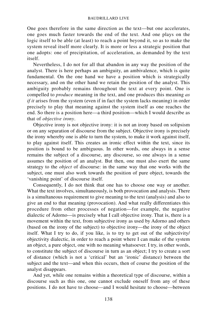One goes therefore in the same direction as the text—but one accelerates, one goes much faster towards the end of the text. And one plays on the logic itself to be able (at least) to reach a point beyond it, so as to make the system reveal itself more clearly. It is more or less a strategic position that one adopts: one of precipitation, of acceleration, as demanded by the text itself.

Nevertheless, I do not for all that abandon in any way the position of the analyst. There is here perhaps an ambiguity, an ambivalence, which is quite fundamental. On the one hand we have a position which is strategically necessary, and on the other hand we retain the position of the analyst. This ambiguity probably remains throughout the text at every point. One is compelled to *produce* meaning in the text, and one produces this meaning *as if it* arises from the system (even if in fact the system lacks meaning) in order precisely to play that meaning against the system itself as one reaches the end. So there is a position here—a third position—which I would describe as that of *objective irony*.

Objective irony is not objective irony: it is not an irony based on solipsism or on any separation of discourse from the subject. Objective irony is precisely the irony whereby one is able to turn the system, to make it work against itself, to play against itself. This creates an ironic effect within the text, since its position is bound to be ambiguous. In other words, one always in a sense remains the subject of a discourse, any discourse, so one always in a sense assumes the position of an analyst. But then, one must also exert the same strategy to the *object* of discourse: in the same way that one works with the subject, one must also work towards the position of pure object, towards the 'vanishing point' of discourse itself.

Consequently, I do not think that one has to choose one way or another. What the text involves, simultaneously, is both provocation and analysis. There is a simultaneous requirement to give meaning to the text (analysis) and also to give an end to that meaning (provocation). And what really differentiates this procedure from other processes of negation—for example, the negative dialectic of Adorno—is precisely what I call objective irony. That is, there is a movement within the text, from subjective irony as used by Adorno and others (based on the irony of the subject) to objective irony—the irony of the object itself. What I try to do, if you like, is to try to get out of the subjectivity/ objectivity dialectic, in order to reach a point where I can make of the system an object, a pure object, one with no meaning whatsoever. I try, in other words, to constitute the subject of discourse in turn as an object; I try to create a sort of distance (which is not a 'critical' but an 'ironic' distance) between the subject and the text—and when this occurs, then of course the position of the analyst disappears.

And yet, while one remains within a theoretical type of discourse, within a discourse such as this one, one cannot exclude oneself from any of these positions. I do not have to choose—and I would hesitate to choose—between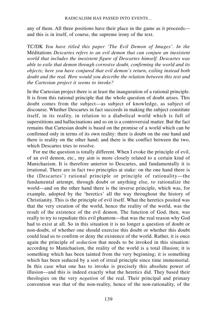#### RADICALISM HAS PASSED INTO EVENTS…

any of them. All three positions have their place in the game as it proceeds and this is in itself, of course, the supreme irony of the text.

TC/DK *You have titled this paper 'The Evil Demon of Images'. In the* Méditations *Descartes refers to an evil demon that can conjure an inexistent world that includes the inexistent figure of Descartes himself. Descartes was able to exile that demon through corrosive doubt, confirming the world and its objects; here you have conjured that evil demon's return, exiling instead both doubt and the real. How would you describe the relation between this text and the Cartesian project it seems to invoke?*

In the Cartesian project there is at least the inauguration of a rational principle. It is from this rational principle that the whole question of doubt arises. This doubt comes from the subject—as subject of knowledge, as subject of discourse. Whether Descartes in fact succeeds in making the subject constitute itself, in its reality, in relation to a diabolical world which is full of superstitions and hallucinations and so on is a controversial matter. But the fact remains that Cartesian doubt is based on the promise of a world which can be confirmed only in terms of its own reality: there is doubt on the one hand and there is reality on the other hand; and there is the conflict between the two, which Descartes tries to resolve.

For me the question is totally different. When I evoke the principle of evil, of an evil demon, etc., my aim is more closely related to a certain kind of Manichaeism. It is therefore anterior to Descartes, and fundamentally it is irrational. There are in fact two principles at stake: on the one hand there is the (Descartes') rational principle or principle of rationality—the fundamental attempt, through doubt or anything else, to rationalize the world—and on the other hand there is the inverse principle, which was, for example, adopted by the 'heretics' all the way throughout the history of Christianity. This is the principle of evil itself. What the heretics posited was that the very creation of the world, hence the reality of the world, was the result of the existence of the evil demon. The function of God, then, was really to try to repudiate this evil phantom—that was the real reason why God had to exist at all. So in this situation it is no longer a question of doubt or non-doubt, of whether one should exercise this doubt or whether this doubt could lead us to confirm or deny the existence of the world. Rather, it is once again the principle of *seduction* that needs to be invoked in this situation: according to Manichaeism, the reality of the world is a total illusion; it is something which has been tainted from the very beginning; it is something which has been seduced by a sort of irreal principle since time immemorial. In this case what one has to invoke is precisely this absolute power of illusion—and this is indeed exactly what the heretics did. They based their theologies on the very *negation* of the real. Their principal and primary convention was that of the non-reality, hence of the non-rationality, of the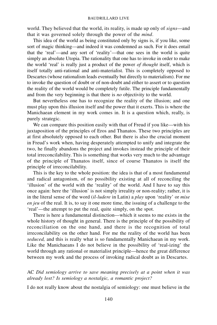world. They believed that the world, its reality, is made up only of *signs*—and that it was governed solely through the power of the *mind*.

This idea of the world as being constituted only by signs is, if you like, some sort of magic thinking—and indeed it was condemned as such. For it does entail that the 'real'—and any sort of 'reality'—that one sees in the world is quite simply an absolute Utopia. The rationality that one has to invoke in order to make the world 'real' is really just a product of the power *of thought* itself, which is itself totally anti-rational and anti-materialist. This is completely opposed to Descartes (whose rationalism leads eventually but directly to materialism). For me to invoke the question of doubt or of non-doubt and either to assert or to question the reality of the world would be completely futile. The principle fundamentally and from the very beginning is that there is *no* objectivity to the world.

But nevertheless one has to recognize the reality of the illusion; and one must play upon this illusion itself and the power that it exerts. This is where the Manichaean element in my work comes in. It is a question which, really, is purely strategic.

We can compare this position easily with that of Freud if you like—with his juxtaposition of the principles of Eros and Thanatos. These two principles are at first absolutely opposed to each other. But there is also the crucial moment in Freud's work when, having desperately attempted to unify and integrate the two, he finally abandons the project and invokes instead the principle of their total irreconcilability. This is something that works very much to the advantage of the principle of Thanatos itself, since of course Thanatos is itself the principle of irreconcilability.

This is the key to the whole position: the idea is that of a most fundamental and radical antagonism, of no possibility existing at all of reconciling the 'illusion' of the world with the 'reality' of the world. And I have to say this once again: here the 'illusion' is not simply irreality or non-reality; rather, it is in the literal sense of the word (*il-ludere* in Latin) a *play* upon 'reality' or *mise en jeu* of the real. It is, to say it one more time, the issuing of a challenge to the 'real'—the attempt to put the real, quite simply, on the spot.

There is here a fundamental distinction—which it seems to me exists in the whole history of thought in general. There is the principle of the possibility of reconciliation on the one hand, and there is the recognition of total irreconcilability on the other hand. For me the reality of the world has been *seduced,* and this is really what is so fundamentally Manichaean in my work. Like the Manichaeans I do not believe in the possibility of 'real-izing' the world through any rational or materialist principle—hence the great difference between my work and the process of invoking radical doubt as in Descartes.

AC *Did semiology arrive to save meaning precisely at a point when it was already lost? Is semiology a nostalgic, a romantic project?*

I do not really know about the nostalgia of semiology: one must believe in the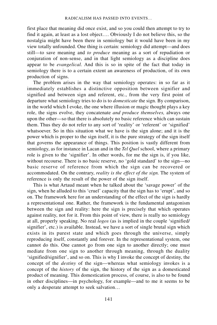first place that meaning did once exist, and so you could then attempt to try to find it again, at least as a lost object…. Obviously I do not believe this, so the nostalgia might have been there in semiology but it would have been in my view totally unfounded. One thing is certain: semiology did attempt—and does still—to save meaning and *to produce* meaning as a sort of repudiation or conjuration of non-sense, and in that light semiology as a discipline does appear to be *evangelical.* And this is so in spite of the fact that today in semiology there is to a certain extent an awareness of production, of its own production of signs.

The problem arises in the way that semiology operates: in so far as it immediately establishes a distinctive opposition between signifier and signified and between sign and referent, etc., from the very first point of departure what semiology tries to do is to *domesticate* the sign. By comparison, in the world which I evoke, the one where illusion or magic thought plays a key role, the signs evolve, they concatenate *and produce themselves,* always one upon the other—so that there is absolutely no basic reference which can sustain them. Thus they do not refer to any sort of 'reality' or 'referent' or 'signified' whatsoever. So in this situation what we have is the sign alone; and it is the power which is proper to the sign itself, it is the pure strategy of the sign itself that governs the appearance of things. This position is vastly different from semiology, as for instance in Lacan and in the *Tel Quel* school, where a primary role is given to the 'signifier'. In other words, for me the sign is, if you like, without recourse. There is no basic reserve, no 'gold standard' to the sign—no basic reserve of reference from which the sign can be recovered or accommodated. On the contrary, *reality is the effect of the sign.* The system of reference is only the result of the power of the sign itself.

This is what Artaud meant when he talked about the 'savage power' of the sign, when he alluded to this 'cruel' capacity that the sign has to 'erupt', and so on. The framework here for an understanding of the effect of the sign is hardly a representational one. Rather, the framework is the fundamental antagonism between the sign and reality: here the sign is precisely that which operates against reality, not for it. From this point of view, there is really no semiology at all, properly speaking. No real *logos* (as is implied in the couple 'signified/ signifier', etc.) is available. Instead, we have a sort of single brutal sign which exists in its purest state and which goes through the universe, simply reproducing itself, constantly and forever. In the representational system, one cannot do this. One cannot go from one sign to another directly; one must mediate from one sign to another through meaning, through the duality 'signified/signifier', and so on. This is why I invoke the concept of destiny, the concept of the *destiny* of the sign—whereas what semiology invokes is a concept of the *history* of the sign, the history of the sign as a domesticated product of meaning. This domestication process, of course, is also to be found in other disciplines—in psychology, for example—and to me it seems to be only a desperate attempt to seek salvation…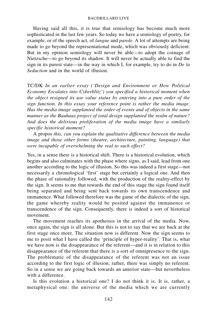Having said all this, it is true that semiology has become much more sophisticated in the last few years. So today we have a semiology of poetry, for example, or of the speech act, of *langue* and *parole*. A lot of attempts are being made to go beyond the representational mode, which was obviously deficient. But in my opinion semiology will never be able—to adopt the coinage of Nietzsche—to go beyond its shadow. It will never be actually able to find the sign in its purest state—in the way in which I, for example, try to do in *De la Seduction* and in the world of illusion.

TC/DK *In an earlier essay ('Design and Environment or How Political Economy Escalates into Cyberblitz') you specified a historical moment when the object resigned its use value status by entering into a pure order of the sign function. In this essay your reference point is rather the media image. Has the media image supplanted the order of events and of objects in the same manner as the Bauhaus project of total design supplanted the realm of nature? And does the delirious proliferation of the media image have a similarly specific historical moment?*

A propos *this, can you explain the qualitative difference between the media image and those other forms (theatre, architecture, painting, language) that were incapable of overwhelming the real to such effect?*

Yes, in a sense there is a historical shift. There is a historical evolution, which begins and also culminates with the phase where signs, as I said, lead from one another according to the logic of illusion. So this was indeed a first stage—not necessarily a chronological 'first' stage but certainly a logical one. And then the phase of rationality followed, with the production of the reality-effect by the sign. It seems to me that towards the end of this stage the sign found itself being separated and being sent back towards its own transcendence and immanence. What followed therefore was the game of the dialectic of the sign, the game whereby reality would be posited against the immanence or transcendence of the sign. Consequently, there is indeed a sort of historical movement.

The movement reaches its apotheosis in the arrival of the media. Now, once again, the sign is all alone. But this is not to say that we are back at the first stage once more. The situation now is different. Now the sign seems to me to posit what I have called the 'principle of hyper-reality'. That is, what we have now is the disappearance of the referent—and it is in relation to this disappearance of the referent that there is a sort of omnipresence to the sign. The problematic of the disappearance of the referent was not an issue according to the first logic of illusion; rather, there was simply no referent. So in a sense we are going back towards an anterior state—but nevertheless with a difference.

Is this evolution a historical one? I do not think it is. It is, rather, a metaphysical one: the universe of the media which we are currently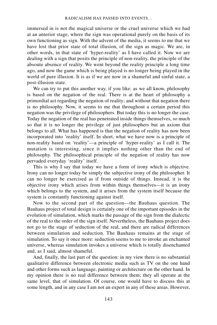immersed in is not the magical universe or the cruel universe which we had at an anterior stage, where the sign was operational purely on the basis of its own functioning as sign. With the advent of the media, it seems to me that we have lost that prior state of total illusion, of the sign as magic. We are, in other words, in that state of 'hyper-reality' as I have called it. Now we are dealing with a sign that posits the principle of non-reality, the principle of the absoute absence of reality. We went beyond the reality principle a long time ago, and now the game which is being played is no longer being played in the world of pure illusion. It is as if we are now in a shameful and sinful state, a post-illusion state.

We can try to put this another way, if you like: as we all know, philosophy is based on the negation of the real. There is at the heart of philosophy a primordial act regarding the negation of reality; and without that negation there is no philosophy. Now, it seems to me that throughout a certain period this negation was the privilege of philosophers. But today this is no longer the case. Today the negation of the real has penetrated inside things themselves, so much so that it is no longer the privilege of just philosophers but an axiom that belongs to all. What has happened is that the negation of reality has now been incorporated into 'reality' itself. In short, what we have now is a principle of non-reality based on 'reality'—a principle of 'hyper-reality' as I call it. The mutation is interesting, since it implies nothing other than the end of philosophy. The philosophical principle of the negation of reality has now pervaded everyday 'reality' itself.

This is why I say that today we have a form of irony which is objective. Irony can no longer today be simply the subjective irony of the philosopher. It can no longer be exercised as if from outside of things. Instead, it is the objective irony which arises from within things themselves—it is an irony which belongs to the system, and it arises from the system itself because the system is constantly functioning against itself.

Now to the second part of the question—the Bauhaus question. The Bauhaus project of total design is certainly one of the important episodes in the evolution of simulation, which marks the passage of the sign from the dialectic of the real to the order of the sign itself. Nevertheless, the Bauhaus project does not go to the stage of seduction of the real, and there are radical differences between simulation and seduction. The Bauhaus remains at the stage of simulation. To say it once more: seduction seems to me to invoke an enchanted universe, whereas simulation invokes a universe which is totally disenchanted and, as I said, almost shameful.

And, finally, the last part of the question: in my view there is no substantial qualitative difference between electronic media such as TV on the one hand and other forms such as language, painting or architecture on the other hand. In my opinion there is no real difference between them; they all operate at the same level, that of simulation. Of course, one would have to discuss this at some length, and in any case I am not an expert in any of these areas. However,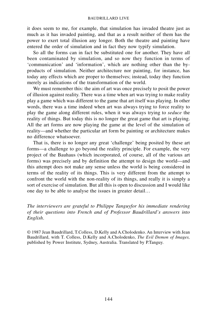it does seem to me, for example, that simulation has invaded theatre just as much as it has invaded painting, and that as a result neither of them has the power to exert total illusion any longer. Both the theatre and painting have entered the order of simulation and in fact they now typify simulation.

So all the forms can in fact be substituted one for another. They have all been contaminated by simulation, and so now they function in terms of 'communication' and 'information', which are nothing other than the byproducts of simulation. Neither architecture nor painting, for instance, has today any effects which are proper to themselves; instead, today they function merely as indications of the transformation of the world.

We must remember this: the aim of art was once precisely to posit the power of illusion against reality. There was a time when art was trying to make reality play a game which was different to the game that art itself was playing. In other words, there was a time indeed when art was always trying to force reality to play the game along different rules, when it was always trying to *seduce* the reality of things. But today this is no longer the great game that art is playing. All the art forms are now playing the game at the level of the simulation of reality—and whether the particular art form be painting or architecture makes no difference whatsoever.

That is, there is no longer any great 'challenge' being posited by these art forms—a challenge to go beyond the reality principle. For example, the very project of the Bauhaus (which incorporated, of course, all of the various art forms) was precisely and by definition the attempt to design the world—and this attempt does not make any sense unless the world is being considered in terms of the reality of its things. This is very different from the attempt to confront the world with the non-reality of its things, and really it is simply a sort of exercise of simulation. But all this is open to discussion and I would like one day to be able to analyse the issues in greater detail…

*The interviewers are grateful to Philippe Tanguyfor his immediate rendering of their questions into French and of Professor Baudrillard's answers into English*.

© 1987 Jean Baudrillard, T.Colless, D.Kelly and A.Cholodenko. An Interview with Jean Baudrillard, with T. Colless, D.Kelly and A.Cholodenko, *The Evil Demon of Images,* published by Power Institute, Sydney, Australia. Translated by P.Tanguy.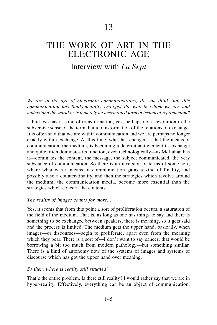## THE WORK OF ART IN THE ELECTRONIC AGE

## Interview with *La Sept*

*We are in the age of electronic communications; do you think that this communication has fundamentally changed the way in which we see and understand the world or is it merely an accelerated form of technical reproduction?*

I think we have a kind of transformation, yes, perhaps not a revolution in the subversive sense of the term, but a transformation of the relations of exchange. It is often said that we are within communication and we are perhaps no longer exactly within exchange. At this time, what has changed is that the means of communication, the medium, is becoming a determinant element in exchange and quite often dominates its function, even technologically—as McLuhan has it—dominates the content, the message, the subject communicated, the very substance of communication. So there is an inversion of terms of some sort, where what was a means of communication gains a kind of finality, and possibly also a counter-finality, and then the strategies which revolve around the medium, the communication media, become more essential than the strategies which concern the contents.

#### *The reality of images counts for more…*

Yes, it seems that from this point a sort of proliferation occurs, a saturation of the field of the medium. That is, as long as one has things to say and there is something to be exchanged between speakers, there is meaning, so it gets said and the process is limited. The medium gets the upper hand, basically, when images—or discourses—begin to proliferate, apart even from the meaning which they bear. There is a sort of—I don't want to say cancer; that would be borrowing a bit too much from modern pathology—but something similar. There is a kind of autonomy now of the systems of images and systems of discourse which has got the upper hand over meaning.

## *So then, where is reality still situated?*

That's the entire problem. Is there still reality? I would rather say that we are in hyper-reality. Effectively, everything can be an object of communication.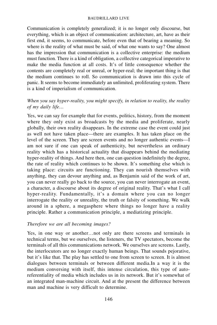#### BAUDRILLARD LIVE

Communication is completely generalized; it is no longer only discourse, but everything, which is an object of communication: architecture, art, have as their first end, it seems, to communicate, before even that of bearing a meaning. So where is the reality of what must be said, of what one wants to say? One almost has the impression that communication is a collective enterprise: the medium must function. There is a kind of obligation, a collective categorical imperative to make the media function at all costs. It's of little consequence whether the contents are completely real or unreal, or hyper-real; the important thing is that the medium continues to roll. So communication is drawn into this cycle of panic. It seems to become immediately an unlimited, proliferating system. There is a kind of imperialism of communication.

## *When you say hyper-reality, you might specify, in relation to reality, the reality of my daily life…*

Yes, we can say for example that for events, politics, history, from the moment where they only exist as broadcasts by the media and proliferate, nearly globally, their own reality disappears. In the extreme case the event could just as well not have taken place—there are examples. It has taken place on the level of the screen. They are screen events and no longer authentic events—I am not sure if one can speak of authenticity, but nevertheless an ordinary reality which has a historical actuality that disappears behind the mediating hyper-reality of things. And here then, one can question indefinitely the degree, the rate of reality which continues to be shown. It's something else which is taking place: circuits are functioning. They can nourish themselves with anything, they can devour anything and, as Benjamin said of the work of art, you can never really go back to the source, you can never interrogate an event, a character, a discourse about its degree of original reality. That's what I call hyper-reality. Fundamentally, it's a domain where you can no longer interrogate the reality or unreality, the truth or falsity of something. We walk around in a sphere, a megasphere where things no longer have a reality principle. Rather a communication principle, a mediatizing principle.

### *Therefore we are all becoming images?*

Yes, in one way or another…not only are there screens and terminals in technical terms, but we ourselves, the listeners, the TV spectators, become the terminals of all this communications network. We ourselves are screens. Lastly, the interlocutors are no longer exactly human beings. That sounds pejorative, but it's like that. The play has settled to one from screen to screen. It is almost dialogues between terminals or between different media.In a way it is the medium conversing with itself, this intense circulation, this type of autoreferentiality of media which includes us in its network. But it's somewhat of an integrated man-machine circuit. And at the present the difference between man and machine is very difficult to determine.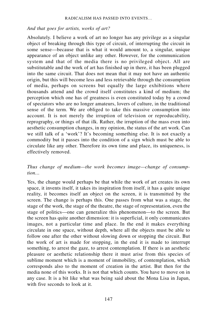#### *And that goes for artists, works of art?*

Absolutely. I believe a work of art no longer has any privilege as a singular object of breaking through this type of circuit, of interrupting the circuit in some sense—because that is what it would amount to, a singular, unique appearance of an object unlike any other. However, for the communication system and that of the media there is no privileged object. All are substitutable and the work of art has finished up in there, it has been plugged into the same circuit. That does not mean that it may not have an authentic origin, but this will become less and less retrievable through the consumption of media, perhaps on screens but equally the large exhibitions where thousands attend and the crowd itself constitutes a kind of medium; the perception which one has of greatness is even constituted today by a crowd of spectators who are no longer amateurs, lovers of culture, in the traditional sense of the term. We are obliged to take this massive consumption into account. It is not merely the irruption of television or reproducability, reprography, or things of that ilk. Rather, the irruption of the mass even into aesthetic consumption changes, in my opinion, the status of the art work. Can we still talk of a 'work'? It's becoming something else. It is not exactly a commodity but it passes into the condition of a sign which must be able to circulate like any other. Therefore its own time and place, its uniqueness, is effectively removed.

## *Thus change of medium—the work becomes image—change of consumption…*

Yes, the change would perhaps be that while the work of art creates its own space, it invents itself, it takes its inspiration from itself, it has a quite unique reality, it becomes itself an object on the screen, it is transmitted by the screen. The change is perhaps this. One passes from what was a stage, the stage of the work, the stage of the theatre, the stage of representation, even the stage of politics—one can generalize this phenomenon—to the screen. But the screen has quite another dimension: it is superficial, it only communicates images, not a particular time and place. In the end it makes everything circulate in one space, without depth, where all the objects must be able to follow one after the other without slowing down or stopping the circuit. But the work of art is made for stopping, in the end it is made to interrupt something, to arrest the gaze, to arrest contemplation. If there is an aesthetic pleasure or aesthetic relationship there it must arise from this species of sublime moment which is a moment of immobility, of contemplation, which corresponds also to the moment of creation in the artist. But then for the media none of this works. It is not that which counts. You have to move on in any case. It is a bit like what was being said about the Mona Lisa in Japan, with five seconds to look at it.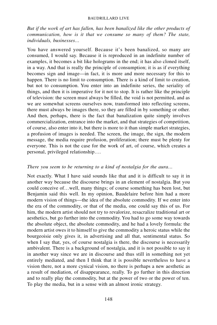#### BAUDRILLARD LIVE

*But if the work of art has fallen, has been banalized like the other products of communication, how is it that we consume so many of them? The state, individuals, businesses…*

You have answered yourself. Because it's been banalized, so many are consumed, I would say. Because it is reproduced in an indefinite number of examples, it becomes a bit like holograms in the end; it has also cloned itself, in a way. And that is really the principle of consumption; it is as if everything becomes sign and image—in fact, it is more and more necessary for this to happen. There is no limit to consumption. There is a kind of limit to creation, but not to consumption. You enter into an indefinite series, the seriality of things, and then it is imperative for it not to stop. It is rather like the principle of television: the screen must always be filled, the void is not permitted, and as we are somewhat screens ourselves now, transformed into reflecting screens, there must always be images there, so they are filled in by something or other. And then, perhaps, there is the fact that banalization quite simply involves commercialization, entrance into the market, and that strategies of competition, of course, also enter into it, but there is more to it than simple market strategies, a profusion of images is needed. The screen, the image, the sign, the modern message, the media require profusion, proliferation; there must be plenty for everyone. This is not the case for the work of art, of course, which creates a personal, privileged relationship….

#### *There you seem to be returning to a kind of nostalgia for the aura…*

Not exactly. What I have said sounds like that and it is difficult to say it in another way because the discourse brings in an element of nostalgia. But you could conceive of…well, many things; of course something has been lost, but Benjamin said this well. In my opinion, Baudelaire before him had a more modern vision of things—the idea of the absolute commodity. If we enter into the era of the commodity, or that of the media, one could say this of us. For him, the modern artist should not try to revalorize, resacralize traditional art or aesthetics, but go further into the commodity. You had to go some way towards the absolute object, the absolute commodity, and he had a lovely formula: the modern artist owes it to himself to give the commodity a heroic status while the bourgeoisie only gives it, in advertising and all that, sentimental status. So when I say that, yes, of course nostalgia is there, the discourse is necessarily ambivalent. There is a background of nostalgia, and it is not possible to say it in another way since we are in discourse and thus still in something not yet entirely mediated, and then I think that it is possible nevertheless to have a vision there, not a more cynical vision, no there is perhaps a new aesthetic as a result of mediation, of disappearance, really. To go further in this direction and to really play the commodity, but at the power of two or the power of ten. To play the media, but in a sense with an almost ironic strategy.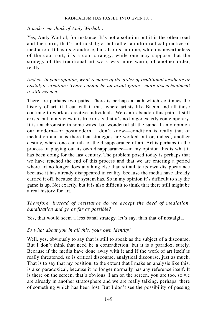#### RADICALISM HAS PASSED INTO EVENTS…

#### *It makes me think of Andy Warhol…*

Yes, Andy Warhol, for instance. It's not a solution but it is the other road and the spirit, that's not nostalgic, but rather an ultra-radical practice of mediation. It has its grandiose, but also its sublime, which is nevertheless of the cool sort; it's a cool strategy, while one may suppose that the strategy of the traditional art work was more warm, of another order, really.

*And so, in your opinion, what remains of the order of traditional aesthetic or nostalgic creation? There cannot be an avant-garde—more disenchantment is still needed.*

There are perhaps two paths. There is perhaps a path which continues the history of art, if I can call it that, where artists like Bacon and all those continue to work as creative individuals. We can't abandon this path, it still exists, but in my view it is true to say that it's no longer exactly contemporary. It is anachronistic in some ways, but wonderful all the same. In my opinion our modern—or postmodern, I don't know—condition is really that of mediation and it is there that strategies are worked out or, indeed, another destiny, where one can talk of the disappearance of art. Art is perhaps in the process of playing out its own disappearance—in my opinion this is what it has been doing for the last century. The problem posed today is perhaps that we have reached the end of this process and that we are entering a period where art no longer does anything else than stimulate its own disappearance because it has already disappeared in reality, because the media have already carried it off, because the system has. So in my opinion it's difficult to say the game is up. Not exactly, but it is also difficult to think that there still might be a real history for art.

## *Therefore, instead of resistance do we accept the deed of mediation, banalization and go as far as possible?*

Yes, that would seem a less banal strategy, let's say, than that of nostalgia.

#### *So what about you in all this, your own identity?*

Well, yes, obviously to say that is still to speak as the subject of a discourse. But I don't think that need be a contradiction, but it is a paradox, surely. Because if the media have done away with it and if the work of art itself is really threatened, so is critical discourse, analytical discourse, just as much. That is to say that my position, to the extent that I make an analysis like this, is also paradoxical, because it no longer normally has any reference itself. It is there on the screen, that's obvious: I am on the screen, you are too, so we are already in another stratosphere and we are really talking, perhaps, there of something which has been lost. But I don't see the possibility of passing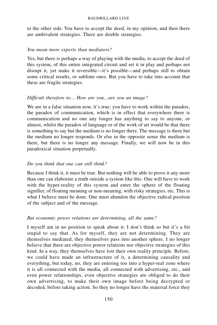#### BAUDRILLARD LIVE

to the other side. You have to accept the deed, in my opinion, and then there are ambivalent strategies. There are double strategies.

#### *You mean more experts than mediators?*

Yes, but there is perhaps a way of playing with the media, to accept the deed of this system, of this entire integrated circuit and set it in play and perhaps not disrupt it, yet make it reversible—it's possible—and perhaps still to obtain some critical results, or sublime ones. But you have to take into account that these are fragile strategies.

#### *Difficult therefore to… How are you…are you an image?*

We are in a false situation now, it's true; you have to work within the paradox, the paradox of communication, which is in effect that everywhere there is communication and no one any longer has anything to say to anyone, or almost, whilst the paradox of language or of the work of art would be that there is something to say but the medium is no longer there. The message is there but the medium no longer responds. Or else in the opposite sense the medium is there, but there is no longer any message. Finally, we will now be in this paradoxical situation perpetually.

#### *Do you think that one can still think?*

Because I think it, it must be true. But nothing will be able to prove it any more than one can elaborate a truth outside a system like this. One will have to work with the hyper-reality of this system and enter the sphere of the floating signifier, of floating meaning or non-meaning, with risky strategies, etc. This is what I believe must be done. One must abandon the objective radical position of the subject and of the message.

#### *But economic power relations are determining, all the same?*

I myself am in no position to speak about it. I don't think so but it's a bit stupid to say that. As for myself, they are not determining. They are themselves mediated, they themselves pass into another sphere. I no longer believe that there are objective power relations nor objective strategies of this kind. In a way, they themselves have lost their own reality principle. Before, we could have made an infrastructure of it, a determining causality and everything, but today, no, they are entering too into a hyper-real zone where it is all connected with the media, all connected with advertising, etc., and even power relationships, even objective strategies are obliged to do their own advertising, to make their own image before being decrypted or decoded, before taking action. So they no longer have the material force they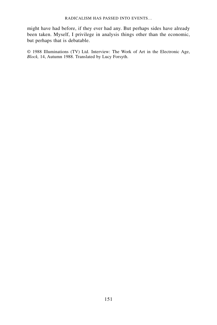might have had before, if they ever had any. But perhaps sides have already been taken. Myself, I privilege in analysis things other than the economic, but perhaps that is debatable.

© 1988 Illuminations (TV) Ltd. Interview: The Work of Art in the Electronic Age, *Block,* 14, Autumn 1988. Translated by Lucy Forsyth.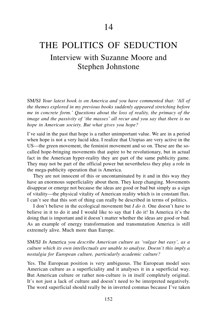## THE POLITICS OF SEDUCTION Interview with Suzanne Moore and Stephen Johnstone

SM/SJ *Your latest book is on America and you have commented that: 'All of the themes explored in my previous books suddenly appeared stretching before me in concrete form.' Questions about the loss of reality, the primacy of the image and the passivity of 'the masses' all recur and you say that there is no hope in American society. But what gives you hope?*

I've said in the past that hope is a rather unimportant value. We are in a period when hope is not a very lucid idea. I realize that Utopias are very active in the US—the green movement, the feminist movement and so on. These are the socalled hope-bringing movements that aspire to be revolutionary, but in actual fact in the American hyper-reality they are part of the same publicity game. They may not be part of the official power but nevertheless they play a role in the mega-publicity operation that is America.

They are not innocent of this or uncontaminated by it and in this way they have an enormous superficiality about them. They keep changing. Movements disappear or emerge not because the ideas are good or bad but simply as a sign of vitality—the physical vitality of American reality which is in constant flux. I can't see that this sort of thing can really be described in terms of politics.

I don't believe in the ecological movement but *I do it*. One doesn't have to believe in it to do it and I would like to say that I do it! In America it's the doing that is important and it doesn't matter whether the ideas are good or bad. As an example of energy transformation and transmutation America is still extremely alive. Much more than Europe.

SM/SJ *In* America *you describe American culture as 'vulgar but easy', as a culture which its own intellectuals are unable to analyse. Doesn't this imply a nostalgia for European culture, particularly academic culture?*

Yes. The European position is very ambiguous. The European model sees American culture as a superficiality and it analyses it in a superficial way. But American culture or rather non-culture is in itself completely original. It's not just a lack of culture and doesn't need to be interpreted negatively. The word superficial should really be in inverted commas because I've taken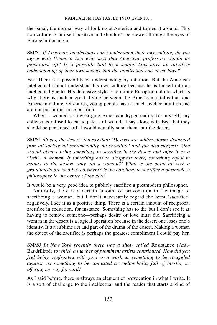the banal, the normal way of looking at America and turned it around. This non-culture is in itself positive and shouldn't be viewed through the eyes of European nostalgia.

SM/SJ *If American intellectuals can't understand their own culture, do you agree with Umberto Eco who says that American professors should be pensioned off? Is it possible that high school kids have an intuitive understanding of their own society that the intellectual can never have?*

Yes. There is a possibility of understanding by intuition. But the American intellectual cannot understand his own culture because he is locked into an intellectual ghetto. His defensive style is to mimic European culture which is why there is such a great divide between the American intellectual and American culture. Of course, young people have a much livelier intuition and are not put in this false position.

When I wanted to investigate American hyper-reality for myself, my colleagues refused to participate, so I wouldn't say along with Eco that they should be pensioned off. I would actually send them into the desert.

SM/SJ *Ah yes, the desert! You say that: 'Deserts are sublime forms distanced from all society, all sentimentality, all sexuality.' And you also suggest: 'One should always bring something to sacrifice in the desert and offer it as a victim. A woman. If something has to disappear there, something equal in beauty to the desert, why not a woman?' What is the point of such a gratuitously provocative statement? Is the corollary to sacrifice a postmodern philosopher in the centre of the city?*

It would be a very good idea to publicly sacrifice a postmodern philosopher.

Naturally, there is a certain amount of provocation in the image of sacrificing a woman, but I don't necessarily regard the term 'sacrifice' negatively. I see it as a positive thing. There is a certain amount of reciprocal sacrifice in seduction, for instance. Something has to die but I don't see it as having to remove someone—perhaps desire or love must die. Sacrificing a woman in the desert is a logical operation because in the desert one loses one's identity. It's a sublime act and part of the drama of the desert. Making a woman the object of the sacrifice is perhaps the greatest compliment I could pay her.

SM/SJ *In New York recently there was a show called* Resistance (Anti-Baudrillard) *to which a number of prominent artists contributed*. *How did you feel being confronted with your own work as something to be struggled against, as something to be contested as melancholic, full of inertia, as offering no way forward?*

As I said before, there is always an element of provocation in what I write. It is a sort of challenge to the intellectual and the reader that starts a kind of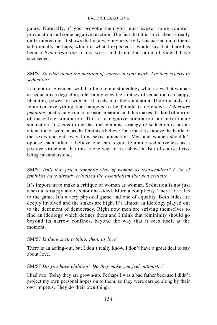#### BAUDRILLARD LIVE

game. Naturally, if you provoke then you must expect some counterprovocation and some negative reaction. The fact that it is so virulent is really quite interesting. It shows that in a way my negativity has passed on to them, subliminally perhaps, which is what I expected. I would say that there has been a *hyper-reaction* to my work and from that point of view I have succeeded.

SM/SJ *So what about the position of women in your work. Are they experts in seduction?*

I am not in agreement with hardline feminist ideology which says that woman as seducer is a degrading role. In my view the strategy of seduction is a happy, liberating power for women. It feeds into the simulation. Unfortunately, in feminism everything that happens to be female is defended—*l'écriture féminine,* poetry, any kind of artistic creation, and this makes it a kind of mirror of masculine simulation. This is a negative simulation, an unfortunate simulation. It seems to me that the feminine strategy of seduction is not an alienation of woman, as the feminists believe. One must rise above the battle of the sexes and get away from sexist alienation. Men and women shouldn't oppose each other. I believe one can regain feminine seductiveness as a positive virtue and that this is one way to rise above it. But of course I risk being misunderstood.

SM/SJ *Isn't that just a romantic view of woman as transcendent? A lot of feminists have already criticized the essentialism that you criticize*.

It's important to make a critique of woman as woman. Seduction is not just a sexual strategy and it's not one-sided. More a complicity. There are rules to the game. It's a very physical game and one of equality. Both sides are deeply involved and the stakes are high. It's almost an ideology played out to the detriment of democracy. Right now men are striving themselves to find an ideology which defines them and I think that femininity should go beyond its narrow confines, beyond the way that it sees itself at the moment.

### SM/SJ *Is there such a thing, then, as love?*

There is an acting-out, but I don't really know. I don't have a great deal to say about love.

### SM/SJ *Do you have children? Do they make you feel optimistic?*

I had two. Today they are grown-up. Perhaps I was a bad father because I didn't project my own personal hopes on to them, so they were carried along by their own impetus. They do their own thing.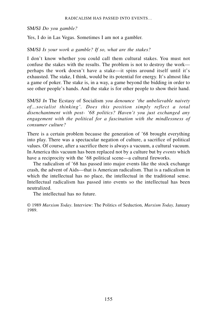#### RADICALISM HAS PASSED INTO EVENTS…

SM/SJ *Do you gamble?*

Yes, I do in Las Vegas. Sometimes I am not a gambler.

### SM/SJ *Is your work a gamble? If so, what are the stakes?*

I don't know whether you could call them cultural stakes. You must not confuse the stakes with the results. The problem is not to destroy the work perhaps the work doesn't have a stake—it spins around itself until it's exhausted. The stake, I think, would be its potential for energy. It's almost like a game of poker. The stake is, in a way, a game beyond the bidding in order to see other people's hands. And the stake is for other people to show their hand.

SM/SJ *In* The Ecstasy of Socialism *you denounce 'the unbelievable naivety of…socialist thinking'. Does this position simply reflect a total disenchantment with post- '68 politics? Haven't you just exchanged any engagement with the political for a fascination with the mindlessness of consumer culture?*

There is a certain problem because the generation of '68 brought everything into play. There was a spectacular negation of culture, a sacrifice of political values. Of course, after a sacrifice there is always a vacuum, a cultural vacuum. In America this vacuum has been replaced not by a culture but by *events* which have a reciprocity with the '68 political scene—a cultural fireworks.

The radicalism of '68 has passed into major events like the stock exchange crash, the advent of Aids—that is American radicalism. That is a radicalism in which the intellectual has no place, the intellectual in the traditional sense. Intellectual radicalism has passed into events so the intellectual has been neutralized.

The intellectual has no future.

© 1989 *Marxism Today*. Interview: The Politics of Seduction, *Marxism Today,* January 1989.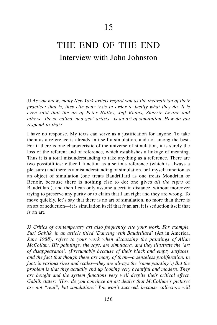## THE END OF THE END Interview with John Johnston

JJ *As you know, many New York artists regard you as the theoretician of their practice; that is, they cite your texts in order to justify what they do. It is even said that the an of Peter Halley, Jeff Koons, Sherrie Levine and others—the so-called 'neo-geo' artists—is an art of simulation. How do you respond to that?*

I have no response. My texts can serve as a justification for anyone. To take them as a reference is already in itself a simulation, and not among the best. For if there is one characteristic of the universe of simulation, it is surely the loss of the referent and of reference, which establishes a linkage of meaning. Thus it is a total misunderstanding to take anything as a reference. There are two possibilities: either I function as a serious reference (which is always a pleasure) and there is a misunderstanding of simulation, or I myself function as an object of simulation (one treats Baudrillard as one treats Mondrian or Renoir, because there is nothing else to do; one gives *all the signs* of Baudrillard), and then I can only assume a certain distance, without moreover trying to preserve any purity or to claim that I am right and they are wrong. To move quickly, let's say that there is no art of simulation, no more than there is an art of seduction—it is simulation itself that *is* an art; it is seduction itself that *is* an art.

JJ *Critics of contemporary art also frequently cite your work. For example, Suzi Gablik, in an article titled 'Dancing with Baudrillard'* (Art in America, *June 1988*), *refers to your work when discussing the paintings of Allan McCollum. His paintings, she says, are simulacra, and they illustrate the 'art of disappearance'. (Presumably because of their black and empty surfaces, and the fact that though there are many of them—a senseless proliferation, in fact, in various sizes and scales—they are always the 'same painting'*.*) But the problem is that they actually end up looking very beautiful and modern*. *They are bought and the system functions very well despite their critical effect. Gablik states: 'How do you convince an art dealer that McCollum's pictures are not "real", but simulations? You won't succeed, because collectors will*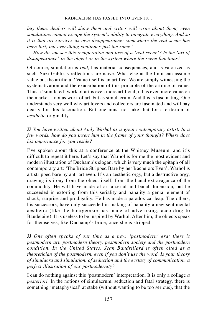*buy them, dealers will show them and critics will write about them; even simulations cannot escape the system's ability to integrate everything. And so it is that art survives its own disappearance: somewhere the real scene has been lost, but everything continues just the same*.*'*

*How do you see this recuperation and loss of a 'real scene'? Is the 'art of disappearance' in the object or in the system where the scene functions?*

Of course, simulation is *real,* has material consequences, and is valorized as such. Suzi Gablik's reflections are naive. What else at the limit can assume value but the artificial? Value itself is an artifice. We are simply witnessing the systematization and the exacerbation of this principle of the artifice of value. Thus a 'simulated' work of art is even more artificial; it has even more value on the market—not as work of art, but as simulacrum. And this is fascinating. One understands very well why art lovers and collectors are fascinated and will pay dearly for this fascination. But one must not take that for a criterion of *aesthetic* originality.

JJ *You have written about Andy Warhol as a great contemporary artist. In a few words, how do you insert him in the frame of your thought? Where does his importance for you reside?*

I've spoken about this at a conference at the Whitney Museum, and it's difficult to repeat it here. Let's say that Warhol is for me the most evident and modern illustration of Duchamp's slogan, which is very much the epitaph of all contemporary art: 'The Bride Stripped Bare by her Bachelors Even'. Warhol is art stripped bare by anti-art even. It's an aesthetic orgy, but a destructive orgy, drawing its irony from the object itself, from the banal extravaganza of the commodity. He will have made of art a serial and banal dimension, but he succeeded in extorting from this seriality and banality a genial element of shock, surprise and prodigality. He has made a paradoxical leap. The others, his successors, have only succeeded in making of banality a new sentimental aesthetic (like the bourgeoisie has made of advertising, according to Baudelaire). It is useless to be inspired by Warhol. After him, the objects speak for themselves, like Duchamp's bride, once she is stripped.

JJ *One often speaks of our time as a new, 'postmodern' era: there is postmodern art, postmodern theory, postmodern society and the postmodern condition. In the United States, Jean Baudrillard is often cited as a theoretician of the postmodern, even if you don't use the word. Is your theory of simulacra and simulation, of seduction and the ecstasy of communication, a perfect illustration of our postmodernity?*

I can do nothing against this 'postmodern' interpretation. It is only a collage *a posteriori.* In the notions of simulacrum, seduction and fatal strategy, there is something 'metaphysical' at stake (without wanting to be too serious), that the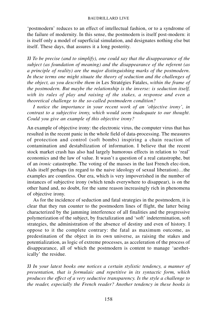'postmodern' reduces to an effect of intellectual fashion, or to a syndrome of the failure of modernity. In this sense, the postmodern is itself post-modern: it is itself only a model of superficial simulation, and designates nothing else but itself. These days, that assures it a long posterity.

JJ *To be precise (and to simplify), one could say that the disappearance of the subject (as foundation of meaning) and the disappearance of the referent (as a principle of reality) are the major distinguishing marks of the postmodern*. *In these terms one might situate the theory of seduction and the challenges of the object, as you describe them in* Les Stratégies Fatales, *within the frame of the postmodern. But maybe the relationship is the inverse: is seduction itself, with its rules of play and raising of the stakes, a response and even a theoretical challenge to the so-called postmodern condition?*

*I notice the importance in your recent work of an 'objective irony', in contrast to a subjective irony, which would seem inadequate to our thought*. *Could you give an example of this objective irony?*

An example of objective irony: the electronic virus, the computer virus that has resulted in the recent panic in the whole field of data-processing. The measures of protection and control (soft bombs) inspiring a chain reaction of contamination and destabilization of information. I believe that the recent stock market crash has also had largely humorous effects in relation to 'real' economics and the law of value. It wasn't a question of a real catastrophe, but of an *ironic* catastrophe. The voting of the masses in the last French elec-tion, Aids itself perhaps (in regard to the naive ideology of sexual liberation)…the examples are countless. Our era, which is very impoverished in the number of instances of subjective irony (which tends everywhere to disappear), is on the other hand and, no doubt, for the same reason increasingly rich in phenomena of objective irony.

As for the incidence of seduction and fatal strategies in the postmodern, it is clear that they run counter to the postmodern lines of flight, the latter being characterized by the jamming interference of all finalities and the progressive polymerization of the subject, by fractalization and 'soft' indetermination, soft strategies, the administration of the absence of destiny and even of history. I oppose to it the complete contrary: the fatal as maximum outcome, as predestination of the object in its own universe, as raising the stakes and potentialization, as logic of extreme processes, as acceleration of the process of disappearance, all of which the postmodern is content to manage 'aesthetically' the residue.

JJ *In your latest books one notices a certain stylistic tendency, a manner of presentation, that is formulaic and repetitive in its syntactic form, which produces the effect of a very seductive transparency. Is the style a challenge to the reader, especially the French reader? Another tendency in these books is*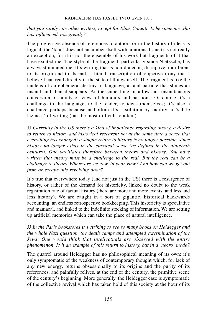#### RADICALISM HAS PASSED INTO EVENTS…

## *that you rarely cite other writers, except for Elias Canetti. Is he someone who has influenced you greatly?*

The progressive absence of references to authors or to the history of ideas is logical: the 'fatal' does not encumber itself with citations. Canetti is not really an exception, for it is not the ensemble of his work but fragments of it that have excited me. The style of the fragment, particularly since Nietzsche, has always stimulated me. It's writing that is non-dialectic, disruptive, indifferent to its origin and to its end, a literal transcription of objective irony that I believe I can read directly in the state of things itself. The fragment is like the nucleus of an ephemeral destiny of language, a fatal particle that shines an instant and then disappears. At the same time, it allows an instantaneous conversion of points of view, of humours and passions. Of course it's a challenge to the language, to the reader, to ideas themselves; it's also a challenge perhaps because at bottom it's a solution by facility, a 'subtle laziness' of writing (but the most difficult to attain).

JJ *Currently in the US there's a kind of impatience regarding theory, a desire to return to history and historical research; yet at the same time a sense that everything has changed: a simple return to history is no longer possible, since history no longer exists in the classical sense (as defined in the ninteenth century)*. *One vacillates therefore between theory and history*. *You have written that theory must be a challenge to the real. But the real can be a challenge to theory. Where are we now, in your view? And how can we get out from or escape this revolving door?*

It's true that everywhere today (and not just in the US) there is a resurgence of history, or rather of the demand for historicity, linked no doubt to the weak registration rate of factual history (there are more and more events, and less and less history). We are caught in a sort of gigantic, historical backwards accounting, an endless retrospective bookkeeping. This historicity is speculative and maniacal, and linked to the indefinite stocking of information. We are setting up artificial memories which can take the place of natural intelligence.

JJ *In the Paris bookstores it's striking to see so many books on Heidegger and the whole Nazi question, the death camps and attempted extermination of the Jews*. *One would think that intellectuals are obsessed with the entire phenomenon*. *Is it an example of this return to history, but in a 'necro' mode?*

The quarrel around Heidegger has no philosophical meaning of its own; it's only symptomatic of the weakness of contemporary thought which, for lack of any new energy, returns obsessionally to its origins and the purity of its references, and painfully relives, at the end of the century, the primitive scene of the century's beginning. More generally, the Heidegger case is symptomatic of the collective revival which has taken hold of this society at the hour of its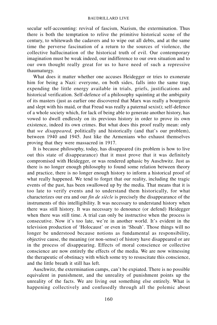secular self-accounting: revival of fascism, Nazism, the extermination. Thus there is both the temptation to relive the primitive historical scene of the century, to whitewash the cadavers and to wipe out all debts, and at the same time the perverse fascination of a return to the sources of violence, the collective hallucination of the historical truth of evil. Our contemporary imagination must be weak indeed, our indifference to our own situation and to our own thought really great for us to have need of such a repressive thaumaturgy.

What does it matter whether one accuses Heidegger or tries to exonerate him for being a Nazi: everyone, on both sides, falls into the same trap, expending the little energy available in trials, griefs, justifications and historical verification. Self-defence of a philosophy squinting at the ambiguity of its masters (just as earlier one discovered that Marx was really a bourgeois and slept with his maid, or that Freud was really a paternal sexist); self-defence of a whole society which, for lack of being able to generate another history, has vowed to dwell endlessly on its previous history in order to prove its own existence, indeed its own crimes. But what does this proof really mean: only that *we disappeared,* politically and historically (and that's our problem), between 1940 and 1945. Just like the Armenians who exhaust themselves proving that they were massacred in 1917.

It is because philosophy, today, has disappeared (its problem is how to live out this state of disappearance) that it must prove that it was definitely compromised with Heidegger, or was rendered aphasic by Auschwitz. Just as there is no longer enough philosophy to found some relation between theory and practice, there is no longer enough history to inform a historical proof of what really happened. We tend to forget that our reality, including the tragic events of the past, has been swallowed up by the media. That means that it is too late to verify events and to understand them historically, for what characterizes our era and our *fin de siècle* is precisely the disappearance of the instruments of this intelligibility. It was necessary to understand history when there was still history. It was necessary to denounce (or defend) Heidegger when there was still time. A trial can only be instructive when the process is consecutive. Now it's too late, we're in another world. It's evident in the television production of 'Holocaust' or even in 'Shoah'. Those things will no longer be understood because notions as fundamental as responsibility, objective cause, the meaning (or non-sense) of history have disappeared or are in the process of disappearing. Effects of moral conscience or collective conscience are now entirely the effects of the media. We are now witnessing the therapeutic of obstinacy with which some try to resuscitate this conscience, and the little breath it still has left.

Auschwitz, the extermination camps, can't be expiated. There is no possible equivalent in punishment, and the unreality of punishment points up the unreality of the facts. We are living out something else entirely. What is happening collectively and confusedly through all the polemic about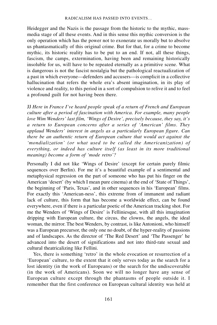Heidegger and the Nazis is the passage from the historic to the mythic, massmedia stage of all these events. And in this sense this mythic conversion is the only operation which has the power not to exonerate us morally but to absolve us phantasmatically of this original crime. But for that, for a crime to become mythic, its historic reality has to be put to an end. If not, all these things, fascism, the camps, extermination, having been and remaining historically insoluble for us, will have to be repeated eternally as a primitive scene. What is dangerous is not the fascist nostalgia but the pathological reactualization of a past in which everyone—defenders and accusers—is complicit in a collective hallucination that refers the whole era's absent imagination, in its play of violence and reality, to this period in a sort of compulsion to relive it and to feel a profound guilt for not having been there.

JJ *Here in France I've heard people speak of a return of French and European culture after a period of fascination with America. For example, many people love Wim Wenders' last film, 'Wings of Desire', precisely because, they say, it's a return to European concerns after a series of 'American' films*. *They applaud Wenders' interest in angels as a particularly European figure*. *Can there be an authentic return of European culture that would act against the 'mondialization' (or what used to be called the Americanization) of everything, or indeed has culture itself (as least in its more traditional meaning) become a form of 'mode retro'?*

Personally I did not like 'Wings of Desire' (except for certain purely filmic sequences over Berlin). For me it's a beautiful example of a sentimental and metaphysical regression on the part of someone who has put his finger on the American 'desert' (by which I mean pure cinema) at the end of 'State of Things', the beginning of 'Paris, Texas', and in other sequences in his 'European' films. For exactly this 'American-ness', this extreme from of immanent and radiant lack of culture, this form that has become a worldwide effect, can be found everywhere, even if there is a particular poetic of the American tracking shot. For me the Wenders of 'Wings of Desire' is Felliniesque, with all this imagination dripping with European culture, the circus, the clowns, the angels, the ideal woman, the mirror. The best Wenders, by contrast, is like Antonioni, who himself was a European precursor, the only one no doubt, of the hyper-reality of passions and of landscapes. As the director of 'The Red Desert' and 'The Passenger' he advanced into the desert of significations and not into third-rate sexual and cultural theatricalizing like Fellini.

Yes, there is something 'retro' in the whole evocation or resurrection of a 'European' culture, to the extent that it only serves today as the search for a lost identity (in the work of Europeans) or the search for the undiscoverable (in the work of Americans). Soon we will no longer have any sense of European culture except through the phantasms of people outside it. I remember that the first conference on European cultural identity was held at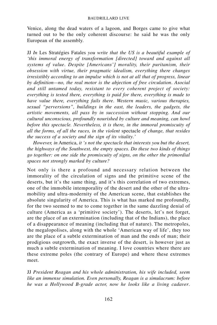Venice, along the dead waters of a lagoon, and Borges came to give what turned out to be the only coherent discourse: he said he was the only European of the assembly.

JJ *In* Les Stratégies Fatales *you write that the US is a beautiful example of 'this immoral energy of transformation [directed] toward and against all systems of value*. *Despite [Americans'] morality, their puritanism, their obsession with virtue, their pragmatic idealism, everything there changes irresistibly according to an impulse which is not at all that of progress, linear by definition—no, the real motor is the abjection of free circulation*. *Asocial and still untamed today, resistant to every coherent project of society: everything is tested there, everything is paid for there, everything is made to have value there, everything fails there*. *Western music, various therapies, sexual "perversions", buildings in the east, the leaders, the gadgets, the artistic movements, all pass by in succession without stopping. And our cultural unconscious, profoundly nourished by culture and meaning, can howl before this spectacle. Nevertheless, it is there, in the immoral promiscuity of all the forms, of all the races, in the violent* spectacle *of change, that resides the success of a society and the sign of its vitality*.*'*

*However, in* America, *it 's not the spectacle that interests you but the desert, the highways of the Southwest, the empty spaces. Do these two kinds of things go together: on one side the promiscuity of signs, on the other the primordial spaces not strongly marked by culture?*

Not only is there a profound and necessary relation between the immorality of the circulation of signs and the primitive scene of the deserts, but it's the same thing, and it's this correlation of two extremes, one of the immobile intemporality of the desert and the other of the ultramobility and ultra-modernity of the American scene, that establishes the absolute singularity of America. This is what has marked me profoundly, for the two seemed to me to come together in the same dazzling denial of culture (America as a 'primitive society'). The deserts, let's not forget, are the place of an extermination (including that of the Indians), the place of a disappearance of meaning (including that of nature). The metropoles, the megalopolises, along with the whole 'American way of life', they too are the place of a subtle extermination of man and the ends of man; their prodigious outgrowth, the exact inverse of the desert, is however just as much a subtle extermination of meaning. I love countries where there are these extreme poles (the contrary of Europe) and where these extremes meet.

JJ *President Reagan and his whole administration, his wife included, seem like an immense simulation. Even personally, Reagan is a simulacrum: before he was a Hollywood B-grade actor, now he looks like a living cadaver*.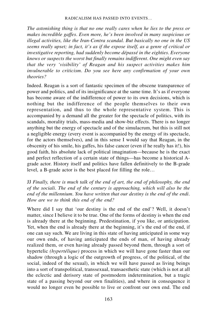*The astonishing thing is that no one really cares when he lies to the press or makes incredible gaffes*. *Even more, he's been involved in many suspicious or illegal activities, like the Iran-Contra scandal. But basically no one in the US seems really upset; in fact, it's as if the expose itself, as a genre of critical or investigative reporting, had suddenly become dépassé in the eighties*. *Everyone knows or suspects the worst but finally remains indifferent*. *One might even say that the very 'visibility' of Reagan and his suspect activities makes him invulnerable to criticism*. *Do you see here any confirmation of your own theories?*

Indeed. Reagan is a sort of fantastic specimen of the obscene transparence of power and politics, and of its insignificance at the same time. It's as if everyone has become aware of the indifference of power to its own decisions, which is nothing but the indifference of the people themselves to their own representation, and thus to the whole representative system. This is accompanied by a demand all the greater for the spectacle of politics, with its scandals, morality trials, mass-media and show-biz effects. There is no longer anything but the energy of spectacle and of the simulacrum, but this is still not a negligible energy (every event is accompanied by the energy of its spectacle, for the actors themselves), and in this sense I would say that Reagan, in the obscenity of his smile, his gaffes, his false cancer (even if he really has it!), his good faith, his absolute lack of political imagination—because he is the exact and perfect reflection of a certain state of things—has become a historical Agrade actor. History itself and politics have fallen definitively to the B-grade level, a B-grade actor is the best placed for filling the role…

JJ *Finally, there is much talk of the end of art, the end of philosophy, the end of the sociali*. *The end of the century is approaching, which will also be the end of the millennium*. *You have written that our destiny is the end of the endi*. *How are we to think this end of the end?*

Where did I say that 'our destiny is the end of the end'? Well, it doesn't matter, since I believe it to be true. One of the forms of destiny is when the end is already there at the beginning. Predestination, if you like, or anticipation. Yet, when the end is already there at the beginning, it's the end of the end, if one can say such. We are living in this state of having anticipated in some way our own ends, of having anticipated the ends of man, of having already realized them, or even having already passed beyond them, through a sort of hypertelic *(hypertélique)* process in which we will have gone faster than our shadow (through a logic of the outgrowth of progress, of the political, of the social, indeed of the sexual), in which we will have passed as living beings into a sort of transpolitical, transsexual, transaesthetic state (which is not at all the eclectic and derisory state of postmodern indetermination, but a tragic state of a passing beyond our own finalities), and where in consequence it would no longer even be possible to live or confront our own end. The end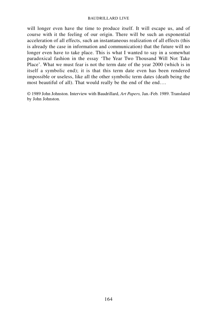#### BAUDRILLARD LIVE

will longer even have the time to produce itself. It will escape us, and of course with it the feeling of our origin. There will be such an exponential acceleration of all effects, such an instantaneous realization of all effects (this is already the case in information and communication) that the future will no longer even have to take place. This is what I wanted to say in a somewhat paradoxical fashion in the essay 'The Year Two Thousand Will Not Take Place'. What we must fear is not the term date of the year 2000 (which is in itself a symbolic end); it is that this term date even has been rendered impossible or useless, like all the other symbolic term dates (death being the most beautiful of all). That would really be the end of the end….

© 1989 John Johnston. Interview with Baudrillard, *Art Papers,* Jan.-Feb. 1989. Translated by John Johnston.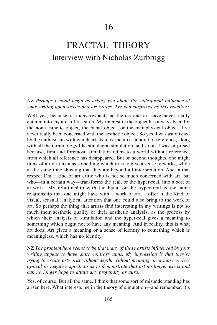# FRACTAL THEORY Interview with Nicholas Zurbrugg

NZ *Perhaps I could begin by asking you about the widespread influence of your writing upon artists and art critics*. *Are you surprised by this reaction?*

Well yes, because in many respects aesthetics and art have never really entered into my area of research. My interest in the object has always been for the non-aesthetic object, the banal object, or the metaphysical object. I've never really been concerned with the aesthetic object. So yes, I was astonished by the enthusiasm with which artists took me up as a point of reference, along with all the terminology like simulacra, simulation, and so on. I was surprised because, first and foremost, simulation refers to a world without reference, from which all reference has disappeared. But on second thoughts, one might think of art criticism as something which tries to give a sense to works, while at the same time showing that they are beyond all interpretation. And in that respect I'm a kind of art critic who is not so much concerned with art, but who—in a certain way—transforms the real, or the hyper-real, into a sort of artwork. My relationship with the banal or the hyper-real is the same relationship that one might have with a work of art. I offer it the kind of visual, sensual, analytical attention that one could also bring to the work of art. So perhaps the thing that artists find interesting in my writings is not so much their aesthetic quality or their aesthetic analysis, as the process by which their analysis of simulation and the hyper-real gives a meaning to something which ought not to have any meaning. And in reality, this is what art does. Art gives a meaning or a sense of identity to something which is meaningless, which has no identity.

NZ *The problem here seems to be that many of those artists influenced by your writing appear to have quite contrary aims. My impression is that they're trying to create artworks without depth, without meaning, in a more or less cynical or negative spirit, so as to demonstrate that art no longer exists and can no longer hope to attain any profundity or aura*.

Yes, of course. But all the same, I think that some sort of misunderstanding has arisen here. What interests me in the theory of simulation—and remember, it's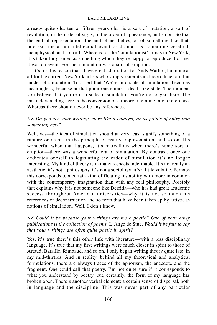already quite old, ten or fifteen years old—is a sort of mutation, a sort of revolution, in the order of signs, in the order of appearance, and so on. So that the end of representation, the end of aesthetics, or of something like that, interests me as an intellectual event or drama—as something cerebral, metaphysical, and so forth. Whereas for the 'simulationist' artists in New York, it is taken for granted as something which they're happy to reproduce. For me, it was an event. For me, simulation was a sort of eruption.

It's for this reason that I have great admiration for Andy Warhol, but none at all for the current New York artists who simply reiterate and reproduce familiar modes of simulation. To assert that 'We're in a state of simulation' becomes meaningless, because at that point one enters a death-like state. The moment you believe that you're in a state of simulation you're no longer there. The misunderstanding here is the conversion of a theory like mine into a reference. Whereas there should never be any references.

NZ *Do you see your writings more like a catalyst, or as points of entry into something new?*

Well, yes—the idea of simulation should at very least signify something of a rupture or drama in the principle of reality, representation, and so on. It's wonderful when that happens, it's marvellous when there's some sort of eruption—there was a wonderful era of simulation. By contrast, once one dedicates oneself to legislating the order of simulation it's no longer interesting. My kind of theory is in many respects indefinable. It's not really an aesthetic, it's not a philosophy, it's not a sociology, it's a little volatile. Perhaps this corresponds to a certain kind of floating instability with more in common with the contemporary imagination than with any real philosophy. Possibly that explains why it is not someone like Derrida—who has had great academic success throughout American universities—why it is not so much his references of deconstruction and so forth that have been taken up by artists, as notions of simulation. Well, I don't know.

NZ *Could it be because your writings are more poetic? One of your early publications is the collection of poems,* L'Ange de Stuc. *Would it be fair to say that your writings are often quite poetic in spirit?*

Yes, it's true there's this other link with literature—with a less disciplinary language. It's true that my first writings were much closer in spirit to those of Artaud, Bataille, Rimbaud, and so on. I only began writing theory quite late, in my mid-thirties. And in reality, behind all my theoretical and analytical formulations, there are always traces of the aphorism, the anecdote and the fragment. One could call that poetry. I'm not quite sure if it corresponds to what you understand by poetry, but, certainly, the form of my language has broken open. There's another verbal element: a certain sense of dispersal, both in language and the discipline. This was never part of any particular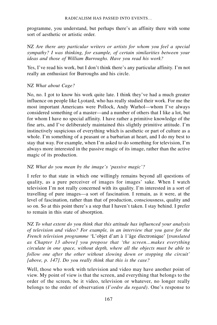#### RADICALISM HAS PASSED INTO EVENTS…

programme, you understand, but perhaps there's an affinity there with some sort of aesthetic or artistic order.

NZ *Are there any particular writers or artists for whom you feel a special sympathy? I was thinking, for example, of certain similarities between your ideas and those of William Burroughs. Have you read his work?*

Yes, I've read his work, but I don't think there's any particular affinity. I'm not really an enthusiast for Burroughs and his circle.

## NZ *What about Cage?*

No, no. I got to know his work quite late. I think they've had a much greater influence on people like Lyotard, who has really studied their work. For me the most important Americans were Pollock, Andy Warhol—whom I've always considered something of a master—and a number of others that I like a lot, but for whom I have no special affinity. I have rather a primitive knowledge of the fine arts, and I've deliberately maintained this slightly primitive attitude. I'm instinctively suspicious of everything which is aesthetic or part of culture as a whole. I'm something of a peasant or a barbarian at heart, and I do my best to stay that way. For example, when I'm asked to do something for television, I'm always more interested in the passive magic of its image, rather than the active magic of its production.

## NZ *What do you mean by the image's 'passive magic'?*

I refer to that state in which one willingly remains beyond all questions of quality, as a pure perceiver of images for images' sake. When I watch television I'm not really concerned with its quality. I'm interested in a sort of travelling of pure images—a sort of fascination. I remain, as it were, at the level of fascination, rather than that of production, consciousness, quality and so on. So at this point there's a step that I haven't taken. I stay behind. I prefer to remain in this state of absorption.

NZ *To what extent do you think that this attitude has influenced your analysis of television and video? For example, in an interview that you gave for the French television programme* 'L'objet d'art à 1'âge électronique' [*translated as Chapter 13 above] you propose that 'the screen…makes everything circulate in one space, without depth, where all the objects must be able to follow one after the other without slowing down or stopping the circuit' [above, p. 147]*. *Do you really think that this is the case?*

Well, those who work with television and video may have another point of view. My point of view is that the screen, and everything that belongs to the order of the screen, be it video, television or whatever, no longer really belongs to the order of observation *(I'ordre du regard)*. One's response to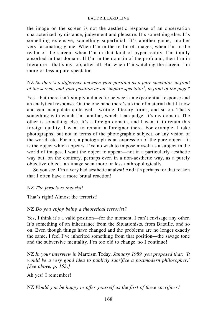#### BAUDRILLARD LIVE

the image on the screen is not the aesthetic response of an observation characterized by distance, judgement and pleasure. It's something else. It's something extensive, something superficial. It's another game, another very fascinating game. When I'm in the realm of images, when I'm in the realm of the screen, when I'm in that kind of hyper-reality, I'm totally absorbed in that domain. If I'm in the domain of the profound, then I'm in literature—that's my job, after all. But when I'm watching the screen, I'm more or less a pure spectator.

## NZ *So there's a difference between your position as a pure spectator, in front* of the screen, and your position as an 'impure spectator<sup>1</sup>, in front of the page?

Yes—but there isn't simply a dialectic between an experiential response and an analytical response. On the one hand there's a kind of material that I know and can manipulate quite well—writing, literary forms, and so on. That's something with which I'm familiar, which I can judge. It's my domain. The other is something else. It's a foreign domain, and I want it to retain this foreign quality. I want to remain a foreigner there. For example, I take photographs, but not in terms of the photographic subject, or any vision of the world, etc. For me, a photograph is an expression of the pure object—it is the object which appears. I've no wish to impose myself as a subject in the world of images. I want the object to appear—not in a particularly aesthetic way but, on the contrary, perhaps even in a non-aesthetic way, as a purely objective object, an image seen more or less anthropologically.

So you see, I'm a very bad aesthetic analyst! And it's perhaps for that reason that I often have a more brutal reaction!

### NZ *The ferocious theorist!*

That's right! Almost the terrorist!

#### NZ *Do you enjoy being a theoretical terrorist?*

Yes, I think it's a valid position—for the moment, I can't envisage any other. It's something of an inheritance from the Situationists, from Bataille, and so on. Even though things have changed and the problems are no longer exactly the same, I feel I've inherited something from that position—the savage tone and the subversive mentality. I'm too old to change, so I continue!

NZ *In your interview in* Marxism Today, *January 1989, you proposed that: 'It would be a very good idea to publicly sacrifice a postmodern philosopher*.*' [See above, p*. *153*.*]*

Ah yes! I remember!

NZ *Would you be happy to offer yourself as the first of these sacrifices?*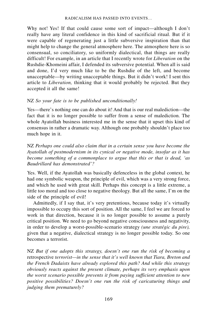Why not! Yes! If that could cause some sort of impact—although I don't really have any literal confidence in this kind of sacrificial ritual. But if it were capable of regenerating just a little subversive inspiration than that might help to change the general atmosphere here. The atmosphere here is so consensual, so conciliatory, so uniformly dialectical, that things are really difficult! For example, in an article that I recently wrote for *Liberation* on the Rushdie-Khomeini affair, I defended its subversive potential. When all is said and done, I'd very much like to be the Rushdie of the left, and become unacceptable—by writing unacceptable things. But it didn't work! I sent this article to *Liberation,* thinking that it would probably be rejected. But they accepted it all the same!

## NZ *So your fate is to be published unconditionally!*

Yes—there's nothing one can do about it! And that is our real malediction—the fact that it is no longer possible to suffer from a sense of malediction. The whole Ayatollah business interested me in the sense that it upset this kind of consensus in rather a dramatic way. Although one probably shouldn't place too much hope in it.

NZ *Perhaps one could also claim that in a certain sense you have become the Ayatollah of postmodernism in its cynical or negative mode, insofar as it has become something of a commonplace to argue that this or that is dead, 'as Baudrillard has demonstrated'?*

Yes. Well, if the Ayatollah was basically defenceless in the global context, he had one symbolic weapon, the principle of evil, which was a very strong force, and which he used with great skill. Perhaps this concept is a little extreme, a little too moral and too close to negative theology. But all the same, I'm on the side of the principle of evil!

Admittedly, if I say that, it's very pretentious, because today it's virtually impossible to occupy this sort of position. All the same, I feel we are forced to work in that direction, because it is no longer possible to assume a purely critical position. We need to go beyond negative consciousness and negativity, in order to develop a worst-possible-scenario strategy *(une stratégic du pire),* given that a negative, dialectical strategy is no longer possible today. So one becomes a terrorist.

NZ *But if one adopts this strategy, doesn't one run the risk of becoming a* retrospective *terrorist—in the sense that it's well known that Tiara, Breton and the French Dadaists have already explored this path? And while this strategy obviously reacts against the present climate, perhaps its very emphasis upon the worst scenario possible prevents it from paying sufficient attention to new positive possibilities? Doesn't one run the risk of caricaturing things and judging them prematurely?*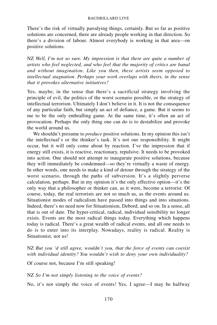#### BAUDRILLARD LIVE

There's the risk of virtually parodying things, certainly. But so far as positive solutions are concerned, there are already people working in that direction. So there's a division of labour. Almost everybody is working in that area—on positive solutions.

NZ *Well, I'm not so sure. My impression is that there are quite a number of artists who feel neglected, and who feel that the majority of critics are banal and without imagination*. *Like you then, these artists seem opposed to intellectual stagnation*. *Perhaps your work overlaps with theirs, in the sense that it provokes alternative initiatives?*

Yes, maybe, in the sense that there's a sacrificial strategy involving the principle of evil, the politics of the worst scenario possible, or the strategy of intellectual terrorism. Ultimately I don't believe in it. It is not the consequence of any particular faith, but simply an act of defiance, a game. But it seems to me to be the only enthralling game. At the same time, it's often an act of provocation. Perhaps the only thing one can do is to destabilize and provoke the world around us.

We shouldn't presume to *produce* positive solutions. In my opinion this isn't the intellectual's or the thinker's task. It's not our responsibility. It might occur, but it will only come about by reaction. I've the impression that if energy still exists, it is reactive, reactionary, repulsive. It needs to be provoked into action. One should not attempt to inaugurate positive solutions, because they will immediately be condemned—so they're virtually a waste of energy. In other words, one needs to make a kind of detour through the strategy of the worst scenario, through the paths of subversion. It's a slightly perverse calculation, perhaps. But in my opinion it's the only effective option—it's the only way that a philosopher or thinker can, as it were, become a terrorist. Of course, today, the real terrorists are not so much us, as the events around us. Situationist modes of radicalism have passed into things and into situations. Indeed, there's no need now for Situationism, Debord, and so on. In a sense, all that is out of date. The hyper-critical, radical, individual sensibility no longer exists. Events are the most radical things today. Everything which happens today is radical. There's a great wealth of radical events, and all one needs to do is to enter into its interplay. Nowadays, reality is radical. Reality is Situationist, not us!

NZ *But you 'd still agree, wouldn't you, that the force of events can coexist with individual identity? You wouldn't wish to deny your own individuality?*

Of course not, because I'm still speaking!

## NZ *So I'm not simply listening to the voice of events?*

No, it's not simply the voice of events! Yes, I agree—I may be halfway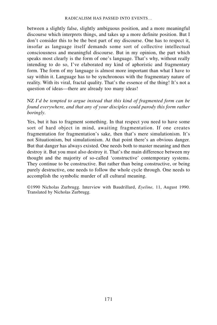between a slightly false, slightly ambiguous position, and a more meaningful discourse which interprets things, and takes up a more definite position. But I don't consider this to be the best part of my discourse. One has to respect it, insofar as language itself demands some sort of collective intellectual consciousness and meaningful discourse. But in my opinion, the part which speaks most clearly is the form of one's language. That's why, without really intending to do so, I've elaborated my kind of aphoristic and fragmentary form. The form of my language is almost more important than what I have to say within it. Language has to be synchronous with the fragmentary nature of reality. With its viral, fractal quality. That's the essence of the thing! It's not a question of ideas—there are already too many ideas!

NZ *I'd be tempted to argue instead that this kind of fragmented form can be found everywhere, and that any of your disciples could parody this form rather boringly*.

Yes, but it has to fragment something. In that respect you need to have some sort of hard object in mind, awaiting fragmentation. If one creates fragmentation for fragmentation's sake, then that's mere simulationism. It's not Situationism, but simulationism. At that point there's an obvious danger. But that danger has always existed. One needs both to master meaning and then destroy it. But you must also destroy it. That's the main difference between my thought and the majority of so-called 'constructive' contemporary systems. They continue to be constructive. But rather than being constructive, or being purely destructive, one needs to follow the whole cycle through. One needs to accomplish the symbolic murder of all cultural meaning.

©1990 Nicholas Zurbrugg. Interview with Baudrillard, *Eyeline,* 11, August 1990. Translated by Nicholas Zurbrugg.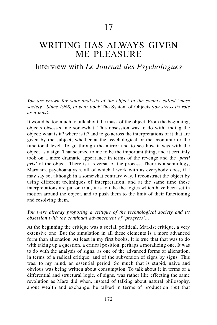# WRITING HAS ALWAYS GIVEN ME PLEASURE

# Interview with *Le Journal des Psychologues*

*You are known for your analysis of the object in the society called 'mass society'*. *Since 1968, in your book* The System of Objects y*ou stress its role as a mask*.

It would be too much to talk about the mask of the object. From the beginning, objects obsessed me somewhat. This obsession was to do with finding the object: what is it? where is it? and to go across the interpretations of it that are given by the subject, whether at the psychological or the economic or the functional level. To go through the mirror and to see how it was with the object as a sign. That seemed to me to be the important thing, and it certainly took on a more dramatic appearance in terms of the revenge and the *'parti pris'* of the object. There is a reversal of the process. There is a semiology, Marxism, psychoanalysis, all of which I work with as everybody does, if I may say so, although in a somewhat contrary way. I reconstruct the object by using different techniques of interpretation, and at the same time these interpretations are put on trial, it is to take the logics which have been set in motion around the object, and to push them to the limit of their functioning and resolving them.

*You were already proposing a critique of the technological society and its obsession with the continual advancement of 'progress'…*

At the beginning the critique was a social, political, Marxist critique, a very extensive one. But the simulation in all these elements is a more advanced form than alienation. At least in my first books. It is true that that was to do with taking up a question, a critical position, perhaps a moralizing one. It was to do with the analysis of signs, as one of the advanced forms of alienation, in terms of a radical critique, and of the subversion of signs by signs. This was, to my mind, an essential period. So much that is stupid, naive and obvious was being written about consumption. To talk about it in terms of a differential and structural logic, of signs, was rather like effecting the same revolution as Marx did when, instead of talking about natural philosophy, about wealth and exchange, he talked in terms of production (but that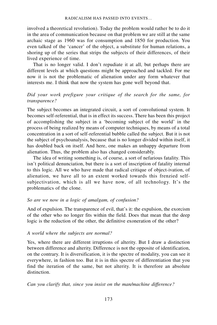involved a theoretical revolution). Today the problem would rather be to do it in the area of communication because on that problem we are still at the same archaic stage as 1960 was for consumption and 1850 for production. You even talked of the 'cancer' of the object, a substitute for human relations, a shoring up of the series that strips the subjects of their differences, of their lived experience of time.

That is no longer valid. I don't repudiate it at all, but perhaps there are different levels at which questions might be approached and tackled. For me now it is not the problematic of alienation under any form whatever that interests me. I think that now the system has gone well beyond that.

# *Did your work prefigure your critique of the search for the same, for transparence?*

The subject becomes an integrated circuit, a sort of convolutional system. It becomes self-referential, that is in effect its success. There has been this project of accomplishing the subject in a 'becoming subject of the world' in the process of being realized by means of computer techniques, by means of a total concentration in a sort of self-referential bubble called the subject. But it is not the subject of psychoanalysis, because that is no longer divided within itself, it has doubled back on itself. And here, one makes an unhappy departure from alienation. Thus, the problem also has changed considerably.

The idea of writing something is, of course, a sort of nefarious fatality. This isn't political denunciation, but there is a sort of inscription of fatality internal to this logic. All we who have made that radical critique of object-ivation, of alienation, we have all to an extent worked towards this frenzied selfsubjectivation, which is all we have now, of all technology. It's the problematics of the clone.

#### *So are we now in a logic of amalgam, of confusion?*

And of expulsion. The transparence of evil, that's it: the expulsion, the exorcism of the other who no longer fits within the field. Does that mean that the deep logic is the reduction of the other, the definitive exoneration of the other?

#### *A world where the subjects are normal?*

Yes, where there are different irruptions of alterity. But I draw a distinction between difference and alterity. Difference is not the opposite of identification, on the contrary. It is diversification, it is the spectre of modality, you can see it everywhere, in fashion too. But it is in this spectre of differentiation that you find the iteration of the same, but not alterity. It is therefore an absolute distinction.

*Can you clarify that, since you insist on the man/machine difference?*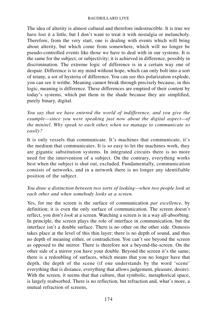The idea of alterity is almost cultural and therefore indestructible. It is true we have lost it a little, but I don't want to treat it with nostalgia or melancholy. Therefore, from the very start, one is dealing with events which will bring about alterity, but which come from somewhere, which will no longer be pseudo-controlled events like those we have to deal with in our systems. It is the same for the subject, or subjectivity; it is achieved in difference, possibly in discrimination. The extreme logic of difference is in a certain way one of despair. Difference is to my mind without hope, which can only bolt into a sort of tetany, a sot of hysteria of difference. You can see this polarization explode, you can see it writhe. Meaning cannot break through precisely because, in this logic, meaning is difference. These differences are emptied of their content by today's systems, which put them in the shade because they are simplified, purely binary, digital.

*You say that we have entered the world of indifference, and you give the example—since you were speaking just now about the digital aspect—of the minitel*. *Why speak to each other, when we manage to communicate so easily?*

It is only vessels that communicate. It's machines that communicate, it's the medium that communicates. It is so easy to let the machines work, they are gigantic substitution systems. In integrated circuits there is no more need for the intervention of a subject. On the contrary, everything works best when the subject is shut out, excluded. Fundamentally, communication consists of networks, and in a network there is no longer any identifiable position of the subject.

# *You draw a distinction between two sorts of looking—when two people look at each other and when somebody looks at a screen*.

Yes, for me the screen is the surface of communication *par excellence,* by definition; it is even the only surface of communication. The screen doesn't reflect, you don't *look* at a screen. Watching a screen is in a way all-absorbing. In principle, the screen plays the role of interface in communication, but the interface isn't a double surface. There is no other on the other side. Osmosis takes place at the level of this thin layer; there is no depth of sound, and thus no depth of meaning either, or contradiction. You can't see beyond the screen as opposed to the mirror. There is therefore not a beyond-the-screen. On the other side of a mirror you have your double. Beyond the screen it's the same; there is a redoubling of surfaces, which means that you no longer have that depth, the depth of the scene (if one understands by the word 'scene' everything that is distance, everything that allows judgement, pleasure, desire). With the screen, it seems that that culture, that symbolic, metaphorical space, is largely reabsorbed. There is no reflection, but refraction and, what's more, a mutual refraction of screens,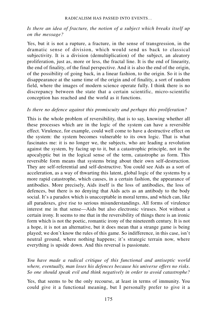# *Is there an idea of fracture, the notion of a subject which breaks itself up on the message?*

Yes, but it is not a rupture, a fracture, in the sense of transgression, in the dramatic sense of division, which would send us back to classical subjectivity. It is a division (demultiplication) of the subject, an aleatory proliferation, just as, more or less, the fractal line. It is the end of linearity, the end of finality, of the final perspective. And it is also the end of the origin, of the possibility of going back, in a linear fashion, to the origin. So it is the disappearance at the same time of the origin and of finality, a sort of random field, where the images of modern science operate fully. I think there is no discrepancy between the state that a certain scientific, micro-scientific conception has reached and the world as it functions.

#### *Is there no defence against this promiscuity and perhaps this proliferation?*

This is the whole problem of reversibility, that is to say, knowing whether all these processes which are in the logic of the system can have a reversible effect. Virulence, for example, could well come to have a destructive effect on the system: the system becomes vulnerable to its own logic. That is what fascinates me: it is no longer we, the subjects, who are leading a revolution against the system, by facing up to it, but a catastrophic principle, not in the apocalyptic but in the logical sense of the term, catastrophe as form. This reversible form means that systems bring about their own self-destruction. They are self-referential and self-destructive. You could see Aids as a sort of acceleration, as a way of thwarting this latent, global logic of the systems by a more rapid catastrophe, which causes, in a certain fashion, the appearance of antibodies. More precisely, Aids itself is the loss of antibodies, the loss of defences, but there is no denying that Aids acts as an antibody to the body social. It's a paradox which is unacceptable in moral terms, and which can, like all paradoxes, give rise to serious misunderstandings. All forms of virulence interest me in that sense—Aids but also electronic viruses. Not without a certain irony. It seems to me that in the reversibility of things there is an ironic form which is not the poetic, romantic irony of the nineteenth century. It is not a hope, it is not an alternative, but it does mean that a strange game is being played; we don't know the rules of this game. So indifference, in this case, isn't neutral ground, where nothing happens; it's strategic terrain now, where everything is upside down. And this reversal is passionate.

*You have made a radical critique of this functional and antiseptic world where, eventually, man loses his defences because his universe offers no risks*. *So one should speak evil and think negatively in order to avoid catastrophe?*

Yes, that seems to be the only recourse, at least in terms of immunity. You could give it a functional meaning, but I personally prefer to give it a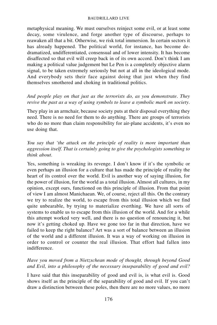metaphysical meaning. We must ourselves reinject some evil, or at least some decay, some virulence, and forge another type of discourse, perhaps to reawaken all that a bit. Otherwise, we risk total immersion. In certain sectors it has already happened. The political world, for instance, has become dedramatized, undifferentiated, consensual and of lower intensity. It has become disaffected so that evil will creep back in of its own accord. Don't think I am making a political value judgement but Le Pen is a completely objective alarm signal, to be taken extremely seriously but not at all in the ideological mode. And everybody sets their face against doing that just when they find themselves smothered and choking in traditional politics.

# *And people play on that just as the terrorists do, as you demonstrate*. *They revive the past as a way of using symbols to leave a symbolic mark on society*.

They play in an armchair, because society puts at their disposal everything they need. There is no need for them to do anything. There are groups of terrorists who do no more than claim responsibility for air-plane accidents, it's even no use doing that.

*You say that 'the attack on the principle of reality is more important than aggression itself. That is certainly going to give the psychologists something to think about*.

Yes, something is wreaking its revenge. I don't know if it's the symbolic or even perhaps an illusion for a culture that has made the principle of reality the heart of its control over the world. Evil is another way of saying illusion, for the power of illusion, for the world as a total illusion. Almost all cultures, in my opinion, except ours, functioned on this principle of illusion. From that point of view I am almost Manichaean. We, of course, reject all this. On the contrary we try to realize the world, to escape from this total illusion which we find quite unbearable, by trying to materialize everthing. We have all sorts of systems to enable us to escape from this illusion of the world. And for a while this attempt worked very well, and there is no question of renouncing it, but now it's getting choked up. Have we gone too far in that direction, have we failed to keep the right balance? Art was a sort of balance between an illusion of the world and a different illusion. It was a way of working on illusion in order to control or counter the real illusion. That effort had fallen into indifference.

# *Have you moved from a Nietzschean mode of thought, through beyond Good and Evil, into a philosophy of the necessary inseparability of good and evil?*

I have said that this inseparability of good and evil is, is what evil is. Good shows itself as the principle of the separability of good and evil. If you can't draw a distinction between these poles, then there are no more values, no more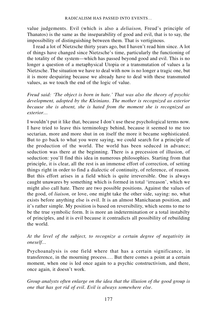value judgements. Evil (which is also a *deliaison,* Freud's principle of Thanatos) is the same as the inseparability of good and evil, that is to say, the impossibility of distinguishing between them. That is vertiginous.

I read a lot of Nietzsche thirty years ago, but I haven't read him since. A lot of things have changed since Nietzsche's time, particularly the functioning of the totality of the system—which has passed beyond good and evil. This is no longer a question of a metaphysical Utopia or a transmutation of values a la Nietzsche. The situation we have to deal with now is no longer a tragic one, but it is more despairing because we already have to deal with these transmuted values, as we touch the end of the logic of value.

*Freud said: 'The object is born in hate.' That was also the theory of psychic development, adopted by the Kleinians*. *The mother is recognized as exterior because she is absent, she is hated from the moment she is recognized as exterior…*

I wouldn't put it like that, because I don't use these psychological terms now. I have tried to leave this terminology behind, because it seemed to me too sectarian, more and more shut in on itself the more it became sophisticated. But to go back to what you were saying, we could search for a principle of the production of the world. The world has been seduced in advance; seduction was there at the beginning. There is a precession of illusion, of seduction: you'll find this idea in numerous philosophies. Starting from that principle, it is clear, all the rest is an immense effort of correction, of setting things right in order to find a dialectic of continuity, of reference, of reason. But this effort arises in a field which is quite irreversible. One is always caught unawares by something which is formed in total 'irreason', which we might also call hate. There are two possible positions. Against the values of the good, of *liaison,* or love, one might take the other side, saying: no, what exists before anything else is evil. It is an almost Manichaean position, and it's rather simple. My position is based on reversibility, which seems to me to be the true symbolic form. It is more an indetermination or a total instabilty of principles, and it is evil because it contradicts all possibility of rebuilding the world.

# *At the level of the subject, to recognize a certain degree of negativity in oneself…*

Psychoanalysis is one field where that has a certain significance, in transference, in the mourning process…. But there comes a point at a certain moment, when one is led once again to a psychic constructivism, and there, once again, it doesn't work.

*Group analysts often enlarge on the idea that the illusion of the good group is one that has got rid of evil*. *Evil is always somewhere else*.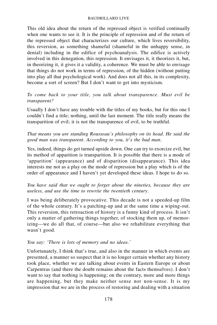This old idea about the return of the repressed object is verified continually when one wants to see it. It is the principle of repression and of the return of the repressed object that characterizes our culture, which lives reversibility, this reversion, as something shameful (shameful in the unhappy sense, in denial) including in the edifice of psychoanalysis. The edifice is actively involved in this denegation, this repression. It envisages it, it theorizes it, but, in theorizing it, it gives it a validity, a coherence. We must be able to envisage that things do not work in terms of repression, of the hidden (without putting into play all that psychological work). And does not all this, in its complexity, become a sort of screen? But I don't want to get into mysticism.

# *To come back to your title, you talk about transparence*. *Must evil be transparent?*

Usually I don't have any trouble with the titles of my books, but for this one I couldn't find a title; nothing, until the last moment. The title really means the transparition of evil; it is not the transparence of evil, to be truthful.

# *That means you are standing Rousseau's philosophy on its head*. *He said the good man was transparent*. *According to you, it's the bad man*.

Yes, indeed, things do get turned upside down. One can try to exorcize evil, but its method of apparition is transparition. It is possible that there is a mode of 'apparition' (appearance) and of disparition (disappearance). This idea interests me not as a play on the mode of repression but a play which is of the order of appearance and I haven't yet developed these ideas. I hope to do so.

# *You have said that we ought to forget about the nineties, because they are useless, and use the time to rewrite the twentieth century*.

I was being deliberately provocative. This decade is not a speeded-up film of the whole century. It's a patching-up and at the same time a wiping-out. This reversion, this retroaction of history is a funny kind of process. It isn't only a matter of gathering things together, of stocking them up, of memorizing—we do all that, of course—but also we rehabilitate everything that wasn't good.

# *You say: 'There is lots of memory and no ideas*.*'*

Unfortunately, I think that's true, and also in the manner in which events are presented, a manner so suspect that it is no longer certain whether any history took place, whether we are talking about events in Eastern Europe or about Carpentras (and there the doubt remains about the facts themselves). I don't want to say that nothing is happening; on the contrary, more and more things are happening, but they make neither sense nor non-sense. It is my impression that we are in the process of restoring and dealing with a situation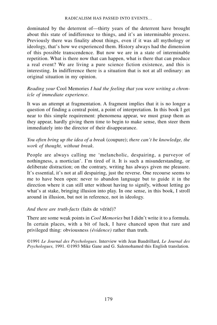dominated by the deterrent of—thirty years of the deterrent have brought about this state of indifference to things, and it's an interminable process. Previously there was finality about things, even if it was all mythology or ideology, that's how we experienced them. History always had the dimension of this possible transcendence. But now we are in a state of interminable repetition. What is there now that can happen, what is there that can produce a real event? We are living a pure science fiction existence, and this is interesting. In indifference there is a situation that is not at all ordinary: an original situation in my opinion.

# *Reading your* Cool Memories *I had the feeling that you were writing a chronicle of immediate experience*.

It was an attempt at fragmentation. A fragment implies that it is no longer a question of finding a central point, a point of interpretation. In this book I get near to this simple requirement: phenomena appear, we must grasp them as they appear, hardly giving them time to begin to make sense, then steer them immediately into the director of their disappearance.

# *You often bring up the idea of a break* (coupure); *there can't be knowledge, the work of thought, without break*.

People are always calling me 'melancholic, despairing, a purveyor of nothingness, a mortician'. I'm tired of it. It is such a misunderstanding, or deliberate distraction; on the contrary, writing has always given me pleasure. It's essential, it's not at all despairing, just the reverse. One recourse seems to me to have been open: never to abandon language but to guide it in the direction where it can still utter without having to signify, without letting go what's at stake, bringing illusion into play. In one sense, in this book, I stroll around in illusion, but not in reference, not in ideology.

# *And there are truth-facts* (faits de vérité)?

There are some weak points in *Cool Memories* but I didn't write it to a formula. In certain places, with a bit of luck, I have chanced upon that rare and privileged thing: obviousness *(évidence)* rather than truth.

©1991 *Le Journal des Psychologues*. Interview with Jean Baudrillard, *Le Journal des Psychologues,* 1991. ©1993 Mike Gane and G. Salemohamed this English translation.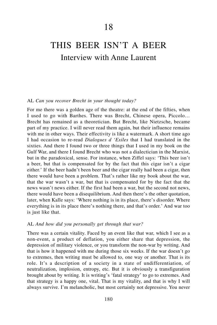# THIS BEER ISN'T A BEER Interview with Anne Laurent

### AL *Can you recover Brecht in your thought today?*

For me there was a golden age of the theatre: at the end of the fifties, when I used to go with Barthes. There was Brecht, Chinese opera, Piccolo… Brecht has remained as a theoretician. But Brecht, like Nietzsche, became part of my practice. I will never read them again, but their influence remains with me in other ways. Their effectivity is like a watermark. A short time ago I had occasion to re-read *Dialogues d 'Exiles* that I had translated in the sixties. And there I found two or three things that I used in my book on the Gulf War, and there I found Brecht who was not a dialectician in the Marxist, but in the paradoxical, sense. For instance, when Ziffel says: 'This beer isn't a beer, but that is compensated for by the fact that this cigar isn't a cigar either.' If the beer hadn't been beer and the cigar really had been a cigar, then there would have been a problem. That's rather like my book about the war, that the war wasn't a war, but that is compensated for by the fact that the news wasn't news either. If the first had been a war, but the second not news, there would have been a disequilibrium. And then there's the other quotation, later, when Kalle says: 'Where nothing is in its place, there's disorder. Where everything is in its place there's nothing there, and that's order.' And war too is just like that.

#### AL *And how did you personally get through that war?*

There was a certain vitality. Faced by an event like that war, which I see as a non-event, a product of deflation, you either share that depression, the depression of military violence, or you transform the non-war by writing. And that is how it happened with me during those six weeks. If the war doesn't go to extremes, then writing must be allowed to, one way or another. That is its role. It's a description of a society in a state of undifferentiation, of neutralization, implosion, entropy, etc. But it is obviously a transfiguration brought about by writing. It is writing's 'fatal strategy' to go to extremes. And that strategy is a happy one, vital. That is my vitality, and that is why I will always survive. I'm melancholic, but most certainly not depressive. You never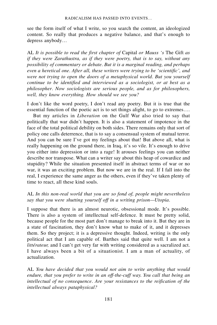see the form itself of what I write, so you search the content, an ideologized content. So really that produces a negative balance, and that's enough to depress anybody…

AL *It is possible to read the first chapter of* Capital *or Mauss 's* The Gift *as if they were Zarathustra, as if they were poetry, that is to say, without any possibility of commentary or debate*. *But it is a marginal reading, and perhaps even a heretical one*. *After all, these writers were trying to be 'scientific', and were not trying to open the doors of a metaphysical world*. *But you yourself continue to be identified and interviewed as a sociologist, or at best as a philosopher*. *Now sociologists are serious people, and as for philosophers, well, they know everything. How should we see you?*

I don't like the word poetry, I don't read any poetry. But it is true that the essential function of the poetic act is to set things alight, to go to extremes….

But my articles in *Liberation* on the Gulf War also tried to say that politically that war didn't happen. It is also a statement of impotence in the face of the total political debility on both sides. There remains only that sort of policy one calls deterrence, that is to say a consensual system of mutual terror. And you can be sure I've got my feelings about that! But above all, what is really happening on the ground there, in Iraq, it's so vile. It's enough to drive you either into depression or into a rage! It arouses feelings you can neither describe nor transpose. What can a writer say about this heap of cowardice and stupidity? While the situation presented itself in abstract terms of war or no war, it was an exciting problem. But now we are in the real. If I fall into the real, I experience the same anger as the others, even if they've taken plenty of time to react, all these kind souls.

# AL *In this non-real world that you are so fond of, people might nevertheless say that you were shutting yourself off in a writing prison—Utopia*.

I suppose that there is an almost neurotic, obsessional mode. It's possible. There is also a system of intellectual self-defence. It must be pretty solid, because people for the most part don't manage to break into it. But they are in a state of fascination, they don't know what to make of it, and it depresses them. So they project; it is a depressive thought. Indeed, writing is the only political act that I am capable of. Barthes said that quite well. I am not a *littérateur,* and I can't get very far with writing considered as a sacralized act. I have always been a bit of a situationist. I am a man of actuality, of actualization.

AL *You have decided that you would not aim to write anything that would endure, that you prefer to write in an off-the-cuff way. You call that being an intellectual of no consequence*. *Are your resistances to the reification of the intellectual always pataphysical?*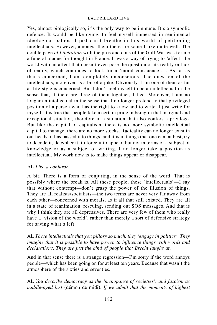Yes, almost biologically so, it's the only way to be immune. It's a symbolic defence. It would be like dying, to feel myself immersed in sentimental ideological pathos. I just can't breathe in this world of petitioning intellectuals. However, amongst them there are some I like quite well. The double page *of Libération* with the pros and cons of the Gulf War was for me a funeral plaque for thought in France. It was a way of trying to 'affect' the world with an affect that doesn't even pose the question of its reality or lack of reality, which continues to look for a 'moral conscience'…. As far as that's concerned, I am completely unconscious. The question of the intellectuals, moreover, is a bit of a joke. Obviously, I am one of them as far as life-style is concerned. But I don't feel myself to be an intellectual in the sense that, if there are three of them together, I flee. Moreover, I am no longer an intellectual in the sense that I no longer pretend to that privileged position of a person who has the right to know and to write. I just write for myself. It is true that people take a certain pride in being in that marginal and exceptional situation, therefore in a situation that also confers a privilege. But like the capital of capitalism, there is no more symbolic intellectual capital to manage, there are no more stocks. Radicality can no longer exist in our heads, it has passed into things, and it is in things that one can, at best, try to decode it, decypher it, to force it to appear, but not in terms of a subject of knowledge or as a subject of writing. I no longer take a position as intellectual. My work now is to make things appear or disappear.

# AL *Like a conjuror*.

A bit. There is a form of conjuring, in the sense of the word. That is possibly where the break is. All these people, these 'intellectuals'—I say that without contempt—don't grasp the power of the illusion of things. They are all realists/socialists—the two terms are never very far away from each other—concerned with morals, as if all that still existed. They are all in a state of reanimation, rescuing, sending out SOS messages. And that is why I think they are all depressives. There are very few of them who really have a 'vision of the world', rather than merely a sort of defensive strategy for saving what's left.

# AL *These intellectuals that you pillory so much, they 'engage in politics'*. *They imagine that it is possible to have power, to influence things with words and declarations*. *They are just the kind of people that Brecht laughs at*.

And in that sense there is a strange regression—I'm sorry if the word annoys people—which has been going on for at least ten years. Because that wasn't the atmosphere of the sixties and seventies.

AL *You describe democracy as the 'menopause of societies', and fascism as middle-aged lust* (démon de midi). *If we admit that the moments of highest*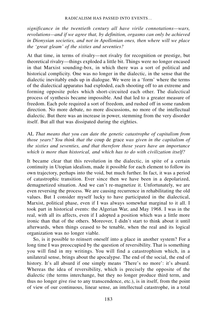*significance in the twentieth century all have virile connotations—wars, revolutions—and if we agree that, by definition, orgasms can only be achieved in Dionysian societies, and not in Apollonian ones, then where will we place the 'great gleam' of the sixties and seventies?*

At that time, in terms of rivalry—not rivalry for recognition or prestige, but theoretical rivalry—things exploded a little bit. Things were no longer encased in that Marxist sounding-box, in which there was a sort of political and historical complicity. One was no longer in the dialectic, in the sense that the dialectic inevitably ends up in dialogue. We were in a 'form' where the terms of the dialectical apparatus had exploded, each shooting off to an extreme and forming opposite poles which short-circuited each other. The dialectical process of synthesis became impossible. And that led to a greater measure of freedom. Each pole required a sort of freedom, and rushed off in some random direction. No more debate, no more discussions, no more of the intellectual dialectic. But there was an increase in power, stemming from the very disorder itself. But all that was dissipated during the eighties.

AL *That means that you can date the genetic catastrophe of capitalism from those years? You think that the* coup de grace *was given in the capitalism of the sixties and seventies, and that therefore those years have an importance which is more than historical, and which has to do with civilization itself?*

It became clear that this revolution in the dialectic, in spite of a certain continuity in Utopian idealism, made it possible for each element to follow its own trajectory, perhaps into the void, but much further. In fact, it was a period of catastrophic transition. Ever since then we have been in a depolarized, demagnetized situation. And we can't re-magnetize it. Unfortunately, we are even reversing the process. We are causing recurrence in rehabilitating the old values. But I consider myself lucky to have participated in the dialectical, Marxist, political phase, even if I was always somewhat marginal to it all. I took part in historical events: the Algerian War, and May 1968. I was in the real, with all its affects, even if I adopted a position which was a little more ironic than that of the others. Moreover, I didn't start to think about it until afterwards, when things ceased to be tenable, when the real and its logical organization was no longer viable.

So, is it possible to reinsert oneself into a place in another system? For a long time I was preoccupied by the question of reversibility. That is something you will find in my writings. You will find a catastrophism which, in a unilateral sense, brings about the apocalypse. The end of the social, the end of history. It's all absurd if one simply means 'There's no more': it's absurd. Whereas the idea of reversibility, which is precisely the opposite of the dialectic (the terms interchange, but they no longer produce third term, and thus no longer give rise to any transcendence, etc.), is in itself, from the point of view of our continuous, linear sense, an intellectual catastrophe, in a total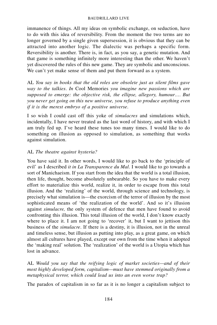immanence of things. All my ideas on symbolic exchange, on seduction, have to do with this idea of reversibility. From the moment the two terms are no longer governed by a single given supersession, it is obvious that they can be attracted into another logic. The dialectic was perhaps a specific form. Reversibility is another. There is, in fact, as you say, a genetic mutation. And that game is something infinitely more interesting than the other. We haven't yet discovered the rules of this new game. They are symbolic and unconscious. We can't yet make sense of them and put them forward as a system.

AL *You say in books that the old roles are obsolete just as silent films gave way to the talkies*. *In* Cool Memories *you imagine new passions which are supposed to emerge: the objective risk, the ellipse, allegory, humour…*. *But you never get going on this new universe, you refuse to produce anything even if it is the merest embryo of a positive universe*.

I so wish I could cast off this yoke of *simulacres* and simulations which, incidentally, I have never treated as the last word of history, and with which I am truly fed up. I've heard these tunes too many times. I would like to do something on illusion as opposed to simulation, as something that works against simulation.

# AL *The theatre against hysteria?*

You have said it. In other words, I would like to go back to the 'principle of evil' as I described *it in La Transparence du Mal*. I would like to go towards a sort of Manichaeism. If you start from the idea that the world is a total illusion, then life, thought, become absolutely unbearable. So you have to make every effort to materialize this world, realize it, in order to escape from this total illusion. And the 'realizing' of the world, through science and technology, is precisely what simulation is—the exorcism of the terror of illusion by the most sophisticated means of 'the realization of the world'. And so it's illusion against *simulacre,* the only system of defence that men have found to avoid confronting this illusion. This total illusion of the world, I don't know exactly where to place it. I am not going to 'recover' it, but I want to jettison this business of the *simulacre*. If there is a destiny, it is illusion, not in the unreal and timeless sense, but illusion as putting into play, as a great game, on which almost all cultures have played, except our own from the time when it adopted the 'making real' solution. The 'realization' of the world is a Utopia which has lost in advance.

AL *Would you say that the reifying logic of market societies—and of their most highly developed form, capitalism—must have stemmed originally from a metaphysical terror, which could lead us into an even worse trap?*

The paradox of capitalism in so far as it is no longer a capitalism subject to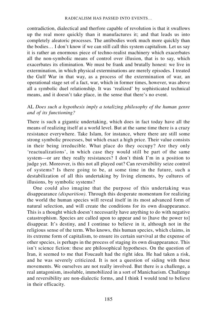contradiction, dialectical and therfore capable of revolution is that it swallows up the real more quickly than it manufactures it; and that leads us into completely aleatoric processes. The antibodies work much more quickly than the bodies… I don't know if we can still call this system capitalism. Let us say it is rather an enormous piece of techno-realist machinery which exacerbates all the non-symbolic means of control over illusion, that is to say, which exacerbates its elimination. We must be frank and brutally honest: we live in extermination, in which physical exterminations are merely episodes. I treated the Gulf War in that way, as a process of the extermination of war, an operational stage set of a fact, war, which in former times, however, was above all a symbolic duel relationship. It was 'realized' by sophisticated technical means, and it doesn't take place, in the sense that there's no event.

# AL *Does such a hypothesis imply a totalizing philosophy of the human genre and of its functioning?*

There is such a gigantic undertaking, which does in fact today have all the means of realizing itself at a world level. But at the same time there is a crazy resistance everywhere. Take Islam, for instance, where there are still some strong symbolic processes, but which exact a high price. Their value consists in their being irreducible. What place do they occupy? Are they only 'reactualizations', in which case they would still be part of the same system—or are they really resistances? I don't think I'm in a position to judge yet. Moreover, is this not all played out? Can reversibility seize control of systems? Is there going to be, at some time in the future, such a destabilization of all this undertaking by living elements, by cultures of illusions, by symbolic systems?

One could also imagine that the purpose of this undertaking was disappearance *(disparition)*. Through this desperate momentum for realizing the world the human species will reveal itself in its most advanced form of natural selection, and will create the conditions for its own disappearance. This is a thought which doesn't necessarily have anything to do with negative catastrophism. Species are called upon to appear and to [have the power to] disappear. It's destiny, and I continue to believe in it, although not in the religious sense of the term. Who knows, this human species, which claims, in its extreme form of capitalism, to ensure its certain survival at the expense of other species, is perhaps in the process of staging its own disappearance. This isn't science fiction: these are philosophical hypotheses. On the question of Iran, it seemed to me that Foucault had the right idea. He had taken a risk, and he was severely criticized. It is not a question of siding with these movements. We ourselves are not really involved. But there is a challenge, a real antagonism, insoluble, immobilized in a sort of Manichaeism. Challenge and reversibility are non-dialectic forms, and I think I would tend to believe in their efficacity.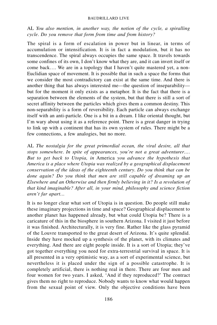AL *You also mention, in another way, the notion of the cycle, a spiralling cycle*. *Do you remove that form from time and from history?*

The spiral is a form of escalation in power but in linear, in terms of accumulation or intensification. It is in fact a modulation, but it has no transcendence. The spiral always occupies the same space. It travels towards some confines of its own, I don't know what they are, and it can invert itself or come back…. We are in a topology that I haven't quite mastered yet, a non-Euclidian space of movement. It is possible that in such a space the forms that we consider the most contradictory can exist at the same time. And there is another thing that has always interested me—the question of inseparability but for the moment it only exists as a metaphor. It is the fact that there is a separation between the elements of the system, but that there is still a sort of secret affinity between the particles which gives them a common destiny. This non-separability is a form of reversibility. Each particle can always exchange itself with an anti-particle. One is a bit in a dream. I like oriental thought, but I'm wary about using it as a reference point. There is a great danger in trying to link up with a continent that has its own system of rules. There might be a few connections, a few analogies, but no more.

AL *The nostalgia for the great primordial ocean, the viral desire, all that stops somewhere*. *In spite of appearances, you're not a great adventurer…*. *But to get back to Utopia, in* America *you advance the hypothesis that America is a place where Utopia was realized by a geographical displacement conservation of the ideas of the eighteenth century*. *Do you think that can be done again? Do you think that men are still capable of dreaming up an Elsewhere and an Otherwise and then firmly believing in it? Is a revolution of that kind imaginable? After all, in your mind, philosophy and science fiction aren't far apart…*

It is no longer clear what sort of Utopia is in question. Do people still make these imaginary projections in time and space? Geographical displacement to another planet has happened already, but what could Utopia be? There is a caricature of this in the biosphere in southern Arizona. I visited it just before it was finished. Architecturally, it is very fine. Rather like the glass pyramid of the Louvre transported to the great desert of Arizona. It's quite splendid. Inside they have mocked up a synthesis of the planet, with its climates and everything. And there are eight people inside. It is a sort of Utopia; they've got together everything you need for extra-terrestrial survival in space. It is all presented in a very optimistic way, as a sort of experimental science, but nevertheless it is placed under the sign of a possible catastrophe. It is completely artificial, there is nothing real in there. There are four men and four women for two years. I asked, 'And if they reproduced?' The contract gives them no right to reproduce. Nobody wants to know what would happen from the sexual point of view. Only the objective conditions have been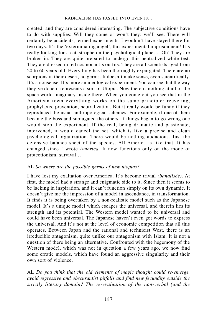created, and they are considered interesting. The subjective conditions have to do with supplies: Will they come or won't they: we'll see. There will certainly be accidents, termed experiments. I wouldn't have stayed there for two days. It's the 'exterminating angel', this experimental imprisonment! It's really looking for a catastrophe on the psychological plane…. Oh! They are broken in. They are quite prepared to undergo this neutralized white test. They are dressed in red cosmonaut's outfits. They are all scientists aged from 20 to 60 years old. Everything has been thoroughly expurgated. There are no scorpions in their desert, no germs. It doesn't make sense, even scientifically. It's a nonsense. It's more an ideological experiment. You can see that the way they've done it represents a sort of Utopia. Now there is nothing at all of the space world imaginary inside there. When you come out you see that in the American town everything works on the same principle: recycling, prophylaxis, prevention, neutralization. But it really would be funny if they reproduced the usual anthropological schemes. For example, if one of them became the boss and subjugated the others. If things began to go wrong one would stop the experiment. If the real, being dramatic and passionate, intervened, it would cancel the set, which is like a precise and clean psychological organization. There would be nothing audacious. Just the defensive balance sheet of the species. All America is like that. It has changed since I wrote *America*. It now functions only on the mode of protectionism, survival…

# AL *So where are the possible germs of new utopias?*

I have lost my exaltation over America. It's become trivial *(banalisée)*. At first, the model had a strange and enigmatic side to it. Since then it seems to be lacking in inspiration, and it can't function simply on its own dynamic. It doesn't give me the impression of a model in ascendance, in transformation. It finds it is being overtaken by a non-realistic model such as the Japanese model. It's a unique model which escapes the universal, and therein lies its strength and its potential. The Western model wanted to be universal and could have been universal. The Japanese haven't even got words to express the universal. And it's not at the level of economic competition that all this operates. Between Japan and the rational and technicist West, there is an irreducible antagonism, quite unlike our antagonism with Islam. It is not a question of there being an alternative. Confronted with the hegemony of the Western model, which was not in question a few years ago, we now find some erratic models, which have found an aggressive singularity and their own sort of violence.

AL *Do you think that the old elements of magic thought could re-emerge, avoid regressive and obscurantist pitfalls and find new fecundity outside the strictly literary domain? The re-evaluation of the non-verbal (and the*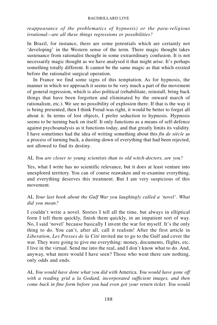*reappearance of the problematics of hypnosis) or the para-religious irrational—are all these things regressions or possibilities?*

In Brazil, for instance, there are some potentials which are certainly not 'developing' in the Western sense of the term. There magic thought takes sustenance from rationalist thought in some extraordinary confusion. It is not necessarily magic thought as we have analysed it that might arise. It's perhaps something totally different. It cannot be the same magic as that which existed before the rationalist surgical operation.

In France we find some signs of this temptation. As for hypnosis, the manner in which we approach it seems to be very much a part of the movement of general regression, which is also political (rehabilitate, reinstall, bring back things that have been forgotten and eliminated by the onward march of rationalism, etc.). We see no possibility of explosion there. If that is the way it is being presented, then I think Freud was right, it would be better to forget all about it. In terms of lost objects, I prefer seduction to hypnosis. Hypnosis seems to be turning back on itself. It only functions as a means of self-defence against psychoanalysis as it functions today, and that greatly limits its validity. I have sometimes had the idea of writing something about this *fin de siècle* as a process of turning back, a dusting-down of everything that had been rejected, not allowed to find its destiny.

### AL *You are closer to young scientists than to old witch-doctors, are you?*

Yes, what I write has no scientific relevance, but it does at least venture into unexplored territory. You can of course reawaken and re-examine everything, and everything deserves this treatment. But I am very suspicious of this movement.

# AL *Your last book about the Gulf War you laughingly called a 'novel'*. *What did you mean?*

I couldn't write a novel. Stories I tell all the time, but always in elliptical form I tell them quickly, finish them quickly, in an impatient sort of way. No, I said 'novel' because basically I invent the war for myself. It's the only thing to do. You can't, after all, call it realism! After the first article in *Liberation, Les Presses de la Cité* invited me to go to the Gulf and cover the war. They were going to give me everything: money, documents, flights, etc. I live in the virtual. Send me into the real, and I don't know what to do. And, anyway, what more would I have seen? Those who went there saw nothing, only odds and ends.

AL *You would have done what you did with* America. *You would have gone off with a reading grid a la Godard, incorporated sufficient images, and then come back in fine form before you had even got your return ticket*. *You would*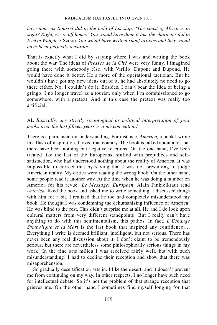*have done as Roussel did in the hold of his ship: 'The coast of Africa is in sight? Right, we're off home!' You would have done it like the character did in Evelyn Waugh 's* Scoop. *You would have written spoof articles and they would have been perfectly accurate*.

That is exactly what I did by staying where I was and writing the book about the war. The ideas of *Presses de la Cité* were very funny. I imagined going there with somebody else, with Virilio. Dupont and Dupond. He would have done it better. He's more of the operational tactician. But he wouldn't have got any new ideas out of it, he had absolutely no need to go there either. No, I couldn't do it. Besides, I can't bear the idea of being a gringo. I no longer travel as a tourist, only when I'm commissioned to go somewhere, with a pretext. And in this case the pretext was really too artificial.

## AL *Basically, any strictly sociological or political interpretation of your books over the last fifteen years is a misconception?*

There is a permanent misunderstanding. For instance, *America,* a book I wrote in a flash of inspiration. I loved that country. The book is talked about a lot, but there have been nothing but negative reactions. On the one hand, I've been treated like the last of the Europeans, stuffed with prejudices and selfsatisfaction, who had understood nothing about the reality of America. It was impossible to correct that by saying that I was not presuming to judge American reality. My critics were reading the wrong book. On the other hand, some people read it another way. At the time when he was doing a number on America for his revue *'Le Messager Européen,* Alain Finkielkraut read *America,* liked the book and asked me to write something. I discussed things with him for a bit, I realized that he too had completely misunderstood my book. He thought I was condemning the dehumanizing influence of America! He was blind to the rest. This didn't surprise me at all. He and I do look upon cultural matters from very different standpoints! But I really can't have anything to do with this sentimentalism, this pathos. In fact, *L'Échange Symbolique et la Mort* is the last book that inspired any confidence…. Everything I write is deemed brilliant, intelligent, but not serious. There has never been any real discussion about it. I don't claim to be tremendously serious, but there are nevertheless some philosophically serious things in my work! In the fine arts milieu I was received fairly well, but with such misunderstanding! I had to decline their reception and show that there was misapprehension.

So gradually desertification sets in. I like the desert, and it doesn't prevent me from continuing on my way. In other respects, I no longer have such need for intellectual debate. So it's not the problem of that strange reception that grieves me. On the other hand I sometimes find myself longing for that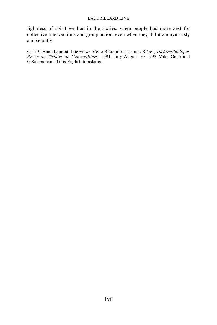lightness of spirit we had in the sixties, when people had more zest for collective interventions and group action, even when they did it anonymously and secretly.

© 1991 Anne Laurent. Interview: 'Cette Bière n'est pas une Bière', *Théâtre/Publique, Revue du Théâtre de Gennevilliers,* 1991, July-August. © 1993 Mike Gane and G.Salemohamed this English translation.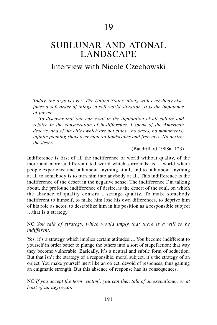# SUBLUNAR AND ATONAL LANDSCAPE

# Interview with Nicole Czechowski

*Today, the orgy is over*. *The United States, along with everybody else, faces a soft order of things, a soft world situation. It is the impotence of power.*

*To discover that one can exult in the liquidation of all culture and rejoice in the consecration of in-difference. I speak of the American deserts, and of the cities which are not cities…no oases, no monuments; infinite panning shots over mineral landscapes and freeways. No desire: the desert.*

(Baudrillard 1988a: 123)

Indifference is first of all the indifference of world without quality, of the more and more undifferentiated world which surrounds us, a world where people experience and talk about anything at all; and to talk about anything at all to somebody is to turn him into anybody at all. This indifference is the indifference of the desert in the negative sense. The indifference I'm talking about, the profound indifference of desire, is the desert of the soul, on which the absence of quality confers a strange quality. To make somebody indifferent to himself, to make him lose his own differences, to deprive him of his role as actor, to destabilize him in his position as a responsible subject …that is a strategy.

NC *You talk of strategy, which would imply that there is a will to be indifferent.*

Yes, it's a strategy which implies certain attitudes…. You become indifferent to yourself in order better to plunge the others into a sort of stupefaction; that way they become vulnerable. Basically, it's a neutral and subtle form of seduction. But that isn't the strategy of a responsible, moral subject, it's the strategy of an object. You make yourself inert like an object, devoid of responses, thus gaining an enigmatic strength. But this absence of response has its consequences.

NC *If you accept the term 'victim', you can then talk of an executioner, or at least of an aggressor.*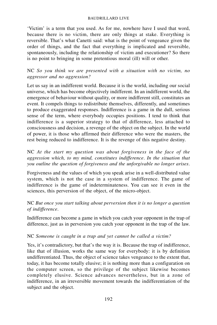'Victim' is a term that you used. As for me, nowhere have I used that word, because there is no victim, there are only things at stake. Everything is reversible. That's what Canetti said: what is the point of vengeance given the order of things, and the fact that everything is implicated and reversible, spontaneously, including the relationship of victim and executioner? So there is no point to bringing in some pretentious moral (ill) will or other.

NC *So you think we are presented with a situation with no victim, no aggressor and no aggression?*

Let us say in an indifferent world. Because it is the world, including our social universe, which has become objectively indifferent. In an indifferent world, the emergence of behaviour without quality, or more indifferent still, constitutes an event. It compels things to redistribute themselves, differently, and sometimes to produce exaggerated responses. Indifference is a game in the dull, serious sense of the term, where everybody occupies positions. I tend to think that indifference is a superior strategy to that of difference, less attached to consciousness and decision, a revenge of the object on the subject. In the world of power, it is those who affirmed their difference who were the masters, the rest being reduced to indifference. It is the revenge of this negative destiny.

NC *At the start my question was about forgiveness in the face of the aggression which, to my mind, constitutes indifference*. *In the situation that you outline the question of forgiveness and the unforgivable no longer arises*.

Forgiveness and the values of which you speak arise in a well-distributed value system, which is not the case in a system of indifference. The game of indifference is the game of indeterminateness. You can see it even in the sciences, this perversion of the object, of the micro-object.

NC *But once you start talking about perversion then it is no longer a question of indifference*.

Indifference can become a game in which you catch your opponent in the trap of difference, just as in perversion you catch your opponent in the trap of the law.

# NC *Someone is caught in a trap and yet cannot be called a victim?*

Yes, it's contradictory, but that's the way it is. Because the trap of indifference, like that of illusion, works the same way for everybody: it is by definition undifferentiated. Thus, the object of science takes vengeance to the extent that, today, it has become totally elusive; it is nothing more than a configuration on the computer screen, so the privilege of the subject likewise becomes completely elusive. Science advances nevertheless, but in a zone of indifference, in an irreversible movement towards the indifferentiation of the subject and the object.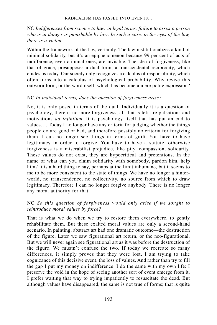NC *Indifferences from science to law: in legal terms, failure to assist a person who is in danger is punishable by law*. *In such a case, in the eyes of the law, there is a victim*.

Within the framework of the law, certainly. The law institutionalizes a kind of minimal solidarity, but it's an epiphenomenon because 99 per cent of acts of indifference, even criminal ones, are invisible. The idea of forgiveness, like that of grace, presupposes a dual form, a transcendental reciprocity, which eludes us today. Our society only recognizes a calculus of responsibility, which often turns into a calculus of psychological probability. Why revive this outworn form, or the word itself, which has become a mere polite expression?

# NC *In individual terms, does the question of forgiveness arise?*

No, it is only posed in terms of the dual. Individually it is a question of psychology, there is no more forgiveness, all that is left are pulsations and motivations *ad infinitum*. It is psychology itself that has put an end to values…. Today I no longer have any criteria for judging whether the things people do are good or bad, and therefore possibly no criteria for forgiving them. I can no longer see things in terms of guilt. You have to have legitimacy in order to forgive. You have to have a statute, otherwise forgiveness is a miserabilist prejudice, like pity, compassion, solidarity. These values do not exist, they are hypocritical and pretentious. In the name of what can you claim solidarity with somebody, pardon him, help him? It is a hard thing to say, perhaps at the limit inhumane, but it seems to me to be more consistent to the state of things. We have no longer a hinterworld, no transcendence, no collectivity, no source from which to draw legitimacy. Therefore I can no longer forgive anybody. There is no longer any moral authority for that.

# NC *So this question of forgiveness would only arise if we sought to reintroduce moral values by force?*

That is what we do when we try to restore them everywhere, to gently rehabilitate them. But these exalted moral values are only a second-hand scenario. In painting, abstract art had one dramatic outcome—the destruction of the figure. Later we saw figurational art return, or the neo-flgurational. But we will never again see figurational art as it was before the destruction of the figure. We mustn't confuse the two. If today we recreate so many differences, it simply proves that they were lost. I am trying to take cognizance of this decisive event, the loss of values. And rather than try to fill the gap I put my money on indifference. I do the same with my own life: I preserve the void in the hope of seeing another sort of event emerge from it. I prefer waiting that way to trying impatiently to resuscitate the dead. But although values have disappeared, the same is not true of forms; that is quite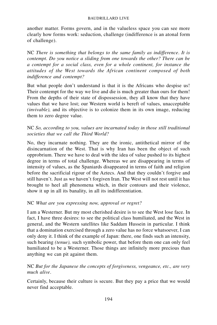another matter. Forms govern, and in the valueless space you can see more clearly how forms work: seduction, challenge (indifference is an atonal form of challenge).

NC *There is something that belongs to the same family as indifference*. *It is contempt*. *Do you notice a sliding from one towards the other? There can be a contempt for a social class, even for a whole continent, for instance the attitudes of the West towards the African continent composed of both indifference and contempt?*

But what people don't understand is that it is the Africans who despise us! Their contempt for the way we live and die is much greater than ours for them! From the depths of their state of dispossession, they all know that they have values that we have lost; our Western world is bereft of values, unacceptable *(invivable),* and its objective is to colonize them in its own image, reducing them to zero degree value.

# NC *So, according to you, values are incarnated today in those still traditional societies that we call the Third World?*

No, they incarnate nothing. They are the ironic, antithetical mirror of the disincarnation of the West. That is why Iran has been the object of such opprobrium. There we have to deal with the idea of value pushed to its highest degree in terms of total challenge. Whereas we are disappearing in terms of intensity of values, as the Spaniards disappeared in terms of faith and religion before the sacrificial rigour of the Aztecs. And that they couldn't forgive and still haven't. Just as we haven't forgiven Iran. The West will not rest until it has brought to heel all phenomena which, in their contours and their violence, show it up in all its banality, in all its indifferentiation.

# NC *What are you expressing now, approval or regret?*

I am a Westerner. But my most cherished desire is to see the West lose face. In fact, I have three desires: to see the political class humiliated, and the West in general, and the Western satellites like Saddam Hussein in particular. I think that a domination exercised through a zero value has no force whatsoever, I can only deny it. I think of the example of Japan: there, one finds such an intensity, such bearing *(tenue),* such symbolic power, that before them one can only feel humiliated to be a Westerner. Those things are infinitely more precious than anything we can pit against them.

# NC *But for the Japanese the concepts of forgiveness, vengeance, etc., are very much alive*.

Certainly, because their culture is secure. But they pay a price that we would never find acceptable.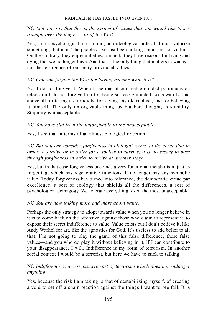# NC *And you say that this is the system of values that you would like to see triumph over the degree zero of the West?*

Yes, a non-psychological, non-moral, non-ideological order. If I must valorize something, that is it. The peoples I've just been talking about are not victims. On the contrary, they enjoy unbelievable luck: they have reasons for living and dying that we no longer have. And that is the only thing that matters nowadays, not the resurgence of our petty provincial values…

# NC *Can you forgive the West for having become what it is?*

No, I do not forgive it! When I see one of our feeble-minded politicians on television I do not forgive him for being so feeble-minded, so cowardly, and above all for taking us for idiots, for saying any old rubbish, and for believing it himself. The only unforgivable thing, as Flaubert thought, is stupidity. Stupidity is unacceptable.

# NC *You have slid from the unforgivable to the unacceptable.*

Yes, I see that in terms of an almost biological rejection.

NC *But you can consider forgiveness in biologial terms, in the sense that in order to survive or in order for a society to survive, it is necessary to pass through forgiveness in order to arrive at another stage*.

Yes, but in that case forgiveness becomes a very functional metabolism, just as forgetting, which has regenerative functions. It no longer has any symbolic value. Today forgiveness has turned into tolerance, the democratic virtue par excellence, a sort of ecology that shields all the differences, a sort of psychological demagogy. We tolerate everything, even the most unacceptable.

# NC *You are now talking more and more about value*.

Perhaps the only strategy to adopt towards value when you no longer believe in it is to come back on the offensive, against those who claim to represent it, to expose their secret indifference to value. Value exists but I don't believe it, like Andy Warhol for art, like the agnostics for God. It's useless to add belief to all that. I'm not going to play the game of this false difference, these false values—and you who do play it without believing in it, if I can contribute to your disappearance, I will. Indifference is my form of terrorism. In another social context I would be a terrorist, but here we have to stick to talking.

# NC *Indifference is a very passive sort of terrorism which does not endanger anything*.

Yes, because the risk I am taking is that of destabilizing myself, of creating a void to set off a chain reaction against the things I want to see fall. It is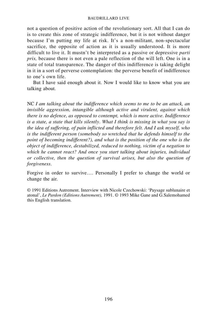not a question of positive action of the revolutionary sort. All that I can do is to create this zone of strategic indifference, but it is not without danger because I'm putting my life at risk. It's a non-militant, non-spectacular sacrifice, the opposite of action as it is usually understood. It is more difficult to live it. It mustn't be interpreted as a passive or depressive *parti pris,* because there is not even a pale reflection of the will left. One is in a state of total transparence. The danger of this indifference is taking delight in it in a sort of perverse contemplation: the perverse benefit of indifference to one's own life.

But I have said enough about it. Now I would like to know what you are talking about.

NC *I am talking about the indifference which seems to me to be an attack, an invisible aggression, intangible although active and virulent, against which there is no defence, as opposed to contempt, which is more active*. *Indifference is a state, a state that kills silently*. *What I think is missing in what you say is the idea of suffering, of pain inflicted and therefore felt. And I ask myself, who is the indifferent person (somebody so wretched that he defends himself to the point of becoming indifferent?), and what is the position of the one who is the object of indifference, destabilized, reduced to nothing, victim of a negation to which he cannot react? And once you start talking about injuries, individual or collective, then the question of survival arises, but also the question of forgiveness*.

Forgive in order to survive…. Personally I prefer to change the world or change the air.

© 1991 Editions Autrement. Interview with Nicole Czechowski: 'Paysage sublunaire et atonal', *Le Pardon (Editions Autrement),* 1991. © 1993 Mike Gane and G.Salemohamed this English translation.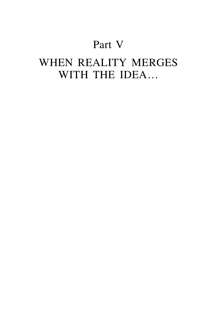# Part V

# WHEN REALITY MERGES WITH THE IDEA…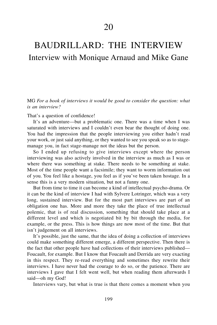# BAUDRILLARD: THE INTERVIEW Interview with Monique Arnaud and Mike Gane

MG *For a book of interviews it would be good to consider the question: what is an interview?*

That's a question of confidence!

It's an adventure—but a problematic one. There was a time when I was saturated with interviews and I couldn't even bear the thought of doing one. You had the impression that the people interviewing you either hadn't read your work, or just said anything, or they wanted to see you speak so as to stagemanage you, in fact stage-manage not the ideas but the person.

So I ended up refusing to give interviews except where the person interviewing was also actively involved in the interview as much as I was or where there was something at stake. There needs to be something at stake. Most of the time people want a facsimile; they want to worm information out of you. You feel like a hostage, you feel as if you've been taken hostage. In a sense this is a very modern situation, but not a funny one.

But from time to time it can become a kind of intellectual psycho-drama. Or it can be the kind of interview I had with Sylvere Lotringer, which was a very long, sustained interview. But for the most part interviews are part of an obligation one has. More and more they take the place of true intellectual polemic, that is of real discussion, something that should take place at a different level and which is negotiated bit by bit through the media, for example, or the press. This is how things are now most of the time. But that isn't judgement on all interviews.

It's possible, just the same, that the idea of doing a collection of interviews could make something different emerge, a different perspective. Then there is the fact that other people have had collections of their interviews published— Foucault, for example. But I know that Foucault and Derrida are very exacting in this respect. They re-read everything and sometimes they rewrite their interviews. I have never had the courage to do so, or the patience. There are interviews I gave that I felt went well, but when reading them afterwards I said—oh my God!

Interviews vary, but what is true is that there comes a moment when you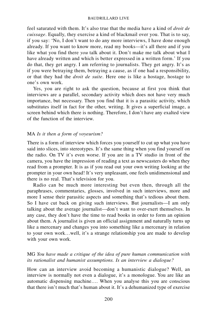feel saturated with them. It's also true that the media have a kind of *droit de cuissage*. Equally, they exercise a kind of blackmail over you. That is to say, if you say: 'No, I don't want to do any more interviews, I have done enough already. If you want to know more, read my books—it's all there and if you like what you find there *you* talk about it. Don't make me talk about what I have already written and which is better expressed in a written form.' If you do that, they get angry. I am referring to journalists. They get angry. It's as if you were betraying them, betraying a cause, as if one had a responsibility, or that they had the *droit de suite*. Here one is like a hostage, hostage to one's own work.

Yes, you are right to ask the question, because at first you think that interviews are a parallel, secondary activity which does not have very much importance, but necessary. Then you find that it is a parasitic activity, which substitutes itself in fact for the other, writing. It gives a superficial image, a screen behind which there is nothing. Therefore, I don't have any exalted view of the function of the interview.

### MA *Is it then a form of voyeurism?*

There is a form of interview which forces you yourself to cut up what you have said into slices, into stereotypes. It's the same thing when you find yourself on the radio. On TV it's even worse. If you are in a TV studio in front of the camera, you have the impression of reading a text as newscasters do when they read from a prompter. It is as if you read out your own writing looking at the prompter in your own head! It's very unpleasant, one feels unidimensional and there is no real. That's television for you.

Radio can be much more interesting but even then, through all the paraphrases, commentaries, glosses, involved in such interviews, more and more I sense their parasitic aspects and something that's tedious about them. So I have cut back on giving such interviews. But journalists—I am only talking about the average journalist—don't want to over-exert themselves. In any case, they don't have the time to read books in order to form an opinion about them. A journalist is given an official assignment and naturally turns up like a mercenary and changes you into something like a mercenary in relation to your own work…well, it's a strange relationship you are made to develop with your own work.

## MG *You have made a critique of the idea of pure human communication with its rationalist and humanist assumptions. Is an interview a dialogue?*

How can an interview avoid becoming a humanistic dialogue? Well, an interview is normally not even a dialogue, it's a monologue. You are like an automatic dispensing machine…. When you analyse this you are conscious that there isn't much that's human about it. It's a dehumanized type of exercise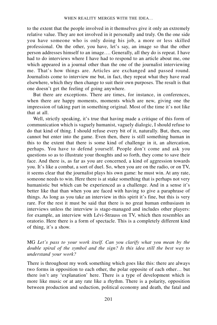to the extent that the people involved in it themselves give it only an extremely relative value. They are not involved in it personally and truly. On the one side you have someone who is only doing his job, a more or less skilled professional. On the other, you have, let's say, an image so that the other person addresses himself to an image…. Generally, all they do is repeat. I have had to do interviews where I have had to respond to an article about me, one which appeared in a journal other than the one of the journalist interviewing me. That's how things are. Articles are exchanged and passed round. Journalists come to interview me but, in fact, they repeat what they have read elsewhere, which they then change to suit their own purposes. The result is that one doesn't get the feeling of going anywhere.

But there are exceptions. There are times, for instance, in conferences, when there are happy moments, moments which are new, giving one the impression of taking part in something original. Most of the time it's not like that at all.

Well, strictly speaking, it's true that having made a critique of this form of communication which is vaguely humanist, vaguely dialogic, I should refuse to do that kind of thing. I should refuse every bit of it, naturally. But, then, one cannot but enter into the game. Even then, there is still something human in this to the extent that there is some kind of challenge in it, an altercation, perhaps. You have to defend yourself. People don't come and ask you questions so as to illustrate your thoughts and so forth, they come to save their face. And there is, as far as you are concerned, a kind of aggression towards you. It's like a combat, a sort of duel. So, when you are on the radio, or on TV, it seems clear that the journalist plays his own game: he must win. At any rate, someone needs to win. Here there is at stake something that is perhaps not very humanistic but which can be experienced as a challenge. And in a sense it's better like that than when you are faced with having to give a paraphrase of things. As long as you take an interview in this spirit it's fine, but this is very rare. For the rest it must be said that there is no great human enthusiasm in interviews unless the interview is stage-managed and includes other players: for example, an interview with Lévi-Strauss on TV, which then resembles an oratorio. Here there is a form of spectacle. This is a completely different kind of thing, it's a show.

# MG *Let's pass to your work itself. Can you clarify what you mean by the double spiral of the symbol and the sign? Is this idea still the best way to understand your work?*

There is throughout my work something which goes like this: there are always two forms in opposition to each other, the polar opposite of each other… but there isn't any 'explanation' here. There is a type of development which is more like music or at any rate like a rhythm. There is a polarity, opposition between production and seduction, political economy and death, the fatal and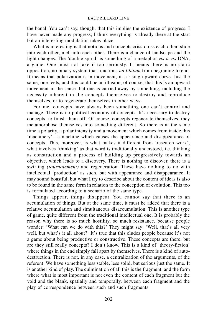the banal. You can't say, though, that this implies the existence of progress. I have never made any progress; I think everything is already there at the start but an interesting modulation takes place.

What is interesting is that notions and concepts criss-cross each other, slide into each other, melt into each other. There is a change of landscape and the light changes. The 'double spiral' is something of a metaphor *vis-à-vis* DNA, a game. One must not take it too seriously. It means there is no static opposition, no binary system that functions *ad libitum* from beginning to end. It means that polarization is in movement, in a rising upward curve. Just the same, one feels, and this could be an illusion, of course, that this is an upward movement in the sense that one is carried away by something, including the necessity inherent in the concepts themselves to destroy and reproduce themselves, or to regenerate themselves in other ways.

For me, concepts have always been something one can't control and manage. There is no political economy of concepts. It's necessary to destroy concepts, to finish them off. Of course, concepts regenerate themselves, they metamorphose themselves into something different. So there is at the same time a polarity, a polar intensity and a movement which comes from inside this 'machinery'—a machine which causes the appearance and disappearance of concepts. This, moreover, is what makes it different from 'research work', what involves 'thinking' as that word is traditionally understood, i.e. thinking as construction and a process of building up progressively towards an objective, which leads to a discovery. There is nothing to discover, there is a swirling *(tournoiement)* and regeneration. These have nothing to do with intellectual 'production' as such, but with appearance and disappearance. It may sound boastful, but what I try to describe about the content of ideas is also to be found in the same form in relation to the conception of evolution. This too is formulated according to a scenario of the same type.

Things appear, things disappear. You cannot say that there is an accumulation of things. But at the same time, it must be added that there is a relative accumulation and simultaneous disaccumulation. This is another type of game, quite different from the traditional intellectual one. It is probably the reason why there is so much hostility, so much resistance, because people wonder: 'What can we do with this?' They might say: 'Well, that's all very well, but what's it all about?' It's true that this eludes people because it's not a game about being productive or constructive. These concepts are there, but are they still really concepts? I don't know. This is a kind of 'theory-fiction' where things in the end simply fall apart by themselves. There is a kind of autodestruction. There is not, in any case, a centralization of the arguments, of the referent. We have something less stable, less solid, but serious just the same. It is another kind of play. The culmination of all this is the fragment, and the form where what is most important is not even the content of each fragment but the void and the blank, spatially and temporally, between each fragment and the play of correspondence between such and such fragments.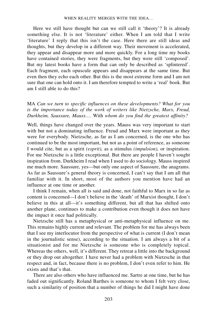Here we still have thought but can we still call it 'theory'? It is already something else. It is not 'literature' either. When I am told that I write 'literature' I reply that this isn't the case. Here there are still ideas and thoughts, but they develop in a different way. Their movement is accelerated, they appear and disappear more and more quickly. For a long time my books have contained stories, they were fragments, but they were still 'composed'. But my latest books have a form that can only be described as 'splintered'. Each fragment, each opuscule appears and disappears at the same time. But even then they echo each other. But this is the most extreme form and I am not sure that one can hold onto it. I am therefore tempted to write a 'real' book. But am I still able to do this?

MA *Can we turn to specific influences on these developments? What for you is the importance today of the work of writers like Nietzsche, Marx, Freud, Durkheim, Saussure, Mauss…*. With *whom do you find the greatest affinity?*

Well, things have changed over the years. Mauss was very important to start with but not a dominating influence. Freud and Marx were important as they were for everybody. Nietzsche, as far as I am concerned, is the one who has continued to be the most important, but not as a point of reference, as someone I would cite, but as a spirit *(esprit),* as a stimulus *(impulsion),* or inspiration. For me Nietzsche is a little exceptional. But there are people I haven't sought inspiration from. Durkheim I read when I used to do sociology. Mauss inspired me much more. Saussure, yes—but only one aspect of Saussure, the anagrams. As far as Saussure's general theory is concerned, I can't say that I am all that familiar with it. In short, most of the authors you mention have had an influence at one time or another.

I think I remain, when all is said and done, not faithful to Marx in so far as content is concerned—I don't believe in the 'death' of Marxist thought, I don't believe in this at all—it's something different, but all that has shifted onto another plane, continues to make a contribution even though it does not have the impact it once had politically.

Nietzsche still has a metaphysical or anti-metaphysical influence on me. This remains highly current and relevant. The problem for me has always been that I see my interlocutor from the perspective of what is current (I don't mean in the journalistic sense), according to the situation. I am always a bit of a situationist and for me Nietzsche is someone who is completely topical. Whereas the others, well, it's different. They retreat a little into the background or they drop out altogether. I have never had a problem with Nietzsche in that respect and, in fact, because there is no problem, I don't even refer to him. He exists and that's that.

There are also others who have influenced me. Sartre at one time, but he has faded out significantly. Roland Barthes is someone to whom I felt very close, such a similarity of position that a number of things he did I might have done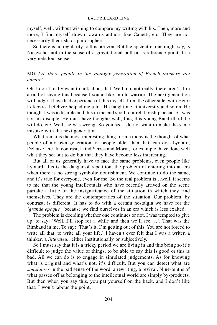myself, well, without wishing to compare my writing with his. Then, more and more, I find myself drawn towards authors like Canetti, etc. They are not necessarily theorists or philosophers.

So there is no regularity to this horizon. But the epicentre, one might say, is Nietzsche, not in the sense of a gravitational pull or as reference point. In a very nebulous sense.

# MG *Are there people in the younger generation of French thinkers you admire?*

Oh, I don't really want to talk about that. Well, no, not really, there aren't. I'm afraid of saying this because I sound like an old warrior. The next generation will judge. I have had experience of this myself, from the other side, with Henri Lefebvre. Lefebvre helped me a lot. He taught me at university and so on. He thought I was a disciple and this in the end spoilt our relationship because I was not his disciple. He must have thought: well, fine, this young Baudrillard, he will do, etc. Well, he was wrong. So you see I do not want to make the same mistake with the next generation.

What remains the most interesting thing for me today is the thought of what people of my own generation, or people older than that, can do—Lyotard, Deleuze, etc. In contrast, I find Serres and Morin, for example, have done well what they set out to do but that they have become less interesting.

But all of us generally have to face the same problems, even people like Lyotard: this is the danger of repetition, the problem of entering into an era when there is no strong symbolic nourishment. We continue to do the same, and it's true for everyone, even for me. So the real problem is…well, it seems to me that the young intellectuals who have recently arrived on the scene partake a little of the insignificance of the situation in which they find themselves. They are the contemporaries of the situation. Our problem, by contrast, is different. It has to do with a certain nostalgia we have for the *'grande époque',* because we find ourselves in an era which is less exalted.

The problem is deciding whether one continues or not. I was tempted to give up, to say: 'Well, I'll stop for a while and then we'll see …'. That was the Rimbaud in me. To say: 'That's it, I'm getting out of this. You are not forced to write all that, to write all your life.' I haven't ever felt that I was a writer, a thinker, a *littérateur,* either institutionally or subjectively.

So I must say that it is a tricky period we are living in and this being so it's difficult to judge the value of things, to be able to say this is good or this is bad. All we can do is to engage in simulated judgements. As for knowing what is original and what's not, it's difficult. But you can detect what are *simulacres* in the bad sense of the word, a rewriting, a revival. Nine-tenths of what passes off as belonging to the intellectual world are simply by-products. But then when you say this, you pat yourself on the back, and I don't like that. I won't labour the point.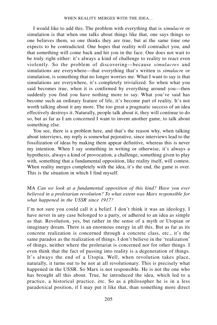I would like to add this. The problem with everything that is *simulacre* or simulation is that when one talks about things like that, one says things so one believes them, so one thinks they are true, but at the same time one expects to be contradicted. One hopes that reality will contradict you, and that something will come back and hit you in the face. One does not wait to be truly right either: it's always a kind of challenge to reality to react even violently. So the problem of discovering—because *simulacres* and simulations are everywhere—that everything that's written is *simulacre* or simulation, is something that no longer worries me. What I want to say is that simulations are everywhere, it's completely trivialized. So when what you said becomes true, when it is confirmed by everything around you—then suddenly you find you have nothing more to say. What you've said has become such an ordinary feature of life, it's become part of reality. It's not worth talking about it any more. The too great a pragmatic success of an idea effectively destroys it. Naturally, people talk about it, they will continue to do so, but as far as I am concerned I want to invent another game, to talk about something else.

You see, there is a problem here, and that's the reason why, when talking about interviews, my reply is somewhat pejorative, since interviews lead to the fossilization of ideas by making them appear definitive, whereas this is never my intention. When I say something in writing or otherwise, it's always a hypothesis, always a kind of provocation, a challenge, something given to play with, something that a fundamental opposition, like reality itself, will contest. When reality merges completely with the idea, it's the end, the game is over. This is the situation in which I find myself.

# MA *Can we look at a fundamental opposition of this kind? Have you ever believed in a proletarian revolution? To what extent was Marx responsible for what happened in the USSR since 1917?*

I'm not sure you could call it a belief. I don't think it was an ideology. I have never in any case belonged to a party, or adhered to an idea as simple as that. Revolution, yes, but rather in the sense of a myth or Utopian or imaginary dream. There is an enormous energy in all this. But as far as its concrete realization is concerned through a concrete class, etc., it's the same paradox as the realization of things. I don't believe in the 'realization' of things, neither where the proletariat is concerned nor for other things. I even think that the fact of passing into reality is a degeneration of things. It's always the end of a Utopia. Well, when revolution takes place, naturally, it turns out to be not at all revolutionary. This is precisely what happened in the USSR. So Marx is not responsible. He is not the one who has brought all this about. True, he introduced the idea, which led to a practice, a historical practice, etc. So as a philosopher he is in a less paradoxical position, if I may put it like that, than something more direct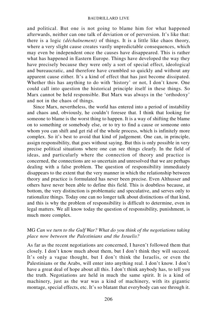and political. But one is not going to blame him for what happened afterwards, neither can one talk of deviation or of perversion. It's like that: there is a logic *(déchaînement)* of things. It is a little like chaos theory, where a very slight cause creates vastly unpredictable consequences, which may even be independent once the causes have disappeared. This is rather what has happened in Eastern Europe. Things have developed the way they have precisely because they were only a sort of special effect, ideological and bureaucratic, and therefore have crumbled so quickly and without any apparent cause either. It's a kind of effect that has just become dissipated. Whether this has anything to do with 'history' or not, I don't know. One could call into question the historical principle itself in these things. So Marx cannot be held responsible. But Marx was always in the 'orthodoxy' and not in the chaos of things.

Since Marx, nevertheless, the world has entered into a period of instability and chaos and, obviously, he couldn't foresee that. I think that looking for someone to blame is the worst thing to happen. It is a way of shifting the blame on to something or somebody else, or to try to find a cause or someone onto whom you can shift and get rid of the whole process, which is infinitely more complex. So it's best to avoid that kind of judgement. One can, in principle, assign responsibility, that goes without saying. But this is only possible in very precise political situations where one can see things clearly. In the field of ideas, and particularly where the connection of theory and practice is concerned, the connections are so uncertain and unresolved that we are perhaps dealing with a false problem. The question of responsibility immediately disappears to the extent that the very manner in which the relationship between theory and practice is formulated has never been precise. Even Althusser and others have never been able to define this field. This is doubtless because, at bottom, the very distinction is problematic and speculative, and serves only to rationalize things. Today one can no longer talk about distinctions of that kind, and this is why the problem of responsibility is difficult to determine, even in legal matters. We all know today the question of responsibility, punishment, is much more complex.

## MG *Can we turn to the Gulf War? What do you think of the negotiations taking place now between the Palestinians and the Israelis?*

As far as the recent negotiations are concerned, I haven't followed them that closely. I don't know much about them, but I don't think they will succeed. It's only a vague thought, but I don't think the Israelis, or even the Palestinians or the Arabs, will enter into anything real. I don't know. I don't have a great deal of hope about all this. I don't think anybody has, to tell you the truth. Negotiations are held in much the same spirit. It is a kind of machinery, just as the war was a kind of machinery, with its gigantic montage, special effects, etc. It's so blatant that everybody can see through it.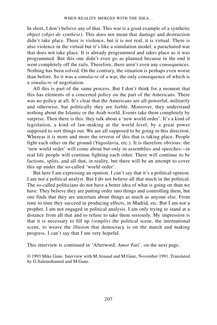In short, I don't believe any of that. This war is a good example of a synthetic object *(objet de synthèse)*. This does not mean that damage and destruction didn't take place. There is violence, but it is not real, it is virtual. There is also violence in the virtual but it's like a simulation model, a parachuted war that does not take place. It is already programmed and takes place as it was programmed. But this one didn't even go as planned because in the end it went completely off the rails. Therefore, there aren't even any consequences. Nothing has been solved. On the contrary, the situation is perhaps even worse than before. So it was a *simulacre* of a war, the only consequence of which is a *simulacre* of negotiation.

All this is part of the same process. But I don't think for a moment that this has elements of a concerted policy on the part of the Americans. There was no policy at all. It's clear that the Americans are all-powerful, militarily and otherwise, but politically they are feeble. Moreover, they understand nothing about the Islamic or the Arab world. Events take them completely by surprise. Then there is this: they talk about a 'new world order'. It's a kind of legislation, a kind of law-making at the world level, by a great power supposed to sort things out. We are all supposed to be going in this direction. Whereas it is more and more the reverse of this that is taking place. People fight each other on the ground (Yugoslavia, etc.). It is therefore obvious: the 'new world order' will come about but only in assemblies and speeches—in real life people will continue fighting each other. There will continue to be factions, splits, and all that, in reality, but there will be an attempt to cover this up under the so-called 'world order'.

But here I am expressing an opinion. I can't say that it's a political opinion. I am not a political analyst. But I do not believe all that much in the political. The so-called politicians do not have a better idea of what is going on than we have. They believe they are putting order into things and controlling them, but one finds that they are uncertain about things as much as anyone else. From time to time they succeed in producing effects, in Madrid, etc. But I am not a prophet, I am not engaged in political analysis. I am only trying to stand at a distance from all that and to refuse to take them seriously. My impression is that it is necessary to fill up *(remplir)* the political scene, the international scene, to weave the illusion that democracy is on the march and making progress. I can't say that I am very hopeful.

This interview is continued in 'Afterword: *Amor Fati*', on the next page.

© 1993 Mike Gane. Interview with M.Arnaud and M.Gane, November 1991. Translated by G.Salemohamed and M.Gane.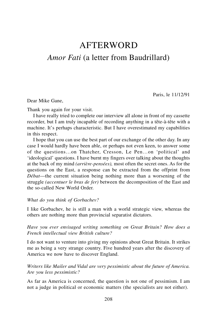# AFTERWORD *Amor Fati* (a letter from Baudrillard)

Paris, le 11/12/91

Dear Mike Gane,

Thank you again for your visit.

I have really tried to complete our interview all alone in front of my cassette recorder, but I am truly incapable of recording anything in a tête-à-tête with a machine. It's perhaps characteristic. But I have overestimated my capabilities in this respect.

I hope that you can use the best part of our exchange of the other day. In any case I would hardly have been able, or perhaps not even keen, to answer some of the questions…on Thatcher, Cresson, Le Pen…on 'political' and 'ideological' questions. I have burnt my fingers over talking about the thoughts at the back of my mind *(arrière-pensées),* most often the secret ones. As for the questions on the East, a response can be extracted from the offprint from *Débat*—the current situation being nothing more than a worsening of the struggle *(accentuer le bras de fer)* between the decomposition of the East and the so-called New World Order.

#### *What do you think of Gorbachev?*

I like Gorbachev, he is still a man with a world strategic view, whereas the others are nothing more than provincial separatist dictators.

*Have you ever envisaged writing something on Great Britain? How does a French intellectual view British culture?*

I do not want to venture into giving my opinions about Great Britain. It strikes me as being a very strange country. Five hundred years after the discovery of America we now have to discover England.

*Writers like Mailer and Vidal are very pessimistic about the future of America. Are you less pessimistic?*

As far as America is concerned, the question is not one of pessimism. I am not a judge in political or economic matters (the specialists are not either).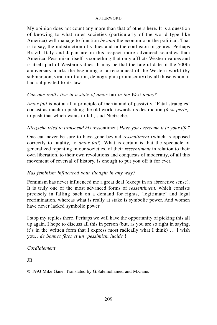#### AFTERWORD

My opinion does not count any more than that of others here. It is a question of knowing to what rules societies (particularly of the world type like America) will manage to function *beyond* the economic or the political. That is to say, the indistinction of values and in the confusion of genres. Perhaps Brazil, Italy and Japan are in this respect more advanced societies than America. Pessimism itself is something that only afflicts Western values and is itself part of Western values. It may be that the fateful date of the 500th anniversary marks the beginning of a reconquest of the Western world (by submersion, viral infiltration, demographic promiscuity) by all those whom it had subjugated to its law.

### *Can one really live in a state of amor* fati *in the West today?*

*Amor fati* is not at all a principle of inertia and of passivity. 'Fatal strategies' consist as much in pushing the old world towards its destruction *(à sa perte),* to push that which wants to fall, said Nietzsche.

### *Nietzsche tried to transcend his* ressentiment *Have you overcome it in your life?*

One can never be sure to have gone beyond *ressentiment* (which is opposed correctly to fatality, to *amor fati*). What is certain is that the spectacle of generalized repenting in our societies, of their *ressentiment* in relation to their own liberation, to their own revolutions and conquests of modernity, of all this movement of reversal of history, is enough to put you off it for ever.

### *Has feminism influenced your thought in any way?*

Feminism has never influenced me a great deal (except in an abreactive sense). It is truly one of the most advanced forms of *ressentiment,* which consists precisely in falling back on a demand for rights, 'legitimate' and legal recrimination, whereas what is really at stake is symbolic power. And women have never lacked symbolic power.

I stop my replies there. Perhaps we will have the opportunity of picking this all up again. I hope to discuss all this in person (but, as you are so right in saying, it's in the written form that I express most radically what I think) … I wish you…*de bonnes fêtes et un 'pessimism lucide'*!

### *Cordialement*

JB

© 1993 Mike Gane. Translated by G.Salemohamed and M.Gane.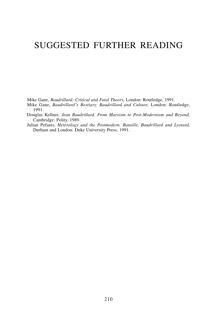## SUGGESTED FURTHER READING

Mike Gane, *Baudrillard: Critical and Fatal Theory,* London: Routledge, 1991.

- Mike Gane, *Baudrillard's Bestiary. Baudrillard and Culture,* London: Routledge, 1991.
- Douglas Kellner, *Jean Baudrillard. From Marxism to Post-Modernism and Beyond,* Cambridge: Polity, 1989.
- Julian Pefanis, *Heterology and the Postmodern. Bataille, Baudrillard and Lyotard,* Durham and London: Duke University Press, 1991.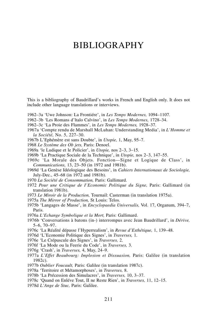## BIBLIOGRAPHY

This is a bibliography of Baudrillard's works in French and English only. It does not include other language translations or interviews.

- 1962–3a 'Uwe Johnson: La Frontiére', in *Les Temps Modernes,* 1094–1107.
- 1962–3b 'Les Romans d'ltalo Calvino', in *Les Temps Modernes,* 1728–34.
- 1962–3c 'La Proie des Flammes', in *Les Temps Modernes,* 1928–37.
- 1967a 'Compte rendu de Marshall McLuhan: Understanding Media', in *L'Homme et la Société,* No. 5, 227–30.
- 1967b L'Ephémère est sans Doubte', in *Utopie,* 1, May, 95–7.
- 1968 *Le Système des Ob jets,* Paris: Denoel.
- 1969a 'le Ludique et le Policier', in *Utopie,* nos 2–3, 3–15.
- 1969b 'La Practique Sociale de la Technique', in *Utopie,* nos 2–3, 147–55.
- 1969c 'La Morale des Objets. Fonction—Signe et Logique de Class', in *Communications,* 13, 23–50 (in 1972 and 1981b).
- 1969d 'La Genèse Idéologique des Besoins', in *Cahiers Internationaux de Sociologie,* July-Dec., 45–68 (in 1972 and 1981b).
- 1970 *La Société de Consommation,* Paris: Gallimard.
- 1972 *Pour une Critique de I'Economic Politique du Signe,* Paris: Gallimard (in translation 1981b).
- 1973 *Le Miroir de la Production,* Tournail: Casterman (in translation 1975a).
- 1975a *The Mirror of Production,* St Louis: Telos.
- 1975b 'Langages de Masse', in *Encyclopaedia Universalis,* Vol. 17, Organum, 394–7, Paris.
- 1976a *L'Echange Symbolique et la Mort,* Paris: Gallimard.
- 1976b 'Conversations à batons (in-) interrompus avec Jean Baudrillard', in *Dérive,* 5–6, 70–97.
- 1976c 'La Réalité dépasse l'Hyperrealism', in *Revue d'Esthétique,* 1, 139–48.
- 1976d 'L'Economie Politique des Signes', in *Traverses,* 1.
- 1976e 'Le Crépuscule des Signes', in *Traverses,* 2.
- 1976f 'La Mode ou la Feerie du Code', in *Traverses,* 3.
- 1976g 'Crash', in *Traverses,* 4, May, 24–9.
- 1977a *L'Effet Beaubourg: Implosion et Dissuasion,* Paris: Galilee (in translation 1982c).
- 1977b *Oublier Foucault,* Paris: Galilee (in translation 1987c).
- 1978a 'Territoire et Métamorphoses', in *Traverses,* 8.
- 1978b 'La Précession des Simulacres', in *Traverses,* 10, 3–37.
- 1978c 'Quand on Enléve Tout, II ne Reste Rien', in *Traverses,* 11, 12–15.
- 1978d *L'Ange de Stuc,* Paris: Galilee.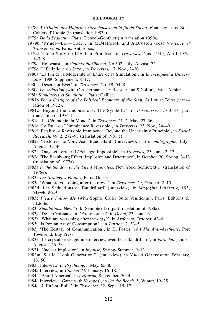#### BIBLIOGRAPHY

- 1978e *A l'Ombre des Majorités silencieuses, ou la fin du Social, F*ontenay–sous–Bois: Cahiers d'Utopie (in translation 1983a).
- 1979a *De la Seduction,* Paris: Denoel–Gonthier (in translation 1990a).
- 1979b 'Rituel—Loi—Code', in M.Maffesoli and A.Bruston (eds) *Violence et Transgression,* Paris: Anthropos.
- 1979c 'Clone Story ou L'Enfant Prothèse', in *Traverses,* Nos 14/15, April 1979, 143–8.
- 1979d 'Holocaust', in *Cahiers du Cinema,* No.302, July–August, 72.
- 1979e 'L'Ecliptique du Sexe', in *Traverses,* 17, Nov., 2–30.
- 1980a 'La Fin de la Modernité ou L'Ere de la Simulation', in *Encyclopaedia Univer– salis,* 1980 Supplement, 8–17.
- 1980b 'Desert for Ever', in *Traverses,* No. 19, 54–8.
- 1980c *La Seduction* (with C.Ackerman, J.–Y.Bosseur and S.Collin), Paris: Aubier.
- 198la S*imulacres et Simulation,* Paris: Galilee.
- 1981b *For a Critique of the Political Economy of the Sign,* St Louis: Telos (trans– lation of 1972).
- 1981c 'Beyond the Unconscious: The Symbolic', in *Discourse,* 3, 60–87 (part translation of 1976a).
- 1981d 'La Cérémonie du Monde', in *Traverses,* 21–2, May, 27–36.
- 1981e 'Le Fatal ou L'lmminence Reversible', in *Traverses,* 23, Nov., 24–40.
- 1981f 'Fatality or Reversible Imminence: Beyond the Uncertainty Principle', in *Social Research,* 49, 2, 272–93 (translation of 1981 e).
- 1982a 'Histoires de Voir: Jean Baudrillard' (interview), in *Cinématographe,* July– August, 39–46.
- 1982b 'Otage et Terreur: L'Echange Impossible', in *Traverses,* 25, June, 2–13.
- 1982c 'The Beaubourg Effect: Implosion and Deterrence', in *October,* 20, Spring, 3–13 (translation of 1977a).
- 1983a *In the Shadow of the Silent Majorities,* New York: Semiotext(e) (translation of 1978e).
- 1983b *Les Strategies Fatales,* Paris: Grasset.
- 1983c 'What are you doing after the orgy?', in *Traverses,* 29, October, 2–15.
- 1983d 'Les Seductions de Baudrillard' (interview), in *Magazine Littéraire,* 193, March, 80–5.
- 1983e *Please Follow Me* (with Sophie Calle: Suite Venitienne), Paris: Editions de l'Etoile.
- 1983f *Simulations,* New York: Semiotext(e) (part translation of 198la).
- 1983g 'De la Croissance a l'Excroissance', in *Débat,* 23, January.
- 1983h 'What are you doing after the orgy?', in *Artforum,* October, 42–6.
- 1983i 'Is Pop an Art of Consumption?', in *Tension,* 2, 33–5.
- 1983j 'The Ecstasy of Communication', in H. Foster (ed.) *The Anti–Aesthetic,* Port Townsend: Bay Press.
- 1983k 'Le crystal se venge: une interview avec Jean Baudrillard', in *Parachute,* June– August, 126–33.
- 19831 'Nuclear Implosion', in *Impulse,* Spring–Summer, 9–13.
- 1983m 'Sur le "Look Generation "' (interview), in *Nouvel Observateur,* February, 18, 50.
- 1983n Interview, in *Psychologic,* May, 65–8.
- 1984a Interview, in *Cinema 84,* January, 16–18.
- 1984b 'Astral America', in *Artforum,* September, 70–4.
- 1984c Interview: 'Game with Vestiges', in *On the Beach,* 5, Winter, 19–25.
- 1984d 'L'Enfant–Bulle', in *Traverses,* 32, Sept., 15–17.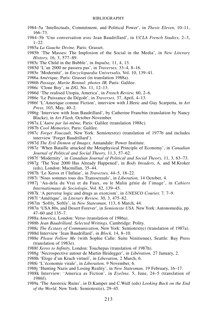- 1984–5a 'Intellectuals, Commitment, and Political Power', in *Thesis Eleven,* 10–11, 166–73.
- 1984–5b 'Une conversation avec Jean Baudrillard', in *UCLA French Studies,* 2–3,  $1 - 22$ .
- 1985a *La Gauche Divine,* Paris: Grasset.
- 1985b 'The Masses: The Implosion of the Social in the Media', in *New Literary History,* 16, 3, 577–89.
- 1985c The Child in the Bubble', in *Impulse,* 11, 4, 13.
- 1985d 'L'an 2000 ne passera pas', in *Traverses,* 33–4, 8–16.
- 1985e 'Modernité', in *Encyclopaedia Universalis,* Vol. 10, 139–41.
- 1986a *Amérique,* Paris: Grasset (in translation 1988a).
- 1986b *Passage, Marite Bonnal: photos JB,* Paris: Galilee.
- 1986c 'Clone Boy', in *Z/G,* No. 11, 12–13.
- 1986d 'The realised Utopia, America', in *French Review,* 60, 2–6.
- 1986e 'Le Puissance du Dégoût', in *Traverses,* 37, April, 4–13.
- 1986f 'L'Amerique comme Fiction', interview with J.Heric and Guy Scarpetta, in *Art Press,* 103, May, 40–2.
- 1986g 'Interview with Jean Baudrillard', by Catherine Francbin (translation by Nancy Blacke), in *Art Flash,* October-November.
- 1987a *L'Autre par lui-même,* Paris: Galilee (translation 1988c).
- 1987b *Cool Memories,* Paris: Galilee.
- 1987c *Forget Foucault,* New York: Semiotext(e) (translation of 1977b and includes interview 'Forget Baudrillard').
- 1987d *The Evil Demon of Images,* Annandale: Power Institute.
- 1987e 'When Bataille attacked the Metaphysical Principle of Economy', in *Canadian Journal of Political and Social Theory,* 11,3, 57–62.
- 1987f 'Modernity', in *Canadian Journal of Political and Social Theory,* 11, 3, 63–73.
- 1987g 'The Year 2000 Has Already Happened', in *Body Invaders,* A. and M.Kroker (eds), London: Macmillan, 35–44.
- 1987h 'Le Xerox et l'Infinie', in *Traverses,* 44–5, 18–22.
- 1987i 'Nous sommes tous des Transsexuals', in *Liberation,* 14 October, 4.
- 1987j 'Au-dela du Vrai et du Faux, ou le Malin génie de l'image', in *Cahiers Internationaux de Sociologie*, Vol. 82, 139–45.
- 1987k 'A perverse logic and drugs as exorcism', in *UNESCO Courier,* 7*,* 7–9.
- 1987l 'Amérique', in *Literary Review,* 30, 3, 475–82.
- 1987m 'Softly, Softly', in *New Statesman,* 113, 6 March, 44.
- 1987n 'USA 80s, and Desert Forever', in *Semiotexte USA.* New York: Autonomedia, pp. 47–60 and 135–7.
- 1988a *America,* London: Verso (translation of 1986a).
- 1988b *Jean Baudrillard. Selected Writings,* Cambridge: Polity.
- 1988c *The Ecstasy of Communication,* New York: Semiotext(e) (translation of 1987a).
- 1988d Interview 'Jean Baudrillard', in *Block,* 14, 8–10.
- 1988e *Please Follow Me* (with Sophie Calle: Suite Venitienne), Seattle: Bay Press (translation of 1983e).
- 1988f *Xerox to Infinity,* London: Touchepas (translation of 1987h).
- 1988g 'Necrospective autour de Martin Heidegger', in *Libération,* 27 January, 2.
- 1988h 'Eloge d'un Krach virtuel', in *Liberation,* 2 March, 6.
- 1988i 'L'économie virale', in *Liberation, 9* November, 6.
- 1988j 'Hunting Nazis and Losing Reality', in *New Statesman,* 19 February, 16–17.
- 1988k Interview: 'America as Fiction', in *Eyeline,* 5, June, 24–5 (translation of 1986f).
- 1989a 'The Anorexic Ruins', in D.Kamper and C.Wulf (eds) *Looking Back on the End of the World,* New York: Semiotext(e), 29–45.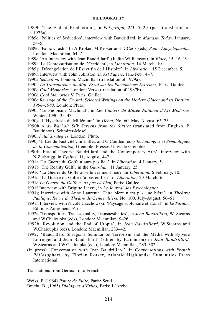- 1989b 'The End of Production', in *Polygraph,* 2/3, 5–29 (part translation of 1976a).
- 1989c 'Politics of Seduction', interview with Baudrillard, in *Marxism Today,* January, 54–5.
- 1989d 'Panic Crash!' In A.Kroker, M.Kroker and D.Cook (eds) *Panic Encyclopaedia,* London: Macmillan, 64–7.
- 1989e 'An Interview with Jean Baudrillard' (Judith Williamson), in *Block,* 15, 16–19.
- 1989f 'La Dépressurisation de l'Occident', in *Liberation,* 14 March, 10.
- 1989g 'Décongelation de l'Est et fin de l'Histoire', in *Libération,* 15 December, 5.
- 1989h Interview with John Johnston, in *Art Papers,* Jan.-Feb., 4–7.
- 1990a *Seduction,* London: Macmillan (translation of 1979a).
- 1990b *La Transparence du Mal. Essai sur les Phénomènes Extrêmes,* Paris: Galilee.
- 1990c *Cool Memories,* London: Verso (translation of 1987b).
- 1990d *Cool Memories II,* Paris: Galilee.
- 1990e *Revenge of the Crystal. Selected Writings on the Modern Object and its Destiny, 1968–1983,* London: Pluto.
- 1990f 'Le Snobisme Machinal', in *Les Cahiers du Musée National d'Art Moderne,* Winter, 1990, 35–43.
- 1990g 'L'Hystéresie du Millénium', in *Débat,* No. 60, May-August, 65–73.
- 1990h *Andy Warhol: Silk Screens from the Sixties* (translated from English, P. Bauthinon). Schmirer-Mosel.
- 1990i *Fatal Strategies,* London: Pluto.
- 1990j 'L'Ere de Facticité', in L.Sfez and G.Coutlee (eds) *Technologies et Symboliques de la Communication,* Grenoble: Presses Univ. de Grenoble.
- 1990k 'Fractal Theory: Baudrillard and the Contemporary Arts', interview with N.Zurbrugg, in *Eyeline,* 11, August, 4–7.
- 1991a 'La Guerre du Golfe n'aura pas lieu', in *Libération,* 4 January, 5.
- 1991b 'The Reality Gulf', in the *Guardian,* 11 January, 25.
- 1991c 'La Guerre du Golfe a-t-elle vraiment lieu?' In *Liberation,* 6 February, 10.
- 1991d 'La Guerre du Golfe n'a pas eu lieu', in *Liberation,* 29 March, 6.
- 1991e *La Guerre du Golfe n 'as pas eu Lieu,* Paris: Galilee.
- 1991f Interview with Brigitte Lievre, in *Le Journal des Psychologues.*
- 1991g Interview with Anne Laurent: 'Cette bière n'est pas une bière', in *Théâtre/ Publique, Revue du Théâtre de Gennevilliers,* No. 100, July-August, 56–61.
- 1991h Interview with Nicole Czechowski: 'Paysage sublunaire et atonal', in *Le Pardon,* Editions Autrement, Paris.
- 1992a 'Transpolitics, Transsexuality, Transaesthetics', in *Jean Baudrillard,* W. Stearns and W.Chaloupka (eds), London: Macmillan, 9–26.
- 1992b 'Revolution and the End of Utopia', in *Jean Baudrillard,* W.Stearns and W.Chaloupka (eds), London: Macmillan, 233–42.
- 1992c 'Baudrillard Shrugs: a Seminar on Terrorism and the Media with Sylvere Lotringer and Jean Baudrillard' (edited by E.Johnson) in *Jean Baudrillard,* W.Stearns and W.Chaloupka (eds), London: Macmillan, 283–302.
- (in press) 'Conversation with Jean Baudrillard', in *Conversations with French Philosophers,* by Florian Rotzer, Atlantic Highlands: Humanities Press International.

Translations from German into French

Weiss, P. (1964) *Pointe de Fuite,* Paris: Seuil. Brecht, B. (1965) *Dialogues d'Exiles,* Paris: L'Arche.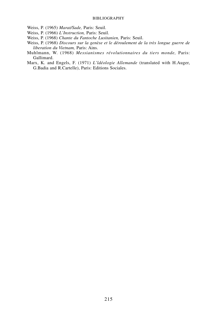#### BIBLIOGRAPHY

Weiss, P. (1965) *Marat/Sade,* Paris: Seuil.

Weiss, P. (1966) *L'Instruction,* Paris: Seuil.

- Weiss, P. (1968) *Chante du Fantoche Lusitanien,* Paris: Seuil.
- Weiss, P. (1968) *Discours sur la genèse et le déroulement de la très longue guerre de liberation du Vietnam,* Paris: Ains.
- Muhlmann, W. (1968) *Messianismes révolutionnaires du tiers monde,* Paris: Gallimard.
- Marx, K. and Engels, F. (1971) *L'ldéologie Allemande* (translated with H.Auger, G.Badia and R.Cartelle), Paris: Editions Sociales.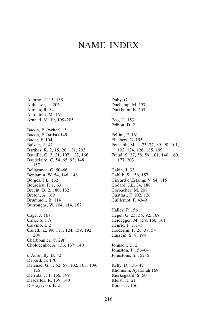## NAME INDEX

Adorno, T. 15, 138 Althusser, L. 206 Altman, R. 34 Antonioni, M. 161 Arnaud, M. 19, 199–205 Bacon, F. (writer) 15 Bacon, F. (artist) 149 Bader, F. 104 Balzac, H. 42 Barthes, R. 2, 15, 20, 181, 203 Bataille, G. 3, 21, 107, 122, 166 Baudelaire, C. 54, 65, 93, 148, 157 Bellavance, G. 50–66 Benjamin, W. 54, 146, 148 Borges, J.L. 162 Bourdieu, P. 1, 63 Brecht, B. 2, 180, 182 Breton, A. 169 Brummell, B. 114 Burroughs, W. 104, 114, 167 Cage, J. 167 Calle, S. 119 Calvino, I. 2 Canetti, E. 99, 118, 124, 159, 192, 204 Charbonnier, C. 29f Cholodenko, A. 136, 137, 140 d'Aurevilly, B. 42 Debord, G. 170 Deleuze, G. 1, 52, 58, 102, 103, 109, 126 Derrida, J. 1, 166, 199 Descartes, R. 139, 140 Dostoyevski, F. 2

Duby, G. 1 Duchamp, M. 157 Durkheim, E. 203 Eco, U. 153 Eribon, D. 2 Fellini, F. 161 Flaubert, G. 195 Foucault, M. 1, 73, 77, 89, 90, 101, 102, 124, 126, 185, 199 Freud, S. 37, 58, 59, 101, 140, 160, 177, 203 Gabin, J. 33 Gablik, S. 156, 157 Giscard d'Estaing, V. 64, 115 Godard, J.L. 34, 188 Gorbachev, M. 208 Guattari, F. 102, 126 Guillemot, F. 43–9 Halley, P. 156 Hegel, G. 25, 55, 92, 109 Heidegger, M. 159, 160, 161 Henric, J. 131–5 Holderlin, F. 21, 37, 54 Hussein, S. 8, 194 Johnson, U. 2 Johnston, J. 156–64 Johnstone, S. 152–5 Kelly, D. 136–42 Khomeini, Ayatollah 169 Kierkegaard, S. 50 Kleist, H. 21 Koons, J. 156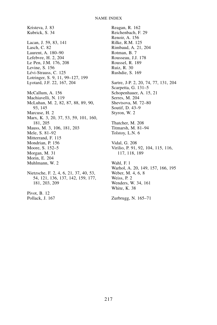Kristeva, J. 83 Kubrick, S. 34 Lacan, J. 59, 83, 141 Lasch, C. 82 Laurent, A. 180–90 Lefebvre, H. 2, 204 Le Pen, J.M. 176, 208 Levine, S. 156 Lévi-Strauss, C. 125 Lotringer, S. 9, 11, 99–127, 199 Lyotard, J.F. 22, 167, 204 McCallum, A. 156 Machiavelli, N. 119 McLuhan, M. 2, 82, 87, 88, 89, 90, 93, 145 Marcuse, H. 2 Marx, K. 3, 20, 37, 53, 59, 101, 160, 181, 205 Mauss, M. 3, 106, 181, 203 Mele, S. 81–92 Mitterrand, F. 115 Mondrian, P. 156 Moore, S. 152–5 Morgan, M. 31 Morin, E. 204 Muhlmann, W. 2 Nietzsche, F. 2, 4, 6, 21, 37, 40, 53, 54, 121, 136, 137, 142, 159, 177, 181, 203, 209 Pivot, B. 12 Pollack, J. 167

Reagan, R. 162 Reichenbach, F. 29 Renoir, A. 156 Rilke, R.M. 125 Rimbaud, A. 21, 204 Rotman, B. 7 Rousseau, J.J. 178 Roussel, R. 189 Ruiz, R. 30 Rushdie, S. 169 Sartre, J-P. 2, 20, 74, 77, 131, 204 Scarpetta, G. 131–5 Schopenhauer, A. 15, 21 Serres, M. 204 Shevtsova, M. 72–80 Soutif, D. 43–9 Styron, W. 2 Thatcher, M. 208 Titmarsh, M. 81–94 Tolstoy, L.N. 6 Vidal, G. 208 Virilio, P. 91, 92, 104, 115, 116, 117, 118, 189 Wahl, F. l Warhol, A. 20, 149, 157, 166, 195 Weber, M. 4, 6, 8 Weiss, P. 2 Wenders, W. 34, 161 White, K. 38 Zurbrugg, N. 165–71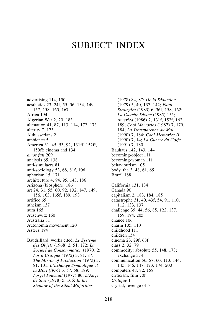## SUBJECT INDEX

advertising 114, 150 aesthetics 23, 24f, 55, 56, 134, 149, 157, 158, 165, 167 Africa 194 Algerian War 2, 20, 183 alienation 41, 87, 113, 114, 172, 173 alterity 7, 173 Althusserians 2 ambience 5 America 31, 45, 53, 92, 131ff, 152ff, 159ff; cinema and 134 *amor fati* 209 analysis 65, 138 anti-simulacra 81 anti-sociology 53, 68, 81f, 106 aphorism 15, 171 architecture 4, 94, 95, 143, 186 Arizona (biosphere) 186 art 24, 31, 55, 60, 92, 132, 147, 149, 156, 163, 165f, 189, 193 artifice 65 atheism 137 aura 165 Auschwitz 160 Australia 81 Autonomia movement 120 Aztecs 194

Baudrillard, works cited: *Le Système des Objets* (1968) 2, 51, 172; *La Société de Consommation* (1970) 2; *For a Critique* (1972) 3, 81, 87; *The Mirror of Production* (1973) 3, 81, 101; *L'Échange Symbolique et la Mort (l976)* 3*,* 57, 58, 189; *Forget Foucault* (1977) 86; *L'Ange de Stuc* (1978) 5, 166; *In the Shadow of the Silent Majorities*

(1978) 84, 87; *De la Séduction* (1979) 5, 40, 137, 142; *Fatal Strategies* (1983) 6, 36f, 158, 162; *La Gauche Divine* (1985) 155; *America* (1986) 7, 131f, 152f, 162, 189; *Cool Memories* (1987) 7, 179, 184; *La Transparence du Mal* (1990) 7, 184; *Cool Memories II* (1990) 7, 14; *La Guerre du Golfe* (1991) 7, 180 Bauhaus 142, 143, 144 becoming-object 111 becoming-woman 111 behaviourism 105 body, the 3, 48, 61, 65 Brazil 188 California 131, 134 Canada 90 capitalism 2, 183, 184, 185 catastrophe 31, 40, 43f, 54, 91, 110, 112, 133, 137 challenge 39, 44, 56, 85, 122, 137, 159, 194, 205 chance 106 charm 105, 110 childhood 111 children 154 cinema 23, 29f, 68f class 2, 32, 79 commodity: absolute 55, 148, 173; exchange 3, 4 communication 56, 57, 60, 113, 144, 145, 146, 147, 173, 174, 200 computers 48, 82, 158 criticism, film 70f *Critique* 1 crystal, revenge of 51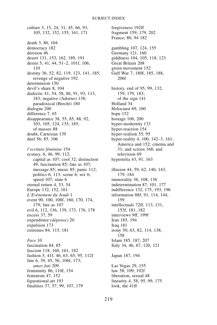culture 3, 15, 24, 31, 45, 66, 93, 105, 132, 152, 155, 161, 171 death 3, 86, 104 democracy 182 derision 46 desert 131, 153, 162, 189, 191 desire 5, 41, 44, 51–2, 101f, 106, 110 destiny 36, 52, 82, 119, 123, 141, 185; revenge of negative 192 determinism 150 devil's share 8, 104 dialectic 41, 54, 58, 86, 91, 93, 113, 183; negative (Adorno) 138; paradoxical (Brecht) 180 dialogue 200 difference 7, 65 disappearance 38, 55, 85, 88, 92, 103, 105, 124, 135, 185; of masses 88 doubt, Cartesian 139 duel 56, 85, 106 *l'ecriture féminine* 154 ecstasy, 6, 46, 99, 112; capital as 107; cool 32; distinction 49; fascination 85; fate as 107; message 85; music 85; panic 112; politics 6, 113; scene 6; sex 6; speed 107; state 6 eternal return 4, 53, 54 Europe 132, 152, 161 *L'Evénement du Jeudi* 1 event 90, 100, 108f, 160, 170, 174, 179; fate as 107 evil 6, 112, 136, 139, 173, 176, 178 excess 37, 59 expenditure *(dépense)* 20 expulsion 173 extremes 84, 115, 181 *Face* 10 fascination 84, 85 fascism 118, 160, 161, 182 fashion 5, 41f, 46, 63, 65, 95, 112f fate 6, 39, 45, 56, 106f, 173; *amor fati* 209 femininity 86, 110f, 154 feminism 47, 152 figurational art 193 finalities 37, 57, 99, 107, 179

forgiveness 192ff fragment 159, 179, 202 France, 80, 94 182 gambling 107, 124, 155 Germany 121, 160 giddiness 104, 105, 118, 123 Great Britain 208 green movement 152 Gulf War 7, 180f, 185, 188, 206f history, end of 95, 99, 132, 159, 179, 183; of the sign 141 Holland 34 Holocaust 69, 160 hope 152 hostage 106, 200 hyper-modernity 133 hyper-reaction 154 hyper-realism 55, 95 hyper-reality 4, 100, 142–3, 161; America and 152; cinema and 31; and screen 168; and television 69 hypertelia 43, 91, 163 illusion 44, 59, 62, 140, 143, 179, 184 immorality 36, 108, 136 indetermination 87, 101, 177 indifference 132, 175, 193, 196 information 88f, 91, 114, 144, 159 intellectuals 72ff, 113, 131, 153f, 181, 182 interviews 9ff, 199f Iran 185, 194 Iraq 181 irony 50, 63, 82, 114, 138, 158 Islam 185, 187, 207 Italy 34, 46, 67, 120, 121 Japan 187, 194 Las Vegas 29, 155 law 58, 109, 192f liberation, sexual 48 linearity 4, 58, 95, 99, 175 look, the 41ff

219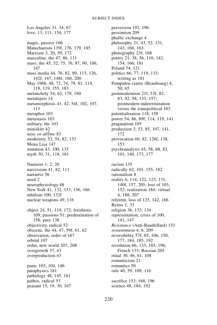Los Angeles 31, 34, 67 love, 13, 111, 154, 177 magic, passive 166 Manichaeism 139f, 176, 179, 185 Marxism 3, 20, 59, 172 masculine, the 47, 86, 111 mass, the 45, 52, 75, 76, 87, 90, 106, 147 mass media 44, 76, 82, 89, 113, 126, 142f, 147, 148f, 160, 200 May 1968, 48, 72, 74, 79, 81, 114, 118, 119, 155, 183 melancholy 54, 62, 179, 180 metalepsis 14 metamorphosis 41, 42, 54f, 102, 107, 113 metaphor 103 metastasis 103 military, the 103 miniskirt 42 mise en ab<sup> $\Diamond$ me 83</sup> modernity 53, 54, 82, 133 Mona Lisa 147 mutation 43, 100, 133 myth 30, 31, 118, 161 Nanterre 1, 2, 20 narcissism 41, 82, 111 narrative 56 need 2 neurophysiology 48 New York 41, 132, 153, 156, 166 nihilism 100, 132f nuclear weapons 49, 116 object 24, 51, 119, 172; fetishistic 109; passions 51; predestination of 158; pure 138 objectivity, radical 52 obscene, the 44, 47, 59f, 61, 62 observation, order of 167 orbital 107 order, new world 207, 208 overgrowth 37, 43 overproduction 43 panic 103, 104, 146 pataphysics 181 pathology 48, 145, 161 pathos, radical 53 peasant 15, 19, 30, 167

perversion 192, 196 pessimism 209 phallic exchange 4 philosophy 21, 43, 52, 131, 143, 160, 163 photography 23f, 168 poetry 21, 38, 56, 110, 142, 154, 166, 181 Poland 74, 121 politics 66, 77, 119, 133; writing as 181 Pompidou centre (Beaubourg) 4, 50, 65 postmodernism 21f, 53f, 82, 83, 92, 94, 133, 157; postmodern indetermination versus the transpolitical 163 potentialization 118, 158 power 54, 86, 89f, 114, 119, 141 pragmatism 105 production 3, 53, 85, 107, 141, 172 provocation 60, 82, 126f, 138, 153 psychoanalysis 45, 58, 68, 83, 101, 140, 173, 177 racism 135 radically 62, 101, 155, 182 rationalism 8 reality 6, 114, 122, 123, 131, 140f, 157, 205; loss of 103, 152; realization 184; virtual 4, 188, 207 referent, loss of 125, 142, 166 Reims 1, 33 religion 36, 133, 134 representation, crisis of 100, 141, 147 *Resistance* (Anti-Baudrillard) 153 *ressentiment* 4, 6, 209 reversibility 57f, 85, 106, 150, 177, 184, 185, 192 revolution 66, 133, 185, 196; French 133; Russian 205 ritual 30, 46, 61, 108 romanticism 21 romantics 50 rule 40, 59, 109, 116 sacrifice 153, 168, 196 science 48, 184, 192

220